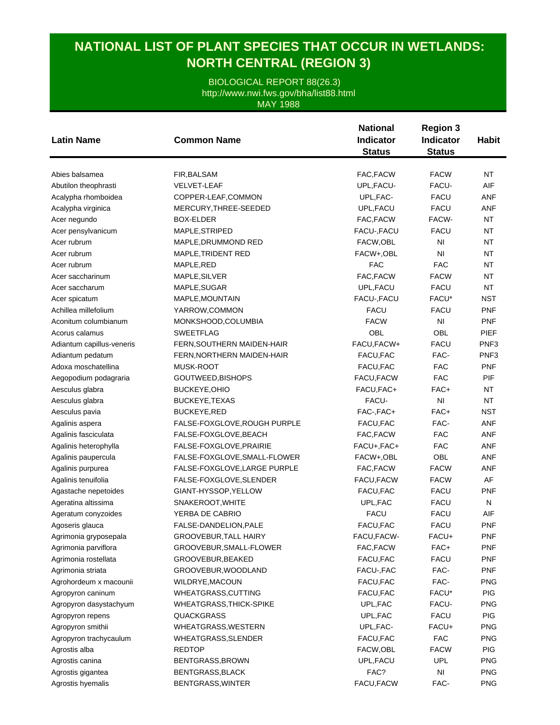## **NATIONAL LIST OF PLANT SPECIES THAT OCCUR IN WETLANDS: NORTH CENTRAL (REGION 3)**

BIOLOGICAL REPORT 88(26.3) MAY 1988 http://www.nwi.fws.gov/bha/list88.html

|                           |                                | <b>National</b>  | <b>Region 3</b> | <b>Habit</b>     |
|---------------------------|--------------------------------|------------------|-----------------|------------------|
| <b>Latin Name</b>         | <b>Common Name</b>             | <b>Indicator</b> | Indicator       |                  |
|                           |                                | <b>Status</b>    | <b>Status</b>   |                  |
|                           |                                |                  |                 |                  |
| Abies balsamea            | FIR, BALSAM                    | FAC, FACW        | <b>FACW</b>     | <b>NT</b>        |
| Abutilon theophrasti      | <b>VELVET-LEAF</b>             | UPL, FACU-       | FACU-           | AIF              |
| Acalypha rhomboidea       | COPPER-LEAF,COMMON             | UPL, FAC-        | <b>FACU</b>     | <b>ANF</b>       |
| Acalypha virginica        | MERCURY, THREE-SEEDED          | UPL, FACU        | <b>FACU</b>     | <b>ANF</b>       |
| Acer negundo              | <b>BOX-ELDER</b>               | FAC, FACW        | FACW-           | <b>NT</b>        |
| Acer pensylvanicum        | MAPLE, STRIPED                 | FACU-, FACU      | <b>FACU</b>     | <b>NT</b>        |
| Acer rubrum               | MAPLE, DRUMMOND RED            | FACW,OBL         | N <sub>l</sub>  | <b>NT</b>        |
| Acer rubrum               | MAPLE, TRIDENT RED             | FACW+,OBL        | N <sub>l</sub>  | <b>NT</b>        |
| Acer rubrum               | MAPLE, RED                     | <b>FAC</b>       | <b>FAC</b>      | NT               |
| Acer saccharinum          | MAPLE, SILVER                  | FAC, FACW        | <b>FACW</b>     | NT               |
| Acer saccharum            | MAPLE, SUGAR                   | UPL, FACU        | <b>FACU</b>     | <b>NT</b>        |
| Acer spicatum             | MAPLE, MOUNTAIN                | FACU-, FACU      | FACU*           | NST              |
| Achillea millefolium      | YARROW,COMMON                  | <b>FACU</b>      | <b>FACU</b>     | <b>PNF</b>       |
| Aconitum columbianum      | MONKSHOOD, COLUMBIA            | <b>FACW</b>      | N <sub>l</sub>  | <b>PNF</b>       |
| Acorus calamus            | <b>SWEETFLAG</b>               | OBL              | OBL             | <b>PIEF</b>      |
| Adiantum capillus-veneris | FERN, SOUTHERN MAIDEN-HAIR     | FACU, FACW+      | <b>FACU</b>     | PNF <sub>3</sub> |
| Adiantum pedatum          | FERN, NORTHERN MAIDEN-HAIR     | FACU, FAC        | FAC-            | PNF <sub>3</sub> |
| Adoxa moschatellina       | <b>MUSK-ROOT</b>               | FACU, FAC        | <b>FAC</b>      | <b>PNF</b>       |
| Aegopodium podagraria     | GOUTWEED, BISHOPS              | FACU, FACW       | <b>FAC</b>      | PIF              |
| Aesculus glabra           | <b>BUCKEYE, OHIO</b>           | FACU, FAC+       | FAC+            | <b>NT</b>        |
| Aesculus glabra           | BUCKEYE, TEXAS                 | FACU-            | N <sub>l</sub>  | <b>NT</b>        |
| Aesculus pavia            | <b>BUCKEYE, RED</b>            | FAC-, FAC+       | FAC+            | <b>NST</b>       |
| Agalinis aspera           | FALSE-FOXGLOVE, ROUGH PURPLE   | FACU, FAC        | FAC-            | <b>ANF</b>       |
| Agalinis fasciculata      | FALSE-FOXGLOVE, BEACH          | FAC, FACW        | <b>FAC</b>      | <b>ANF</b>       |
| Agalinis heterophylla     | FALSE-FOXGLOVE, PRAIRIE        | FACU+, FAC+      | <b>FAC</b>      | <b>ANF</b>       |
| Agalinis paupercula       | FALSE-FOXGLOVE, SMALL-FLOWER   | FACW+,OBL        | <b>OBL</b>      | <b>ANF</b>       |
| Agalinis purpurea         | FALSE-FOXGLOVE, LARGE PURPLE   | FAC, FACW        | <b>FACW</b>     | <b>ANF</b>       |
| Agalinis tenuifolia       | FALSE-FOXGLOVE, SLENDER        | FACU,FACW        | <b>FACW</b>     | AF               |
| Agastache nepetoides      | GIANT-HYSSOP, YELLOW           | FACU, FAC        | <b>FACU</b>     | <b>PNF</b>       |
| Ageratina altissima       | SNAKEROOT, WHITE               | UPL, FAC         | <b>FACU</b>     | N                |
| Ageratum conyzoides       | YERBA DE CABRIO                | <b>FACU</b>      | <b>FACU</b>     | AIF              |
| Agoseris glauca           | FALSE-DANDELION, PALE          | FACU, FAC        | <b>FACU</b>     | <b>PNF</b>       |
| Agrimonia gryposepala     | GROOVEBUR,TALL HAIRY           | FACU,FACW-       | FACU+           | PNF              |
| Agrimonia parviflora      | GROOVEBUR, SMALL-FLOWER        | FAC, FACW        | FAC+            | <b>PNF</b>       |
| Agrimonia rostellata      | GROOVEBUR, BEAKED              | FACU, FAC        | <b>FACU</b>     | <b>PNF</b>       |
| Agrimonia striata         | GROOVEBUR, WOODLAND            | FACU-, FAC       | FAC-            | <b>PNF</b>       |
| Agrohordeum x macounii    | WILDRYE, MACOUN                | FACU, FAC        | FAC-            | <b>PNG</b>       |
| Agropyron caninum         | WHEATGRASS, CUTTING            | FACU, FAC        | FACU*           | PIG              |
| Agropyron dasystachyum    | <b>WHEATGRASS, THICK-SPIKE</b> | UPL, FAC         | FACU-           | <b>PNG</b>       |
| Agropyron repens          | <b>QUACKGRASS</b>              | UPL, FAC         | <b>FACU</b>     | PIG              |
| Agropyron smithii         | WHEATGRASS, WESTERN            | UPL, FAC-        | FACU+           | <b>PNG</b>       |
| Agropyron trachycaulum    | WHEATGRASS, SLENDER            | FACU, FAC        | <b>FAC</b>      | <b>PNG</b>       |
| Agrostis alba             | <b>REDTOP</b>                  | FACW, OBL        | <b>FACW</b>     | <b>PIG</b>       |
| Agrostis canina           | BENTGRASS, BROWN               | UPL, FACU        | <b>UPL</b>      | <b>PNG</b>       |
| Agrostis gigantea         | BENTGRASS, BLACK               | FAC?             | NI              | <b>PNG</b>       |
| Agrostis hyemalis         | BENTGRASS, WINTER              | FACU, FACW       | FAC-            | <b>PNG</b>       |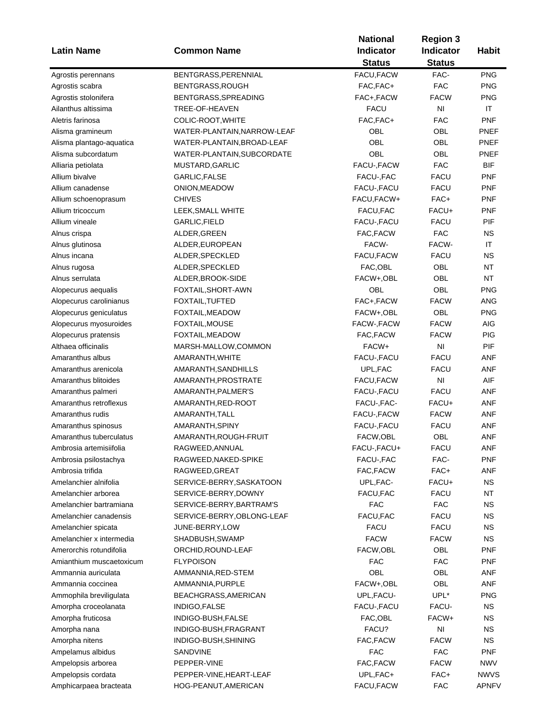| <b>Latin Name</b>                              | <b>Common Name</b>             | <b>National</b><br><b>Indicator</b><br><b>Status</b> | <b>Region 3</b><br>Indicator<br><b>Status</b> | <b>Habit</b>             |
|------------------------------------------------|--------------------------------|------------------------------------------------------|-----------------------------------------------|--------------------------|
| Agrostis perennans                             | BENTGRASS, PERENNIAL           | FACU, FACW                                           | FAC-                                          | <b>PNG</b>               |
| Agrostis scabra                                | BENTGRASS, ROUGH               | FAC, FAC+                                            | <b>FAC</b>                                    | <b>PNG</b>               |
| Agrostis stolonifera                           | BENTGRASS, SPREADING           | FAC+, FACW                                           | <b>FACW</b>                                   | <b>PNG</b>               |
| Ailanthus altissima                            | TREE-OF-HEAVEN                 | <b>FACU</b>                                          | N <sub>l</sub>                                | IT                       |
| Aletris farinosa                               | COLIC-ROOT, WHITE              | FAC, FAC+                                            | <b>FAC</b>                                    | <b>PNF</b>               |
| Alisma gramineum                               | WATER-PLANTAIN, NARROW-LEAF    | OBL                                                  | OBL                                           | PNEF                     |
|                                                | WATER-PLANTAIN, BROAD-LEAF     | OBL                                                  | OBL                                           | PNEF                     |
| Alisma plantago-aquatica<br>Alisma subcordatum | WATER-PLANTAIN, SUBCORDATE     | OBL                                                  | OBL                                           | <b>PNEF</b>              |
|                                                |                                | FACU-, FACW                                          | <b>FAC</b>                                    | <b>BIF</b>               |
| Alliaria petiolata                             | MUSTARD, GARLIC                |                                                      | <b>FACU</b>                                   | <b>PNF</b>               |
| Allium bivalve<br>Allium canadense             | GARLIC, FALSE                  | FACU-, FAC                                           | <b>FACU</b>                                   |                          |
|                                                | ONION, MEADOW<br><b>CHIVES</b> | FACU-, FACU<br>FACU, FACW+                           | FAC+                                          | <b>PNF</b><br><b>PNF</b> |
| Allium schoenoprasum                           |                                |                                                      | FACU+                                         |                          |
| Allium tricoccum                               | LEEK, SMALL WHITE              | FACU, FAC                                            |                                               | <b>PNF</b><br>PIF        |
| Allium vineale                                 | GARLIC, FIELD                  | FACU-, FACU                                          | <b>FACU</b>                                   |                          |
| Alnus crispa                                   | ALDER, GREEN                   | FAC, FACW                                            | <b>FAC</b>                                    | <b>NS</b>                |
| Alnus glutinosa                                | ALDER, EUROPEAN                | FACW-                                                | FACW-                                         | IT                       |
| Alnus incana                                   | ALDER, SPECKLED                | FACU, FACW                                           | <b>FACU</b>                                   | <b>NS</b>                |
| Alnus rugosa                                   | ALDER, SPECKLED                | FAC,OBL                                              | OBL                                           | <b>NT</b>                |
| Alnus serrulata                                | ALDER, BROOK-SIDE              | FACW+, OBL                                           | OBL                                           | <b>NT</b>                |
| Alopecurus aequalis                            | FOXTAIL, SHORT-AWN             | OBL                                                  | OBL                                           | <b>PNG</b>               |
| Alopecurus carolinianus                        | FOXTAIL, TUFTED                | FAC+, FACW                                           | <b>FACW</b>                                   | ANG                      |
| Alopecurus geniculatus                         | FOXTAIL, MEADOW                | FACW+,OBL                                            | OBL                                           | <b>PNG</b>               |
| Alopecurus myosuroides                         | FOXTAIL, MOUSE                 | FACW-, FACW                                          | <b>FACW</b>                                   | <b>AIG</b>               |
| Alopecurus pratensis                           | FOXTAIL, MEADOW                | FAC, FACW                                            | <b>FACW</b>                                   | PIG                      |
| Althaea officinalis                            | MARSH-MALLOW,COMMON            | FACW+                                                | N <sub>l</sub>                                | PIF                      |
| Amaranthus albus                               | AMARANTH, WHITE                | FACU-, FACU                                          | <b>FACU</b>                                   | <b>ANF</b>               |
| Amaranthus arenicola                           | AMARANTH, SANDHILLS            | UPL, FAC                                             | <b>FACU</b>                                   | <b>ANF</b>               |
| Amaranthus blitoides                           | AMARANTH, PROSTRATE            | FACU, FACW                                           | N <sub>l</sub>                                | AIF                      |
| Amaranthus palmeri                             | AMARANTH, PALMER'S             | FACU-, FACU                                          | <b>FACU</b>                                   | ANF                      |
| Amaranthus retroflexus                         | AMARANTH, RED-ROOT             | FACU-, FAC-                                          | FACU+                                         | ANF                      |
| Amaranthus rudis                               | AMARANTH, TALL                 | FACU-, FACW                                          | <b>FACW</b>                                   | ANF                      |
| Amaranthus spinosus                            | AMARANTH, SPINY                | FACU-, FACU                                          | <b>FACU</b>                                   | ANF                      |
| Amaranthus tuberculatus                        | AMARANTH, ROUGH-FRUIT          | FACW,OBL                                             | OBL                                           | <b>ANF</b>               |
| Ambrosia artemisiifolia                        | RAGWEED, ANNUAL                | FACU-, FACU+                                         | <b>FACU</b>                                   | ANF                      |
| Ambrosia psilostachya                          | RAGWEED, NAKED-SPIKE           | FACU-, FAC                                           | FAC-                                          | <b>PNF</b>               |
| Ambrosia trifida                               | RAGWEED, GREAT                 | FAC, FACW                                            | FAC+                                          | <b>ANF</b>               |
| Amelanchier alnifolia                          | SERVICE-BERRY, SASKATOON       | UPL, FAC-                                            | FACU+                                         | <b>NS</b>                |
| Amelanchier arborea                            | SERVICE-BERRY, DOWNY           | FACU, FAC                                            | <b>FACU</b>                                   | <b>NT</b>                |
| Amelanchier bartramiana                        | SERVICE-BERRY, BARTRAM'S       | FAC                                                  | <b>FAC</b>                                    | <b>NS</b>                |
| Amelanchier canadensis                         | SERVICE-BERRY, OBLONG-LEAF     | FACU, FAC                                            | <b>FACU</b>                                   | <b>NS</b>                |
| Amelanchier spicata                            | JUNE-BERRY, LOW                | <b>FACU</b>                                          | <b>FACU</b>                                   | <b>NS</b>                |
| Amelanchier x intermedia                       | SHADBUSH, SWAMP                | <b>FACW</b>                                          | <b>FACW</b>                                   | <b>NS</b>                |
| Amerorchis rotundifolia                        | ORCHID, ROUND-LEAF             | FACW, OBL                                            | OBL                                           | <b>PNF</b>               |
| Amianthium muscaetoxicum                       | <b>FLYPOISON</b>               | <b>FAC</b>                                           | <b>FAC</b>                                    | PNF                      |
| Ammannia auriculata                            | AMMANNIA, RED-STEM             | OBL                                                  | OBL                                           | ANF                      |
| Ammannia coccinea                              | AMMANNIA, PURPLE               | FACW+,OBL                                            | <b>OBL</b>                                    | ANF                      |
| Ammophila breviligulata                        | BEACHGRASS, AMERICAN           | UPL, FACU-                                           | UPL*                                          | <b>PNG</b>               |
| Amorpha croceolanata                           | INDIGO, FALSE                  | FACU-, FACU                                          | FACU-                                         | <b>NS</b>                |
| Amorpha fruticosa                              | INDIGO-BUSH, FALSE             | FAC, OBL                                             | FACW+                                         | <b>NS</b>                |
| Amorpha nana                                   | INDIGO-BUSH, FRAGRANT          | FACU?                                                | $\mathsf{N}\mathsf{I}$                        | <b>NS</b>                |
| Amorpha nitens                                 | INDIGO-BUSH,SHINING            | FAC, FACW                                            | <b>FACW</b>                                   | <b>NS</b>                |
| Ampelamus albidus                              | SANDVINE                       | <b>FAC</b>                                           | <b>FAC</b>                                    | <b>PNF</b>               |
| Ampelopsis arborea                             | PEPPER-VINE                    | FAC, FACW                                            | <b>FACW</b>                                   | <b>NWV</b>               |
| Ampelopsis cordata                             | PEPPER-VINE, HEART-LEAF        | UPL, FAC+                                            | FAC+                                          | <b>NWVS</b>              |
| Amphicarpaea bracteata                         | HOG-PEANUT, AMERICAN           | FACU, FACW                                           | <b>FAC</b>                                    | <b>APNFV</b>             |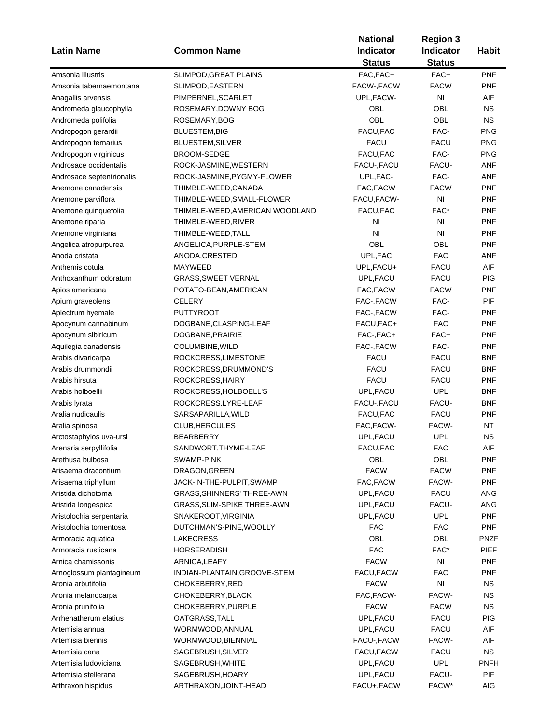| <b>Latin Name</b>                                  | <b>Common Name</b>                | <b>National</b><br><b>Indicator</b> | <b>Region 3</b><br>Indicator | <b>Habit</b> |
|----------------------------------------------------|-----------------------------------|-------------------------------------|------------------------------|--------------|
|                                                    |                                   | <b>Status</b>                       | <b>Status</b>                |              |
| Amsonia illustris                                  | SLIMPOD, GREAT PLAINS             | FAC, FAC+                           | FAC+                         | <b>PNF</b>   |
| Amsonia tabernaemontana                            | SLIMPOD, EASTERN                  | FACW-, FACW                         | <b>FACW</b>                  | <b>PNF</b>   |
| Anagallis arvensis                                 | PIMPERNEL, SCARLET                | UPL, FACW-                          | N <sub>l</sub>               | AIF          |
| Andromeda glaucophylla                             | ROSEMARY, DOWNY BOG               | OBL                                 | <b>OBL</b>                   | ΝS           |
| Andromeda polifolia                                | ROSEMARY, BOG                     | OBL                                 | OBL                          | <b>NS</b>    |
| Andropogon gerardii                                | <b>BLUESTEM, BIG</b>              | FACU, FAC                           | FAC-                         | <b>PNG</b>   |
| Andropogon ternarius                               | <b>BLUESTEM, SILVER</b>           | <b>FACU</b>                         | <b>FACU</b>                  | <b>PNG</b>   |
| Andropogon virginicus                              | <b>BROOM-SEDGE</b>                | FACU, FAC                           | FAC-                         | <b>PNG</b>   |
| Androsace occidentalis                             | ROCK-JASMINE, WESTERN             | FACU-, FACU                         | FACU-                        | <b>ANF</b>   |
| Androsace septentrionalis                          | ROCK-JASMINE, PYGMY-FLOWER        | UPL, FAC-                           | FAC-                         | <b>ANF</b>   |
| Anemone canadensis                                 | THIMBLE-WEED, CANADA              | FAC, FACW                           | <b>FACW</b>                  | <b>PNF</b>   |
| Anemone parviflora                                 | THIMBLE-WEED, SMALL-FLOWER        | FACU, FACW-                         | NI                           | <b>PNF</b>   |
| Anemone quinquefolia                               | THIMBLE-WEED,AMERICAN WOODLAND    | FACU, FAC                           | FAC*                         | <b>PNF</b>   |
| Anemone riparia                                    | THIMBLE-WEED, RIVER               | N <sub>l</sub>                      | NI                           | <b>PNF</b>   |
| Anemone virginiana                                 | THIMBLE-WEED,TALL                 | N <sub>l</sub>                      | N <sub>l</sub>               | <b>PNF</b>   |
| Angelica atropurpurea                              | ANGELICA, PURPLE-STEM             | OBL                                 | OBL                          | <b>PNF</b>   |
| Anoda cristata                                     | ANODA, CRESTED                    | UPL, FAC                            | <b>FAC</b>                   | ANF          |
| Anthemis cotula                                    | MAYWEED                           | UPL, FACU+                          | <b>FACU</b>                  | AIF          |
| Anthoxanthum odoratum                              | <b>GRASS, SWEET VERNAL</b>        | UPL, FACU                           | <b>FACU</b>                  | <b>PIG</b>   |
| Apios americana                                    | POTATO-BEAN, AMERICAN             | FAC, FACW                           | <b>FACW</b>                  | <b>PNF</b>   |
| Apium graveolens                                   | <b>CELERY</b>                     | FAC-, FACW                          | FAC-                         | PIF          |
| Aplectrum hyemale                                  | <b>PUTTYROOT</b>                  | FAC-,FACW                           | FAC-                         | <b>PNF</b>   |
| Apocynum cannabinum                                | DOGBANE, CLASPING-LEAF            | FACU,FAC+                           | <b>FAC</b>                   | <b>PNF</b>   |
| Apocynum sibiricum                                 | DOGBANE, PRAIRIE                  | FAC-, FAC+                          | FAC+                         | <b>PNF</b>   |
| Aquilegia canadensis                               | COLUMBINE, WILD                   | FAC-, FACW                          | FAC-                         | <b>PNF</b>   |
| Arabis divaricarpa                                 | ROCKCRESS, LIMESTONE              | <b>FACU</b>                         | <b>FACU</b>                  | <b>BNF</b>   |
| Arabis drummondii                                  | ROCKCRESS, DRUMMOND'S             | <b>FACU</b>                         | <b>FACU</b>                  | <b>BNF</b>   |
| Arabis hirsuta                                     | ROCKCRESS, HAIRY                  | <b>FACU</b>                         | <b>FACU</b>                  | <b>PNF</b>   |
| Arabis holboellii                                  | ROCKCRESS, HOLBOELL'S             | UPL, FACU                           | <b>UPL</b>                   | BNF          |
| Arabis lyrata                                      | ROCKCRESS, LYRE-LEAF              | FACU-, FACU                         | FACU-                        | BNF          |
| Aralia nudicaulis                                  | SARSAPARILLA, WILD                | FACU, FAC                           | <b>FACU</b>                  | <b>PNF</b>   |
| Aralia spinosa                                     | CLUB, HERCULES                    | FAC, FACW-                          | FACW-                        | NT           |
| Arctostaphylos uva-ursi                            | <b>BEARBERRY</b>                  | UPL, FACU                           | <b>UPL</b>                   | <b>NS</b>    |
| Arenaria serpyllifolia                             | SANDWORT, THYME-LEAF              | FACU, FAC                           | <b>FAC</b>                   |              |
| Arethusa bulbosa                                   | SWAMP-PINK                        | OBL                                 | OBL                          | AIF<br>PNF   |
| Arisaema dracontium                                | DRAGON, GREEN                     | <b>FACW</b>                         | <b>FACW</b>                  | <b>PNF</b>   |
| Arisaema triphyllum                                | JACK-IN-THE-PULPIT, SWAMP         | FAC, FACW                           | FACW-                        | <b>PNF</b>   |
| Aristida dichotoma                                 | <b>GRASS, SHINNERS' THREE-AWN</b> | UPL, FACU                           | <b>FACU</b>                  | <b>ANG</b>   |
|                                                    | GRASS, SLIM-SPIKE THREE-AWN       | UPL, FACU                           | FACU-                        | <b>ANG</b>   |
| Aristida longespica                                | SNAKEROOT, VIRGINIA               | UPL, FACU                           | <b>UPL</b>                   | <b>PNF</b>   |
| Aristolochia serpentaria<br>Aristolochia tomentosa | DUTCHMAN'S-PINE, WOOLLY           | <b>FAC</b>                          | <b>FAC</b>                   | <b>PNF</b>   |
|                                                    | <b>LAKECRESS</b>                  | OBL                                 | OBL                          | <b>PNZF</b>  |
| Armoracia aquatica                                 |                                   | <b>FAC</b>                          | FAC*                         | <b>PIEF</b>  |
| Armoracia rusticana                                | HORSERADISH                       |                                     | N <sub>l</sub>               | <b>PNF</b>   |
| Arnica chamissonis                                 | ARNICA, LEAFY                     | <b>FACW</b>                         | <b>FAC</b>                   |              |
| Arnoglossum plantagineum                           | INDIAN-PLANTAIN, GROOVE-STEM      | FACU, FACW                          |                              | PNF          |
| Aronia arbutifolia                                 | CHOKEBERRY, RED                   | <b>FACW</b>                         | NI                           | <b>NS</b>    |
| Aronia melanocarpa                                 | CHOKEBERRY, BLACK                 | FAC, FACW-                          | FACW-                        | <b>NS</b>    |
| Aronia prunifolia                                  | CHOKEBERRY, PURPLE                | <b>FACW</b>                         | <b>FACW</b>                  | <b>NS</b>    |
| Arrhenatherum elatius                              | OATGRASS, TALL                    | UPL, FACU                           | <b>FACU</b>                  | <b>PIG</b>   |
| Artemisia annua                                    | WORMWOOD, ANNUAL                  | UPL, FACU                           | <b>FACU</b>                  | AIF          |
| Artemisia biennis                                  | WORMWOOD, BIENNIAL                | FACU-, FACW                         | FACW-                        | AIF          |
| Artemisia cana                                     | SAGEBRUSH, SILVER                 | FACU, FACW                          | <b>FACU</b>                  | ΝS           |
| Artemisia ludoviciana                              | SAGEBRUSH,WHITE                   | UPL, FACU                           | <b>UPL</b>                   | <b>PNFH</b>  |
| Artemisia stellerana                               | SAGEBRUSH, HOARY                  | UPL, FACU                           | FACU-                        | PIF          |
| Arthraxon hispidus                                 | ARTHRAXON, JOINT-HEAD             | FACU+, FACW                         | FACW*                        | AIG          |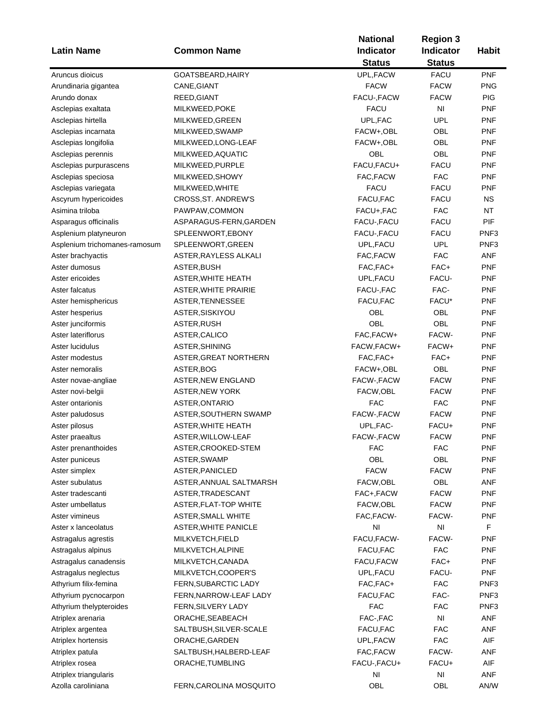|                               |                              | <b>Region 3</b> |               |              |
|-------------------------------|------------------------------|-----------------|---------------|--------------|
| <b>Latin Name</b>             | <b>Common Name</b>           | Indicator       | Indicator     | <b>Habit</b> |
|                               |                              | <b>Status</b>   | <b>Status</b> |              |
| Aruncus dioicus               | GOATSBEARD, HAIRY            | UPL, FACW       | <b>FACU</b>   | <b>PNF</b>   |
| Arundinaria gigantea          | CANE, GIANT                  | <b>FACW</b>     | <b>FACW</b>   | <b>PNG</b>   |
| Arundo donax                  | REED, GIANT                  | FACU-, FACW     | <b>FACW</b>   | <b>PIG</b>   |
| Asclepias exaltata            | MILKWEED, POKE               | <b>FACU</b>     | NI            | <b>PNF</b>   |
| Asclepias hirtella            | MILKWEED, GREEN              | UPL, FAC        | <b>UPL</b>    | <b>PNF</b>   |
| Asclepias incarnata           | MILKWEED, SWAMP              | FACW+,OBL       | OBL           | <b>PNF</b>   |
| Asclepias longifolia          | MILKWEED, LONG-LEAF          | FACW+,OBL       | OBL           | <b>PNF</b>   |
| Asclepias perennis            | MILKWEED, AQUATIC            | OBL             | OBL           | <b>PNF</b>   |
| Asclepias purpurascens        | MILKWEED, PURPLE             | FACU, FACU+     | <b>FACU</b>   | <b>PNF</b>   |
| Asclepias speciosa            | MILKWEED, SHOWY              | FAC, FACW       | <b>FAC</b>    | <b>PNF</b>   |
| Asclepias variegata           | MILKWEED, WHITE              | <b>FACU</b>     | <b>FACU</b>   | <b>PNF</b>   |
| Ascyrum hypericoides          | CROSS, ST. ANDREW'S          | FACU, FAC       | <b>FACU</b>   | ΝS           |
| Asimina triloba               | PAWPAW,COMMON                | FACU+, FAC      | <b>FAC</b>    | NT           |
| Asparagus officinalis         | ASPARAGUS-FERN, GARDEN       | FACU-, FACU     | <b>FACU</b>   | PIF          |
| Asplenium platyneuron         | SPLEENWORT, EBONY            | FACU-, FACU     | <b>FACU</b>   | PNF3         |
| Asplenium trichomanes-ramosum | SPLEENWORT, GREEN            | UPL, FACU       | <b>UPL</b>    | PNF3         |
| Aster brachyactis             | ASTER, RAYLESS ALKALI        | FAC, FACW       | <b>FAC</b>    | <b>ANF</b>   |
| Aster dumosus                 | ASTER, BUSH                  | FAC, FAC+       | FAC+          | <b>PNF</b>   |
| Aster ericoides               | ASTER, WHITE HEATH           | UPL, FACU       | FACU-         | <b>PNF</b>   |
| Aster falcatus                | <b>ASTER, WHITE PRAIRIE</b>  | FACU-, FAC      | FAC-          | <b>PNF</b>   |
|                               |                              |                 | FACU*         |              |
| Aster hemisphericus           | ASTER, TENNESSEE             | FACU, FAC       |               | <b>PNF</b>   |
| Aster hesperius               | ASTER, SISKIYOU              | OBL             | OBL           | <b>PNF</b>   |
| Aster junciformis             | ASTER, RUSH                  | OBL             | OBL           | <b>PNF</b>   |
| Aster lateriflorus            | ASTER, CALICO                | FAC, FACW+      | FACW-         | <b>PNF</b>   |
| Aster lucidulus               | ASTER, SHINING               | FACW, FACW+     | FACW+         | <b>PNF</b>   |
| Aster modestus                | ASTER, GREAT NORTHERN        | FAC, FAC+       | FAC+          | <b>PNF</b>   |
| Aster nemoralis               | ASTER, BOG                   | FACW+,OBL       | OBL           | <b>PNF</b>   |
| Aster novae-angliae           | <b>ASTER, NEW ENGLAND</b>    | FACW-, FACW     | <b>FACW</b>   | <b>PNF</b>   |
| Aster novi-belgii             | <b>ASTER, NEW YORK</b>       | FACW, OBL       | <b>FACW</b>   | <b>PNF</b>   |
| Aster ontarionis              | ASTER, ONTARIO               | <b>FAC</b>      | <b>FAC</b>    | <b>PNF</b>   |
| Aster paludosus               | ASTER, SOUTHERN SWAMP        | FACW-, FACW     | <b>FACW</b>   | <b>PNF</b>   |
| Aster pilosus                 | <b>ASTER, WHITE HEATH</b>    | UPL, FAC-       | FACU+         | <b>PNF</b>   |
| Aster praealtus               | ASTER, WILLOW-LEAF           | FACW-, FACW     | <b>FACW</b>   | <b>PNF</b>   |
| Aster prenanthoides           | ASTER, CROOKED-STEM          | <b>FAC</b>      | <b>FAC</b>    | PNF          |
| Aster puniceus                | ASTER, SWAMP                 | OBL             | OBL           | <b>PNF</b>   |
| Aster simplex                 | ASTER, PANICLED              | <b>FACW</b>     | <b>FACW</b>   | <b>PNF</b>   |
| Aster subulatus               | ASTER, ANNUAL SALTMARSH      | FACW, OBL       | OBL           | ANF          |
| Aster tradescanti             | ASTER, TRADESCANT            | FAC+, FACW      | <b>FACW</b>   | <b>PNF</b>   |
| Aster umbellatus              | <b>ASTER, FLAT-TOP WHITE</b> | FACW,OBL        | <b>FACW</b>   | <b>PNF</b>   |
| Aster vimineus                | <b>ASTER, SMALL WHITE</b>    | FAC, FACW-      | FACW-         | PNF          |
| Aster x lanceolatus           | <b>ASTER, WHITE PANICLE</b>  | NI              | NI            | F            |
| Astragalus agrestis           | MILKVETCH, FIELD             | FACU, FACW-     | FACW-         | <b>PNF</b>   |
| Astragalus alpinus            | MILKVETCH, ALPINE            | FACU, FAC       | <b>FAC</b>    | <b>PNF</b>   |
| Astragalus canadensis         | MILKVETCH, CANADA            | FACU, FACW      | FAC+          | <b>PNF</b>   |
| Astragalus neglectus          | MILKVETCH,COOPER'S           | UPL, FACU       | FACU-         | <b>PNF</b>   |
| Athyrium filix-femina         | FERN, SUBARCTIC LADY         | FAC, FAC+       | <b>FAC</b>    | PNF3         |
| Athyrium pycnocarpon          | FERN, NARROW-LEAF LADY       | FACU, FAC       | FAC-          | PNF3         |
| Athyrium thelypteroides       | FERN, SILVERY LADY           | <b>FAC</b>      | <b>FAC</b>    | PNF3         |
| Atriplex arenaria             | ORACHE, SEABEACH             | FAC-, FAC       | NI            | ANF          |
| Atriplex argentea             | SALTBUSH, SILVER-SCALE       | FACU, FAC       | <b>FAC</b>    | ANF          |
| Atriplex hortensis            | ORACHE, GARDEN               | UPL,FACW        | <b>FAC</b>    | AIF          |
| Atriplex patula               | SALTBUSH, HALBERD-LEAF       | FAC,FACW        | FACW-         | ANF          |
| Atriplex rosea                | ORACHE, TUMBLING             | FACU-, FACU+    | FACU+         | AIF          |
| Atriplex triangularis         |                              | NI              | NI            | ANF          |
| Azolla caroliniana            | FERN, CAROLINA MOSQUITO      | OBL             | OBL           | AN/W         |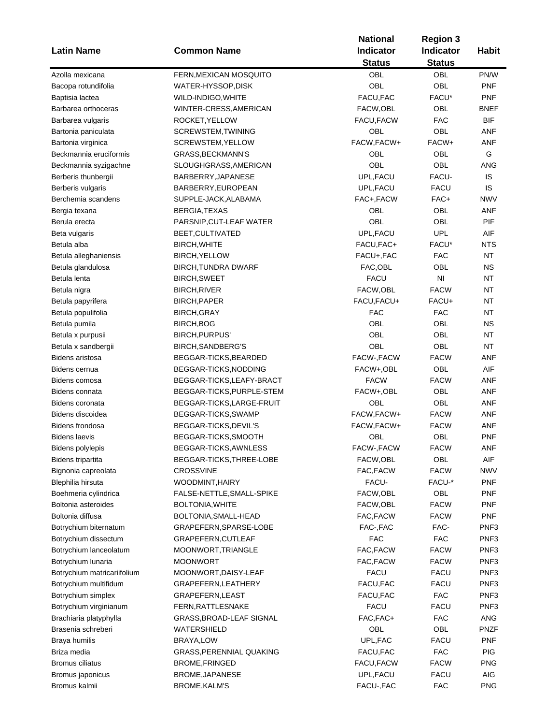|                             |                            | <b>National</b><br><b>Region 3</b> |                  |                  |  |
|-----------------------------|----------------------------|------------------------------------|------------------|------------------|--|
| <b>Latin Name</b>           | <b>Common Name</b>         | <b>Indicator</b>                   | <b>Indicator</b> | <b>Habit</b>     |  |
|                             |                            | <b>Status</b>                      | <b>Status</b>    |                  |  |
| Azolla mexicana             | FERN, MEXICAN MOSQUITO     | OBL                                | OBL              | PN/W             |  |
| Bacopa rotundifolia         | WATER-HYSSOP,DISK          | OBL                                | <b>OBL</b>       | <b>PNF</b>       |  |
| Baptisia lactea             | WILD-INDIGO, WHITE         | FACU, FAC                          | FACU*            | <b>PNF</b>       |  |
| Barbarea orthoceras         | WINTER-CRESS, AMERICAN     | FACW,OBL                           | OBL              | <b>BNEF</b>      |  |
| Barbarea vulgaris           | ROCKET, YELLOW             | FACU, FACW                         | <b>FAC</b>       | <b>BIF</b>       |  |
| Bartonia paniculata         | SCREWSTEM, TWINING         | OBL                                | OBL              | ANF              |  |
| Bartonia virginica          | SCREWSTEM, YELLOW          | FACW, FACW+                        | FACW+            | ANF              |  |
| Beckmannia eruciformis      | <b>GRASS, BECKMANN'S</b>   | OBL                                | OBL              | G                |  |
| Beckmannia syzigachne       | SLOUGHGRASS, AMERICAN      | OBL                                | OBL              | ANG              |  |
| Berberis thunbergii         | BARBERRY, JAPANESE         | UPL, FACU                          | FACU-            | IS               |  |
| Berberis vulgaris           | BARBERRY, EUROPEAN         | UPL, FACU                          | <b>FACU</b>      | IS               |  |
| Berchemia scandens          | SUPPLE-JACK, ALABAMA       | FAC+,FACW                          | FAC+             | <b>NWV</b>       |  |
| Bergia texana               | BERGIA, TEXAS              | OBL                                | <b>OBL</b>       | ANF              |  |
| Berula erecta               | PARSNIP, CUT-LEAF WATER    | OBL                                | <b>OBL</b>       | PIF              |  |
| Beta vulgaris               | BEET, CULTIVATED           | UPL, FACU                          | UPL              | AIF              |  |
| Betula alba                 | BIRCH, WHITE               | FACU, FAC+                         | FACU*            | <b>NTS</b>       |  |
| Betula alleghaniensis       | <b>BIRCH, YELLOW</b>       | FACU+, FAC                         | <b>FAC</b>       | <b>NT</b>        |  |
| Betula glandulosa           | <b>BIRCH, TUNDRA DWARF</b> | FAC,OBL                            | OBL              | <b>NS</b>        |  |
| Betula lenta                | <b>BIRCH, SWEET</b>        | <b>FACU</b>                        | N <sub>l</sub>   | <b>NT</b>        |  |
|                             |                            | FACW, OBL                          | <b>FACW</b>      | NT               |  |
| Betula nigra                | BIRCH, RIVER               |                                    |                  |                  |  |
| Betula papyrifera           | BIRCH, PAPER               | FACU, FACU+                        | FACU+            | <b>NT</b>        |  |
| Betula populifolia          | <b>BIRCH, GRAY</b>         | <b>FAC</b>                         | <b>FAC</b>       | <b>NT</b>        |  |
| Betula pumila               | BIRCH, BOG                 | OBL                                | <b>OBL</b>       | <b>NS</b>        |  |
| Betula x purpusii           | <b>BIRCH, PURPUS'</b>      | OBL                                | <b>OBL</b>       | <b>NT</b>        |  |
| Betula x sandbergii         | BIRCH, SANDBERG'S          | <b>OBL</b>                         | OBL              | <b>NT</b>        |  |
| Bidens aristosa             | BEGGAR-TICKS, BEARDED      | FACW-, FACW                        | <b>FACW</b>      | <b>ANF</b>       |  |
| Bidens cernua               | BEGGAR-TICKS, NODDING      | FACW+,OBL                          | OBL              | AIF              |  |
| Bidens comosa               | BEGGAR-TICKS, LEAFY-BRACT  | <b>FACW</b>                        | <b>FACW</b>      | ANF              |  |
| Bidens connata              | BEGGAR-TICKS, PURPLE-STEM  | FACW+,OBL                          | OBL              | ANF              |  |
| Bidens coronata             | BEGGAR-TICKS, LARGE-FRUIT  | OBL                                | OBL              | ANF              |  |
| Bidens discoidea            | BEGGAR-TICKS, SWAMP        | FACW, FACW+                        | <b>FACW</b>      | ANF              |  |
| Bidens frondosa             | BEGGAR-TICKS, DEVIL'S      | FACW, FACW+                        | <b>FACW</b>      | ANF              |  |
| <b>Bidens laevis</b>        | BEGGAR-TICKS, SMOOTH       | OBL                                | OBL              | <b>PNF</b>       |  |
| <b>Bidens polylepis</b>     | BEGGAR-TICKS, AWNLESS      | FACW-, FACW                        | <b>FACW</b>      | ANF              |  |
| <b>Bidens tripartita</b>    | BEGGAR-TICKS, THREE-LOBE   | FACW,OBL                           | OBL              | AIF              |  |
| Bignonia capreolata         | <b>CROSSVINE</b>           | FAC, FACW                          | <b>FACW</b>      | <b>NWV</b>       |  |
| Blephilia hirsuta           | WOODMINT, HAIRY            | FACU-                              | FACU-*           | <b>PNF</b>       |  |
| Boehmeria cylindrica        | FALSE-NETTLE, SMALL-SPIKE  | FACW,OBL                           | OBL              | <b>PNF</b>       |  |
| Boltonia asteroides         | BOLTONIA, WHITE            | FACW, OBL                          | <b>FACW</b>      | <b>PNF</b>       |  |
| Boltonia diffusa            | BOLTONIA, SMALL-HEAD       | FAC, FACW                          | <b>FACW</b>      | <b>PNF</b>       |  |
| Botrychium biternatum       | GRAPEFERN, SPARSE-LOBE     | FAC-, FAC                          | FAC-             | PNF3             |  |
| Botrychium dissectum        | GRAPEFERN, CUTLEAF         | <b>FAC</b>                         | <b>FAC</b>       | PNF <sub>3</sub> |  |
| Botrychium lanceolatum      | MOONWORT, TRIANGLE         | FAC, FACW                          | <b>FACW</b>      | PNF <sub>3</sub> |  |
| Botrychium lunaria          | <b>MOONWORT</b>            | FAC, FACW                          | <b>FACW</b>      | PNF3             |  |
| Botrychium matricariifolium | MOONWORT, DAISY-LEAF       | <b>FACU</b>                        | FACU             | PNF3             |  |
| Botrychium multifidum       | GRAPEFERN, LEATHERY        | FACU, FAC                          | <b>FACU</b>      | PNF3             |  |
| Botrychium simplex          | GRAPEFERN, LEAST           | FACU, FAC                          | <b>FAC</b>       | PNF3             |  |
| Botrychium virginianum      | FERN, RATTLESNAKE          | <b>FACU</b>                        | <b>FACU</b>      | PNF3             |  |
| Brachiaria platyphylla      | GRASS, BROAD-LEAF SIGNAL   | FAC, FAC+                          | <b>FAC</b>       | ANG              |  |
| Brasenia schreberi          | WATERSHIELD                | OBL                                | OBL              | <b>PNZF</b>      |  |
| Braya humilis               | BRAYA, LOW                 | UPL, FAC                           | <b>FACU</b>      | <b>PNF</b>       |  |
| Briza media                 | GRASS, PERENNIAL QUAKING   | FACU, FAC                          | <b>FAC</b>       | <b>PIG</b>       |  |
| Bromus ciliatus             | <b>BROME, FRINGED</b>      | FACU, FACW                         | <b>FACW</b>      | <b>PNG</b>       |  |
| Bromus japonicus            | BROME, JAPANESE            | UPL, FACU                          | <b>FACU</b>      | AIG              |  |
| Bromus kalmii               | BROME, KALM'S              | FACU-, FAC                         | <b>FAC</b>       | <b>PNG</b>       |  |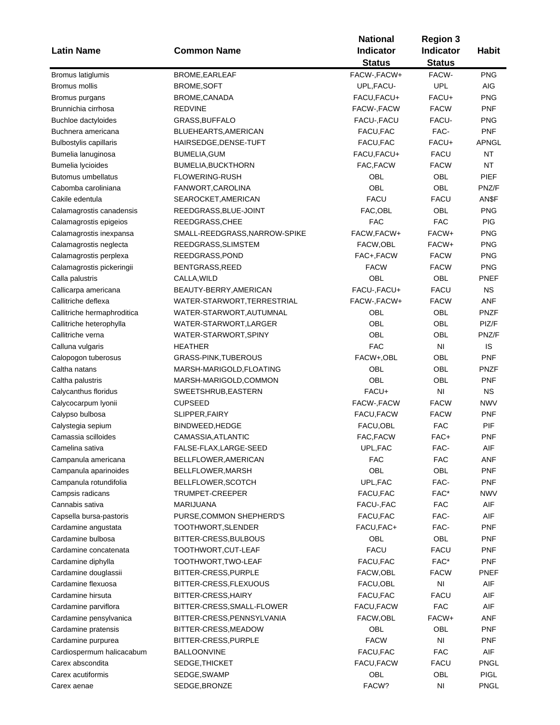|                               |                               | <b>National</b>  | <b>Region 3</b> |              |
|-------------------------------|-------------------------------|------------------|-----------------|--------------|
| <b>Latin Name</b>             | <b>Common Name</b>            | <b>Indicator</b> | Indicator       | <b>Habit</b> |
|                               |                               | <b>Status</b>    | <b>Status</b>   |              |
| Bromus latiglumis             | BROME, EARLEAF                | FACW-, FACW+     | FACW-           | <b>PNG</b>   |
| Bromus mollis                 | <b>BROME, SOFT</b>            | UPL, FACU-       | <b>UPL</b>      | AIG          |
| Bromus purgans                | BROME, CANADA                 | FACU, FACU+      | FACU+           | <b>PNG</b>   |
| Brunnichia cirrhosa           | <b>REDVINE</b>                | FACW-, FACW      | <b>FACW</b>     | <b>PNF</b>   |
| Buchloe dactyloides           | GRASS, BUFFALO                | FACU-, FACU      | FACU-           | <b>PNG</b>   |
| Buchnera americana            | BLUEHEARTS, AMERICAN          | FACU, FAC        | FAC-            | <b>PNF</b>   |
| <b>Bulbostylis capillaris</b> | HAIRSEDGE, DENSE-TUFT         | FACU, FAC        | FACU+           | APNGL        |
| Bumelia lanuginosa            | <b>BUMELIA, GUM</b>           | FACU, FACU+      | <b>FACU</b>     | <b>NT</b>    |
| Bumelia lycioides             | <b>BUMELIA, BUCKTHORN</b>     | FAC, FACW        | <b>FACW</b>     | <b>NT</b>    |
| <b>Butomus umbellatus</b>     | <b>FLOWERING-RUSH</b>         | OBL              | OBL             | PIEF         |
| Cabomba caroliniana           | FANWORT, CAROLINA             | <b>OBL</b>       | <b>OBL</b>      | PNZ/F        |
| Cakile edentula               | SEAROCKET, AMERICAN           | <b>FACU</b>      | <b>FACU</b>     | AN\$F        |
|                               |                               | FAC, OBL         | OBL             | <b>PNG</b>   |
| Calamagrostis canadensis      | REEDGRASS, BLUE-JOINT         |                  |                 |              |
| Calamagrostis epigeios        | REEDGRASS, CHEE               | <b>FAC</b>       | <b>FAC</b>      | PIG          |
| Calamagrostis inexpansa       | SMALL-REEDGRASS, NARROW-SPIKE | FACW, FACW+      | FACW+           | <b>PNG</b>   |
| Calamagrostis neglecta        | REEDGRASS, SLIMSTEM           | FACW, OBL        | FACW+           | <b>PNG</b>   |
| Calamagrostis perplexa        | REEDGRASS, POND               | FAC+, FACW       | <b>FACW</b>     | <b>PNG</b>   |
| Calamagrostis pickeringii     | BENTGRASS, REED               | <b>FACW</b>      | <b>FACW</b>     | <b>PNG</b>   |
| Calla palustris               | CALLA, WILD                   | OBL              | OBL             | PNEF         |
| Callicarpa americana          | BEAUTY-BERRY, AMERICAN        | FACU-, FACU+     | <b>FACU</b>     | <b>NS</b>    |
| Callitriche deflexa           | WATER-STARWORT, TERRESTRIAL   | FACW-, FACW+     | <b>FACW</b>     | ANF          |
| Callitriche hermaphroditica   | WATER-STARWORT, AUTUMNAL      | OBL              | OBL             | <b>PNZF</b>  |
| Callitriche heterophylla      | WATER-STARWORT, LARGER        | OBL              | OBL             | PIZ/F        |
| Callitriche verna             | WATER-STARWORT, SPINY         | OBL              | OBL             | PNZ/F        |
| Calluna vulgaris              | <b>HEATHER</b>                | <b>FAC</b>       | NI              | IS           |
| Calopogon tuberosus           | <b>GRASS-PINK, TUBEROUS</b>   | FACW+,OBL        | OBL             | <b>PNF</b>   |
| Caltha natans                 | MARSH-MARIGOLD, FLOATING      | OBL              | OBL             | <b>PNZF</b>  |
| Caltha palustris              | MARSH-MARIGOLD, COMMON        | OBL              | OBL             | <b>PNF</b>   |
| Calycanthus floridus          | SWEETSHRUB, EASTERN           | FACU+            | NI              | <b>NS</b>    |
| Calycocarpum Iyonii           | <b>CUPSEED</b>                | FACW-, FACW      | <b>FACW</b>     | NWV          |
| Calypso bulbosa               | SLIPPER, FAIRY                | FACU, FACW       | <b>FACW</b>     | <b>PNF</b>   |
| Calystegia sepium             | BINDWEED, HEDGE               | FACU, OBL        | <b>FAC</b>      | PIF          |
| Camassia scilloides           | CAMASSIA, ATLANTIC            | FAC, FACW        | FAC+            | <b>PNF</b>   |
| Camelina sativa               | FALSE-FLAX, LARGE-SEED        | UPL, FAC         | FAC-            | AIF          |
| Campanula americana           | BELLFLOWER, AMERICAN          | <b>FAC</b>       | <b>FAC</b>      | ANF          |
| Campanula aparinoides         | BELLFLOWER, MARSH             | OBL              | OBL             | <b>PNF</b>   |
| Campanula rotundifolia        | BELLFLOWER, SCOTCH            | UPL, FAC         | FAC-            | <b>PNF</b>   |
| Campsis radicans              | TRUMPET-CREEPER               | FACU, FAC        | FAC*            | NWV          |
| Cannabis sativa               | <b>MARIJUANA</b>              | FACU-, FAC       | <b>FAC</b>      | AIF          |
| Capsella bursa-pastoris       | PURSE, COMMON SHEPHERD'S      | FACU, FAC        | FAC-            | AIF          |
| Cardamine angustata           | TOOTHWORT, SLENDER            | FACU, FAC+       | FAC-            | <b>PNF</b>   |
| Cardamine bulbosa             | BITTER-CRESS, BULBOUS         | OBL              | OBL             | <b>PNF</b>   |
| Cardamine concatenata         | TOOTHWORT, CUT-LEAF           | <b>FACU</b>      | FACU            | <b>PNF</b>   |
| Cardamine diphylla            | TOOTHWORT, TWO-LEAF           | FACU, FAC        | FAC*            | <b>PNF</b>   |
| Cardamine douglassii          | BITTER-CRESS, PURPLE          | FACW, OBL        | <b>FACW</b>     | <b>PNEF</b>  |
| Cardamine flexuosa            | BITTER-CRESS, FLEXUOUS        | FACU,OBL         | NI              | AIF          |
| Cardamine hirsuta             | BITTER-CRESS, HAIRY           | FACU, FAC        | FACU            | AIF          |
|                               |                               | FACU, FACW       | <b>FAC</b>      | AIF          |
| Cardamine parviflora          | BITTER-CRESS, SMALL-FLOWER    |                  |                 |              |
| Cardamine pensylvanica        | BITTER-CRESS, PENNSYLVANIA    | FACW, OBL        | FACW+           | <b>ANF</b>   |
| Cardamine pratensis           | BITTER-CRESS, MEADOW          | OBL              | OBL             | <b>PNF</b>   |
| Cardamine purpurea            | BITTER-CRESS, PURPLE          | <b>FACW</b>      | NI              | PNF          |
| Cardiospermum halicacabum     | <b>BALLOONVINE</b>            | FACU, FAC        | <b>FAC</b>      | AIF          |
| Carex abscondita              | SEDGE, THICKET                | FACU, FACW       | <b>FACU</b>     | PNGL         |
| Carex acutiformis             | SEDGE, SWAMP                  | OBL              | OBL             | <b>PIGL</b>  |
| Carex aenae                   | SEDGE, BRONZE                 | FACW?            | NI              | <b>PNGL</b>  |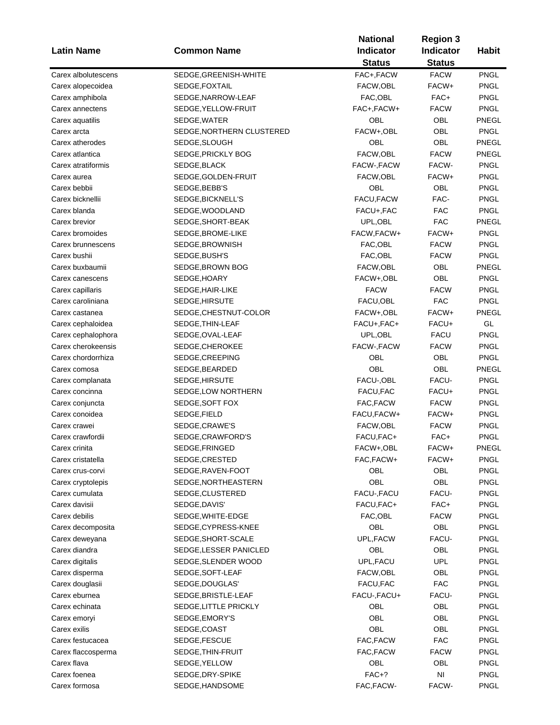|                     |                           | <b>National</b>  |                  |              |
|---------------------|---------------------------|------------------|------------------|--------------|
| <b>Latin Name</b>   | <b>Common Name</b>        | <b>Indicator</b> | <b>Indicator</b> | <b>Habit</b> |
|                     |                           | <b>Status</b>    | <b>Status</b>    |              |
| Carex albolutescens | SEDGE, GREENISH-WHITE     | FAC+, FACW       | <b>FACW</b>      | <b>PNGL</b>  |
| Carex alopecoidea   | SEDGE, FOXTAIL            | FACW,OBL         | FACW+            | <b>PNGL</b>  |
| Carex amphibola     | SEDGE, NARROW-LEAF        | FAC,OBL          | FAC+             | <b>PNGL</b>  |
| Carex annectens     | SEDGE, YELLOW-FRUIT       | FAC+, FACW+      | <b>FACW</b>      | <b>PNGL</b>  |
| Carex aquatilis     | SEDGE, WATER              | OBL              | OBL              | PNEGL        |
| Carex arcta         | SEDGE, NORTHERN CLUSTERED | FACW+,OBL        | OBL              | <b>PNGL</b>  |
| Carex atherodes     | SEDGE, SLOUGH             | OBL              | OBL              | PNEGL        |
| Carex atlantica     | SEDGE, PRICKLY BOG        | FACW, OBL        | <b>FACW</b>      | PNEGL        |
| Carex atratiformis  | SEDGE, BLACK              | FACW-, FACW      | FACW-            | <b>PNGL</b>  |
| Carex aurea         | SEDGE, GOLDEN-FRUIT       | FACW, OBL        | FACW+            | <b>PNGL</b>  |
| Carex bebbii        | SEDGE, BEBB'S             | OBL              | OBL              | <b>PNGL</b>  |
| Carex bicknellii    | SEDGE, BICKNELL'S         | FACU, FACW       | FAC-             | <b>PNGL</b>  |
| Carex blanda        | SEDGE, WOODLAND           | FACU+, FAC       | <b>FAC</b>       | <b>PNGL</b>  |
| Carex brevior       | SEDGE, SHORT-BEAK         | UPL, OBL         | <b>FAC</b>       | PNEGL        |
| Carex bromoides     | SEDGE, BROME-LIKE         | FACW, FACW+      | FACW+            | <b>PNGL</b>  |
| Carex brunnescens   | SEDGE, BROWNISH           | FAC,OBL          | <b>FACW</b>      | <b>PNGL</b>  |
| Carex bushii        | SEDGE, BUSH'S             | FAC, OBL         | <b>FACW</b>      | <b>PNGL</b>  |
| Carex buxbaumii     | SEDGE, BROWN BOG          | FACW, OBL        | OBL              | PNEGL        |
| Carex canescens     | SEDGE, HOARY              | FACW+,OBL        | OBL              | <b>PNGL</b>  |
| Carex capillaris    | SEDGE, HAIR-LIKE          | <b>FACW</b>      | <b>FACW</b>      | <b>PNGL</b>  |
| Carex caroliniana   | SEDGE, HIRSUTE            | FACU,OBL         | <b>FAC</b>       | <b>PNGL</b>  |
|                     |                           |                  | FACW+            | PNEGL        |
| Carex castanea      | SEDGE, CHESTNUT-COLOR     | FACW+,OBL        |                  | GL           |
| Carex cephaloidea   | SEDGE, THIN-LEAF          | FACU+, FAC+      | FACU+            |              |
| Carex cephalophora  | SEDGE, OVAL-LEAF          | UPL, OBL         | <b>FACU</b>      | <b>PNGL</b>  |
| Carex cherokeensis  | SEDGE, CHEROKEE           | FACW-, FACW      | <b>FACW</b>      | <b>PNGL</b>  |
| Carex chordorrhiza  | SEDGE, CREEPING           | OBL              | OBL              | <b>PNGL</b>  |
| Carex comosa        | SEDGE, BEARDED            | OBL              | OBL              | PNEGL        |
| Carex complanata    | SEDGE, HIRSUTE            | FACU-, OBL       | FACU-            | <b>PNGL</b>  |
| Carex concinna      | SEDGE, LOW NORTHERN       | FACU, FAC        | FACU+            | <b>PNGL</b>  |
| Carex conjuncta     | SEDGE, SOFT FOX           | FAC, FACW        | <b>FACW</b>      | <b>PNGL</b>  |
| Carex conoidea      | SEDGE, FIELD              | FACU, FACW+      | FACW+            | <b>PNGL</b>  |
| Carex crawei        | SEDGE, CRAWE'S            | FACW, OBL        | <b>FACW</b>      | <b>PNGL</b>  |
| Carex crawfordii    | SEDGE, CRAWFORD'S         | FACU, FAC+       | FAC+             | <b>PNGL</b>  |
| Carex crinita       | SEDGE, FRINGED            | FACW+,OBL        | FACW+            | PNEGL        |
| Carex cristatella   | SEDGE, CRESTED            | FAC, FACW+       | FACW+            | <b>PNGL</b>  |
| Carex crus-corvi    | SEDGE, RAVEN-FOOT         | OBL              | OBL              | <b>PNGL</b>  |
| Carex cryptolepis   | SEDGE, NORTHEASTERN       | OBL              | <b>OBL</b>       | <b>PNGL</b>  |
| Carex cumulata      | SEDGE, CLUSTERED          | FACU-, FACU      | FACU-            | <b>PNGL</b>  |
| Carex davisii       | SEDGE, DAVIS'             | FACU, FAC+       | FAC+             | PNGL         |
| Carex debilis       | SEDGE, WHITE-EDGE         | FAC, OBL         | <b>FACW</b>      | <b>PNGL</b>  |
| Carex decomposita   | SEDGE, CYPRESS-KNEE       | OBL              | OBL              | PNGL         |
| Carex deweyana      | SEDGE, SHORT-SCALE        | UPL, FACW        | FACU-            | <b>PNGL</b>  |
| Carex diandra       | SEDGE, LESSER PANICLED    | OBL              | OBL              | <b>PNGL</b>  |
| Carex digitalis     | SEDGE, SLENDER WOOD       | UPL, FACU        | UPL              | PNGL         |
| Carex disperma      | SEDGE, SOFT-LEAF          | FACW, OBL        | OBL              | <b>PNGL</b>  |
| Carex douglasii     | SEDGE, DOUGLAS'           | FACU, FAC        | FAC              | <b>PNGL</b>  |
| Carex eburnea       | SEDGE, BRISTLE-LEAF       | FACU-, FACU+     | FACU-            | <b>PNGL</b>  |
| Carex echinata      | SEDGE, LITTLE PRICKLY     | <b>OBL</b>       | OBL              | <b>PNGL</b>  |
| Carex emoryi        | SEDGE, EMORY'S            | OBL              | OBL              | <b>PNGL</b>  |
| Carex exilis        | SEDGE, COAST              | OBL              | OBL              | <b>PNGL</b>  |
| Carex festucacea    | SEDGE, FESCUE             | FAC, FACW        | <b>FAC</b>       | <b>PNGL</b>  |
| Carex flaccosperma  | SEDGE, THIN-FRUIT         | FAC,FACW         | <b>FACW</b>      | <b>PNGL</b>  |
| Carex flava         | SEDGE, YELLOW             | OBL              | OBL              | <b>PNGL</b>  |
| Carex foenea        | SEDGE, DRY-SPIKE          | $FAC+?$          | NI               | <b>PNGL</b>  |
| Carex formosa       | SEDGE, HANDSOME           | FAC, FACW-       | FACW-            | <b>PNGL</b>  |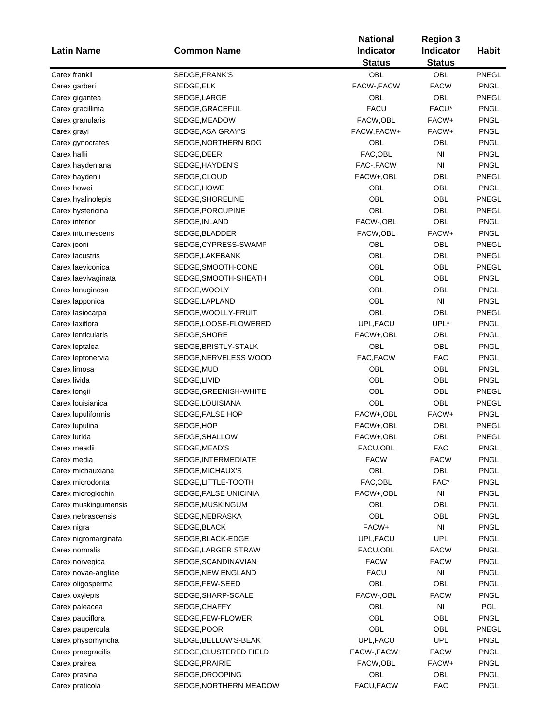|                                   |                                      | <b>National</b><br><b>Region 3</b> |                  |                            |
|-----------------------------------|--------------------------------------|------------------------------------|------------------|----------------------------|
| <b>Latin Name</b>                 | <b>Common Name</b>                   | <b>Indicator</b>                   | <b>Indicator</b> | <b>Habit</b>               |
|                                   |                                      | <b>Status</b>                      | <b>Status</b>    |                            |
| Carex frankii                     | SEDGE, FRANK'S                       | OBL                                | <b>OBL</b>       | PNEGL                      |
| Carex garberi                     | SEDGE, ELK                           | FACW-, FACW                        | <b>FACW</b>      | <b>PNGL</b>                |
| Carex gigantea                    | SEDGE, LARGE                         | OBL                                | OBL              | PNEGL                      |
| Carex gracillima                  | SEDGE,GRACEFUL                       | <b>FACU</b>                        | FACU*            | <b>PNGL</b>                |
| Carex granularis                  | SEDGE, MEADOW                        | FACW, OBL                          | FACW+            | <b>PNGL</b>                |
| Carex grayi                       | SEDGE, ASA GRAY'S                    | FACW, FACW+                        | FACW+            | <b>PNGL</b>                |
| Carex gynocrates                  | SEDGE, NORTHERN BOG                  | OBL                                | OBL              | <b>PNGL</b>                |
| Carex hallii                      | SEDGE, DEER                          | FAC, OBL                           | NI               | <b>PNGL</b>                |
| Carex haydeniana                  | SEDGE, HAYDEN'S                      | FAC-, FACW                         | NI               | <b>PNGL</b>                |
| Carex haydenii                    | SEDGE,CLOUD                          | FACW+,OBL                          | <b>OBL</b>       | PNEGL                      |
| Carex howei                       | SEDGE,HOWE                           | <b>OBL</b>                         | <b>OBL</b>       | <b>PNGL</b>                |
| Carex hyalinolepis                | SEDGE, SHORELINE                     | OBL                                | <b>OBL</b>       | PNEGL                      |
| Carex hystericina                 | SEDGE,PORCUPINE                      | OBL                                | <b>OBL</b>       | PNEGL                      |
| Carex interior                    | SEDGE, INLAND                        | FACW-, OBL                         | <b>OBL</b>       | <b>PNGL</b>                |
| Carex intumescens                 | SEDGE, BLADDER                       | FACW,OBL                           | FACW+            | <b>PNGL</b>                |
| Carex joorii                      | SEDGE, CYPRESS-SWAMP                 | OBL                                | OBL              | PNEGL                      |
| Carex lacustris                   | SEDGE, LAKEBANK                      | <b>OBL</b>                         | <b>OBL</b>       | PNEGL                      |
| Carex laeviconica                 | SEDGE, SMOOTH-CONE                   | <b>OBL</b>                         | <b>OBL</b>       | PNEGL                      |
| Carex laevivaginata               | SEDGE, SMOOTH-SHEATH                 | OBL                                | <b>OBL</b>       | <b>PNGL</b>                |
| Carex lanuginosa                  | SEDGE, WOOLY                         | <b>OBL</b>                         | <b>OBL</b>       | <b>PNGL</b>                |
| Carex lapponica                   | SEDGE, LAPLAND                       | <b>OBL</b>                         | NI               | <b>PNGL</b>                |
| Carex lasiocarpa                  | SEDGE, WOOLLY-FRUIT                  | OBL                                | <b>OBL</b>       | PNEGL                      |
| Carex laxiflora                   | SEDGE,LOOSE-FLOWERED                 | UPL, FACU                          | UPL*             | <b>PNGL</b>                |
| Carex lenticularis                | SEDGE, SHORE                         | FACW+,OBL                          | OBL              | <b>PNGL</b>                |
| Carex leptalea                    | SEDGE, BRISTLY-STALK                 | OBL                                | <b>OBL</b>       | <b>PNGL</b>                |
| Carex leptonervia                 | SEDGE, NERVELESS WOOD                | FAC, FACW                          | <b>FAC</b>       | <b>PNGL</b>                |
| Carex limosa                      | SEDGE, MUD                           | <b>OBL</b>                         | <b>OBL</b>       | <b>PNGL</b>                |
| Carex livida                      |                                      | OBL                                | <b>OBL</b>       | <b>PNGL</b>                |
|                                   | SEDGE,LIVID<br>SEDGE, GREENISH-WHITE | OBL                                | <b>OBL</b>       | PNEGL                      |
| Carex longii<br>Carex louisianica | SEDGE, LOUISIANA                     | OBL                                | <b>OBL</b>       | PNEGL                      |
|                                   |                                      |                                    | FACW+            | <b>PNGL</b>                |
| Carex lupuliformis                | SEDGE, FALSE HOP                     | FACW+,OBL                          | OBL              |                            |
| Carex lupulina                    | SEDGE, HOP                           | FACW+,OBL                          | OBL              | PNEGL<br>PNEGL             |
| Carex lurida                      | SEDGE, SHALLOW                       | FACW+,OBL                          |                  |                            |
| Carex meadii                      | SEDGE, MEAD'S                        | FACU,OBL                           | <b>FAC</b>       | PNGL                       |
| Carex media                       | SEDGE, INTERMEDIATE                  | <b>FACW</b>                        | <b>FACW</b>      | <b>PNGL</b><br><b>PNGL</b> |
| Carex michauxiana                 | SEDGE, MICHAUX'S                     | OBL                                | OBL              |                            |
| Carex microdonta                  | SEDGE, LITTLE-TOOTH                  | FAC, OBL                           | FAC*             | PNGL                       |
| Carex microglochin                | SEDGE,FALSE UNICINIA                 | FACW+,OBL                          | NI               | PNGL                       |
| Carex muskingumensis              | SEDGE, MUSKINGUM                     | OBL                                | OBL              | PNGL                       |
| Carex nebrascensis                | SEDGE, NEBRASKA                      | OBL                                | OBL              | PNGL                       |
| Carex nigra                       | SEDGE, BLACK                         | FACW+                              | NI               | PNGL                       |
| Carex nigromarginata              | SEDGE, BLACK-EDGE                    | UPL, FACU                          | UPL              | <b>PNGL</b>                |
| Carex normalis                    | SEDGE, LARGER STRAW                  | FACU, OBL                          | <b>FACW</b>      | <b>PNGL</b>                |
| Carex norvegica                   | SEDGE, SCANDINAVIAN                  | <b>FACW</b>                        | <b>FACW</b>      | PNGL                       |
| Carex novae-angliae               | SEDGE, NEW ENGLAND                   | <b>FACU</b>                        | NI               | PNGL                       |
| Carex oligosperma                 | SEDGE,FEW-SEED                       | OBL                                | OBL              | <b>PNGL</b>                |
| Carex oxylepis                    | SEDGE, SHARP-SCALE                   | FACW-, OBL                         | <b>FACW</b>      | PNGL                       |
| Carex paleacea                    | SEDGE, CHAFFY                        | OBL                                | NI               | <b>PGL</b>                 |
| Carex pauciflora                  | SEDGE, FEW-FLOWER                    | <b>OBL</b>                         | OBL              | <b>PNGL</b>                |
| Carex paupercula                  | SEDGE, POOR                          | OBL                                | OBL              | PNEGL                      |
| Carex physorhyncha                | SEDGE, BELLOW'S-BEAK                 | UPL, FACU                          | UPL              | <b>PNGL</b>                |
| Carex praegracilis                | SEDGE, CLUSTERED FIELD               | FACW-, FACW+                       | <b>FACW</b>      | <b>PNGL</b>                |
| Carex prairea                     | SEDGE, PRAIRIE                       | FACW, OBL                          | FACW+            | <b>PNGL</b>                |
| Carex prasina                     | SEDGE, DROOPING                      | OBL                                | OBL              | <b>PNGL</b>                |
| Carex praticola                   | SEDGE, NORTHERN MEADOW               | FACU, FACW                         | <b>FAC</b>       | <b>PNGL</b>                |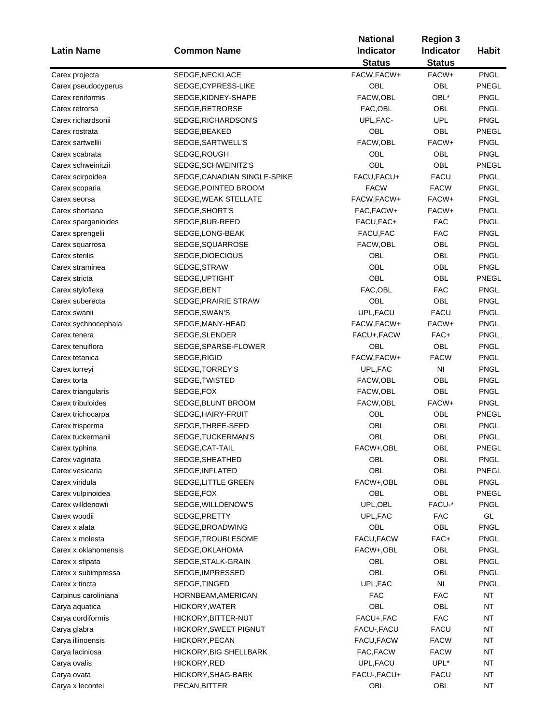|                                        |                              | <b>National</b><br><b>Region 3</b> |                  |              |
|----------------------------------------|------------------------------|------------------------------------|------------------|--------------|
| <b>Latin Name</b>                      | <b>Common Name</b>           | Indicator                          | <b>Indicator</b> | <b>Habit</b> |
|                                        |                              | <b>Status</b>                      | <b>Status</b>    |              |
| Carex projecta                         | SEDGE, NECKLACE              | FACW, FACW+                        | FACW+            | <b>PNGL</b>  |
| Carex pseudocyperus                    | SEDGE, CYPRESS-LIKE          | OBL                                | OBL              | PNEGL        |
| Carex reniformis                       | SEDGE, KIDNEY-SHAPE          | FACW, OBL                          | OBL*             | <b>PNGL</b>  |
| Carex retrorsa                         | SEDGE, RETRORSE              | FAC, OBL                           | OBL              | <b>PNGL</b>  |
| Carex richardsonii                     | SEDGE, RICHARDSON'S          | UPL, FAC-                          | <b>UPL</b>       | <b>PNGL</b>  |
| Carex rostrata                         | SEDGE, BEAKED                | OBL                                | OBL              | PNEGL        |
| Carex sartwellii                       | SEDGE, SARTWELL'S            | FACW, OBL                          | FACW+            | <b>PNGL</b>  |
| Carex scabrata                         | SEDGE, ROUGH                 | OBL                                | OBL              | <b>PNGL</b>  |
| Carex schweinitzii                     | SEDGE, SCHWEINITZ'S          | OBL                                | OBL              | PNEGL        |
|                                        |                              |                                    | <b>FACU</b>      |              |
| Carex scirpoidea                       | SEDGE, CANADIAN SINGLE-SPIKE | FACU, FACU+                        |                  | <b>PNGL</b>  |
| Carex scoparia                         | SEDGE, POINTED BROOM         | <b>FACW</b>                        | <b>FACW</b>      | <b>PNGL</b>  |
| Carex seorsa                           | SEDGE, WEAK STELLATE         | FACW, FACW+                        | FACW+            | <b>PNGL</b>  |
| Carex shortiana                        | SEDGE, SHORT'S               | FAC, FACW+                         | FACW+            | <b>PNGL</b>  |
| Carex sparganioides                    | SEDGE, BUR-REED              | FACU, FAC+                         | FAC              | <b>PNGL</b>  |
| Carex sprengelii                       | SEDGE, LONG-BEAK             | FACU, FAC                          | <b>FAC</b>       | <b>PNGL</b>  |
| Carex squarrosa                        | SEDGE, SQUARROSE             | FACW, OBL                          | OBL              | <b>PNGL</b>  |
| Carex sterilis                         | SEDGE, DIOECIOUS             | OBL                                | OBL              | <b>PNGL</b>  |
| Carex straminea                        | SEDGE, STRAW                 | OBL                                | OBL              | <b>PNGL</b>  |
| Carex stricta                          | SEDGE, UPTIGHT               | OBL                                | OBL              | PNEGL        |
| Carex styloflexa                       | SEDGE, BENT                  | FAC, OBL                           | <b>FAC</b>       | <b>PNGL</b>  |
| Carex suberecta                        | SEDGE, PRAIRIE STRAW         | OBL                                | OBL              | <b>PNGL</b>  |
| Carex swanii                           | SEDGE, SWAN'S                | UPL, FACU                          | <b>FACU</b>      | <b>PNGL</b>  |
| Carex sychnocephala                    | SEDGE, MANY-HEAD             | FACW, FACW+                        | FACW+            | <b>PNGL</b>  |
| Carex tenera                           | SEDGE, SLENDER               | FACU+, FACW                        | FAC+             | <b>PNGL</b>  |
| Carex tenuiflora                       | SEDGE, SPARSE-FLOWER         | OBL                                | OBL              | <b>PNGL</b>  |
| Carex tetanica                         | SEDGE, RIGID                 | FACW, FACW+                        | <b>FACW</b>      | <b>PNGL</b>  |
| Carex torreyi                          | SEDGE, TORREY'S              | UPL, FAC                           | N <sub>1</sub>   | <b>PNGL</b>  |
| Carex torta                            | SEDGE, TWISTED               | FACW, OBL                          | OBL              | <b>PNGL</b>  |
| Carex triangularis                     | SEDGE, FOX                   | FACW, OBL                          | OBL              | <b>PNGL</b>  |
| Carex tribuloides                      | SEDGE, BLUNT BROOM           | FACW, OBL                          | FACW+            | <b>PNGL</b>  |
| Carex trichocarpa                      | SEDGE, HAIRY-FRUIT           | OBL                                | OBL              | <b>PNEGL</b> |
| Carex trisperma                        | SEDGE, THREE-SEED            | OBL                                | OBL              | <b>PNGL</b>  |
| Carex tuckermanii                      | SEDGE, TUCKERMAN'S           | OBL                                | OBL              | <b>PNGL</b>  |
| Carex typhina                          | SEDGE, CAT-TAIL              | FACW+,OBL                          | OBL              | PNEGL        |
| Carex vaginata                         | SEDGE, SHEATHED              | OBL                                | OBL              | <b>PNGL</b>  |
| Carex vesicaria                        | SEDGE, INFLATED              | OBL                                | OBL              | PNEGL        |
| Carex viridula                         | SEDGE, LITTLE GREEN          | FACW+,OBL                          | OBL              | <b>PNGL</b>  |
|                                        | SEDGE, FOX                   | OBL                                | OBL              | PNEGL        |
| Carex vulpinoidea<br>Carex willdenowii |                              |                                    |                  |              |
|                                        | SEDGE, WILLDENOW'S           | UPL, OBL                           | FACU-*           | PNGL         |
| Carex woodii                           | SEDGE, PRETTY                | UPL, FAC                           | <b>FAC</b>       | GL           |
| Carex x alata                          | SEDGE, BROADWING             | OBL                                | OBL              | PNGL         |
| Carex x molesta                        | SEDGE, TROUBLESOME           | FACU, FACW                         | FAC+             | <b>PNGL</b>  |
| Carex x oklahomensis                   | SEDGE, OKLAHOMA              | FACW+,OBL                          | OBL              | <b>PNGL</b>  |
| Carex x stipata                        | SEDGE, STALK-GRAIN           | OBL                                | OBL              | <b>PNGL</b>  |
| Carex x subimpressa                    | SEDGE, IMPRESSED             | OBL                                | OBL              | <b>PNGL</b>  |
| Carex x tincta                         | SEDGE, TINGED                | UPL, FAC                           | NI               | <b>PNGL</b>  |
| Carpinus caroliniana                   | HORNBEAM, AMERICAN           | FAC                                | FAC              | <b>NT</b>    |
| Carya aquatica                         | HICKORY, WATER               | OBL                                | OBL              | <b>NT</b>    |
| Carya cordiformis                      | HICKORY, BITTER-NUT          | FACU+, FAC                         | <b>FAC</b>       | NT           |
| Carya glabra                           | HICKORY, SWEET PIGNUT        | FACU-, FACU                        | <b>FACU</b>      | NT           |
| Carya illinoensis                      | HICKORY, PECAN               | FACU, FACW                         | <b>FACW</b>      | NT           |
| Carya laciniosa                        | HICKORY, BIG SHELLBARK       | FAC, FACW                          | <b>FACW</b>      | NT           |
| Carya ovalis                           | HICKORY, RED                 | UPL, FACU                          | $UPL^*$          | NT           |
| Carya ovata                            | HICKORY, SHAG-BARK           | FACU-, FACU+                       | <b>FACU</b>      | <b>NT</b>    |
| Carya x lecontei                       | PECAN, BITTER                | OBL                                | OBL              | <b>NT</b>    |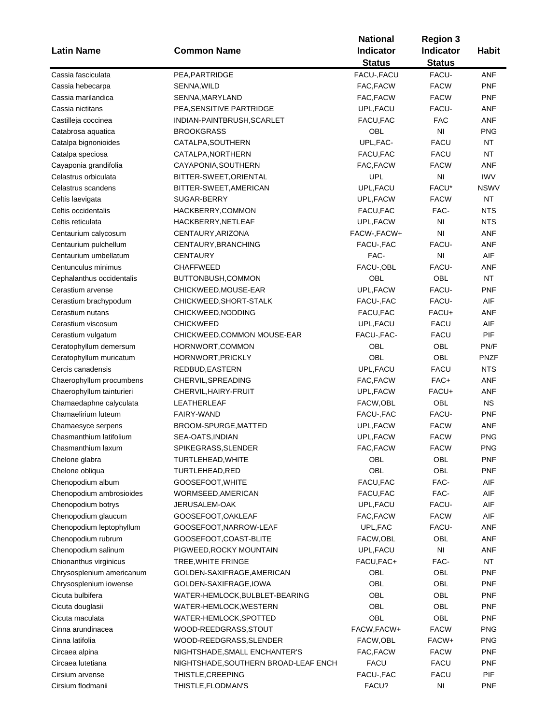| <b>Latin Name</b>         | <b>Common Name</b>                      | <b>National</b><br><b>Indicator</b><br><b>Status</b> | <b>Region 3</b><br>Indicator<br><b>Status</b> | <b>Habit</b> |
|---------------------------|-----------------------------------------|------------------------------------------------------|-----------------------------------------------|--------------|
| Cassia fasciculata        | PEA, PARTRIDGE                          | FACU-, FACU                                          | FACU-                                         | <b>ANF</b>   |
| Cassia hebecarpa          | SENNA, WILD                             | FAC, FACW                                            | <b>FACW</b>                                   | <b>PNF</b>   |
| Cassia marilandica        | SENNA, MARYLAND                         | FAC, FACW                                            | <b>FACW</b>                                   | <b>PNF</b>   |
| Cassia nictitans          | PEA, SENSITIVE PARTRIDGE                | UPL, FACU                                            | FACU-                                         | ANF          |
| Castilleja coccinea       | INDIAN-PAINTBRUSH, SCARLET              | FACU, FAC                                            | <b>FAC</b>                                    | ANF          |
| Catabrosa aquatica        | <b>BROOKGRASS</b>                       | OBL                                                  | N <sub>1</sub>                                | <b>PNG</b>   |
| Catalpa bignonioides      | CATALPA, SOUTHERN                       | UPL, FAC-                                            | <b>FACU</b>                                   | <b>NT</b>    |
| Catalpa speciosa          | CATALPA, NORTHERN                       | FACU, FAC                                            | <b>FACU</b>                                   | <b>NT</b>    |
| Cayaponia grandifolia     | CAYAPONIA, SOUTHERN                     | FAC, FACW                                            | <b>FACW</b>                                   | <b>ANF</b>   |
| Celastrus orbiculata      | BITTER-SWEET, ORIENTAL                  | <b>UPL</b>                                           | NI                                            | <b>IWV</b>   |
| Celastrus scandens        | BITTER-SWEET, AMERICAN                  | UPL, FACU                                            | FACU*                                         | <b>NSWV</b>  |
| Celtis laevigata          | SUGAR-BERRY                             | UPL, FACW                                            | <b>FACW</b>                                   | NT           |
| Celtis occidentalis       |                                         |                                                      | FAC-                                          | <b>NTS</b>   |
|                           | HACKBERRY, COMMON<br>HACKBERRY, NETLEAF | FACU, FAC<br>UPL, FACW                               | N <sub>l</sub>                                | <b>NTS</b>   |
| Celtis reticulata         |                                         |                                                      | N <sub>l</sub>                                |              |
| Centaurium calycosum      | CENTAURY, ARIZONA                       | FACW-, FACW+                                         |                                               | ANF          |
| Centaurium pulchellum     | CENTAURY, BRANCHING                     | FACU-, FAC                                           | FACU-                                         | <b>ANF</b>   |
| Centaurium umbellatum     | <b>CENTAURY</b>                         | FAC-                                                 | $\mathsf{N}\mathsf{I}$                        | AIF          |
| Centunculus minimus       | <b>CHAFFWEED</b>                        | FACU-, OBL                                           | FACU-                                         | <b>ANF</b>   |
| Cephalanthus occidentalis | BUTTONBUSH,COMMON                       | OBL                                                  | OBL                                           | <b>NT</b>    |
| Cerastium arvense         | CHICKWEED, MOUSE-EAR                    | UPL, FACW                                            | FACU-                                         | <b>PNF</b>   |
| Cerastium brachypodum     | CHICKWEED, SHORT-STALK                  | FACU-, FAC                                           | FACU-                                         | AIF          |
| Cerastium nutans          | CHICKWEED, NODDING                      | FACU, FAC                                            | FACU+                                         | ANF          |
| Cerastium viscosum        | <b>CHICKWEED</b>                        | UPL, FACU                                            | <b>FACU</b>                                   | AIF          |
| Cerastium vulgatum        | CHICKWEED, COMMON MOUSE-EAR             | FACU-, FAC-                                          | <b>FACU</b>                                   | PIF          |
| Ceratophyllum demersum    | HORNWORT, COMMON                        | OBL                                                  | OBL                                           | PN/F         |
| Ceratophyllum muricatum   | HORNWORT, PRICKLY                       | OBL                                                  | OBL                                           | <b>PNZF</b>  |
| Cercis canadensis         | REDBUD, EASTERN                         | UPL, FACU                                            | <b>FACU</b>                                   | <b>NTS</b>   |
| Chaerophyllum procumbens  | CHERVIL, SPREADING                      | FAC, FACW                                            | FAC+                                          | <b>ANF</b>   |
| Chaerophyllum tainturieri | CHERVIL, HAIRY-FRUIT                    | UPL, FACW                                            | FACU+                                         | ANF          |
| Chamaedaphne calyculata   | <b>LEATHERLEAF</b>                      | FACW, OBL                                            | OBL                                           | <b>NS</b>    |
| Chamaelirium luteum       | <b>FAIRY-WAND</b>                       | FACU-, FAC                                           | FACU-                                         | <b>PNF</b>   |
| Chamaesyce serpens        | BROOM-SPURGE, MATTED                    | UPL, FACW                                            | <b>FACW</b>                                   | ANF          |
| Chasmanthium latifolium   | SEA-OATS, INDIAN                        | UPL, FACW                                            | <b>FACW</b>                                   | <b>PNG</b>   |
| Chasmanthium laxum        | SPIKEGRASS, SLENDER                     | FAC, FACW                                            | <b>FACW</b>                                   | <b>PNG</b>   |
| Chelone glabra            | TURTLEHEAD, WHITE                       | OBL                                                  | OBL                                           | <b>PNF</b>   |
| Chelone obliqua           | TURTLEHEAD, RED                         | OBL                                                  | OBL                                           | <b>PNF</b>   |
| Chenopodium album         | GOOSEFOOT, WHITE                        | FACU, FAC                                            | FAC-                                          | AIF          |
| Chenopodium ambrosioides  | WORMSEED, AMERICAN                      | FACU, FAC                                            | FAC-                                          | AIF          |
| Chenopodium botrys        | JERUSALEM-OAK                           | UPL, FACU                                            | FACU-                                         | AIF          |
| Chenopodium glaucum       | GOOSEFOOT, OAKLEAF                      | FAC, FACW                                            | <b>FACW</b>                                   | AIF          |
| Chenopodium leptophyllum  | GOOSEFOOT, NARROW-LEAF                  | UPL, FAC                                             | FACU-                                         | ANF          |
| Chenopodium rubrum        | GOOSEFOOT, COAST-BLITE                  | FACW, OBL                                            | OBL                                           | ANF          |
| Chenopodium salinum       | PIGWEED, ROCKY MOUNTAIN                 | UPL, FACU                                            | NI                                            | ANF          |
| Chionanthus virginicus    | TREE, WHITE FRINGE                      | FACU, FAC+                                           | FAC-                                          | <b>NT</b>    |
| Chrysosplenium americanum | GOLDEN-SAXIFRAGE, AMERICAN              | OBL                                                  | OBL                                           | <b>PNF</b>   |
| Chrysosplenium iowense    | GOLDEN-SAXIFRAGE, IOWA                  | OBL                                                  | OBL                                           | <b>PNF</b>   |
| Cicuta bulbifera          | WATER-HEMLOCK, BULBLET-BEARING          | OBL                                                  | OBL                                           | <b>PNF</b>   |
| Cicuta douglasii          | WATER-HEMLOCK, WESTERN                  | OBL                                                  | OBL                                           | <b>PNF</b>   |
| Cicuta maculata           | WATER-HEMLOCK, SPOTTED                  | OBL                                                  | OBL                                           | <b>PNF</b>   |
| Cinna arundinacea         | WOOD-REEDGRASS, STOUT                   | FACW, FACW+                                          | <b>FACW</b>                                   | <b>PNG</b>   |
| Cinna latifolia           | WOOD-REEDGRASS, SLENDER                 | FACW,OBL                                             | FACW+                                         | <b>PNG</b>   |
| Circaea alpina            | NIGHTSHADE, SMALL ENCHANTER'S           | FAC, FACW                                            | <b>FACW</b>                                   | <b>PNF</b>   |
| Circaea lutetiana         | NIGHTSHADE, SOUTHERN BROAD-LEAF ENCH    | <b>FACU</b>                                          | <b>FACU</b>                                   | <b>PNF</b>   |
| Cirsium arvense           | THISTLE, CREEPING                       | FACU-, FAC                                           | <b>FACU</b>                                   | PIF          |
| Cirsium flodmanii         | THISTLE, FLODMAN'S                      | FACU?                                                | $\mathsf{N}\mathsf{I}$                        | <b>PNF</b>   |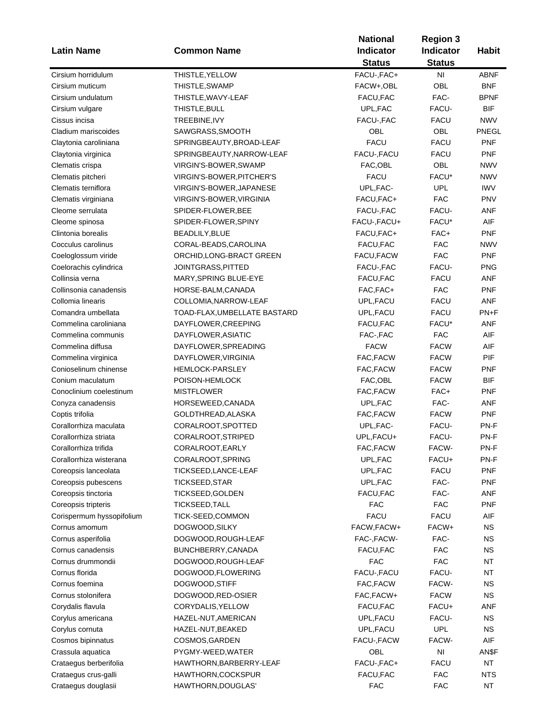|                           |                              | <b>National</b>            |                                   |              |
|---------------------------|------------------------------|----------------------------|-----------------------------------|--------------|
| <b>Latin Name</b>         | <b>Common Name</b>           | Indicator<br><b>Status</b> | <b>Indicator</b><br><b>Status</b> | <b>Habit</b> |
| Cirsium horridulum        | THISTLE, YELLOW              | FACU-, FAC+                | N <sub>1</sub>                    | <b>ABNF</b>  |
| Cirsium muticum           | THISTLE, SWAMP               | FACW+,OBL                  | OBL                               | <b>BNF</b>   |
| Cirsium undulatum         | THISTLE, WAVY-LEAF           | FACU, FAC                  | FAC-                              | <b>BPNF</b>  |
| Cirsium vulgare           | THISTLE, BULL                | UPL, FAC                   | FACU-                             | <b>BIF</b>   |
| Cissus incisa             | TREEBINE, IVY                | FACU-, FAC                 | <b>FACU</b>                       | <b>NWV</b>   |
| Cladium mariscoides       | SAWGRASS, SMOOTH             | OBL                        | OBL                               | PNEGL        |
| Claytonia caroliniana     | SPRINGBEAUTY, BROAD-LEAF     | <b>FACU</b>                | <b>FACU</b>                       | <b>PNF</b>   |
| Claytonia virginica       | SPRINGBEAUTY, NARROW-LEAF    | FACU-, FACU                | <b>FACU</b>                       | <b>PNF</b>   |
| Clematis crispa           | VIRGIN'S-BOWER, SWAMP        | FAC, OBL                   | OBL                               | <b>NWV</b>   |
| Clematis pitcheri         | VIRGIN'S-BOWER, PITCHER'S    | <b>FACU</b>                | FACU*                             | <b>NWV</b>   |
| Clematis terniflora       | VIRGIN'S-BOWER, JAPANESE     | UPL, FAC-                  | <b>UPL</b>                        | <b>IWV</b>   |
| Clematis virginiana       | VIRGIN'S-BOWER, VIRGINIA     | FACU, FAC+                 | <b>FAC</b>                        | <b>PNV</b>   |
| Cleome serrulata          |                              | FACU-, FAC                 | FACU-                             | ANF          |
|                           | SPIDER-FLOWER, BEE           |                            | FACU*                             | AIF          |
| Cleome spinosa            | SPIDER-FLOWER, SPINY         | FACU-, FACU+<br>FACU, FAC+ |                                   |              |
| Clintonia borealis        | BEADLILY, BLUE               |                            | FAC+                              | <b>PNF</b>   |
| Cocculus carolinus        | CORAL-BEADS, CAROLINA        | FACU, FAC                  | <b>FAC</b>                        | <b>NWV</b>   |
| Coeloglossum viride       | ORCHID, LONG-BRACT GREEN     | FACU, FACW                 | <b>FAC</b>                        | <b>PNF</b>   |
| Coelorachis cylindrica    | JOINTGRASS, PITTED           | FACU-, FAC                 | FACU-                             | <b>PNG</b>   |
| Collinsia verna           | MARY, SPRING BLUE-EYE        | FACU, FAC                  | <b>FACU</b>                       | <b>ANF</b>   |
| Collinsonia canadensis    | HORSE-BALM, CANADA           | FAC, FAC+                  | <b>FAC</b>                        | <b>PNF</b>   |
| Collomia linearis         | COLLOMIA, NARROW-LEAF        | UPL, FACU                  | <b>FACU</b>                       | ANF          |
| Comandra umbellata        | TOAD-FLAX, UMBELLATE BASTARD | UPL, FACU                  | <b>FACU</b>                       | PN+F         |
| Commelina caroliniana     | DAYFLOWER, CREEPING          | FACU, FAC                  | FACU*                             | <b>ANF</b>   |
| Commelina communis        | DAYFLOWER, ASIATIC           | FAC-, FAC                  | <b>FAC</b>                        | AIF          |
| Commelina diffusa         | DAYFLOWER, SPREADING         | <b>FACW</b>                | <b>FACW</b>                       | AIF          |
| Commelina virginica       | DAYFLOWER, VIRGINIA          | FAC, FACW                  | <b>FACW</b>                       | PIF          |
| Conioselinum chinense     | <b>HEMLOCK-PARSLEY</b>       | FAC, FACW                  | <b>FACW</b>                       | <b>PNF</b>   |
| Conium maculatum          | POISON-HEMLOCK               | FAC, OBL                   | <b>FACW</b>                       | <b>BIF</b>   |
| Conoclinium coelestinum   | <b>MISTFLOWER</b>            | FAC, FACW                  | FAC+                              | <b>PNF</b>   |
| Conyza canadensis         | HORSEWEED, CANADA            | UPL, FAC                   | FAC-                              | ANF          |
| Coptis trifolia           | GOLDTHREAD, ALASKA           | FAC, FACW                  | <b>FACW</b>                       | <b>PNF</b>   |
| Corallorrhiza maculata    | CORALROOT, SPOTTED           | UPL, FAC-                  | FACU-                             | PN-F         |
| Corallorrhiza striata     | CORALROOT, STRIPED           | UPL, FACU+                 | FACU-                             | PN-F         |
| Corallorrhiza trifida     | CORALROOT, EARLY             | FAC, FACW                  | FACW-                             | PN-F         |
| Corallorrhiza wisterana   | CORALROOT, SPRING            | UPL, FAC                   | FACU+                             | PN-F         |
| Coreopsis lanceolata      | TICKSEED, LANCE-LEAF         | UPL, FAC                   | <b>FACU</b>                       | <b>PNF</b>   |
| Coreopsis pubescens       | TICKSEED, STAR               | UPL, FAC                   | FAC-                              | <b>PNF</b>   |
| Coreopsis tinctoria       | TICKSEED, GOLDEN             | FACU, FAC                  | FAC-                              | ANF          |
| Coreopsis tripteris       | TICKSEED, TALL               | FAC                        | <b>FAC</b>                        | <b>PNF</b>   |
| Corispermum hyssopifolium | TICK-SEED,COMMON             | <b>FACU</b>                | <b>FACU</b>                       | AIF          |
| Cornus amomum             | DOGWOOD, SILKY               | FACW, FACW+                | FACW+                             | <b>NS</b>    |
| Cornus asperifolia        | DOGWOOD, ROUGH-LEAF          | FAC-, FACW-                | FAC-                              | <b>NS</b>    |
| Cornus canadensis         | BUNCHBERRY, CANADA           | FACU, FAC                  | <b>FAC</b>                        | <b>NS</b>    |
| Cornus drummondii         | DOGWOOD, ROUGH-LEAF          | <b>FAC</b>                 | <b>FAC</b>                        | <b>NT</b>    |
| Cornus florida            | DOGWOOD, FLOWERING           | FACU-, FACU                | FACU-                             | NT           |
| Cornus foemina            | DOGWOOD, STIFF               | FAC, FACW                  | FACW-                             | <b>NS</b>    |
| Cornus stolonifera        | DOGWOOD, RED-OSIER           | FAC, FACW+                 | <b>FACW</b>                       | <b>NS</b>    |
| Corydalis flavula         | CORYDALIS, YELLOW            | FACU, FAC                  | FACU+                             | ANF          |
| Corylus americana         | HAZEL-NUT, AMERICAN          | UPL, FACU                  | FACU-                             | <b>NS</b>    |
| Corylus cornuta           | HAZEL-NUT, BEAKED            | UPL, FACU                  | <b>UPL</b>                        | <b>NS</b>    |
| Cosmos bipinnatus         | COSMOS, GARDEN               | FACU-, FACW                | FACW-                             | AIF          |
|                           |                              | OBL                        | NI                                |              |
| Crassula aquatica         | PYGMY-WEED, WATER            |                            |                                   | AN\$F        |
| Crataegus berberifolia    | HAWTHORN, BARBERRY-LEAF      | FACU-, FAC+                | <b>FACU</b>                       | NT           |
| Crataegus crus-galli      | HAWTHORN, COCKSPUR           | FACU, FAC                  | <b>FAC</b>                        | <b>NTS</b>   |
| Crataegus douglasii       | HAWTHORN, DOUGLAS'           | <b>FAC</b>                 | <b>FAC</b>                        | <b>NT</b>    |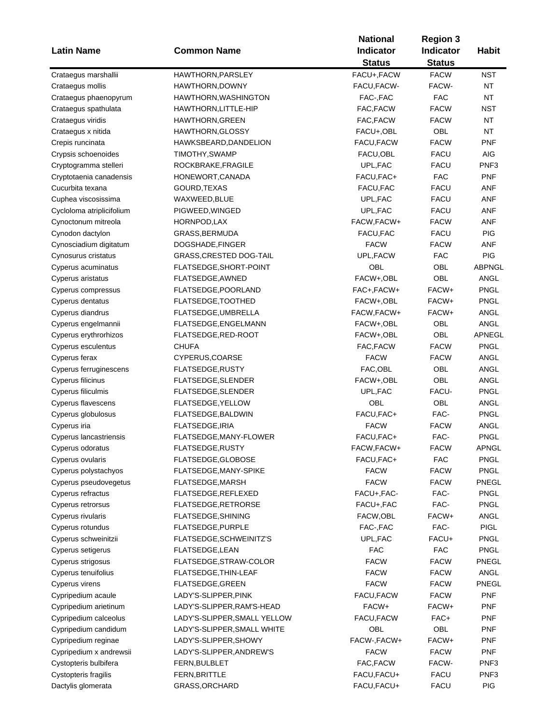|                               |                                | <b>National</b> | <b>Region 3</b> |                  |  |
|-------------------------------|--------------------------------|-----------------|-----------------|------------------|--|
| <b>Latin Name</b>             | <b>Common Name</b>             | Indicator       | Indicator       | <b>Habit</b>     |  |
|                               |                                | <b>Status</b>   | <b>Status</b>   |                  |  |
| Crataegus marshallii          | HAWTHORN, PARSLEY              | FACU+, FACW     | <b>FACW</b>     | <b>NST</b>       |  |
| Crataegus mollis              | HAWTHORN, DOWNY                | FACU, FACW-     | FACW-           | <b>NT</b>        |  |
| Crataegus phaenopyrum         | HAWTHORN, WASHINGTON           | FAC-, FAC       | <b>FAC</b>      | NT               |  |
| Crataegus spathulata          | HAWTHORN, LITTLE-HIP           | FAC, FACW       | <b>FACW</b>     | NST              |  |
| Crataegus viridis             | <b>HAWTHORN, GREEN</b>         | FAC, FACW       | <b>FACW</b>     | <b>NT</b>        |  |
| Crataegus x nitida            | <b>HAWTHORN, GLOSSY</b>        | FACU+,OBL       | OBL             | <b>NT</b>        |  |
| Crepis runcinata              | HAWKSBEARD, DANDELION          | FACU, FACW      | <b>FACW</b>     | PNF              |  |
| Crypsis schoenoides           | TIMOTHY, SWAMP                 | FACU, OBL       | <b>FACU</b>     | <b>AIG</b>       |  |
| Cryptogramma stelleri         | ROCKBRAKE, FRAGILE             | UPL, FAC        | <b>FACU</b>     | PNF <sub>3</sub> |  |
| Cryptotaenia canadensis       | HONEWORT, CANADA               | FACU, FAC+      | <b>FAC</b>      | <b>PNF</b>       |  |
| Cucurbita texana              | GOURD, TEXAS                   | FACU, FAC       | <b>FACU</b>     | ANF              |  |
| Cuphea viscosissima           | WAXWEED, BLUE                  | UPL, FAC        | <b>FACU</b>     | ANF              |  |
| Cycloloma atriplicifolium     | PIGWEED, WINGED                | UPL, FAC        | <b>FACU</b>     | ANF              |  |
| Cynoctonum mitreola           | HORNPOD, LAX                   | FACW, FACW+     | <b>FACW</b>     | ANF              |  |
| Cynodon dactylon              | GRASS, BERMUDA                 | FACU, FAC       | <b>FACU</b>     | <b>PIG</b>       |  |
| Cynosciadium digitatum        | DOGSHADE, FINGER               | <b>FACW</b>     | <b>FACW</b>     | ANF              |  |
| Cynosurus cristatus           | <b>GRASS, CRESTED DOG-TAIL</b> | UPL, FACW       | <b>FAC</b>      | <b>PIG</b>       |  |
| Cyperus acuminatus            | FLATSEDGE, SHORT-POINT         | OBL             | OBL             | <b>ABPNGL</b>    |  |
| Cyperus aristatus             | FLATSEDGE, AWNED               | FACW+,OBL       | OBL             | ANGL             |  |
| Cyperus compressus            | FLATSEDGE, POORLAND            | FAC+, FACW+     | FACW+           | <b>PNGL</b>      |  |
| Cyperus dentatus              | FLATSEDGE, TOOTHED             | FACW+,OBL       | FACW+           | PNGL             |  |
| Cyperus diandrus              | FLATSEDGE, UMBRELLA            | FACW, FACW+     | FACW+           | ANGL             |  |
| Cyperus engelmannii           | FLATSEDGE, ENGELMANN           | FACW+,OBL       | OBL             | <b>ANGL</b>      |  |
| Cyperus erythrorhizos         | FLATSEDGE, RED-ROOT            | FACW+,OBL       | OBL             | APNEGL           |  |
| Cyperus esculentus            | <b>CHUFA</b>                   | FAC, FACW       | <b>FACW</b>     | <b>PNGL</b>      |  |
| Cyperus ferax                 | CYPERUS, COARSE                | <b>FACW</b>     | <b>FACW</b>     | ANGL             |  |
| Cyperus ferruginescens        | FLATSEDGE, RUSTY               | FAC, OBL        | OBL             | ANGL             |  |
| Cyperus filicinus             | FLATSEDGE, SLENDER             | FACW+,OBL       | OBL             | <b>ANGL</b>      |  |
| Cyperus filiculmis            | FLATSEDGE, SLENDER             | UPL, FAC        | FACU-           | <b>PNGL</b>      |  |
| Cyperus flavescens            | FLATSEDGE, YELLOW              | OBL             | OBL             | <b>ANGL</b>      |  |
| Cyperus globulosus            | FLATSEDGE, BALDWIN             | FACU, FAC+      | FAC-            | <b>PNGL</b>      |  |
| Cyperus iria                  | FLATSEDGE, IRIA                | <b>FACW</b>     | <b>FACW</b>     | <b>ANGL</b>      |  |
| <b>Cyperus lancastriensis</b> | FLATSEDGE, MANY-FLOWER         | FACU, FAC+      | FAC-            | <b>PNGL</b>      |  |
| Cyperus odoratus              | FLATSEDGE, RUSTY               | FACW, FACW+     | <b>FACW</b>     | APNGL            |  |
| Cyperus ovularis              | FLATSEDGE, GLOBOSE             | FACU, FAC+      | <b>FAC</b>      | <b>PNGL</b>      |  |
| Cyperus polystachyos          | FLATSEDGE, MANY-SPIKE          | <b>FACW</b>     | <b>FACW</b>     | <b>PNGL</b>      |  |
| Cyperus pseudovegetus         | FLATSEDGE, MARSH               | <b>FACW</b>     | <b>FACW</b>     | PNEGL            |  |
| Cyperus refractus             | FLATSEDGE, REFLEXED            | FACU+, FAC-     | FAC-            | <b>PNGL</b>      |  |
| Cyperus retrorsus             | FLATSEDGE, RETRORSE            | FACU+, FAC      | FAC-            | <b>PNGL</b>      |  |
| Cyperus rivularis             | FLATSEDGE, SHINING             | FACW, OBL       | FACW+           | <b>ANGL</b>      |  |
| Cyperus rotundus              | FLATSEDGE, PURPLE              | FAC-, FAC       | FAC-            | <b>PIGL</b>      |  |
| Cyperus schweinitzii          | FLATSEDGE, SCHWEINITZ'S        | UPL, FAC        | FACU+           | <b>PNGL</b>      |  |
| Cyperus setigerus             | FLATSEDGE, LEAN                | <b>FAC</b>      | <b>FAC</b>      | <b>PNGL</b>      |  |
| Cyperus strigosus             | FLATSEDGE, STRAW-COLOR         | <b>FACW</b>     | <b>FACW</b>     | PNEGL            |  |
| Cyperus tenuifolius           | FLATSEDGE, THIN-LEAF           | <b>FACW</b>     | <b>FACW</b>     | ANGL             |  |
| Cyperus virens                | FLATSEDGE, GREEN               | <b>FACW</b>     | <b>FACW</b>     | PNEGL            |  |
| Cypripedium acaule            | LADY'S-SLIPPER, PINK           | FACU, FACW      | <b>FACW</b>     | <b>PNF</b>       |  |
| Cypripedium arietinum         | LADY'S-SLIPPER, RAM'S-HEAD     | FACW+           | FACW+           | <b>PNF</b>       |  |
| Cypripedium calceolus         | LADY'S-SLIPPER, SMALL YELLOW   | FACU, FACW      | FAC+            | <b>PNF</b>       |  |
| Cypripedium candidum          | LADY'S-SLIPPER, SMALL WHITE    | OBL             | OBL             | <b>PNF</b>       |  |
| Cypripedium reginae           | LADY'S-SLIPPER, SHOWY          | FACW-, FACW+    | FACW+           | <b>PNF</b>       |  |
| Cypripedium x andrewsii       | LADY'S-SLIPPER, ANDREW'S       | <b>FACW</b>     | <b>FACW</b>     | <b>PNF</b>       |  |
| Cystopteris bulbifera         | FERN, BULBLET                  | FAC, FACW       | FACW-           | PNF3             |  |
|                               |                                |                 | <b>FACU</b>     | PNF <sub>3</sub> |  |
| Cystopteris fragilis          | FERN, BRITTLE                  | FACU, FACU+     |                 |                  |  |
| Dactylis glomerata            | GRASS, ORCHARD                 | FACU, FACU+     | <b>FACU</b>     | <b>PIG</b>       |  |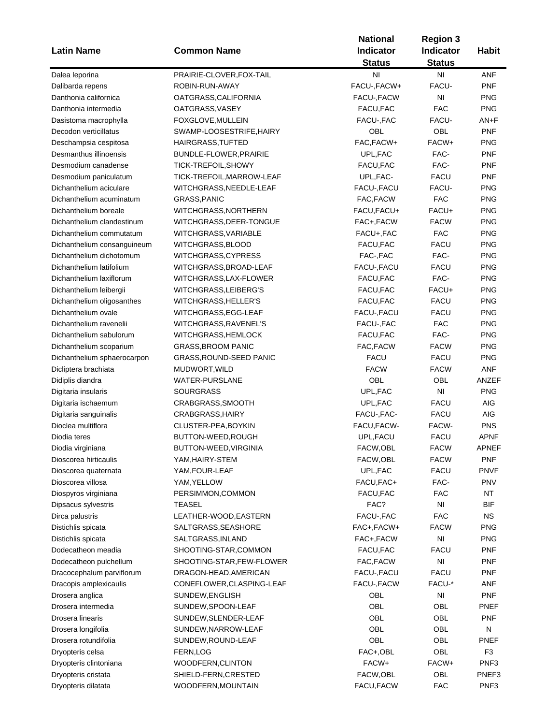| <b>Latin Name</b>           | <b>Common Name</b>              | <b>National</b><br><b>Indicator</b><br><b>Status</b> | <b>Region 3</b><br>Indicator<br><b>Status</b> | <b>Habit</b>   |
|-----------------------------|---------------------------------|------------------------------------------------------|-----------------------------------------------|----------------|
| Dalea leporina              | PRAIRIE-CLOVER, FOX-TAIL        | ΝI                                                   | ΝI                                            | ANF            |
| Dalibarda repens            | ROBIN-RUN-AWAY                  | FACU-, FACW+                                         | FACU-                                         | <b>PNF</b>     |
| Danthonia californica       | OATGRASS, CALIFORNIA            | FACU-, FACW                                          | N <sub>l</sub>                                | <b>PNG</b>     |
| Danthonia intermedia        | OATGRASS, VASEY                 | FACU, FAC                                            | <b>FAC</b>                                    | <b>PNG</b>     |
| Dasistoma macrophylla       | FOXGLOVE, MULLEIN               | FACU-, FAC                                           | FACU-                                         | AN+F           |
| Decodon verticillatus       | SWAMP-LOOSESTRIFE, HAIRY        | OBL                                                  | OBL                                           | <b>PNF</b>     |
| Deschampsia cespitosa       | <b>HAIRGRASS, TUFTED</b>        | FAC, FACW+                                           | FACW+                                         | <b>PNG</b>     |
| Desmanthus illinoensis      | BUNDLE-FLOWER, PRAIRIE          | UPL, FAC                                             | FAC-                                          | <b>PNF</b>     |
| Desmodium canadense         | TICK-TREFOIL, SHOWY             | FACU, FAC                                            | FAC-                                          | <b>PNF</b>     |
| Desmodium paniculatum       | TICK-TREFOIL, MARROW-LEAF       | UPL, FAC-                                            | <b>FACU</b>                                   | <b>PNF</b>     |
| Dichanthelium aciculare     | WITCHGRASS, NEEDLE-LEAF         | FACU-, FACU                                          | FACU-                                         | <b>PNG</b>     |
| Dichanthelium acuminatum    | GRASS, PANIC                    | FAC, FACW                                            | <b>FAC</b>                                    | <b>PNG</b>     |
| Dichanthelium boreale       | WITCHGRASS,NORTHERN             | FACU,FACU+                                           | FACU+                                         | <b>PNG</b>     |
| Dichanthelium clandestinum  | WITCHGRASS, DEER-TONGUE         | FAC+, FACW                                           | <b>FACW</b>                                   | <b>PNG</b>     |
| Dichanthelium commutatum    | WITCHGRASS, VARIABLE            | FACU+, FAC                                           | <b>FAC</b>                                    | <b>PNG</b>     |
| Dichanthelium consanguineum | WITCHGRASS, BLOOD               | FACU, FAC                                            | <b>FACU</b>                                   | <b>PNG</b>     |
| Dichanthelium dichotomum    | WITCHGRASS,CYPRESS              | FAC-, FAC                                            | FAC-                                          | <b>PNG</b>     |
| Dichanthelium latifolium    | WITCHGRASS, BROAD-LEAF          | FACU-, FACU                                          | <b>FACU</b>                                   | <b>PNG</b>     |
| Dichanthelium laxiflorum    | WITCHGRASS, LAX-FLOWER          | FACU, FAC                                            | FAC-                                          | <b>PNG</b>     |
| Dichanthelium leibergii     | WITCHGRASS, LEIBERG'S           | FACU, FAC                                            | FACU+                                         | <b>PNG</b>     |
| Dichanthelium oligosanthes  | WITCHGRASS, HELLER'S            | FACU, FAC                                            | <b>FACU</b>                                   | <b>PNG</b>     |
| Dichanthelium ovale         | WITCHGRASS, EGG-LEAF            | FACU-, FACU                                          | <b>FACU</b>                                   | <b>PNG</b>     |
| Dichanthelium ravenelii     | WITCHGRASS, RAVENEL'S           | FACU-, FAC                                           | <b>FAC</b>                                    | <b>PNG</b>     |
| Dichanthelium sabulorum     | WITCHGRASS, HEMLOCK             | FACU, FAC                                            | FAC-                                          | <b>PNG</b>     |
| Dichanthelium scoparium     | <b>GRASS, BROOM PANIC</b>       | FAC, FACW                                            | <b>FACW</b>                                   | <b>PNG</b>     |
| Dichanthelium sphaerocarpon | <b>GRASS, ROUND-SEED PANIC</b>  | <b>FACU</b>                                          | <b>FACU</b>                                   | <b>PNG</b>     |
| Dicliptera brachiata        | MUDWORT, WILD                   | <b>FACW</b>                                          | <b>FACW</b>                                   | ANF            |
| Didiplis diandra            | <b>WATER-PURSLANE</b>           | OBL                                                  | OBL                                           | ANZEF          |
| Digitaria insularis         | <b>SOURGRASS</b>                | UPL, FAC                                             | $\mathsf{N}\mathsf{I}$                        | <b>PNG</b>     |
| Digitaria ischaemum         | CRABGRASS, SMOOTH               | UPL, FAC                                             | <b>FACU</b>                                   | AIG            |
| Digitaria sanguinalis       | CRABGRASS, HAIRY                | FACU-, FAC-                                          | <b>FACU</b>                                   | AIG            |
| Dioclea multiflora          | CLUSTER-PEA, BOYKIN             | FACU, FACW-                                          | FACW-                                         | <b>PNS</b>     |
| Diodia teres                | BUTTON-WEED, ROUGH              | UPL, FACU                                            | <b>FACU</b>                                   | <b>APNF</b>    |
| Diodia virginiana           | BUTTON-WEED,VIRGINIA            | FACW,OBL                                             | <b>FACW</b>                                   | APNEF          |
| Dioscorea hirticaulis       | YAM,HAIRY-STEM                  | FACW,OBL                                             | <b>FACW</b>                                   | <b>PNF</b>     |
| Dioscorea quaternata        | YAM, FOUR-LEAF                  | UPL, FAC                                             | <b>FACU</b>                                   | <b>PNVF</b>    |
| Dioscorea villosa           | YAM, YELLOW                     | FACU,FAC+                                            | FAC-                                          | <b>PNV</b>     |
| Diospyros virginiana        | PERSIMMON, COMMON               | FACU, FAC                                            | <b>FAC</b>                                    | <b>NT</b>      |
| Dipsacus sylvestris         | TEASEL                          | FAC?                                                 | NI                                            | <b>BIF</b>     |
| Dirca palustris             | LEATHER-WOOD, EASTERN           | FACU-, FAC                                           | <b>FAC</b>                                    | <b>NS</b>      |
| Distichlis spicata          | SALTGRASS, SEASHORE             | FAC+, FACW+                                          | <b>FACW</b>                                   | <b>PNG</b>     |
| Distichlis spicata          | SALTGRASS, INLAND               | FAC+, FACW                                           | N <sub>l</sub>                                | <b>PNG</b>     |
| Dodecatheon meadia          | SHOOTING-STAR, COMMON           | FACU, FAC                                            | <b>FACU</b>                                   | <b>PNF</b>     |
| Dodecatheon pulchellum      | SHOOTING-STAR,FEW-FLOWER        | FAC, FACW                                            | NI                                            | <b>PNF</b>     |
| Dracocephalum parviflorum   | DRAGON-HEAD, AMERICAN           | FACU-, FACU                                          | <b>FACU</b>                                   | <b>PNF</b>     |
| Dracopis amplexicaulis      | CONEFLOWER, CLASPING-LEAF       | FACU-, FACW                                          | FACU-*                                        | ANF            |
| Drosera anglica             | SUNDEW, ENGLISH                 | OBL                                                  | NI                                            | <b>PNF</b>     |
| Drosera intermedia          | SUNDEW, SPOON-LEAF              | OBL                                                  | OBL                                           | PNEF           |
| Drosera linearis            | SUNDEW, SLENDER-LEAF            | OBL                                                  | OBL                                           | <b>PNF</b>     |
| Drosera longifolia          | SUNDEW, NARROW-LEAF             | OBL                                                  | OBL                                           | N              |
| Drosera rotundifolia        |                                 | OBL                                                  | OBL                                           | PNEF           |
|                             | SUNDEW, ROUND-LEAF<br>FERN, LOG | FAC+,OBL                                             | OBL                                           | F <sub>3</sub> |
| Dryopteris celsa            |                                 | FACW+                                                | FACW+                                         | PNF3           |
| Dryopteris clintoniana      | WOODFERN, CLINTON               | FACW,OBL                                             | OBL                                           | PNEF3          |
| Dryopteris cristata         | SHIELD-FERN, CRESTED            |                                                      |                                               |                |
| Dryopteris dilatata         | WOODFERN, MOUNTAIN              | FACU, FACW                                           | <b>FAC</b>                                    | PNF3           |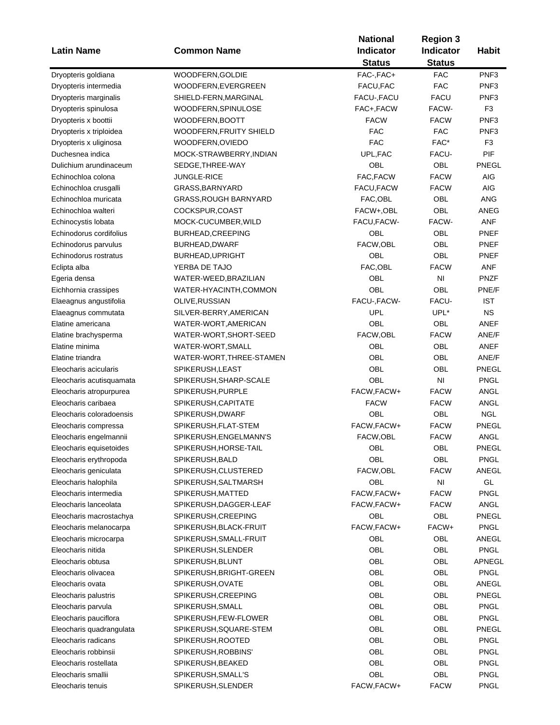| <b>Status</b><br><b>Status</b><br>WOODFERN, GOLDIE<br>FAC-, FAC+<br><b>FAC</b><br>PNF <sub>3</sub><br>Dryopteris goldiana<br><b>FAC</b><br>FACU, FAC<br>PNF <sub>3</sub><br>Dryopteris intermedia<br>WOODFERN,EVERGREEN<br><b>FACU</b><br>FACU-, FACU<br>PNF <sub>3</sub><br>Dryopteris marginalis<br>SHIELD-FERN, MARGINAL<br>FACW-<br>F <sub>3</sub><br>FAC+, FACW<br>Dryopteris spinulosa<br>WOODFERN,SPINULOSE<br><b>FACW</b><br><b>FACW</b><br>PNF <sub>3</sub><br>Dryopteris x boottii<br>WOODFERN,BOOTT<br><b>FAC</b><br><b>FAC</b><br>PNF <sub>3</sub><br>Dryopteris x triploidea<br>WOODFERN, FRUITY SHIELD<br><b>FAC</b><br>FAC*<br>F <sub>3</sub><br>Dryopteris x uliginosa<br>WOODFERN, OVIEDO<br>PIF<br>Duchesnea indica<br>MOCK-STRAWBERRY, INDIAN<br>UPL, FAC<br>FACU-<br>OBL<br>OBL<br>Dulichium arundinaceum<br>PNEGL<br>SEDGE, THREE-WAY<br>FAC, FACW<br><b>FACW</b><br>AIG<br>Echinochloa colona<br><b>JUNGLE-RICE</b><br><b>FACW</b><br><b>AIG</b><br>Echinochloa crusgalli<br>GRASS, BARNYARD<br>FACU, FACW<br><b>OBL</b><br>Echinochloa muricata<br>FAC, OBL<br>ANG<br>GRASS, ROUGH BARNYARD<br>OBL<br>Echinochloa walteri<br>FACW+,OBL<br>ANEG<br>COCKSPUR,COAST<br>FACW-<br>FACU, FACW-<br>ANF<br>Echinocystis lobata<br>MOCK-CUCUMBER, WILD<br>Echinodorus cordifolius<br>OBL<br>OBL<br>BURHEAD, CREEPING<br><b>PNEF</b><br>OBL<br>FACW, OBL<br>PNEF<br>Echinodorus parvulus<br>BURHEAD, DWARF<br>OBL<br>OBL<br>Echinodorus rostratus<br>BURHEAD, UPRIGHT<br><b>PNEF</b><br>FAC, OBL<br><b>FACW</b><br><b>ANF</b><br>YERBA DE TAJO<br>Eclipta alba<br>OBL<br>N <sub>l</sub><br><b>PNZF</b><br>Egeria densa<br>WATER-WEED,BRAZILIAN<br><b>OBL</b><br>OBL<br>PNE/F<br>WATER-HYACINTH, COMMON<br>Eichhornia crassipes<br>FACU-, FACW-<br>FACU-<br><b>IST</b><br>OLIVE, RUSSIAN<br>Elaeagnus angustifolia<br><b>UPL</b><br>UPL*<br><b>NS</b><br>Elaeagnus commutata<br>SILVER-BERRY, AMERICAN<br>OBL<br>OBL<br><b>ANEF</b><br>Elatine americana<br>WATER-WORT, AMERICAN<br>FACW, OBL<br><b>FACW</b><br>ANE/F<br>WATER-WORT, SHORT-SEED<br>Elatine brachysperma<br><b>OBL</b><br>OBL<br>Elatine minima<br>WATER-WORT, SMALL<br>ANEF<br><b>OBL</b><br>OBL<br>ANE/F<br>Elatine triandra<br>WATER-WORT, THREE-STAMEN<br>OBL<br>OBL<br>PNEGL<br>SPIKERUSH, LEAST<br>Eleocharis acicularis<br>OBL<br>NI<br><b>PNGL</b><br>Eleocharis acutisquamata<br>SPIKERUSH, SHARP-SCALE<br>FACW, FACW+<br>ANGL<br>SPIKERUSH, PURPLE<br><b>FACW</b><br>Eleocharis atropurpurea<br><b>FACW</b><br>Eleocharis caribaea<br><b>FACW</b><br>ANGL<br>SPIKERUSH, CAPITATE<br>OBL<br>OBL<br><b>NGL</b><br>Eleocharis coloradoensis<br>SPIKERUSH, DWARF<br>FACW, FACW+<br><b>FACW</b><br>PNEGL<br>Eleocharis compressa<br>SPIKERUSH, FLAT-STEM<br>FACW,OBL<br><b>FACW</b><br>ANGL<br>Eleocharis engelmannii<br>SPIKERUSH, ENGELMANN'S<br>SPIKERUSH, HORSE-TAIL<br>PNEGL<br>Eleocharis equisetoides<br>OBL<br>OBL<br>OBL<br>OBL<br><b>PNGL</b><br>Eleocharis erythropoda<br>SPIKERUSH, BALD<br>FACW,OBL<br><b>FACW</b><br>Eleocharis geniculata<br>SPIKERUSH, CLUSTERED<br>ANEGL<br>GL<br>OBL<br>NI<br>Eleocharis halophila<br>SPIKERUSH, SALTMARSH<br><b>PNGL</b><br>Eleocharis intermedia<br>FACW, FACW+<br><b>FACW</b><br>SPIKERUSH, MATTED<br><b>ANGL</b><br>Eleocharis lanceolata<br>FACW, FACW+<br><b>FACW</b><br>SPIKERUSH, DAGGER-LEAF<br>OBL<br>PNEGL<br>OBL<br>Eleocharis macrostachya<br>SPIKERUSH, CREEPING<br>FACW, FACW+<br>Eleocharis melanocarpa<br>SPIKERUSH, BLACK-FRUIT<br>FACW+<br><b>PNGL</b><br>OBL<br>OBL<br>Eleocharis microcarpa<br>SPIKERUSH, SMALL-FRUIT<br>ANEGL<br>OBL<br>OBL<br><b>PNGL</b><br>Eleocharis nitida<br>SPIKERUSH, SLENDER<br>OBL<br>OBL<br>SPIKERUSH, BLUNT<br>APNEGL<br>Eleocharis obtusa<br>OBL<br>OBL<br>Eleocharis olivacea<br><b>PNGL</b><br>SPIKERUSH, BRIGHT-GREEN<br>OBL<br>OBL<br>SPIKERUSH, OVATE<br>ANEGL<br>Eleocharis ovata<br>OBL<br>OBL<br>PNEGL<br>Eleocharis palustris<br>SPIKERUSH, CREEPING<br>OBL<br>OBL<br>Eleocharis parvula<br><b>PNGL</b><br>SPIKERUSH, SMALL<br>OBL<br>OBL<br>Eleocharis pauciflora<br><b>PNGL</b><br>SPIKERUSH,FEW-FLOWER<br>OBL<br>OBL<br>Eleocharis quadrangulata<br>PNEGL<br>SPIKERUSH, SQUARE-STEM<br>OBL<br>OBL<br><b>PNGL</b><br>Eleocharis radicans<br>SPIKERUSH, ROOTED<br>OBL<br>OBL<br>Eleocharis robbinsii<br><b>PNGL</b><br>SPIKERUSH, ROBBINS'<br>OBL<br>OBL<br>Eleocharis rostellata<br>SPIKERUSH, BEAKED<br><b>PNGL</b><br>OBL<br>OBL<br>Eleocharis smallii<br><b>PNGL</b><br>SPIKERUSH, SMALL'S<br><b>FACW</b><br><b>PNGL</b> | <b>Latin Name</b> | <b>Common Name</b> | <b>National</b><br><b>Indicator</b> | <b>Region 3</b><br><b>Indicator</b> | <b>Habit</b> |
|-----------------------------------------------------------------------------------------------------------------------------------------------------------------------------------------------------------------------------------------------------------------------------------------------------------------------------------------------------------------------------------------------------------------------------------------------------------------------------------------------------------------------------------------------------------------------------------------------------------------------------------------------------------------------------------------------------------------------------------------------------------------------------------------------------------------------------------------------------------------------------------------------------------------------------------------------------------------------------------------------------------------------------------------------------------------------------------------------------------------------------------------------------------------------------------------------------------------------------------------------------------------------------------------------------------------------------------------------------------------------------------------------------------------------------------------------------------------------------------------------------------------------------------------------------------------------------------------------------------------------------------------------------------------------------------------------------------------------------------------------------------------------------------------------------------------------------------------------------------------------------------------------------------------------------------------------------------------------------------------------------------------------------------------------------------------------------------------------------------------------------------------------------------------------------------------------------------------------------------------------------------------------------------------------------------------------------------------------------------------------------------------------------------------------------------------------------------------------------------------------------------------------------------------------------------------------------------------------------------------------------------------------------------------------------------------------------------------------------------------------------------------------------------------------------------------------------------------------------------------------------------------------------------------------------------------------------------------------------------------------------------------------------------------------------------------------------------------------------------------------------------------------------------------------------------------------------------------------------------------------------------------------------------------------------------------------------------------------------------------------------------------------------------------------------------------------------------------------------------------------------------------------------------------------------------------------------------------------------------------------------------------------------------------------------------------------------------------------------------------------------------------------------------------------------------------------------------------------------------------------------------------------------------------------------------------------------------------------------------------------------------------------------------------------------------------------------------------------------------------------------------------------------------------------------------------------------------------------------------------------------------------------------------------------------------------------------------------------------------------------------------------------------------------------------------------------------------------------------------------------------------------------------|-------------------|--------------------|-------------------------------------|-------------------------------------|--------------|
|                                                                                                                                                                                                                                                                                                                                                                                                                                                                                                                                                                                                                                                                                                                                                                                                                                                                                                                                                                                                                                                                                                                                                                                                                                                                                                                                                                                                                                                                                                                                                                                                                                                                                                                                                                                                                                                                                                                                                                                                                                                                                                                                                                                                                                                                                                                                                                                                                                                                                                                                                                                                                                                                                                                                                                                                                                                                                                                                                                                                                                                                                                                                                                                                                                                                                                                                                                                                                                                                                                                                                                                                                                                                                                                                                                                                                                                                                                                                                                                                                                                                                                                                                                                                                                                                                                                                                                                                                                                                                                                             |                   |                    |                                     |                                     |              |
|                                                                                                                                                                                                                                                                                                                                                                                                                                                                                                                                                                                                                                                                                                                                                                                                                                                                                                                                                                                                                                                                                                                                                                                                                                                                                                                                                                                                                                                                                                                                                                                                                                                                                                                                                                                                                                                                                                                                                                                                                                                                                                                                                                                                                                                                                                                                                                                                                                                                                                                                                                                                                                                                                                                                                                                                                                                                                                                                                                                                                                                                                                                                                                                                                                                                                                                                                                                                                                                                                                                                                                                                                                                                                                                                                                                                                                                                                                                                                                                                                                                                                                                                                                                                                                                                                                                                                                                                                                                                                                                             |                   |                    |                                     |                                     |              |
|                                                                                                                                                                                                                                                                                                                                                                                                                                                                                                                                                                                                                                                                                                                                                                                                                                                                                                                                                                                                                                                                                                                                                                                                                                                                                                                                                                                                                                                                                                                                                                                                                                                                                                                                                                                                                                                                                                                                                                                                                                                                                                                                                                                                                                                                                                                                                                                                                                                                                                                                                                                                                                                                                                                                                                                                                                                                                                                                                                                                                                                                                                                                                                                                                                                                                                                                                                                                                                                                                                                                                                                                                                                                                                                                                                                                                                                                                                                                                                                                                                                                                                                                                                                                                                                                                                                                                                                                                                                                                                                             |                   |                    |                                     |                                     |              |
|                                                                                                                                                                                                                                                                                                                                                                                                                                                                                                                                                                                                                                                                                                                                                                                                                                                                                                                                                                                                                                                                                                                                                                                                                                                                                                                                                                                                                                                                                                                                                                                                                                                                                                                                                                                                                                                                                                                                                                                                                                                                                                                                                                                                                                                                                                                                                                                                                                                                                                                                                                                                                                                                                                                                                                                                                                                                                                                                                                                                                                                                                                                                                                                                                                                                                                                                                                                                                                                                                                                                                                                                                                                                                                                                                                                                                                                                                                                                                                                                                                                                                                                                                                                                                                                                                                                                                                                                                                                                                                                             |                   |                    |                                     |                                     |              |
|                                                                                                                                                                                                                                                                                                                                                                                                                                                                                                                                                                                                                                                                                                                                                                                                                                                                                                                                                                                                                                                                                                                                                                                                                                                                                                                                                                                                                                                                                                                                                                                                                                                                                                                                                                                                                                                                                                                                                                                                                                                                                                                                                                                                                                                                                                                                                                                                                                                                                                                                                                                                                                                                                                                                                                                                                                                                                                                                                                                                                                                                                                                                                                                                                                                                                                                                                                                                                                                                                                                                                                                                                                                                                                                                                                                                                                                                                                                                                                                                                                                                                                                                                                                                                                                                                                                                                                                                                                                                                                                             |                   |                    |                                     |                                     |              |
|                                                                                                                                                                                                                                                                                                                                                                                                                                                                                                                                                                                                                                                                                                                                                                                                                                                                                                                                                                                                                                                                                                                                                                                                                                                                                                                                                                                                                                                                                                                                                                                                                                                                                                                                                                                                                                                                                                                                                                                                                                                                                                                                                                                                                                                                                                                                                                                                                                                                                                                                                                                                                                                                                                                                                                                                                                                                                                                                                                                                                                                                                                                                                                                                                                                                                                                                                                                                                                                                                                                                                                                                                                                                                                                                                                                                                                                                                                                                                                                                                                                                                                                                                                                                                                                                                                                                                                                                                                                                                                                             |                   |                    |                                     |                                     |              |
|                                                                                                                                                                                                                                                                                                                                                                                                                                                                                                                                                                                                                                                                                                                                                                                                                                                                                                                                                                                                                                                                                                                                                                                                                                                                                                                                                                                                                                                                                                                                                                                                                                                                                                                                                                                                                                                                                                                                                                                                                                                                                                                                                                                                                                                                                                                                                                                                                                                                                                                                                                                                                                                                                                                                                                                                                                                                                                                                                                                                                                                                                                                                                                                                                                                                                                                                                                                                                                                                                                                                                                                                                                                                                                                                                                                                                                                                                                                                                                                                                                                                                                                                                                                                                                                                                                                                                                                                                                                                                                                             |                   |                    |                                     |                                     |              |
|                                                                                                                                                                                                                                                                                                                                                                                                                                                                                                                                                                                                                                                                                                                                                                                                                                                                                                                                                                                                                                                                                                                                                                                                                                                                                                                                                                                                                                                                                                                                                                                                                                                                                                                                                                                                                                                                                                                                                                                                                                                                                                                                                                                                                                                                                                                                                                                                                                                                                                                                                                                                                                                                                                                                                                                                                                                                                                                                                                                                                                                                                                                                                                                                                                                                                                                                                                                                                                                                                                                                                                                                                                                                                                                                                                                                                                                                                                                                                                                                                                                                                                                                                                                                                                                                                                                                                                                                                                                                                                                             |                   |                    |                                     |                                     |              |
|                                                                                                                                                                                                                                                                                                                                                                                                                                                                                                                                                                                                                                                                                                                                                                                                                                                                                                                                                                                                                                                                                                                                                                                                                                                                                                                                                                                                                                                                                                                                                                                                                                                                                                                                                                                                                                                                                                                                                                                                                                                                                                                                                                                                                                                                                                                                                                                                                                                                                                                                                                                                                                                                                                                                                                                                                                                                                                                                                                                                                                                                                                                                                                                                                                                                                                                                                                                                                                                                                                                                                                                                                                                                                                                                                                                                                                                                                                                                                                                                                                                                                                                                                                                                                                                                                                                                                                                                                                                                                                                             |                   |                    |                                     |                                     |              |
|                                                                                                                                                                                                                                                                                                                                                                                                                                                                                                                                                                                                                                                                                                                                                                                                                                                                                                                                                                                                                                                                                                                                                                                                                                                                                                                                                                                                                                                                                                                                                                                                                                                                                                                                                                                                                                                                                                                                                                                                                                                                                                                                                                                                                                                                                                                                                                                                                                                                                                                                                                                                                                                                                                                                                                                                                                                                                                                                                                                                                                                                                                                                                                                                                                                                                                                                                                                                                                                                                                                                                                                                                                                                                                                                                                                                                                                                                                                                                                                                                                                                                                                                                                                                                                                                                                                                                                                                                                                                                                                             |                   |                    |                                     |                                     |              |
|                                                                                                                                                                                                                                                                                                                                                                                                                                                                                                                                                                                                                                                                                                                                                                                                                                                                                                                                                                                                                                                                                                                                                                                                                                                                                                                                                                                                                                                                                                                                                                                                                                                                                                                                                                                                                                                                                                                                                                                                                                                                                                                                                                                                                                                                                                                                                                                                                                                                                                                                                                                                                                                                                                                                                                                                                                                                                                                                                                                                                                                                                                                                                                                                                                                                                                                                                                                                                                                                                                                                                                                                                                                                                                                                                                                                                                                                                                                                                                                                                                                                                                                                                                                                                                                                                                                                                                                                                                                                                                                             |                   |                    |                                     |                                     |              |
|                                                                                                                                                                                                                                                                                                                                                                                                                                                                                                                                                                                                                                                                                                                                                                                                                                                                                                                                                                                                                                                                                                                                                                                                                                                                                                                                                                                                                                                                                                                                                                                                                                                                                                                                                                                                                                                                                                                                                                                                                                                                                                                                                                                                                                                                                                                                                                                                                                                                                                                                                                                                                                                                                                                                                                                                                                                                                                                                                                                                                                                                                                                                                                                                                                                                                                                                                                                                                                                                                                                                                                                                                                                                                                                                                                                                                                                                                                                                                                                                                                                                                                                                                                                                                                                                                                                                                                                                                                                                                                                             |                   |                    |                                     |                                     |              |
|                                                                                                                                                                                                                                                                                                                                                                                                                                                                                                                                                                                                                                                                                                                                                                                                                                                                                                                                                                                                                                                                                                                                                                                                                                                                                                                                                                                                                                                                                                                                                                                                                                                                                                                                                                                                                                                                                                                                                                                                                                                                                                                                                                                                                                                                                                                                                                                                                                                                                                                                                                                                                                                                                                                                                                                                                                                                                                                                                                                                                                                                                                                                                                                                                                                                                                                                                                                                                                                                                                                                                                                                                                                                                                                                                                                                                                                                                                                                                                                                                                                                                                                                                                                                                                                                                                                                                                                                                                                                                                                             |                   |                    |                                     |                                     |              |
|                                                                                                                                                                                                                                                                                                                                                                                                                                                                                                                                                                                                                                                                                                                                                                                                                                                                                                                                                                                                                                                                                                                                                                                                                                                                                                                                                                                                                                                                                                                                                                                                                                                                                                                                                                                                                                                                                                                                                                                                                                                                                                                                                                                                                                                                                                                                                                                                                                                                                                                                                                                                                                                                                                                                                                                                                                                                                                                                                                                                                                                                                                                                                                                                                                                                                                                                                                                                                                                                                                                                                                                                                                                                                                                                                                                                                                                                                                                                                                                                                                                                                                                                                                                                                                                                                                                                                                                                                                                                                                                             |                   |                    |                                     |                                     |              |
|                                                                                                                                                                                                                                                                                                                                                                                                                                                                                                                                                                                                                                                                                                                                                                                                                                                                                                                                                                                                                                                                                                                                                                                                                                                                                                                                                                                                                                                                                                                                                                                                                                                                                                                                                                                                                                                                                                                                                                                                                                                                                                                                                                                                                                                                                                                                                                                                                                                                                                                                                                                                                                                                                                                                                                                                                                                                                                                                                                                                                                                                                                                                                                                                                                                                                                                                                                                                                                                                                                                                                                                                                                                                                                                                                                                                                                                                                                                                                                                                                                                                                                                                                                                                                                                                                                                                                                                                                                                                                                                             |                   |                    |                                     |                                     |              |
|                                                                                                                                                                                                                                                                                                                                                                                                                                                                                                                                                                                                                                                                                                                                                                                                                                                                                                                                                                                                                                                                                                                                                                                                                                                                                                                                                                                                                                                                                                                                                                                                                                                                                                                                                                                                                                                                                                                                                                                                                                                                                                                                                                                                                                                                                                                                                                                                                                                                                                                                                                                                                                                                                                                                                                                                                                                                                                                                                                                                                                                                                                                                                                                                                                                                                                                                                                                                                                                                                                                                                                                                                                                                                                                                                                                                                                                                                                                                                                                                                                                                                                                                                                                                                                                                                                                                                                                                                                                                                                                             |                   |                    |                                     |                                     |              |
|                                                                                                                                                                                                                                                                                                                                                                                                                                                                                                                                                                                                                                                                                                                                                                                                                                                                                                                                                                                                                                                                                                                                                                                                                                                                                                                                                                                                                                                                                                                                                                                                                                                                                                                                                                                                                                                                                                                                                                                                                                                                                                                                                                                                                                                                                                                                                                                                                                                                                                                                                                                                                                                                                                                                                                                                                                                                                                                                                                                                                                                                                                                                                                                                                                                                                                                                                                                                                                                                                                                                                                                                                                                                                                                                                                                                                                                                                                                                                                                                                                                                                                                                                                                                                                                                                                                                                                                                                                                                                                                             |                   |                    |                                     |                                     |              |
|                                                                                                                                                                                                                                                                                                                                                                                                                                                                                                                                                                                                                                                                                                                                                                                                                                                                                                                                                                                                                                                                                                                                                                                                                                                                                                                                                                                                                                                                                                                                                                                                                                                                                                                                                                                                                                                                                                                                                                                                                                                                                                                                                                                                                                                                                                                                                                                                                                                                                                                                                                                                                                                                                                                                                                                                                                                                                                                                                                                                                                                                                                                                                                                                                                                                                                                                                                                                                                                                                                                                                                                                                                                                                                                                                                                                                                                                                                                                                                                                                                                                                                                                                                                                                                                                                                                                                                                                                                                                                                                             |                   |                    |                                     |                                     |              |
|                                                                                                                                                                                                                                                                                                                                                                                                                                                                                                                                                                                                                                                                                                                                                                                                                                                                                                                                                                                                                                                                                                                                                                                                                                                                                                                                                                                                                                                                                                                                                                                                                                                                                                                                                                                                                                                                                                                                                                                                                                                                                                                                                                                                                                                                                                                                                                                                                                                                                                                                                                                                                                                                                                                                                                                                                                                                                                                                                                                                                                                                                                                                                                                                                                                                                                                                                                                                                                                                                                                                                                                                                                                                                                                                                                                                                                                                                                                                                                                                                                                                                                                                                                                                                                                                                                                                                                                                                                                                                                                             |                   |                    |                                     |                                     |              |
|                                                                                                                                                                                                                                                                                                                                                                                                                                                                                                                                                                                                                                                                                                                                                                                                                                                                                                                                                                                                                                                                                                                                                                                                                                                                                                                                                                                                                                                                                                                                                                                                                                                                                                                                                                                                                                                                                                                                                                                                                                                                                                                                                                                                                                                                                                                                                                                                                                                                                                                                                                                                                                                                                                                                                                                                                                                                                                                                                                                                                                                                                                                                                                                                                                                                                                                                                                                                                                                                                                                                                                                                                                                                                                                                                                                                                                                                                                                                                                                                                                                                                                                                                                                                                                                                                                                                                                                                                                                                                                                             |                   |                    |                                     |                                     |              |
|                                                                                                                                                                                                                                                                                                                                                                                                                                                                                                                                                                                                                                                                                                                                                                                                                                                                                                                                                                                                                                                                                                                                                                                                                                                                                                                                                                                                                                                                                                                                                                                                                                                                                                                                                                                                                                                                                                                                                                                                                                                                                                                                                                                                                                                                                                                                                                                                                                                                                                                                                                                                                                                                                                                                                                                                                                                                                                                                                                                                                                                                                                                                                                                                                                                                                                                                                                                                                                                                                                                                                                                                                                                                                                                                                                                                                                                                                                                                                                                                                                                                                                                                                                                                                                                                                                                                                                                                                                                                                                                             |                   |                    |                                     |                                     |              |
|                                                                                                                                                                                                                                                                                                                                                                                                                                                                                                                                                                                                                                                                                                                                                                                                                                                                                                                                                                                                                                                                                                                                                                                                                                                                                                                                                                                                                                                                                                                                                                                                                                                                                                                                                                                                                                                                                                                                                                                                                                                                                                                                                                                                                                                                                                                                                                                                                                                                                                                                                                                                                                                                                                                                                                                                                                                                                                                                                                                                                                                                                                                                                                                                                                                                                                                                                                                                                                                                                                                                                                                                                                                                                                                                                                                                                                                                                                                                                                                                                                                                                                                                                                                                                                                                                                                                                                                                                                                                                                                             |                   |                    |                                     |                                     |              |
|                                                                                                                                                                                                                                                                                                                                                                                                                                                                                                                                                                                                                                                                                                                                                                                                                                                                                                                                                                                                                                                                                                                                                                                                                                                                                                                                                                                                                                                                                                                                                                                                                                                                                                                                                                                                                                                                                                                                                                                                                                                                                                                                                                                                                                                                                                                                                                                                                                                                                                                                                                                                                                                                                                                                                                                                                                                                                                                                                                                                                                                                                                                                                                                                                                                                                                                                                                                                                                                                                                                                                                                                                                                                                                                                                                                                                                                                                                                                                                                                                                                                                                                                                                                                                                                                                                                                                                                                                                                                                                                             |                   |                    |                                     |                                     |              |
|                                                                                                                                                                                                                                                                                                                                                                                                                                                                                                                                                                                                                                                                                                                                                                                                                                                                                                                                                                                                                                                                                                                                                                                                                                                                                                                                                                                                                                                                                                                                                                                                                                                                                                                                                                                                                                                                                                                                                                                                                                                                                                                                                                                                                                                                                                                                                                                                                                                                                                                                                                                                                                                                                                                                                                                                                                                                                                                                                                                                                                                                                                                                                                                                                                                                                                                                                                                                                                                                                                                                                                                                                                                                                                                                                                                                                                                                                                                                                                                                                                                                                                                                                                                                                                                                                                                                                                                                                                                                                                                             |                   |                    |                                     |                                     |              |
|                                                                                                                                                                                                                                                                                                                                                                                                                                                                                                                                                                                                                                                                                                                                                                                                                                                                                                                                                                                                                                                                                                                                                                                                                                                                                                                                                                                                                                                                                                                                                                                                                                                                                                                                                                                                                                                                                                                                                                                                                                                                                                                                                                                                                                                                                                                                                                                                                                                                                                                                                                                                                                                                                                                                                                                                                                                                                                                                                                                                                                                                                                                                                                                                                                                                                                                                                                                                                                                                                                                                                                                                                                                                                                                                                                                                                                                                                                                                                                                                                                                                                                                                                                                                                                                                                                                                                                                                                                                                                                                             |                   |                    |                                     |                                     |              |
|                                                                                                                                                                                                                                                                                                                                                                                                                                                                                                                                                                                                                                                                                                                                                                                                                                                                                                                                                                                                                                                                                                                                                                                                                                                                                                                                                                                                                                                                                                                                                                                                                                                                                                                                                                                                                                                                                                                                                                                                                                                                                                                                                                                                                                                                                                                                                                                                                                                                                                                                                                                                                                                                                                                                                                                                                                                                                                                                                                                                                                                                                                                                                                                                                                                                                                                                                                                                                                                                                                                                                                                                                                                                                                                                                                                                                                                                                                                                                                                                                                                                                                                                                                                                                                                                                                                                                                                                                                                                                                                             |                   |                    |                                     |                                     |              |
|                                                                                                                                                                                                                                                                                                                                                                                                                                                                                                                                                                                                                                                                                                                                                                                                                                                                                                                                                                                                                                                                                                                                                                                                                                                                                                                                                                                                                                                                                                                                                                                                                                                                                                                                                                                                                                                                                                                                                                                                                                                                                                                                                                                                                                                                                                                                                                                                                                                                                                                                                                                                                                                                                                                                                                                                                                                                                                                                                                                                                                                                                                                                                                                                                                                                                                                                                                                                                                                                                                                                                                                                                                                                                                                                                                                                                                                                                                                                                                                                                                                                                                                                                                                                                                                                                                                                                                                                                                                                                                                             |                   |                    |                                     |                                     |              |
|                                                                                                                                                                                                                                                                                                                                                                                                                                                                                                                                                                                                                                                                                                                                                                                                                                                                                                                                                                                                                                                                                                                                                                                                                                                                                                                                                                                                                                                                                                                                                                                                                                                                                                                                                                                                                                                                                                                                                                                                                                                                                                                                                                                                                                                                                                                                                                                                                                                                                                                                                                                                                                                                                                                                                                                                                                                                                                                                                                                                                                                                                                                                                                                                                                                                                                                                                                                                                                                                                                                                                                                                                                                                                                                                                                                                                                                                                                                                                                                                                                                                                                                                                                                                                                                                                                                                                                                                                                                                                                                             |                   |                    |                                     |                                     |              |
|                                                                                                                                                                                                                                                                                                                                                                                                                                                                                                                                                                                                                                                                                                                                                                                                                                                                                                                                                                                                                                                                                                                                                                                                                                                                                                                                                                                                                                                                                                                                                                                                                                                                                                                                                                                                                                                                                                                                                                                                                                                                                                                                                                                                                                                                                                                                                                                                                                                                                                                                                                                                                                                                                                                                                                                                                                                                                                                                                                                                                                                                                                                                                                                                                                                                                                                                                                                                                                                                                                                                                                                                                                                                                                                                                                                                                                                                                                                                                                                                                                                                                                                                                                                                                                                                                                                                                                                                                                                                                                                             |                   |                    |                                     |                                     |              |
|                                                                                                                                                                                                                                                                                                                                                                                                                                                                                                                                                                                                                                                                                                                                                                                                                                                                                                                                                                                                                                                                                                                                                                                                                                                                                                                                                                                                                                                                                                                                                                                                                                                                                                                                                                                                                                                                                                                                                                                                                                                                                                                                                                                                                                                                                                                                                                                                                                                                                                                                                                                                                                                                                                                                                                                                                                                                                                                                                                                                                                                                                                                                                                                                                                                                                                                                                                                                                                                                                                                                                                                                                                                                                                                                                                                                                                                                                                                                                                                                                                                                                                                                                                                                                                                                                                                                                                                                                                                                                                                             |                   |                    |                                     |                                     |              |
|                                                                                                                                                                                                                                                                                                                                                                                                                                                                                                                                                                                                                                                                                                                                                                                                                                                                                                                                                                                                                                                                                                                                                                                                                                                                                                                                                                                                                                                                                                                                                                                                                                                                                                                                                                                                                                                                                                                                                                                                                                                                                                                                                                                                                                                                                                                                                                                                                                                                                                                                                                                                                                                                                                                                                                                                                                                                                                                                                                                                                                                                                                                                                                                                                                                                                                                                                                                                                                                                                                                                                                                                                                                                                                                                                                                                                                                                                                                                                                                                                                                                                                                                                                                                                                                                                                                                                                                                                                                                                                                             |                   |                    |                                     |                                     |              |
|                                                                                                                                                                                                                                                                                                                                                                                                                                                                                                                                                                                                                                                                                                                                                                                                                                                                                                                                                                                                                                                                                                                                                                                                                                                                                                                                                                                                                                                                                                                                                                                                                                                                                                                                                                                                                                                                                                                                                                                                                                                                                                                                                                                                                                                                                                                                                                                                                                                                                                                                                                                                                                                                                                                                                                                                                                                                                                                                                                                                                                                                                                                                                                                                                                                                                                                                                                                                                                                                                                                                                                                                                                                                                                                                                                                                                                                                                                                                                                                                                                                                                                                                                                                                                                                                                                                                                                                                                                                                                                                             |                   |                    |                                     |                                     |              |
|                                                                                                                                                                                                                                                                                                                                                                                                                                                                                                                                                                                                                                                                                                                                                                                                                                                                                                                                                                                                                                                                                                                                                                                                                                                                                                                                                                                                                                                                                                                                                                                                                                                                                                                                                                                                                                                                                                                                                                                                                                                                                                                                                                                                                                                                                                                                                                                                                                                                                                                                                                                                                                                                                                                                                                                                                                                                                                                                                                                                                                                                                                                                                                                                                                                                                                                                                                                                                                                                                                                                                                                                                                                                                                                                                                                                                                                                                                                                                                                                                                                                                                                                                                                                                                                                                                                                                                                                                                                                                                                             |                   |                    |                                     |                                     |              |
|                                                                                                                                                                                                                                                                                                                                                                                                                                                                                                                                                                                                                                                                                                                                                                                                                                                                                                                                                                                                                                                                                                                                                                                                                                                                                                                                                                                                                                                                                                                                                                                                                                                                                                                                                                                                                                                                                                                                                                                                                                                                                                                                                                                                                                                                                                                                                                                                                                                                                                                                                                                                                                                                                                                                                                                                                                                                                                                                                                                                                                                                                                                                                                                                                                                                                                                                                                                                                                                                                                                                                                                                                                                                                                                                                                                                                                                                                                                                                                                                                                                                                                                                                                                                                                                                                                                                                                                                                                                                                                                             |                   |                    |                                     |                                     |              |
|                                                                                                                                                                                                                                                                                                                                                                                                                                                                                                                                                                                                                                                                                                                                                                                                                                                                                                                                                                                                                                                                                                                                                                                                                                                                                                                                                                                                                                                                                                                                                                                                                                                                                                                                                                                                                                                                                                                                                                                                                                                                                                                                                                                                                                                                                                                                                                                                                                                                                                                                                                                                                                                                                                                                                                                                                                                                                                                                                                                                                                                                                                                                                                                                                                                                                                                                                                                                                                                                                                                                                                                                                                                                                                                                                                                                                                                                                                                                                                                                                                                                                                                                                                                                                                                                                                                                                                                                                                                                                                                             |                   |                    |                                     |                                     |              |
|                                                                                                                                                                                                                                                                                                                                                                                                                                                                                                                                                                                                                                                                                                                                                                                                                                                                                                                                                                                                                                                                                                                                                                                                                                                                                                                                                                                                                                                                                                                                                                                                                                                                                                                                                                                                                                                                                                                                                                                                                                                                                                                                                                                                                                                                                                                                                                                                                                                                                                                                                                                                                                                                                                                                                                                                                                                                                                                                                                                                                                                                                                                                                                                                                                                                                                                                                                                                                                                                                                                                                                                                                                                                                                                                                                                                                                                                                                                                                                                                                                                                                                                                                                                                                                                                                                                                                                                                                                                                                                                             |                   |                    |                                     |                                     |              |
|                                                                                                                                                                                                                                                                                                                                                                                                                                                                                                                                                                                                                                                                                                                                                                                                                                                                                                                                                                                                                                                                                                                                                                                                                                                                                                                                                                                                                                                                                                                                                                                                                                                                                                                                                                                                                                                                                                                                                                                                                                                                                                                                                                                                                                                                                                                                                                                                                                                                                                                                                                                                                                                                                                                                                                                                                                                                                                                                                                                                                                                                                                                                                                                                                                                                                                                                                                                                                                                                                                                                                                                                                                                                                                                                                                                                                                                                                                                                                                                                                                                                                                                                                                                                                                                                                                                                                                                                                                                                                                                             |                   |                    |                                     |                                     |              |
|                                                                                                                                                                                                                                                                                                                                                                                                                                                                                                                                                                                                                                                                                                                                                                                                                                                                                                                                                                                                                                                                                                                                                                                                                                                                                                                                                                                                                                                                                                                                                                                                                                                                                                                                                                                                                                                                                                                                                                                                                                                                                                                                                                                                                                                                                                                                                                                                                                                                                                                                                                                                                                                                                                                                                                                                                                                                                                                                                                                                                                                                                                                                                                                                                                                                                                                                                                                                                                                                                                                                                                                                                                                                                                                                                                                                                                                                                                                                                                                                                                                                                                                                                                                                                                                                                                                                                                                                                                                                                                                             |                   |                    |                                     |                                     |              |
|                                                                                                                                                                                                                                                                                                                                                                                                                                                                                                                                                                                                                                                                                                                                                                                                                                                                                                                                                                                                                                                                                                                                                                                                                                                                                                                                                                                                                                                                                                                                                                                                                                                                                                                                                                                                                                                                                                                                                                                                                                                                                                                                                                                                                                                                                                                                                                                                                                                                                                                                                                                                                                                                                                                                                                                                                                                                                                                                                                                                                                                                                                                                                                                                                                                                                                                                                                                                                                                                                                                                                                                                                                                                                                                                                                                                                                                                                                                                                                                                                                                                                                                                                                                                                                                                                                                                                                                                                                                                                                                             |                   |                    |                                     |                                     |              |
|                                                                                                                                                                                                                                                                                                                                                                                                                                                                                                                                                                                                                                                                                                                                                                                                                                                                                                                                                                                                                                                                                                                                                                                                                                                                                                                                                                                                                                                                                                                                                                                                                                                                                                                                                                                                                                                                                                                                                                                                                                                                                                                                                                                                                                                                                                                                                                                                                                                                                                                                                                                                                                                                                                                                                                                                                                                                                                                                                                                                                                                                                                                                                                                                                                                                                                                                                                                                                                                                                                                                                                                                                                                                                                                                                                                                                                                                                                                                                                                                                                                                                                                                                                                                                                                                                                                                                                                                                                                                                                                             |                   |                    |                                     |                                     |              |
|                                                                                                                                                                                                                                                                                                                                                                                                                                                                                                                                                                                                                                                                                                                                                                                                                                                                                                                                                                                                                                                                                                                                                                                                                                                                                                                                                                                                                                                                                                                                                                                                                                                                                                                                                                                                                                                                                                                                                                                                                                                                                                                                                                                                                                                                                                                                                                                                                                                                                                                                                                                                                                                                                                                                                                                                                                                                                                                                                                                                                                                                                                                                                                                                                                                                                                                                                                                                                                                                                                                                                                                                                                                                                                                                                                                                                                                                                                                                                                                                                                                                                                                                                                                                                                                                                                                                                                                                                                                                                                                             |                   |                    |                                     |                                     |              |
|                                                                                                                                                                                                                                                                                                                                                                                                                                                                                                                                                                                                                                                                                                                                                                                                                                                                                                                                                                                                                                                                                                                                                                                                                                                                                                                                                                                                                                                                                                                                                                                                                                                                                                                                                                                                                                                                                                                                                                                                                                                                                                                                                                                                                                                                                                                                                                                                                                                                                                                                                                                                                                                                                                                                                                                                                                                                                                                                                                                                                                                                                                                                                                                                                                                                                                                                                                                                                                                                                                                                                                                                                                                                                                                                                                                                                                                                                                                                                                                                                                                                                                                                                                                                                                                                                                                                                                                                                                                                                                                             |                   |                    |                                     |                                     |              |
|                                                                                                                                                                                                                                                                                                                                                                                                                                                                                                                                                                                                                                                                                                                                                                                                                                                                                                                                                                                                                                                                                                                                                                                                                                                                                                                                                                                                                                                                                                                                                                                                                                                                                                                                                                                                                                                                                                                                                                                                                                                                                                                                                                                                                                                                                                                                                                                                                                                                                                                                                                                                                                                                                                                                                                                                                                                                                                                                                                                                                                                                                                                                                                                                                                                                                                                                                                                                                                                                                                                                                                                                                                                                                                                                                                                                                                                                                                                                                                                                                                                                                                                                                                                                                                                                                                                                                                                                                                                                                                                             |                   |                    |                                     |                                     |              |
|                                                                                                                                                                                                                                                                                                                                                                                                                                                                                                                                                                                                                                                                                                                                                                                                                                                                                                                                                                                                                                                                                                                                                                                                                                                                                                                                                                                                                                                                                                                                                                                                                                                                                                                                                                                                                                                                                                                                                                                                                                                                                                                                                                                                                                                                                                                                                                                                                                                                                                                                                                                                                                                                                                                                                                                                                                                                                                                                                                                                                                                                                                                                                                                                                                                                                                                                                                                                                                                                                                                                                                                                                                                                                                                                                                                                                                                                                                                                                                                                                                                                                                                                                                                                                                                                                                                                                                                                                                                                                                                             |                   |                    |                                     |                                     |              |
|                                                                                                                                                                                                                                                                                                                                                                                                                                                                                                                                                                                                                                                                                                                                                                                                                                                                                                                                                                                                                                                                                                                                                                                                                                                                                                                                                                                                                                                                                                                                                                                                                                                                                                                                                                                                                                                                                                                                                                                                                                                                                                                                                                                                                                                                                                                                                                                                                                                                                                                                                                                                                                                                                                                                                                                                                                                                                                                                                                                                                                                                                                                                                                                                                                                                                                                                                                                                                                                                                                                                                                                                                                                                                                                                                                                                                                                                                                                                                                                                                                                                                                                                                                                                                                                                                                                                                                                                                                                                                                                             |                   |                    |                                     |                                     |              |
|                                                                                                                                                                                                                                                                                                                                                                                                                                                                                                                                                                                                                                                                                                                                                                                                                                                                                                                                                                                                                                                                                                                                                                                                                                                                                                                                                                                                                                                                                                                                                                                                                                                                                                                                                                                                                                                                                                                                                                                                                                                                                                                                                                                                                                                                                                                                                                                                                                                                                                                                                                                                                                                                                                                                                                                                                                                                                                                                                                                                                                                                                                                                                                                                                                                                                                                                                                                                                                                                                                                                                                                                                                                                                                                                                                                                                                                                                                                                                                                                                                                                                                                                                                                                                                                                                                                                                                                                                                                                                                                             |                   |                    |                                     |                                     |              |
|                                                                                                                                                                                                                                                                                                                                                                                                                                                                                                                                                                                                                                                                                                                                                                                                                                                                                                                                                                                                                                                                                                                                                                                                                                                                                                                                                                                                                                                                                                                                                                                                                                                                                                                                                                                                                                                                                                                                                                                                                                                                                                                                                                                                                                                                                                                                                                                                                                                                                                                                                                                                                                                                                                                                                                                                                                                                                                                                                                                                                                                                                                                                                                                                                                                                                                                                                                                                                                                                                                                                                                                                                                                                                                                                                                                                                                                                                                                                                                                                                                                                                                                                                                                                                                                                                                                                                                                                                                                                                                                             |                   |                    |                                     |                                     |              |
|                                                                                                                                                                                                                                                                                                                                                                                                                                                                                                                                                                                                                                                                                                                                                                                                                                                                                                                                                                                                                                                                                                                                                                                                                                                                                                                                                                                                                                                                                                                                                                                                                                                                                                                                                                                                                                                                                                                                                                                                                                                                                                                                                                                                                                                                                                                                                                                                                                                                                                                                                                                                                                                                                                                                                                                                                                                                                                                                                                                                                                                                                                                                                                                                                                                                                                                                                                                                                                                                                                                                                                                                                                                                                                                                                                                                                                                                                                                                                                                                                                                                                                                                                                                                                                                                                                                                                                                                                                                                                                                             |                   |                    |                                     |                                     |              |
|                                                                                                                                                                                                                                                                                                                                                                                                                                                                                                                                                                                                                                                                                                                                                                                                                                                                                                                                                                                                                                                                                                                                                                                                                                                                                                                                                                                                                                                                                                                                                                                                                                                                                                                                                                                                                                                                                                                                                                                                                                                                                                                                                                                                                                                                                                                                                                                                                                                                                                                                                                                                                                                                                                                                                                                                                                                                                                                                                                                                                                                                                                                                                                                                                                                                                                                                                                                                                                                                                                                                                                                                                                                                                                                                                                                                                                                                                                                                                                                                                                                                                                                                                                                                                                                                                                                                                                                                                                                                                                                             |                   |                    |                                     |                                     |              |
|                                                                                                                                                                                                                                                                                                                                                                                                                                                                                                                                                                                                                                                                                                                                                                                                                                                                                                                                                                                                                                                                                                                                                                                                                                                                                                                                                                                                                                                                                                                                                                                                                                                                                                                                                                                                                                                                                                                                                                                                                                                                                                                                                                                                                                                                                                                                                                                                                                                                                                                                                                                                                                                                                                                                                                                                                                                                                                                                                                                                                                                                                                                                                                                                                                                                                                                                                                                                                                                                                                                                                                                                                                                                                                                                                                                                                                                                                                                                                                                                                                                                                                                                                                                                                                                                                                                                                                                                                                                                                                                             |                   |                    |                                     |                                     |              |
|                                                                                                                                                                                                                                                                                                                                                                                                                                                                                                                                                                                                                                                                                                                                                                                                                                                                                                                                                                                                                                                                                                                                                                                                                                                                                                                                                                                                                                                                                                                                                                                                                                                                                                                                                                                                                                                                                                                                                                                                                                                                                                                                                                                                                                                                                                                                                                                                                                                                                                                                                                                                                                                                                                                                                                                                                                                                                                                                                                                                                                                                                                                                                                                                                                                                                                                                                                                                                                                                                                                                                                                                                                                                                                                                                                                                                                                                                                                                                                                                                                                                                                                                                                                                                                                                                                                                                                                                                                                                                                                             |                   |                    |                                     |                                     |              |
|                                                                                                                                                                                                                                                                                                                                                                                                                                                                                                                                                                                                                                                                                                                                                                                                                                                                                                                                                                                                                                                                                                                                                                                                                                                                                                                                                                                                                                                                                                                                                                                                                                                                                                                                                                                                                                                                                                                                                                                                                                                                                                                                                                                                                                                                                                                                                                                                                                                                                                                                                                                                                                                                                                                                                                                                                                                                                                                                                                                                                                                                                                                                                                                                                                                                                                                                                                                                                                                                                                                                                                                                                                                                                                                                                                                                                                                                                                                                                                                                                                                                                                                                                                                                                                                                                                                                                                                                                                                                                                                             |                   |                    |                                     |                                     |              |
|                                                                                                                                                                                                                                                                                                                                                                                                                                                                                                                                                                                                                                                                                                                                                                                                                                                                                                                                                                                                                                                                                                                                                                                                                                                                                                                                                                                                                                                                                                                                                                                                                                                                                                                                                                                                                                                                                                                                                                                                                                                                                                                                                                                                                                                                                                                                                                                                                                                                                                                                                                                                                                                                                                                                                                                                                                                                                                                                                                                                                                                                                                                                                                                                                                                                                                                                                                                                                                                                                                                                                                                                                                                                                                                                                                                                                                                                                                                                                                                                                                                                                                                                                                                                                                                                                                                                                                                                                                                                                                                             |                   |                    |                                     |                                     |              |
|                                                                                                                                                                                                                                                                                                                                                                                                                                                                                                                                                                                                                                                                                                                                                                                                                                                                                                                                                                                                                                                                                                                                                                                                                                                                                                                                                                                                                                                                                                                                                                                                                                                                                                                                                                                                                                                                                                                                                                                                                                                                                                                                                                                                                                                                                                                                                                                                                                                                                                                                                                                                                                                                                                                                                                                                                                                                                                                                                                                                                                                                                                                                                                                                                                                                                                                                                                                                                                                                                                                                                                                                                                                                                                                                                                                                                                                                                                                                                                                                                                                                                                                                                                                                                                                                                                                                                                                                                                                                                                                             |                   |                    |                                     |                                     |              |
|                                                                                                                                                                                                                                                                                                                                                                                                                                                                                                                                                                                                                                                                                                                                                                                                                                                                                                                                                                                                                                                                                                                                                                                                                                                                                                                                                                                                                                                                                                                                                                                                                                                                                                                                                                                                                                                                                                                                                                                                                                                                                                                                                                                                                                                                                                                                                                                                                                                                                                                                                                                                                                                                                                                                                                                                                                                                                                                                                                                                                                                                                                                                                                                                                                                                                                                                                                                                                                                                                                                                                                                                                                                                                                                                                                                                                                                                                                                                                                                                                                                                                                                                                                                                                                                                                                                                                                                                                                                                                                                             |                   |                    |                                     |                                     |              |
|                                                                                                                                                                                                                                                                                                                                                                                                                                                                                                                                                                                                                                                                                                                                                                                                                                                                                                                                                                                                                                                                                                                                                                                                                                                                                                                                                                                                                                                                                                                                                                                                                                                                                                                                                                                                                                                                                                                                                                                                                                                                                                                                                                                                                                                                                                                                                                                                                                                                                                                                                                                                                                                                                                                                                                                                                                                                                                                                                                                                                                                                                                                                                                                                                                                                                                                                                                                                                                                                                                                                                                                                                                                                                                                                                                                                                                                                                                                                                                                                                                                                                                                                                                                                                                                                                                                                                                                                                                                                                                                             | Eleocharis tenuis | SPIKERUSH, SLENDER | FACW, FACW+                         |                                     |              |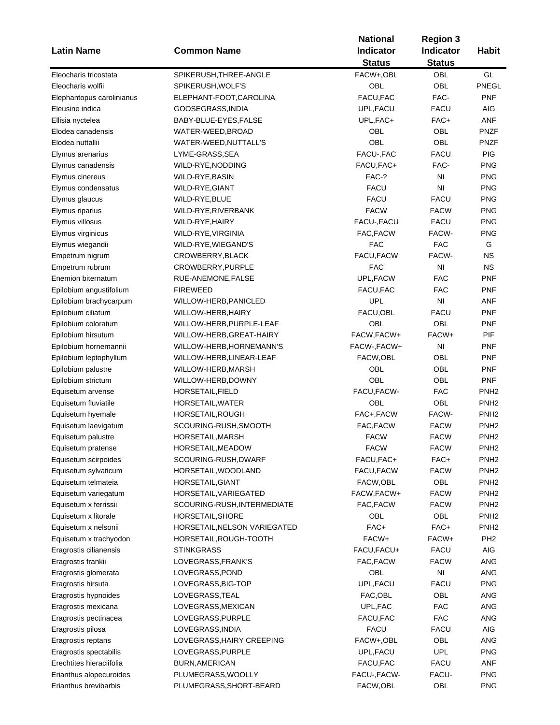| <b>Latin Name</b>                                  | <b>Common Name</b>                   | <b>National</b><br>Indicator | <b>Region 3</b><br>Indicator | <b>Habit</b>      |
|----------------------------------------------------|--------------------------------------|------------------------------|------------------------------|-------------------|
|                                                    |                                      | <b>Status</b>                | <b>Status</b>                |                   |
| Eleocharis tricostata                              | SPIKERUSH, THREE-ANGLE               | FACW+,OBL                    | OBL                          | GL                |
| Eleocharis wolfii                                  | SPIKERUSH, WOLF'S                    | OBL                          | OBL                          | PNEGL             |
| Elephantopus carolinianus                          | ELEPHANT-FOOT, CAROLINA              | FACU, FAC                    | FAC-                         | PNF               |
| Eleusine indica                                    | GOOSEGRASS, INDIA                    | UPL, FACU                    | <b>FACU</b>                  | <b>AIG</b>        |
| Ellisia nyctelea                                   | BABY-BLUE-EYES, FALSE                | UPL, FAC+                    | FAC+                         | ANF               |
| Elodea canadensis                                  | WATER-WEED, BROAD                    | OBL                          | OBL                          | <b>PNZF</b>       |
| Elodea nuttallii                                   | WATER-WEED, NUTTALL'S                | OBL                          | OBL                          | <b>PNZF</b>       |
| Elymus arenarius                                   | LYME-GRASS, SEA                      | FACU-, FAC                   | <b>FACU</b>                  | PIG               |
| Elymus canadensis                                  | WILD-RYE, NODDING                    | FACU, FAC+                   | FAC-                         | <b>PNG</b>        |
| Elymus cinereus                                    | WILD-RYE, BASIN                      | FAC-?                        | NI                           | <b>PNG</b>        |
| Elymus condensatus                                 | WILD-RYE, GIANT                      | <b>FACU</b>                  | NI                           | <b>PNG</b>        |
| Elymus glaucus                                     | WILD-RYE, BLUE                       | <b>FACU</b>                  | <b>FACU</b>                  | <b>PNG</b>        |
| Elymus riparius                                    | WILD-RYE, RIVERBANK                  | <b>FACW</b>                  | <b>FACW</b>                  | <b>PNG</b>        |
| Elymus villosus                                    | WILD-RYE, HAIRY                      | FACU-, FACU                  | <b>FACU</b>                  | <b>PNG</b>        |
| Elymus virginicus                                  | WILD-RYE, VIRGINIA                   | FAC, FACW                    | FACW-                        | <b>PNG</b>        |
| Elymus wiegandii                                   | WILD-RYE, WIEGAND'S                  | <b>FAC</b>                   | <b>FAC</b>                   | G                 |
| Empetrum nigrum                                    | CROWBERRY, BLACK                     | FACU, FACW                   | FACW-                        | <b>NS</b>         |
| Empetrum rubrum                                    | CROWBERRY, PURPLE                    | <b>FAC</b>                   | N <sub>l</sub>               | <b>NS</b>         |
| Enemion biternatum                                 | RUE-ANEMONE, FALSE                   | UPL, FACW                    | <b>FAC</b>                   | <b>PNF</b>        |
| Epilobium angustifolium                            | <b>FIREWEED</b>                      | FACU, FAC                    | <b>FAC</b>                   | <b>PNF</b>        |
| Epilobium brachycarpum                             | WILLOW-HERB, PANICLED                | UPL                          | NI                           | ANF               |
| Epilobium ciliatum                                 | WILLOW-HERB, HAIRY                   | FACU, OBL                    | <b>FACU</b>                  | <b>PNF</b>        |
| Epilobium coloratum                                | WILLOW-HERB, PURPLE-LEAF             | OBL                          | OBL                          | <b>PNF</b>        |
| Epilobium hirsutum                                 | WILLOW-HERB, GREAT-HAIRY             | FACW, FACW+                  | FACW+                        | PIF               |
| Epilobium hornemannii                              | WILLOW-HERB, HORNEMANN'S             | FACW-, FACW+                 | N <sub>l</sub>               | <b>PNF</b>        |
| Epilobium leptophyllum                             | WILLOW-HERB, LINEAR-LEAF             | FACW,OBL                     | OBL                          | <b>PNF</b>        |
| Epilobium palustre                                 | WILLOW-HERB, MARSH                   | OBL                          | OBL                          | <b>PNF</b>        |
| Epilobium strictum                                 | WILLOW-HERB, DOWNY                   | <b>OBL</b>                   | OBL                          | <b>PNF</b>        |
| Equisetum arvense                                  | HORSETAIL, FIELD                     | FACU, FACW-                  | <b>FAC</b>                   | PNH <sub>2</sub>  |
| Equisetum fluviatile                               | HORSETAIL, WATER                     | OBL                          | OBL                          | PNH <sub>2</sub>  |
| Equisetum hyemale                                  | HORSETAIL, ROUGH                     | FAC+,FACW                    | FACW-                        | PNH <sub>2</sub>  |
| Equisetum laevigatum                               | SCOURING-RUSH, SMOOTH                | FAC, FACW                    | <b>FACW</b>                  | PNH <sub>2</sub>  |
| Equisetum palustre                                 | HORSETAIL, MARSH                     | <b>FACW</b>                  | <b>FACW</b>                  | PNH <sub>2</sub>  |
| Equisetum pratense                                 | HORSETAIL, MEADOW                    | <b>FACW</b>                  | <b>FACW</b>                  | PNH <sub>2</sub>  |
| Equisetum scirpoides                               | SCOURING-RUSH, DWARF                 | FACU,FAC+                    | FAC+                         | PNH <sub>2</sub>  |
| Equisetum sylvaticum                               | HORSETAIL, WOODLAND                  | FACU, FACW                   | <b>FACW</b>                  | PNH <sub>2</sub>  |
| Equisetum telmateia                                | HORSETAIL, GIANT                     | FACW,OBL                     | OBL                          | PNH <sub>2</sub>  |
| Equisetum variegatum                               | HORSETAIL, VARIEGATED                | FACW, FACW+                  | <b>FACW</b>                  | PNH <sub>2</sub>  |
| Equisetum x ferrissii                              | SCOURING-RUSH, INTERMEDIATE          | FAC, FACW                    | <b>FACW</b>                  | PNH <sub>2</sub>  |
| Equisetum x litorale                               | HORSETAIL, SHORE                     | OBL                          | OBL                          | PNH <sub>2</sub>  |
| Equisetum x nelsonii                               | HORSETAIL, NELSON VARIEGATED         | FAC+                         | FAC+                         | PNH <sub>2</sub>  |
| Equisetum x trachyodon                             | HORSETAIL, ROUGH-TOOTH               | FACW+                        | FACW+                        | PH <sub>2</sub>   |
| Eragrostis cilianensis                             | <b>STINKGRASS</b>                    | FACU, FACU+                  | <b>FACU</b>                  | <b>AIG</b>        |
| Eragrostis frankii                                 | LOVEGRASS, FRANK'S                   | FAC, FACW                    | <b>FACW</b>                  | ANG               |
| Eragrostis glomerata                               | LOVEGRASS, POND                      | OBL                          | NI                           | ANG               |
| Eragrostis hirsuta                                 | LOVEGRASS, BIG-TOP                   | UPL, FACU                    | FACU                         | <b>PNG</b>        |
| Eragrostis hypnoides                               | LOVEGRASS, TEAL                      | FAC, OBL                     | OBL                          | ANG               |
| Eragrostis mexicana                                | LOVEGRASS, MEXICAN                   | UPL, FAC                     | <b>FAC</b>                   | <b>ANG</b>        |
| Eragrostis pectinacea                              | LOVEGRASS, PURPLE                    | FACU, FAC                    | <b>FAC</b>                   | <b>ANG</b>        |
| Eragrostis pilosa                                  | LOVEGRASS, INDIA                     | <b>FACU</b>                  | <b>FACU</b>                  | <b>AIG</b>        |
|                                                    | LOVEGRASS, HAIRY CREEPING            | FACW+,OBL                    | OBL                          | ANG               |
| Eragrostis reptans                                 |                                      |                              | <b>UPL</b>                   |                   |
| Eragrostis spectabilis<br>Erechtites hieraciifolia | LOVEGRASS, PURPLE                    | UPL, FACU<br>FACU, FAC       | <b>FACU</b>                  | <b>PNG</b><br>ANF |
|                                                    | BURN, AMERICAN<br>PLUMEGRASS, WOOLLY |                              | FACU-                        | <b>PNG</b>        |
| Erianthus alopecuroides<br>Erianthus brevibarbis   | PLUMEGRASS, SHORT-BEARD              | FACU-, FACW-<br>FACW,OBL     | OBL                          | <b>PNG</b>        |
|                                                    |                                      |                              |                              |                   |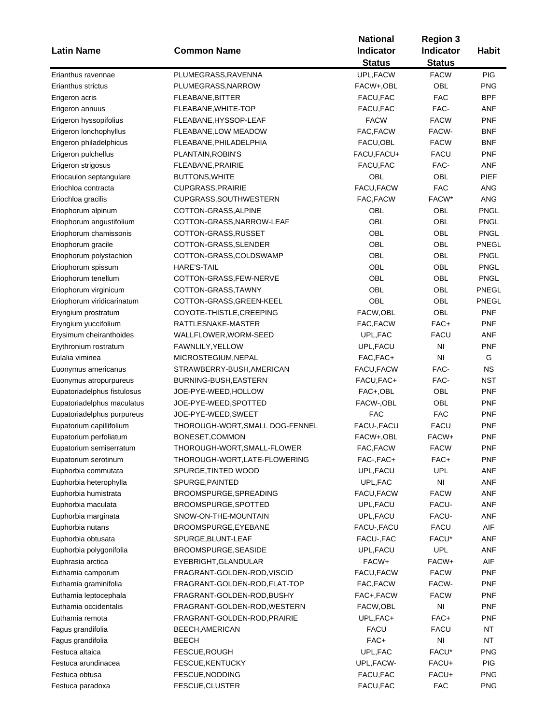|                             |                                 | <b>National</b> | <b>Region 3</b>        |              |  |
|-----------------------------|---------------------------------|-----------------|------------------------|--------------|--|
| <b>Latin Name</b>           | <b>Common Name</b>              | Indicator       | Indicator              | <b>Habit</b> |  |
|                             |                                 | <b>Status</b>   | <b>Status</b>          |              |  |
| Erianthus ravennae          | PLUMEGRASS, RAVENNA             | UPL, FACW       | <b>FACW</b>            | PIG          |  |
| Erianthus strictus          | PLUMEGRASS, NARROW              | FACW+,OBL       | OBL                    | <b>PNG</b>   |  |
| Erigeron acris              | FLEABANE, BITTER                | FACU, FAC       | <b>FAC</b>             | BPF          |  |
| Erigeron annuus             | FLEABANE, WHITE-TOP             | FACU, FAC       | FAC-                   | ANF          |  |
| Erigeron hyssopifolius      | FLEABANE, HYSSOP-LEAF           | <b>FACW</b>     | <b>FACW</b>            | <b>PNF</b>   |  |
| Erigeron lonchophyllus      |                                 | FAC, FACW       | FACW-                  | BNF          |  |
|                             | FLEABANE, LOW MEADOW            |                 |                        |              |  |
| Erigeron philadelphicus     | FLEABANE, PHILADELPHIA          | FACU, OBL       | <b>FACW</b>            | BNF          |  |
| Erigeron pulchellus         | PLANTAIN, ROBIN'S               | FACU, FACU+     | <b>FACU</b>            | <b>PNF</b>   |  |
| Erigeron strigosus          | FLEABANE, PRAIRIE               | FACU, FAC       | FAC-                   | <b>ANF</b>   |  |
| Eriocaulon septangulare     | <b>BUTTONS, WHITE</b>           | OBL             | OBL                    | PIEF         |  |
| Eriochloa contracta         | <b>CUPGRASS, PRAIRIE</b>        | FACU, FACW      | <b>FAC</b>             | ANG          |  |
| Eriochloa gracilis          | CUPGRASS, SOUTHWESTERN          | FAC, FACW       | FACW*                  | ANG          |  |
| Eriophorum alpinum          | COTTON-GRASS, ALPINE            | OBL             | OBL                    | PNGL         |  |
| Eriophorum angustifolium    | COTTON-GRASS, NARROW-LEAF       | OBL             | OBL                    | <b>PNGL</b>  |  |
| Eriophorum chamissonis      | COTTON-GRASS, RUSSET            | OBL             | OBL                    | <b>PNGL</b>  |  |
| Eriophorum gracile          | COTTON-GRASS, SLENDER           | OBL             | OBL                    | PNEGL        |  |
| Eriophorum polystachion     | COTTON-GRASS, COLDSWAMP         | OBL             | OBL                    | <b>PNGL</b>  |  |
| Eriophorum spissum          | HARE'S-TAIL                     | OBL             | OBL                    | <b>PNGL</b>  |  |
| Eriophorum tenellum         | COTTON-GRASS, FEW-NERVE         | OBL             | OBL                    | <b>PNGL</b>  |  |
| Eriophorum virginicum       | COTTON-GRASS, TAWNY             | OBL             | OBL                    | PNEGL        |  |
| Eriophorum viridicarinatum  | COTTON-GRASS, GREEN-KEEL        | OBL             | OBL                    | PNEGL        |  |
| Eryngium prostratum         | COYOTE-THISTLE, CREEPING        | FACW, OBL       | OBL                    | <b>PNF</b>   |  |
| Eryngium yuccifolium        | RATTLESNAKE-MASTER              | FAC, FACW       | FAC+                   | <b>PNF</b>   |  |
| Erysimum cheiranthoides     | WALLFLOWER, WORM-SEED           | UPL, FAC        | <b>FACU</b>            | <b>ANF</b>   |  |
| Erythronium rostratum       | FAWNLILY, YELLOW                | UPL, FACU       | N <sub>l</sub>         | <b>PNF</b>   |  |
| Eulalia viminea             | MICROSTEGIUM, NEPAL             | FAC, FAC+       | NI                     | G            |  |
| Euonymus americanus         | STRAWBERRY-BUSH, AMERICAN       | FACU, FACW      | FAC-                   | <b>NS</b>    |  |
| Euonymus atropurpureus      | BURNING-BUSH, EASTERN           | FACU, FAC+      | FAC-                   | NST          |  |
| Eupatoriadelphus fistulosus | JOE-PYE-WEED, HOLLOW            | FAC+,OBL        | OBL                    | <b>PNF</b>   |  |
| Eupatoriadelphus maculatus  | JOE-PYE-WEED, SPOTTED           | FACW-, OBL      | OBL                    | <b>PNF</b>   |  |
| Eupatoriadelphus purpureus  | JOE-PYE-WEED, SWEET             | <b>FAC</b>      | <b>FAC</b>             | <b>PNF</b>   |  |
| Eupatorium capillifolium    | THOROUGH-WORT, SMALL DOG-FENNEL | FACU-, FACU     | <b>FACU</b>            | <b>PNF</b>   |  |
| Eupatorium perfoliatum      | BONESET, COMMON                 | FACW+,OBL       | FACW+                  | <b>PNF</b>   |  |
|                             |                                 | FAC, FACW       |                        |              |  |
| Eupatorium semiserratum     | THOROUGH-WORT, SMALL-FLOWER     |                 | <b>FACW</b>            | PNF          |  |
| Eupatorium serotinum        | THOROUGH-WORT, LATE-FLOWERING   | FAC-,FAC+       | FAC+                   | <b>PNF</b>   |  |
| Euphorbia commutata         | SPURGE, TINTED WOOD             | UPL, FACU       | <b>UPL</b>             | ANF          |  |
| Euphorbia heterophylla      | SPURGE, PAINTED                 | UPL, FAC        | NI                     | ANF          |  |
| Euphorbia humistrata        | BROOMSPURGE, SPREADING          | FACU, FACW      | <b>FACW</b>            | ANF          |  |
| Euphorbia maculata          | BROOMSPURGE, SPOTTED            | UPL, FACU       | FACU-                  | ANF          |  |
| Euphorbia marginata         | SNOW-ON-THE-MOUNTAIN            | UPL, FACU       | FACU-                  | ANF          |  |
| Euphorbia nutans            | BROOMSPURGE, EYEBANE            | FACU-, FACU     | <b>FACU</b>            | AIF          |  |
| Euphorbia obtusata          | SPURGE, BLUNT-LEAF              | FACU-, FAC      | FACU*                  | <b>ANF</b>   |  |
| Euphorbia polygonifolia     | BROOMSPURGE, SEASIDE            | UPL, FACU       | <b>UPL</b>             | <b>ANF</b>   |  |
| Euphrasia arctica           | EYEBRIGHT, GLANDULAR            | FACW+           | FACW+                  | AIF          |  |
| Euthamia camporum           | FRAGRANT-GOLDEN-ROD, VISCID     | FACU,FACW       | <b>FACW</b>            | PNF          |  |
| Euthamia graminifolia       | FRAGRANT-GOLDEN-ROD, FLAT-TOP   | FAC, FACW       | FACW-                  | <b>PNF</b>   |  |
| Euthamia leptocephala       | FRAGRANT-GOLDEN-ROD, BUSHY      | FAC+,FACW       | <b>FACW</b>            | <b>PNF</b>   |  |
| Euthamia occidentalis       | FRAGRANT-GOLDEN-ROD, WESTERN    | FACW,OBL        | NI                     | <b>PNF</b>   |  |
| Euthamia remota             | FRAGRANT-GOLDEN-ROD, PRAIRIE    | UPL, FAC+       | FAC+                   | <b>PNF</b>   |  |
| Fagus grandifolia           | BEECH, AMERICAN                 | <b>FACU</b>     | <b>FACU</b>            | NT           |  |
| Fagus grandifolia           | <b>BEECH</b>                    | FAC+            | $\mathsf{N}\mathsf{I}$ | <b>NT</b>    |  |
| Festuca altaica             | FESCUE, ROUGH                   | UPL, FAC        | FACU*                  | <b>PNG</b>   |  |
| Festuca arundinacea         | FESCUE, KENTUCKY                | UPL, FACW-      | FACU+                  | <b>PIG</b>   |  |
| Festuca obtusa              | FESCUE, NODDING                 | FACU, FAC       | FACU+                  | <b>PNG</b>   |  |
| Festuca paradoxa            | FESCUE, CLUSTER                 | FACU, FAC       | <b>FAC</b>             | <b>PNG</b>   |  |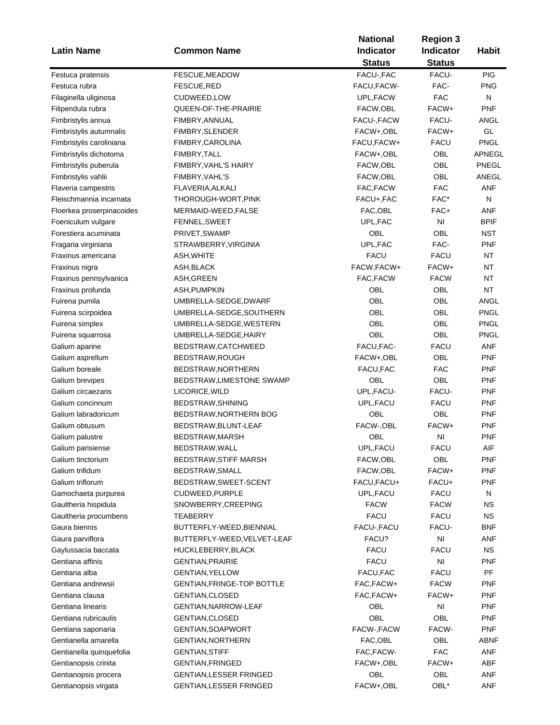| <b>Latin Name</b>         | <b>Common Name</b>             | <b>National</b><br><b>Indicator</b><br><b>Status</b> | <b>Region 3</b><br><b>Indicator</b><br><b>Status</b> | <b>Habit</b>  |
|---------------------------|--------------------------------|------------------------------------------------------|------------------------------------------------------|---------------|
| Festuca pratensis         | FESCUE, MEADOW                 | FACU-, FAC                                           | FACU-                                                | <b>PIG</b>    |
| Festuca rubra             | FESCUE, RED                    | FACU, FACW-                                          | FAC-                                                 | <b>PNG</b>    |
| Filaginella uliginosa     | CUDWEED,LOW                    | UPL, FACW                                            | <b>FAC</b>                                           | N             |
| Filipendula rubra         | QUEEN-OF-THE-PRAIRIE           | FACW,OBL                                             | FACW+                                                | <b>PNF</b>    |
| Fimbristylis annua        | FIMBRY, ANNUAL                 | FACU-, FACW                                          | FACU-                                                | ANGL          |
| Fimbristylis autumnalis   | FIMBRY, SLENDER                | FACW+,OBL                                            | FACW+                                                | GL            |
| Fimbristylis caroliniana  | FIMBRY,CAROLINA                | FACU, FACW+                                          | <b>FACU</b>                                          | <b>PNGL</b>   |
| Fimbristylis dichotoma    | FIMBRY, TALL                   | FACW+,OBL                                            | OBL                                                  | <b>APNEGL</b> |
| Fimbristylis puberula     | FIMBRY, VAHL'S HAIRY           | FACW,OBL                                             | <b>OBL</b>                                           | PNEGL         |
| Fimbristylis vahlii       | FIMBRY, VAHL'S                 | FACW, OBL                                            | OBL                                                  | ANEGL         |
| Flaveria campestris       | FLAVERIA, ALKALI               | FAC, FACW                                            | <b>FAC</b>                                           | <b>ANF</b>    |
| Fleischmannia incarnata   | THOROUGH-WORT,PINK             | FACU+, FAC                                           | FAC*                                                 | N             |
| Floerkea proserpinacoides | MERMAID-WEED, FALSE            | FAC, OBL                                             | FAC+                                                 | ANF           |
| Foeniculum vulgare        | FENNEL, SWEET                  | UPL, FAC                                             | N <sub>l</sub>                                       | <b>BPIF</b>   |
| Forestiera acuminata      | PRIVET, SWAMP                  | OBL                                                  | OBL                                                  | NST           |
| Fragaria virginiana       | STRAWBERRY, VIRGINIA           | UPL, FAC                                             | FAC-                                                 | <b>PNF</b>    |
| Fraxinus americana        | ASH,WHITE                      | <b>FACU</b>                                          | <b>FACU</b>                                          | <b>NT</b>     |
| Fraxinus nigra            | ASH,BLACK                      | FACW, FACW+                                          | FACW+                                                | <b>NT</b>     |
| Fraxinus pennsylvanica    | ASH, GREEN                     | FAC, FACW                                            | <b>FACW</b>                                          | <b>NT</b>     |
| Fraxinus profunda         | ASH, PUMPKIN                   | OBL                                                  | OBL                                                  | <b>NT</b>     |
| Fuirena pumila            | UMBRELLA-SEDGE,DWARF           | OBL                                                  | <b>OBL</b>                                           | ANGL          |
| Fuirena scirpoidea        | UMBRELLA-SEDGE, SOUTHERN       | OBL                                                  | OBL                                                  | <b>PNGL</b>   |
| Fuirena simplex           | UMBRELLA-SEDGE, WESTERN        | OBL                                                  | <b>OBL</b>                                           | <b>PNGL</b>   |
|                           | UMBRELLA-SEDGE, HAIRY          | OBL                                                  | OBL                                                  | <b>PNGL</b>   |
| Fuirena squarrosa         |                                | FACU, FAC-                                           | <b>FACU</b>                                          | <b>ANF</b>    |
| Galium aparine            | BEDSTRAW,CATCHWEED             |                                                      | OBL                                                  | <b>PNF</b>    |
| Galium asprellum          | BEDSTRAW, ROUGH                | FACW+,OBL                                            | <b>FAC</b>                                           |               |
| Galium boreale            | BEDSTRAW, NORTHERN             | FACU, FAC<br>OBL                                     | OBL                                                  | <b>PNF</b>    |
| Galium brevipes           | BEDSTRAW, LIMESTONE SWAMP      |                                                      |                                                      | <b>PNF</b>    |
| Galium circaezans         | LICORICE, WILD                 | UPL, FACU-                                           | FACU-                                                | <b>PNF</b>    |
| Galium concinnum          | BEDSTRAW, SHINING              | UPL, FACU                                            | <b>FACU</b>                                          | <b>PNF</b>    |
| Galium labradoricum       | BEDSTRAW, NORTHERN BOG         | OBL                                                  | OBL                                                  | <b>PNF</b>    |
| Galium obtusum            | BEDSTRAW, BLUNT-LEAF           | FACW-, OBL                                           | FACW+                                                | <b>PNF</b>    |
| Galium palustre           | BEDSTRAW, MARSH                | OBL                                                  | N <sub>l</sub>                                       | <b>PNF</b>    |
| Galium parisiense         | BEDSTRAW,WALL                  | UPL,FACU                                             | FACU                                                 | AIF           |
| Galium tinctorium         | BEDSTRAW, STIFF MARSH          | FACW, OBL                                            | <b>OBL</b>                                           | PNF           |
| Galium trifidum           | BEDSTRAW, SMALL                | FACW, OBL                                            | FACW+                                                | PNF           |
| Galium triflorum          | BEDSTRAW, SWEET-SCENT          | FACU, FACU+                                          | FACU+                                                | <b>PNF</b>    |
| Gamochaeta purpurea       | CUDWEED,PURPLE                 | UPL, FACU                                            | <b>FACU</b>                                          | N             |
| Gaultheria hispidula      | SNOWBERRY, CREEPING            | <b>FACW</b>                                          | <b>FACW</b>                                          | <b>NS</b>     |
| Gaultheria procumbens     | TEABERRY                       | <b>FACU</b>                                          | <b>FACU</b>                                          | ΝS            |
| Gaura biennis             | BUTTERFLY-WEED, BIENNIAL       | FACU-, FACU                                          | FACU-                                                | <b>BNF</b>    |
| Gaura parviflora          | BUTTERFLY-WEED, VELVET-LEAF    | FACU?                                                | N <sub>l</sub>                                       | <b>ANF</b>    |
| Gaylussacia baccata       | HUCKLEBERRY, BLACK             | <b>FACU</b>                                          | <b>FACU</b>                                          | <b>NS</b>     |
| Gentiana affinis          | <b>GENTIAN, PRAIRIE</b>        | <b>FACU</b>                                          | ΝI                                                   | PNF           |
| Gentiana alba             | <b>GENTIAN, YELLOW</b>         | FACU, FAC                                            | <b>FACU</b>                                          | PF            |
| Gentiana andrewsii        | GENTIAN, FRINGE-TOP BOTTLE     | FAC, FACW+                                           | <b>FACW</b>                                          | PNF           |
| Gentiana clausa           | <b>GENTIAN, CLOSED</b>         | FAC, FACW+                                           | FACW+                                                | PNF           |
| Gentiana linearis         | GENTIAN, NARROW-LEAF           | OBL                                                  | NI                                                   | <b>PNF</b>    |
| Gentiana rubricaulis      | <b>GENTIAN, CLOSED</b>         | OBL                                                  | OBL                                                  | <b>PNF</b>    |
| Gentiana saponaria        | <b>GENTIAN, SOAPWORT</b>       | FACW-, FACW                                          | FACW-                                                | <b>PNF</b>    |
| Gentianella amarella      | GENTIAN, NORTHERN              | FAC, OBL                                             | OBL                                                  | ABNF          |
| Gentianella quinquefolia  | <b>GENTIAN, STIFF</b>          | FAC, FACW-                                           | <b>FAC</b>                                           | ANF           |
| Gentianopsis crinita      | GENTIAN, FRINGED               | FACW+,OBL                                            | FACW+                                                | ABF           |
| Gentianopsis procera      | <b>GENTIAN, LESSER FRINGED</b> | OBL                                                  | OBL                                                  | ANF           |
| Gentianopsis virgata      | <b>GENTIAN, LESSER FRINGED</b> | FACW+,OBL                                            | OBL*                                                 | <b>ANF</b>    |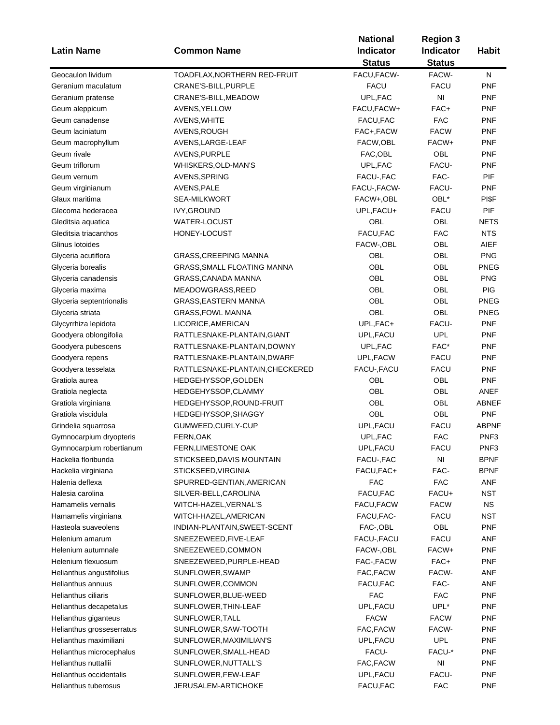| <b>Latin Name</b>         | <b>Common Name</b>              | <b>National</b><br>Indicator<br><b>Status</b> | <b>Region 3</b><br><b>Indicator</b><br><b>Status</b> | <b>Habit</b>     |
|---------------------------|---------------------------------|-----------------------------------------------|------------------------------------------------------|------------------|
| Geocaulon lividum         | TOADFLAX, NORTHERN RED-FRUIT    | FACU, FACW-                                   | FACW-                                                | N                |
| Geranium maculatum        | CRANE'S-BILL, PURPLE            | <b>FACU</b>                                   | <b>FACU</b>                                          | <b>PNF</b>       |
| Geranium pratense         | CRANE'S-BILL, MEADOW            | UPL, FAC                                      | NI                                                   | <b>PNF</b>       |
| Geum aleppicum            | AVENS, YELLOW                   | FACU, FACW+                                   | FAC+                                                 | <b>PNF</b>       |
| Geum canadense            |                                 | FACU, FAC                                     | <b>FAC</b>                                           | <b>PNF</b>       |
| Geum laciniatum           | AVENS, WHITE                    | FAC+,FACW                                     | <b>FACW</b>                                          | <b>PNF</b>       |
|                           | AVENS, ROUGH                    |                                               | FACW+                                                | <b>PNF</b>       |
| Geum macrophyllum         | AVENS, LARGE-LEAF               | FACW, OBL                                     |                                                      |                  |
| Geum rivale               | AVENS, PURPLE                   | FAC, OBL                                      | OBL                                                  | <b>PNF</b>       |
| Geum triflorum            | WHISKERS, OLD-MAN'S             | UPL, FAC                                      | FACU-                                                | <b>PNF</b>       |
| Geum vernum               | AVENS, SPRING                   | FACU-, FAC                                    | FAC-                                                 | PIF              |
| Geum virginianum          | AVENS, PALE                     | FACU-, FACW-                                  | FACU-                                                | <b>PNF</b>       |
| Glaux maritima            | <b>SEA-MILKWORT</b>             | FACW+,OBL                                     | OBL*                                                 | PI\$F            |
| Glecoma hederacea         | <b>IVY, GROUND</b>              | UPL, FACU+                                    | FACU                                                 | PIF              |
| Gleditsia aquatica        | <b>WATER-LOCUST</b>             | OBL                                           | OBL                                                  | <b>NETS</b>      |
| Gleditsia triacanthos     | HONEY-LOCUST                    | FACU, FAC                                     | <b>FAC</b>                                           | <b>NTS</b>       |
| Glinus lotoides           |                                 | FACW-, OBL                                    | OBL                                                  | <b>AIEF</b>      |
| Glyceria acutiflora       | <b>GRASS, CREEPING MANNA</b>    | OBL                                           | OBL                                                  | <b>PNG</b>       |
| Glyceria borealis         | GRASS, SMALL FLOATING MANNA     | OBL                                           | OBL                                                  | <b>PNEG</b>      |
| Glyceria canadensis       | GRASS, CANADA MANNA             | <b>OBL</b>                                    | OBL                                                  | <b>PNG</b>       |
| Glyceria maxima           | MEADOWGRASS, REED               | OBL                                           | OBL                                                  | PIG              |
| Glyceria septentrionalis  | <b>GRASS, EASTERN MANNA</b>     | OBL                                           | OBL                                                  | <b>PNEG</b>      |
| Glyceria striata          | <b>GRASS, FOWL MANNA</b>        | OBL                                           | OBL                                                  | <b>PNEG</b>      |
| Glycyrrhiza lepidota      | LICORICE, AMERICAN              | UPL, FAC+                                     | FACU-                                                | <b>PNF</b>       |
| Goodyera oblongifolia     | RATTLESNAKE-PLANTAIN, GIANT     | UPL, FACU                                     | <b>UPL</b>                                           | <b>PNF</b>       |
| Goodyera pubescens        | RATTLESNAKE-PLANTAIN, DOWNY     | UPL, FAC                                      | FAC*                                                 | <b>PNF</b>       |
| Goodyera repens           | RATTLESNAKE-PLANTAIN, DWARF     | UPL, FACW                                     | <b>FACU</b>                                          | <b>PNF</b>       |
| Goodyera tesselata        | RATTLESNAKE-PLANTAIN, CHECKERED | FACU-, FACU                                   | <b>FACU</b>                                          | <b>PNF</b>       |
| Gratiola aurea            | HEDGEHYSSOP, GOLDEN             | OBL                                           | <b>OBL</b>                                           | <b>PNF</b>       |
| Gratiola neglecta         | HEDGEHYSSOP, CLAMMY             | OBL                                           | OBL                                                  | ANEF             |
| Gratiola virginiana       | HEDGEHYSSOP, ROUND-FRUIT        | OBL                                           | OBL                                                  | ABNEF            |
| Gratiola viscidula        | HEDGEHYSSOP, SHAGGY             | OBL                                           | OBL                                                  | <b>PNF</b>       |
| Grindelia squarrosa       | GUMWEED, CURLY-CUP              | UPL, FACU                                     | <b>FACU</b>                                          | <b>ABPNF</b>     |
| Gymnocarpium dryopteris   | FERN, OAK                       | UPL, FAC                                      | <b>FAC</b>                                           | PNF <sub>3</sub> |
| Gymnocarpium robertianum  | FERN, LIMESTONE OAK             | UPL, FACU                                     | FACU                                                 | PNF3             |
| Hackelia floribunda       | STICKSEED, DAVIS MOUNTAIN       | FACU-, FAC                                    | NI                                                   | <b>BPNF</b>      |
| Hackelia virginiana       | STICKSEED, VIRGINIA             | FACU, FAC+                                    | FAC-                                                 | <b>BPNF</b>      |
| Halenia deflexa           | SPURRED-GENTIAN, AMERICAN       | <b>FAC</b>                                    | <b>FAC</b>                                           | ANF              |
| Halesia carolina          | SILVER-BELL, CAROLINA           | FACU, FAC                                     | FACU+                                                | <b>NST</b>       |
| Hamamelis vernalis        | WITCH-HAZEL, VERNAL'S           | FACU, FACW                                    | <b>FACW</b>                                          | <b>NS</b>        |
| Hamamelis virginiana      | WITCH-HAZEL, AMERICAN           | FACU, FAC-                                    | <b>FACU</b>                                          | <b>NST</b>       |
| Hasteola suaveolens       | INDIAN-PLANTAIN, SWEET-SCENT    | FAC-, OBL                                     | OBL                                                  | <b>PNF</b>       |
| Helenium amarum           | SNEEZEWEED, FIVE-LEAF           | FACU-, FACU                                   | <b>FACU</b>                                          | ANF              |
| Helenium autumnale        | SNEEZEWEED,COMMON               | FACW-, OBL                                    | FACW+                                                | <b>PNF</b>       |
| Helenium flexuosum        | SNEEZEWEED, PURPLE-HEAD         | FAC-, FACW                                    | FAC+                                                 | <b>PNF</b>       |
| Helianthus angustifolius  | SUNFLOWER, SWAMP                | FAC, FACW                                     | FACW-                                                | <b>ANF</b>       |
| Helianthus annuus         | SUNFLOWER, COMMON               | FACU, FAC                                     | FAC-                                                 | <b>ANF</b>       |
| Helianthus ciliaris       | SUNFLOWER, BLUE-WEED            | <b>FAC</b>                                    | <b>FAC</b>                                           | <b>PNF</b>       |
| Helianthus decapetalus    | SUNFLOWER, THIN-LEAF            | UPL, FACU                                     | UPL*                                                 | <b>PNF</b>       |
| Helianthus giganteus      | SUNFLOWER, TALL                 | <b>FACW</b>                                   | <b>FACW</b>                                          | <b>PNF</b>       |
| Helianthus grosseserratus | SUNFLOWER, SAW-TOOTH            | FAC, FACW                                     | FACW-                                                | <b>PNF</b>       |
| Helianthus maximiliani    | SUNFLOWER, MAXIMILIAN'S         | UPL, FACU                                     | <b>UPL</b>                                           | <b>PNF</b>       |
| Helianthus microcephalus  | SUNFLOWER, SMALL-HEAD           | FACU-                                         | FACU-*                                               | <b>PNF</b>       |
| Helianthus nuttallii      | SUNFLOWER, NUTTALL'S            | FAC, FACW                                     | NI                                                   | <b>PNF</b>       |
| Helianthus occidentalis   | SUNFLOWER, FEW-LEAF             | UPL, FACU                                     | FACU-                                                | <b>PNF</b>       |
| Helianthus tuberosus      | JERUSALEM-ARTICHOKE             | FACU, FAC                                     | <b>FAC</b>                                           | PNF              |
|                           |                                 |                                               |                                                      |                  |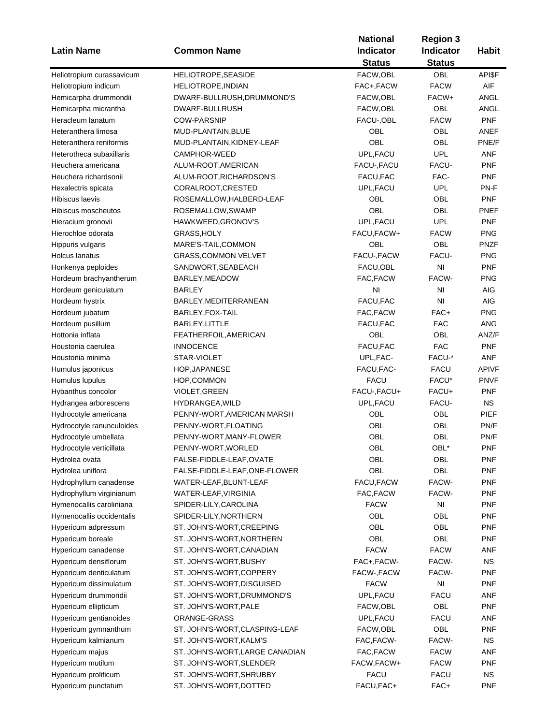|                                        |                                 | <b>National</b>  | <b>Region 3</b>  |              |
|----------------------------------------|---------------------------------|------------------|------------------|--------------|
| <b>Latin Name</b>                      | <b>Common Name</b>              | <b>Indicator</b> | <b>Indicator</b> | <b>Habit</b> |
|                                        |                                 | <b>Status</b>    | <b>Status</b>    |              |
| Heliotropium curassavicum              | HELIOTROPE, SEASIDE             | FACW,OBL         | <b>OBL</b>       | API\$F       |
| Heliotropium indicum                   | HELIOTROPE, INDIAN              | FAC+, FACW       | <b>FACW</b>      | AIF          |
| Hemicarpha drummondii                  | DWARF-BULLRUSH, DRUMMOND'S      | FACW, OBL        | FACW+            | ANGL         |
| Hemicarpha micrantha                   | DWARF-BULLRUSH                  | FACW, OBL        | OBL              | ANGL         |
| Heracleum lanatum                      | <b>COW-PARSNIP</b>              | FACU-, OBL       | <b>FACW</b>      | <b>PNF</b>   |
| Heteranthera limosa                    | MUD-PLANTAIN, BLUE              | OBL              | OBL              | ANEF         |
| Heteranthera reniformis                | MUD-PLANTAIN, KIDNEY-LEAF       | OBL              | OBL              | PNE/F        |
| Heterotheca subaxillaris               | CAMPHOR-WEED                    | UPL, FACU        | <b>UPL</b>       | <b>ANF</b>   |
| Heuchera americana                     | ALUM-ROOT, AMERICAN             | FACU-, FACU      | FACU-            | <b>PNF</b>   |
| Heuchera richardsonii                  | ALUM-ROOT, RICHARDSON'S         | FACU, FAC        | FAC-             | <b>PNF</b>   |
|                                        | CORALROOT, CRESTED              | UPL, FACU        | <b>UPL</b>       | PN-F         |
| Hexalectris spicata<br>Hibiscus laevis |                                 | OBL              | <b>OBL</b>       | <b>PNF</b>   |
|                                        | ROSEMALLOW, HALBERD-LEAF        | OBL              | OBL              |              |
| Hibiscus moscheutos                    | ROSEMALLOW, SWAMP               |                  |                  | <b>PNEF</b>  |
| Hieracium gronovii                     | HAWKWEED, GRONOV'S              | UPL, FACU        | <b>UPL</b>       | <b>PNF</b>   |
| Hierochloe odorata                     | GRASS, HOLY                     | FACU, FACW+      | <b>FACW</b>      | <b>PNG</b>   |
| Hippuris vulgaris                      | MARE'S-TAIL,COMMON              | OBL              | <b>OBL</b>       | <b>PNZF</b>  |
| <b>Holcus lanatus</b>                  | <b>GRASS, COMMON VELVET</b>     | FACU-, FACW      | FACU-            | <b>PNG</b>   |
| Honkenya peploides                     | SANDWORT, SEABEACH              | FACU, OBL        | N <sub>l</sub>   | <b>PNF</b>   |
| Hordeum brachyantherum                 | BARLEY, MEADOW                  | FAC, FACW        | FACW-            | <b>PNG</b>   |
| Hordeum geniculatum                    | <b>BARLEY</b>                   | NI               | NI               | AIG          |
| Hordeum hystrix                        | BARLEY, MEDITERRANEAN           | FACU, FAC        | NI               | AIG          |
| Hordeum jubatum                        | BARLEY, FOX-TAIL                | FAC, FACW        | FAC+             | <b>PNG</b>   |
| Hordeum pusillum                       | BARLEY, LITTLE                  | FACU, FAC        | <b>FAC</b>       | <b>ANG</b>   |
| Hottonia inflata                       | FEATHERFOIL, AMERICAN           | OBL              | OBL              | ANZ/F        |
| Houstonia caerulea                     | <b>INNOCENCE</b>                | FACU, FAC        | <b>FAC</b>       | <b>PNF</b>   |
| Houstonia minima                       | STAR-VIOLET                     | UPL, FAC-        | FACU-*           | <b>ANF</b>   |
| Humulus japonicus                      | HOP, JAPANESE                   | FACU, FAC-       | <b>FACU</b>      | <b>APIVF</b> |
| Humulus lupulus                        | HOP, COMMON                     | <b>FACU</b>      | FACU*            | <b>PNVF</b>  |
| Hybanthus concolor                     | VIOLET, GREEN                   | FACU-, FACU+     | FACU+            | <b>PNF</b>   |
| Hydrangea arborescens                  | HYDRANGEA, WILD                 | UPL, FACU        | FACU-            | <b>NS</b>    |
| Hydrocotyle americana                  | PENNY-WORT, AMERICAN MARSH      | OBL              | OBL              | <b>PIEF</b>  |
| Hydrocotyle ranunculoides              | PENNY-WORT, FLOATING            | OBL              | OBL              | PN/F         |
| Hydrocotyle umbellata                  | PENNY-WORT, MANY-FLOWER         | OBL              | OBL              | PN/F         |
| Hydrocotyle verticillata               | PENNY-WORT, WORLED              | OBL              | OBL*             | PNF          |
| Hydrolea ovata                         | FALSE-FIDDLE-LEAF,OVATE         | OBL              | OBL              | <b>PNF</b>   |
| Hydrolea uniflora                      | FALSE-FIDDLE-LEAF, ONE-FLOWER   | OBL              | OBL              | <b>PNF</b>   |
| Hydrophyllum canadense                 | WATER-LEAF, BLUNT-LEAF          | FACU, FACW       | FACW-            | <b>PNF</b>   |
| Hydrophyllum virginianum               | WATER-LEAF, VIRGINIA            | FAC, FACW        | FACW-            | <b>PNF</b>   |
| Hymenocallis caroliniana               | SPIDER-LILY, CAROLINA           | <b>FACW</b>      | NI               | <b>PNF</b>   |
| Hymenocallis occidentalis              | SPIDER-LILY, NORTHERN           | OBL              | OBL              | <b>PNF</b>   |
| Hypericum adpressum                    | ST. JOHN'S-WORT, CREEPING       | OBL              | OBL              | <b>PNF</b>   |
|                                        | ST. JOHN'S-WORT, NORTHERN       |                  | OBL              | <b>PNF</b>   |
| Hypericum boreale                      |                                 | OBL              | <b>FACW</b>      |              |
| Hypericum canadense                    | ST. JOHN'S-WORT, CANADIAN       | <b>FACW</b>      |                  | <b>ANF</b>   |
| Hypericum densiflorum                  | ST. JOHN'S-WORT, BUSHY          | FAC+, FACW-      | FACW-            | <b>NS</b>    |
| Hypericum denticulatum                 | ST. JOHN'S-WORT, COPPERY        | FACW-, FACW      | FACW-            | PNF          |
| Hypericum dissimulatum                 | ST. JOHN'S-WORT, DISGUISED      | <b>FACW</b>      | NI               | <b>PNF</b>   |
| Hypericum drummondii                   | ST. JOHN'S-WORT, DRUMMOND'S     | UPL, FACU        | FACU             | ANF          |
| Hypericum ellipticum                   | ST. JOHN'S-WORT, PALE           | FACW, OBL        | OBL              | <b>PNF</b>   |
| Hypericum gentianoides                 | ORANGE-GRASS                    | UPL, FACU        | FACU             | ANF          |
| Hypericum gymnanthum                   | ST. JOHN'S-WORT, CLASPING-LEAF  | FACW, OBL        | OBL              | <b>PNF</b>   |
| Hypericum kalmianum                    | ST. JOHN'S-WORT, KALM'S         | FAC, FACW-       | FACW-            | <b>NS</b>    |
| Hypericum majus                        | ST. JOHN'S-WORT, LARGE CANADIAN | FAC, FACW        | <b>FACW</b>      | ANF          |
| Hypericum mutilum                      | ST. JOHN'S-WORT, SLENDER        | FACW, FACW+      | <b>FACW</b>      | <b>PNF</b>   |
| Hypericum prolificum                   | ST. JOHN'S-WORT, SHRUBBY        | <b>FACU</b>      | <b>FACU</b>      | <b>NS</b>    |
| Hypericum punctatum                    | ST. JOHN'S-WORT, DOTTED         | FACU, FAC+       | FAC+             | <b>PNF</b>   |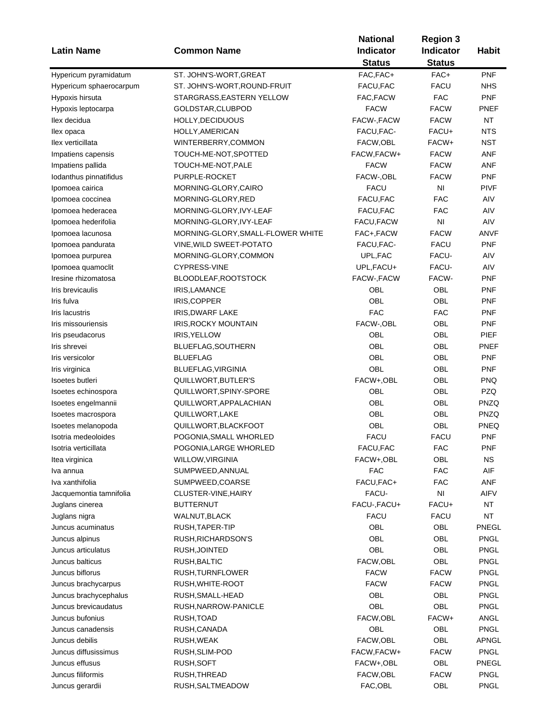|                         |                                   | <b>National</b>                   | <b>Region 3</b><br><b>Indicator</b> | <b>Habit</b> |
|-------------------------|-----------------------------------|-----------------------------------|-------------------------------------|--------------|
| <b>Latin Name</b>       | <b>Common Name</b>                | <b>Indicator</b><br><b>Status</b> | <b>Status</b>                       |              |
| Hypericum pyramidatum   | ST. JOHN'S-WORT, GREAT            | FAC, FAC+                         | FAC+                                | <b>PNF</b>   |
| Hypericum sphaerocarpum | ST. JOHN'S-WORT,ROUND-FRUIT       | FACU, FAC                         | <b>FACU</b>                         | <b>NHS</b>   |
| Hypoxis hirsuta         | STARGRASS, EASTERN YELLOW         | FAC, FACW                         | <b>FAC</b>                          | <b>PNF</b>   |
| Hypoxis leptocarpa      | GOLDSTAR, CLUBPOD                 | <b>FACW</b>                       | <b>FACW</b>                         | PNEF         |
| llex decidua            | HOLLY, DECIDUOUS                  | FACW-, FACW                       | <b>FACW</b>                         | <b>NT</b>    |
| llex opaca              | HOLLY, AMERICAN                   | FACU, FAC-                        | FACU+                               | <b>NTS</b>   |
| llex verticillata       | WINTERBERRY, COMMON               | FACW, OBL                         | FACW+                               | <b>NST</b>   |
| Impatiens capensis      | TOUCH-ME-NOT, SPOTTED             | FACW, FACW+                       | <b>FACW</b>                         | <b>ANF</b>   |
| Impatiens pallida       | TOUCH-ME-NOT, PALE                | <b>FACW</b>                       | <b>FACW</b>                         | <b>ANF</b>   |
| Iodanthus pinnatifidus  | PURPLE-ROCKET                     | FACW-, OBL                        | <b>FACW</b>                         | <b>PNF</b>   |
| Ipomoea cairica         | MORNING-GLORY,CAIRO               | <b>FACU</b>                       | NI                                  | <b>PIVF</b>  |
| Ipomoea coccinea        | MORNING-GLORY, RED                | FACU, FAC                         | <b>FAC</b>                          | AIV          |
| Ipomoea hederacea       | MORNING-GLORY, IVY-LEAF           | FACU, FAC                         | <b>FAC</b>                          | AIV          |
| Ipomoea hederifolia     | MORNING-GLORY, IVY-LEAF           | FACU, FACW                        | NI                                  | AIV          |
| Ipomoea lacunosa        | MORNING-GLORY, SMALL-FLOWER WHITE | FAC+,FACW                         | <b>FACW</b>                         | ANVF         |
| Ipomoea pandurata       | VINE, WILD SWEET-POTATO           | FACU, FAC-                        | <b>FACU</b>                         | <b>PNF</b>   |
| Ipomoea purpurea        | MORNING-GLORY,COMMON              | UPL, FAC                          | FACU-                               | AIV          |
| Ipomoea quamoclit       | <b>CYPRESS-VINE</b>               | UPL, FACU+                        | FACU-                               | AIV          |
| Iresine rhizomatosa     | BLOODLEAF, ROOTSTOCK              | FACW-, FACW                       | FACW-                               | <b>PNF</b>   |
| Iris brevicaulis        | IRIS, LAMANCE                     | OBL                               | OBL                                 | <b>PNF</b>   |
| Iris fulva              | IRIS, COPPER                      | OBL                               | OBL                                 | <b>PNF</b>   |
| Iris lacustris          | <b>IRIS, DWARF LAKE</b>           | <b>FAC</b>                        | <b>FAC</b>                          | <b>PNF</b>   |
| Iris missouriensis      |                                   | FACW-, OBL                        | OBL                                 | <b>PNF</b>   |
|                         | IRIS, ROCKY MOUNTAIN              | OBL                               | OBL                                 | <b>PIEF</b>  |
| Iris pseudacorus        | IRIS, YELLOW                      | OBL                               | OBL                                 | PNEF         |
| Iris shrevei            | BLUEFLAG, SOUTHERN                | OBL                               | OBL                                 | <b>PNF</b>   |
| Iris versicolor         | <b>BLUEFLAG</b>                   |                                   |                                     |              |
| Iris virginica          | BLUEFLAG, VIRGINIA                | OBL                               | OBL                                 | <b>PNF</b>   |
| Isoetes butleri         | QUILLWORT, BUTLER'S               | FACW+,OBL                         | OBL                                 | <b>PNQ</b>   |
| Isoetes echinospora     | QUILLWORT, SPINY-SPORE            | OBL                               | OBL                                 | <b>PZQ</b>   |
| Isoetes engelmannii     | QUILLWORT, APPALACHIAN            | OBL                               | OBL                                 | <b>PNZQ</b>  |
| Isoetes macrospora      | QUILLWORT, LAKE                   | OBL                               | OBL                                 | <b>PNZQ</b>  |
| Isoetes melanopoda      | QUILLWORT, BLACKFOOT              | OBL                               | OBL                                 | PNEQ         |
| Isotria medeoloides     | POGONIA, SMALL WHORLED            | <b>FACU</b>                       | <b>FACU</b>                         | <b>PNF</b>   |
| Isotria verticillata    | POGONIA, LARGE WHORLED            | FACU, FAC                         | <b>FAC</b>                          | PNF          |
| Itea virginica          | WILLOW, VIRGINIA                  | FACW+,OBL                         | OBL                                 | ΝS           |
| Iva annua               | SUMPWEED, ANNUAL                  | <b>FAC</b>                        | <b>FAC</b>                          | AIF          |
| Iva xanthifolia         | SUMPWEED, COARSE                  | FACU, FAC+                        | <b>FAC</b>                          | ANF          |
| Jacquemontia tamnifolia | CLUSTER-VINE, HAIRY               | FACU-                             | NI                                  | AIFV         |
| Juglans cinerea         | <b>BUTTERNUT</b>                  | FACU-, FACU+                      | FACU+                               | <b>NT</b>    |
| Juglans nigra           | WALNUT,BLACK                      | <b>FACU</b>                       | <b>FACU</b>                         | <b>NT</b>    |
| Juncus acuminatus       | RUSH, TAPER-TIP                   | OBL                               | OBL                                 | PNEGL        |
| Juncus alpinus          | RUSH, RICHARDSON'S                | OBL                               | OBL                                 | <b>PNGL</b>  |
| Juncus articulatus      | RUSH, JOINTED                     | OBL                               | OBL                                 | <b>PNGL</b>  |
| Juncus balticus         | RUSH, BALTIC                      | FACW,OBL                          | OBL                                 | <b>PNGL</b>  |
| Juncus biflorus         | RUSH, TURNFLOWER                  | <b>FACW</b>                       | <b>FACW</b>                         | PNGL         |
| Juncus brachycarpus     | RUSH, WHITE-ROOT                  | <b>FACW</b>                       | <b>FACW</b>                         | PNGL         |
| Juncus brachycephalus   | RUSH, SMALL-HEAD                  | OBL                               | OBL                                 | <b>PNGL</b>  |
| Juncus brevicaudatus    | RUSH, NARROW-PANICLE              | OBL                               | OBL                                 | <b>PNGL</b>  |
| Juncus bufonius         | RUSH, TOAD                        | FACW, OBL                         | FACW+                               | ANGL         |
| Juncus canadensis       | RUSH, CANADA                      | OBL                               | OBL                                 | <b>PNGL</b>  |
| Juncus debilis          | RUSH, WEAK                        | FACW,OBL                          | OBL                                 | <b>APNGL</b> |
| Juncus diffusissimus    | RUSH, SLIM-POD                    | FACW, FACW+                       | <b>FACW</b>                         | <b>PNGL</b>  |
| Juncus effusus          | RUSH, SOFT                        | FACW+,OBL                         | OBL                                 | PNEGL        |
| Juncus filiformis       | RUSH, THREAD                      | FACW, OBL                         | <b>FACW</b>                         | <b>PNGL</b>  |
| Juncus gerardii         | RUSH, SALTMEADOW                  | FAC, OBL                          | OBL                                 | <b>PNGL</b>  |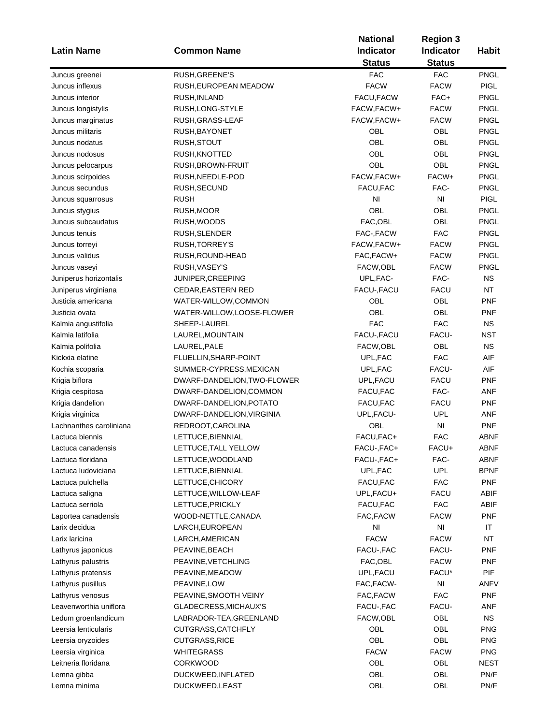| <b>Latin Name</b>       | <b>Common Name</b>          | <b>National</b><br><b>Indicator</b><br><b>Status</b> | <b>Region 3</b><br>Indicator<br><b>Status</b> | <b>Habit</b> |
|-------------------------|-----------------------------|------------------------------------------------------|-----------------------------------------------|--------------|
| Juncus greenei          | RUSH, GREENE'S              | <b>FAC</b>                                           | <b>FAC</b>                                    | <b>PNGL</b>  |
| Juncus inflexus         | RUSH, EUROPEAN MEADOW       | <b>FACW</b>                                          | <b>FACW</b>                                   | <b>PIGL</b>  |
| Juncus interior         | RUSH, INLAND                | FACU, FACW                                           | FAC+                                          | <b>PNGL</b>  |
| Juncus longistylis      | RUSH, LONG-STYLE            | FACW, FACW+                                          | <b>FACW</b>                                   | <b>PNGL</b>  |
| Juncus marginatus       | RUSH,GRASS-LEAF             | FACW, FACW+                                          | <b>FACW</b>                                   | PNGL         |
| Juncus militaris        | RUSH, BAYONET               | OBL                                                  | OBL                                           | <b>PNGL</b>  |
| Juncus nodatus          | RUSH, STOUT                 | OBL                                                  | OBL                                           | <b>PNGL</b>  |
|                         |                             | OBL                                                  | OBL                                           | <b>PNGL</b>  |
| Juncus nodosus          | RUSH, KNOTTED               |                                                      |                                               |              |
| Juncus pelocarpus       | RUSH, BROWN-FRUIT           | OBL                                                  | OBL                                           | <b>PNGL</b>  |
| Juncus scirpoides       | RUSH, NEEDLE-POD            | FACW, FACW+                                          | FACW+                                         | <b>PNGL</b>  |
| Juncus secundus         | RUSH, SECUND                | FACU, FAC                                            | FAC-                                          | PNGL         |
| Juncus squarrosus       | <b>RUSH</b>                 | NI                                                   | N <sub>l</sub>                                | <b>PIGL</b>  |
| Juncus stygius          | RUSH, MOOR                  | OBL                                                  | <b>OBL</b>                                    | PNGL         |
| Juncus subcaudatus      | RUSH, WOODS                 | FAC, OBL                                             | <b>OBL</b>                                    | PNGL         |
| Juncus tenuis           | RUSH, SLENDER               | FAC-, FACW                                           | <b>FAC</b>                                    | PNGL         |
| Juncus torreyi          | RUSH, TORREY'S              | FACW, FACW+                                          | <b>FACW</b>                                   | PNGL         |
| Juncus validus          | RUSH, ROUND-HEAD            | FAC, FACW+                                           | <b>FACW</b>                                   | <b>PNGL</b>  |
| Juncus vaseyi           | RUSH, VASEY'S               | FACW, OBL                                            | <b>FACW</b>                                   | <b>PNGL</b>  |
| Juniperus horizontalis  | JUNIPER, CREEPING           | UPL, FAC-                                            | FAC-                                          | <b>NS</b>    |
| Juniperus virginiana    | <b>CEDAR, EASTERN RED</b>   | FACU-, FACU                                          | FACU                                          | <b>NT</b>    |
| Justicia americana      | WATER-WILLOW,COMMON         | OBL                                                  | OBL                                           | <b>PNF</b>   |
| Justicia ovata          | WATER-WILLOW,LOOSE-FLOWER   | OBL                                                  | <b>OBL</b>                                    | <b>PNF</b>   |
| Kalmia angustifolia     | SHEEP-LAUREL                | <b>FAC</b>                                           | <b>FAC</b>                                    | <b>NS</b>    |
| Kalmia latifolia        | LAUREL, MOUNTAIN            | FACU-, FACU                                          | FACU-                                         | <b>NST</b>   |
| Kalmia polifolia        | LAUREL, PALE                | FACW, OBL                                            | OBL                                           | <b>NS</b>    |
| Kickxia elatine         | FLUELLIN, SHARP-POINT       | UPL, FAC                                             | <b>FAC</b>                                    | AIF          |
| Kochia scoparia         | SUMMER-CYPRESS, MEXICAN     | UPL, FAC                                             | FACU-                                         | AIF          |
| Krigia biflora          | DWARF-DANDELION, TWO-FLOWER | UPL, FACU                                            | <b>FACU</b>                                   | PNF          |
| Krigia cespitosa        | DWARF-DANDELION, COMMON     | FACU, FAC                                            | FAC-                                          | <b>ANF</b>   |
| Krigia dandelion        | DWARF-DANDELION, POTATO     | FACU, FAC                                            | <b>FACU</b>                                   | <b>PNF</b>   |
| Krigia virginica        | DWARF-DANDELION, VIRGINIA   | UPL, FACU-                                           | <b>UPL</b>                                    | ANF          |
| Lachnanthes caroliniana | REDROOT, CAROLINA           | OBL                                                  | N <sub>l</sub>                                | <b>PNF</b>   |
| Lactuca biennis         | LETTUCE, BIENNIAL           | FACU, FAC+                                           | <b>FAC</b>                                    | ABNF         |
| Lactuca canadensis      | LETTUCE, TALL YELLOW        | FACU-, FAC+                                          | FACU+                                         | ABNF         |
| Lactuca floridana       | LETTUCE, WOODLAND           | FACU-, FAC+                                          | FAC-                                          | ABNF         |
| Lactuca ludoviciana     | LETTUCE, BIENNIAL           | UPL, FAC                                             | UPL                                           | <b>BPNF</b>  |
| Lactuca pulchella       | LETTUCE, CHICORY            | FACU, FAC                                            | <b>FAC</b>                                    | <b>PNF</b>   |
| Lactuca saligna         | LETTUCE, WILLOW-LEAF        | UPL, FACU+                                           | <b>FACU</b>                                   | ABIF         |
| Lactuca serriola        | LETTUCE, PRICKLY            | FACU, FAC                                            | <b>FAC</b>                                    | <b>ABIF</b>  |
| Laportea canadensis     | WOOD-NETTLE, CANADA         | FAC, FACW                                            | <b>FACW</b>                                   | <b>PNF</b>   |
| Larix decidua           | LARCH, EUROPEAN             | NI                                                   | NI                                            | ΙT           |
| Larix laricina          | LARCH, AMERICAN             | <b>FACW</b>                                          | <b>FACW</b>                                   | <b>NT</b>    |
| Lathyrus japonicus      | PEAVINE, BEACH              | FACU-, FAC                                           | FACU-                                         | <b>PNF</b>   |
| Lathyrus palustris      | PEAVINE, VETCHLING          | FAC, OBL                                             | <b>FACW</b>                                   | PNF          |
| Lathyrus pratensis      | PEAVINE, MEADOW             | UPL, FACU                                            | FACU*                                         | <b>PIF</b>   |
| Lathyrus pusillus       | PEAVINE, LOW                | FAC, FACW-                                           | $\mathsf{N}\mathsf{I}$                        | ANFV         |
| Lathyrus venosus        | PEAVINE, SMOOTH VEINY       | FAC, FACW                                            | <b>FAC</b>                                    | <b>PNF</b>   |
| Leavenworthia uniflora  | GLADECRESS,MICHAUX'S        | FACU-, FAC                                           | FACU-                                         | ANF          |
| Ledum groenlandicum     | LABRADOR-TEA,GREENLAND      | FACW,OBL                                             | OBL                                           | <b>NS</b>    |
| Leersia lenticularis    | CUTGRASS, CATCHFLY          | OBL                                                  | OBL                                           | <b>PNG</b>   |
|                         |                             | <b>OBL</b>                                           |                                               |              |
| Leersia oryzoides       | CUTGRASS, RICE              |                                                      | OBL                                           | <b>PNG</b>   |
| Leersia virginica       | WHITEGRASS                  | <b>FACW</b>                                          | <b>FACW</b>                                   | <b>PNG</b>   |
| Leitneria floridana     | <b>CORKWOOD</b>             | OBL                                                  | OBL                                           | <b>NEST</b>  |
| Lemna gibba             | DUCKWEED, INFLATED          | OBL                                                  | OBL                                           | PN/F         |
| Lemna minima            | DUCKWEED, LEAST             | OBL                                                  | OBL                                           | PN/F         |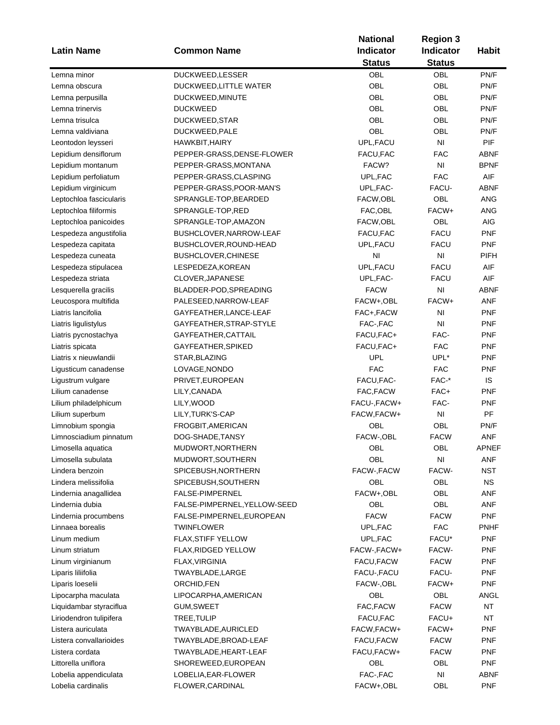|                         |                              | <b>National</b>  | <b>Region 3</b>        |              |
|-------------------------|------------------------------|------------------|------------------------|--------------|
| <b>Latin Name</b>       | <b>Common Name</b>           | <b>Indicator</b> | Indicator              | <b>Habit</b> |
|                         |                              | <b>Status</b>    | <b>Status</b>          |              |
| Lemna minor             | DUCKWEED, LESSER             | <b>OBL</b>       | <b>OBL</b>             | PN/F         |
| Lemna obscura           | <b>DUCKWEED,LITTLE WATER</b> | <b>OBL</b>       | OBL                    | PN/F         |
| Lemna perpusilla        | DUCKWEED, MINUTE             | OBL              | OBL                    | PN/F         |
| Lemna trinervis         | <b>DUCKWEED</b>              | OBL              | <b>OBL</b>             | PN/F         |
| Lemna trisulca          | DUCKWEED, STAR               | OBL              | <b>OBL</b>             | PN/F         |
| Lemna valdiviana        | DUCKWEED, PALE               | <b>OBL</b>       | OBL                    | PN/F         |
| Leontodon leysseri      | HAWKBIT, HAIRY               | UPL, FACU        | N <sub>1</sub>         | <b>PIF</b>   |
| Lepidium densiflorum    | PEPPER-GRASS, DENSE-FLOWER   | FACU, FAC        | <b>FAC</b>             | ABNF         |
| Lepidium montanum       | PEPPER-GRASS, MONTANA        | FACW?            | N <sub>l</sub>         | <b>BPNF</b>  |
| Lepidium perfoliatum    | PEPPER-GRASS,CLASPING        | UPL, FAC         | <b>FAC</b>             | AIF          |
| Lepidium virginicum     | PEPPER-GRASS, POOR-MAN'S     | UPL, FAC-        | FACU-                  | <b>ABNF</b>  |
| Leptochloa fascicularis | SPRANGLE-TOP, BEARDED        | FACW,OBL         | OBL                    | <b>ANG</b>   |
| Leptochloa filiformis   | SPRANGLE-TOP,RED             | FAC, OBL         | FACW+                  | <b>ANG</b>   |
| Leptochloa panicoides   | SPRANGLE-TOP,AMAZON          | FACW,OBL         | <b>OBL</b>             | <b>AIG</b>   |
| Lespedeza angustifolia  | BUSHCLOVER, NARROW-LEAF      | FACU, FAC        | FACU                   | <b>PNF</b>   |
| Lespedeza capitata      | BUSHCLOVER, ROUND-HEAD       | UPL, FACU        | <b>FACU</b>            | <b>PNF</b>   |
| Lespedeza cuneata       | BUSHCLOVER, CHINESE          | NI               | $\mathsf{N}\mathsf{I}$ | <b>PIFH</b>  |
| Lespedeza stipulacea    | LESPEDEZA, KOREAN            | UPL, FACU        | <b>FACU</b>            | AIF          |
| Lespedeza striata       | CLOVER, JAPANESE             | UPL, FAC-        | <b>FACU</b>            | AIF          |
| Lesquerella gracilis    | BLADDER-POD, SPREADING       | <b>FACW</b>      | N <sub>l</sub>         | <b>ABNF</b>  |
| Leucospora multifida    | PALESEED, NARROW-LEAF        | FACW+,OBL        | FACW+                  | ANF          |
| Liatris lancifolia      | GAYFEATHER, LANCE-LEAF       | FAC+,FACW        | N <sub>l</sub>         | PNF          |
| Liatris ligulistylus    | GAYFEATHER, STRAP-STYLE      | FAC-,FAC         | N <sub>l</sub>         | <b>PNF</b>   |
| Liatris pycnostachya    | GAYFEATHER, CATTAIL          | FACU, FAC+       | FAC-                   | <b>PNF</b>   |
| Liatris spicata         | GAYFEATHER, SPIKED           | FACU, FAC+       | <b>FAC</b>             | <b>PNF</b>   |
| Liatris x nieuwlandii   | STAR, BLAZING                | <b>UPL</b>       | UPL*                   | <b>PNF</b>   |
| Ligusticum canadense    | LOVAGE, NONDO                | <b>FAC</b>       | <b>FAC</b>             | <b>PNF</b>   |
| Ligustrum vulgare       | PRIVET, EUROPEAN             | FACU, FAC-       | FAC-*                  | IS           |
| Lilium canadense        | LILY, CANADA                 | FAC, FACW        | FAC+                   | PNF          |
| Lilium philadelphicum   | LILY, WOOD                   | FACU-, FACW+     | FAC-                   | PNF          |
| Lilium superbum         | LILY, TURK'S-CAP             | FACW, FACW+      | $\mathsf{N}\mathsf{I}$ | PF           |
| Limnobium spongia       | FROGBIT, AMERICAN            | OBL              | OBL                    | PN/F         |
| Limnosciadium pinnatum  | DOG-SHADE, TANSY             | FACW-, OBL       | <b>FACW</b>            | <b>ANF</b>   |
| Limosella aquatica      | MUDWORT, NORTHERN            | OBL              | OBL                    | APNEF        |
| Limosella subulata      | MUDWORT, SOUTHERN            | OBL              | NI                     | ANF          |
| Lindera benzoin         | SPICEBUSH, NORTHERN          | FACW-, FACW      | FACW-                  | <b>NST</b>   |
| Lindera melissifolia    | SPICEBUSH, SOUTHERN          | OBL              | OBL                    | ΝS           |
| Lindernia anagallidea   | FALSE-PIMPERNEL              | FACW+,OBL        | OBL                    | ANF          |
| Lindernia dubia         | FALSE-PIMPERNEL, YELLOW-SEED | OBL              | OBL                    | ANF          |
| Lindernia procumbens    | FALSE-PIMPERNEL, EUROPEAN    | <b>FACW</b>      | <b>FACW</b>            | <b>PNF</b>   |
| Linnaea borealis        | <b>TWINFLOWER</b>            | UPL, FAC         | <b>FAC</b>             | <b>PNHF</b>  |
| Linum medium            | <b>FLAX, STIFF YELLOW</b>    | UPL, FAC         | FACU*                  | <b>PNF</b>   |
| Linum striatum          | FLAX, RIDGED YELLOW          | FACW-, FACW+     | FACW-                  | <b>PNF</b>   |
| Linum virginianum       | FLAX, VIRGINIA               | FACU, FACW       | <b>FACW</b>            | PNF          |
| Liparis liliifolia      | TWAYBLADE, LARGE             | FACU-, FACU      | FACU-                  | PNF          |
| Liparis loeselii        | ORCHID, FEN                  | FACW-, OBL       | FACW+                  | <b>PNF</b>   |
| Lipocarpha maculata     | LIPOCARPHA, AMERICAN         | OBL              | OBL                    | ANGL         |
| Liquidambar styraciflua | GUM,SWEET                    | FAC, FACW        | <b>FACW</b>            | <b>NT</b>    |
| Liriodendron tulipifera | TREE, TULIP                  | FACU, FAC        | FACU+                  | NT           |
| Listera auriculata      | TWAYBLADE, AURICLED          | FACW, FACW+      | FACW+                  | <b>PNF</b>   |
| Listera convallarioides | TWAYBLADE,BROAD-LEAF         | FACU, FACW       | <b>FACW</b>            | <b>PNF</b>   |
| Listera cordata         | TWAYBLADE, HEART-LEAF        | FACU,FACW+       | <b>FACW</b>            | <b>PNF</b>   |
| Littorella uniflora     | SHOREWEED, EUROPEAN          | OBL              | OBL                    | <b>PNF</b>   |
| Lobelia appendiculata   | LOBELIA, EAR-FLOWER          | FAC-, FAC        | NI                     | <b>ABNF</b>  |
| Lobelia cardinalis      | FLOWER, CARDINAL             | FACW+,OBL        | OBL                    | PNF          |
|                         |                              |                  |                        |              |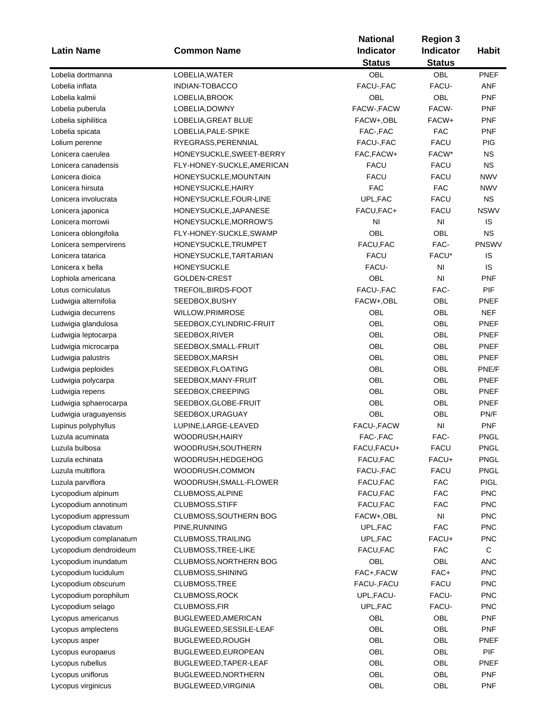| <b>Latin Name</b>      | <b>Common Name</b>         | <b>National</b><br><b>Indicator</b><br><b>Status</b> | <b>Region 3</b><br>Indicator<br><b>Status</b> | <b>Habit</b> |
|------------------------|----------------------------|------------------------------------------------------|-----------------------------------------------|--------------|
| Lobelia dortmanna      | LOBELIA, WATER             | OBL                                                  | OBL                                           | PNEF         |
| Lobelia inflata        | <b>INDIAN-TOBACCO</b>      | FACU-, FAC                                           | FACU-                                         | <b>ANF</b>   |
| Lobelia kalmii         | LOBELIA, BROOK             | OBL                                                  | OBL                                           | <b>PNF</b>   |
| Lobelia puberula       | LOBELIA, DOWNY             | FACW-, FACW                                          | FACW-                                         | <b>PNF</b>   |
| Lobelia siphilitica    | LOBELIA, GREAT BLUE        | FACW+,OBL                                            | FACW+                                         | <b>PNF</b>   |
| Lobelia spicata        | LOBELIA, PALE-SPIKE        | FAC-, FAC                                            | <b>FAC</b>                                    | <b>PNF</b>   |
| Lolium perenne         | RYEGRASS, PERENNIAL        | FACU-, FAC                                           | <b>FACU</b>                                   | PIG          |
| Lonicera caerulea      | HONEYSUCKLE, SWEET-BERRY   | FAC, FACW+                                           | FACW*                                         | <b>NS</b>    |
| Lonicera canadensis    | FLY-HONEY-SUCKLE, AMERICAN | <b>FACU</b>                                          | <b>FACU</b>                                   | <b>NS</b>    |
| Lonicera dioica        | HONEYSUCKLE, MOUNTAIN      | <b>FACU</b>                                          | <b>FACU</b>                                   | <b>NWV</b>   |
| Lonicera hirsuta       | HONEYSUCKLE, HAIRY         | <b>FAC</b>                                           | <b>FAC</b>                                    | <b>NWV</b>   |
| Lonicera involucrata   | HONEYSUCKLE, FOUR-LINE     | UPL, FAC                                             | <b>FACU</b>                                   | <b>NS</b>    |
| Lonicera japonica      | HONEYSUCKLE, JAPANESE      | FACU, FAC+                                           | <b>FACU</b>                                   | <b>NSWV</b>  |
| Lonicera morrowii      | HONEYSUCKLE, MORROW'S      | N <sub>l</sub>                                       | NI                                            | IS           |
| Lonicera oblongifolia  | FLY-HONEY-SUCKLE, SWAMP    | OBL                                                  | OBL                                           | <b>NS</b>    |
| Lonicera sempervirens  | HONEYSUCKLE, TRUMPET       | FACU, FAC                                            | FAC-                                          | <b>PNSWV</b> |
| Lonicera tatarica      | HONEYSUCKLE, TARTARIAN     | <b>FACU</b>                                          | FACU*                                         | IS           |
| Lonicera x bella       | <b>HONEYSUCKLE</b>         | FACU-                                                | N <sub>l</sub>                                | IS           |
| Lophiola americana     | GOLDEN-CREST               | OBL                                                  | N <sub>l</sub>                                | <b>PNF</b>   |
| Lotus corniculatus     | TREFOIL, BIRDS-FOOT        | FACU-, FAC                                           | FAC-                                          | PIF          |
| Ludwigia alternifolia  | SEEDBOX, BUSHY             | FACW+,OBL                                            | OBL                                           | PNEF         |
| Ludwigia decurrens     | <b>WILLOW, PRIMROSE</b>    | OBL                                                  | OBL                                           | <b>NEF</b>   |
| Ludwigia glandulosa    | SEEDBOX, CYLINDRIC-FRUIT   | <b>OBL</b>                                           | OBL                                           | PNEF         |
| Ludwigia leptocarpa    | SEEDBOX, RIVER             | OBL                                                  | OBL                                           | PNEF         |
| Ludwigia microcarpa    | SEEDBOX, SMALL-FRUIT       | <b>OBL</b>                                           | <b>OBL</b>                                    | PNEF         |
| Ludwigia palustris     | SEEDBOX, MARSH             | OBL                                                  | OBL                                           | <b>PNEF</b>  |
| Ludwigia peploides     | SEEDBOX, FLOATING          | OBL                                                  | OBL                                           | PNE/F        |
| Ludwigia polycarpa     | SEEDBOX, MANY-FRUIT        | <b>OBL</b>                                           | OBL                                           | PNEF         |
| Ludwigia repens        | SEEDBOX, CREEPING          | OBL                                                  | OBL                                           | PNEF         |
| Ludwigia sphaerocarpa  | SEEDBOX, GLOBE-FRUIT       | OBL                                                  | OBL                                           | <b>PNEF</b>  |
| Ludwigia uraguayensis  | SEEDBOX, URAGUAY           | OBL                                                  | OBL                                           | PN/F         |
| Lupinus polyphyllus    | LUPINE, LARGE-LEAVED       | FACU-, FACW                                          | NI                                            | <b>PNF</b>   |
| Luzula acuminata       | WOODRUSH, HAIRY            | FAC-, FAC                                            | FAC-                                          | <b>PNGL</b>  |
| Luzula bulbosa         | WOODRUSH,SOUTHERN          | FACU,FACU+                                           | FACU                                          | PNGL         |
| Luzula echinata        | WOODRUSH, HEDGEHOG         | FACU, FAC                                            | FACU+                                         | <b>PNGL</b>  |
| Luzula multiflora      | WOODRUSH,COMMON            | FACU-, FAC                                           | <b>FACU</b>                                   | <b>PNGL</b>  |
| Luzula parviflora      | WOODRUSH, SMALL-FLOWER     | FACU, FAC                                            | <b>FAC</b>                                    | <b>PIGL</b>  |
| Lycopodium alpinum     | CLUBMOSS, ALPINE           | FACU, FAC                                            | <b>FAC</b>                                    | <b>PNC</b>   |
| Lycopodium annotinum   | CLUBMOSS, STIFF            | FACU, FAC                                            | <b>FAC</b>                                    | <b>PNC</b>   |
| Lycopodium appressum   | CLUBMOSS, SOUTHERN BOG     | FACW+,OBL                                            | NI                                            | <b>PNC</b>   |
| Lycopodium clavatum    | PINE, RUNNING              | UPL, FAC                                             | <b>FAC</b>                                    | <b>PNC</b>   |
| Lycopodium complanatum | CLUBMOSS, TRAILING         | UPL, FAC                                             | FACU+                                         | <b>PNC</b>   |
| Lycopodium dendroideum | CLUBMOSS, TREE-LIKE        | FACU, FAC                                            | <b>FAC</b>                                    | $\mathbf C$  |
| Lycopodium inundatum   | CLUBMOSS, NORTHERN BOG     | OBL                                                  | OBL                                           | <b>ANC</b>   |
| Lycopodium lucidulum   | CLUBMOSS, SHINING          | FAC+, FACW                                           | FAC+                                          | <b>PNC</b>   |
| Lycopodium obscurum    | CLUBMOSS, TREE             | FACU-, FACU                                          | <b>FACU</b>                                   | <b>PNC</b>   |
| Lycopodium porophilum  | CLUBMOSS, ROCK             | UPL, FACU-                                           | FACU-                                         | <b>PNC</b>   |
| Lycopodium selago      | CLUBMOSS, FIR              | UPL, FAC                                             | FACU-                                         | <b>PNC</b>   |
| Lycopus americanus     | BUGLEWEED, AMERICAN        | OBL                                                  | OBL                                           | <b>PNF</b>   |
| Lycopus amplectens     | BUGLEWEED, SESSILE-LEAF    | OBL                                                  | OBL                                           | <b>PNF</b>   |
| Lycopus asper          | BUGLEWEED, ROUGH           | OBL                                                  | OBL                                           | <b>PNEF</b>  |
| Lycopus europaeus      | BUGLEWEED, EUROPEAN        | OBL                                                  | OBL                                           | <b>PIF</b>   |
| Lycopus rubellus       | BUGLEWEED, TAPER-LEAF      | OBL                                                  | OBL                                           | <b>PNEF</b>  |
| Lycopus uniflorus      | BUGLEWEED, NORTHERN        | OBL                                                  | OBL                                           | <b>PNF</b>   |
| Lycopus virginicus     | BUGLEWEED, VIRGINIA        | OBL                                                  | OBL                                           | PNF          |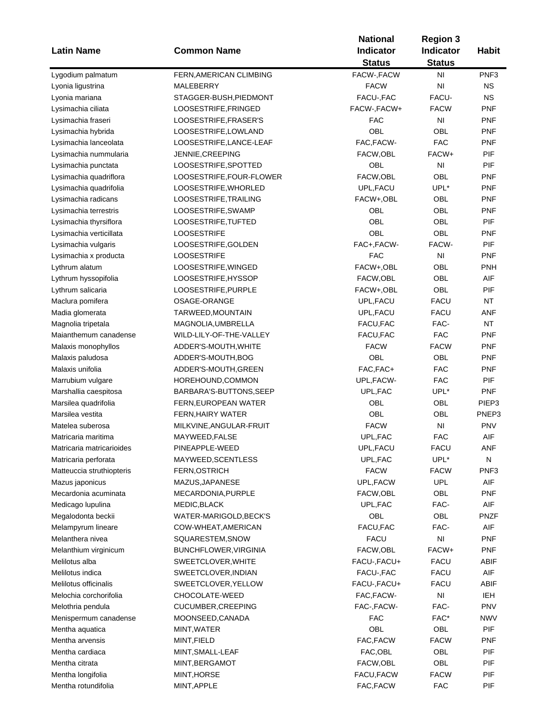| <b>Latin Name</b>         | <b>Common Name</b>       | <b>National</b><br><b>Indicator</b><br><b>Status</b> | <b>Region 3</b><br><b>Indicator</b><br><b>Status</b> | <b>Habit</b>     |
|---------------------------|--------------------------|------------------------------------------------------|------------------------------------------------------|------------------|
| Lygodium palmatum         | FERN, AMERICAN CLIMBING  | FACW-, FACW                                          | N <sub>1</sub>                                       | PNF <sub>3</sub> |
| Lyonia ligustrina         | MALEBERRY                | <b>FACW</b>                                          | N <sub>l</sub>                                       | <b>NS</b>        |
| Lyonia mariana            | STAGGER-BUSH, PIEDMONT   | FACU-, FAC                                           | FACU-                                                | <b>NS</b>        |
| Lysimachia ciliata        | LOOSESTRIFE, FRINGED     | FACW-, FACW+                                         | <b>FACW</b>                                          | <b>PNF</b>       |
| Lysimachia fraseri        | LOOSESTRIFE, FRASER'S    | FAC                                                  | ΝI                                                   | <b>PNF</b>       |
| Lysimachia hybrida        | LOOSESTRIFE, LOWLAND     | OBL                                                  | OBL                                                  | <b>PNF</b>       |
| Lysimachia lanceolata     | LOOSESTRIFE, LANCE-LEAF  | FAC, FACW-                                           | <b>FAC</b>                                           | <b>PNF</b>       |
| Lysimachia nummularia     | JENNIE, CREEPING         | FACW, OBL                                            | FACW+                                                | PIF              |
| Lysimachia punctata       | LOOSESTRIFE, SPOTTED     | OBL                                                  | N <sub>l</sub>                                       | PIF              |
|                           |                          |                                                      | OBL                                                  |                  |
| Lysimachia quadriflora    | LOOSESTRIFE,FOUR-FLOWER  | FACW, OBL                                            |                                                      | <b>PNF</b>       |
| Lysimachia quadrifolia    | LOOSESTRIFE, WHORLED     | UPL, FACU                                            | UPL*                                                 | <b>PNF</b>       |
| Lysimachia radicans       | LOOSESTRIFE, TRAILING    | FACW+,OBL                                            | OBL                                                  | <b>PNF</b>       |
| Lysimachia terrestris     | LOOSESTRIFE, SWAMP       | OBL                                                  | OBL                                                  | <b>PNF</b>       |
| Lysimachia thyrsiflora    | LOOSESTRIFE, TUFTED      | OBL                                                  | OBL                                                  | PIF              |
| Lysimachia verticillata   | <b>LOOSESTRIFE</b>       | OBL                                                  | OBL                                                  | <b>PNF</b>       |
| Lysimachia vulgaris       | LOOSESTRIFE, GOLDEN      | FAC+, FACW-                                          | FACW-                                                | PIF              |
| Lysimachia x producta     | <b>LOOSESTRIFE</b>       | <b>FAC</b>                                           | NI                                                   | <b>PNF</b>       |
| Lythrum alatum            | LOOSESTRIFE, WINGED      | FACW+,OBL                                            | OBL                                                  | PNH              |
| Lythrum hyssopifolia      | LOOSESTRIFE, HYSSOP      | FACW, OBL                                            | <b>OBL</b>                                           | AIF              |
| Lythrum salicaria         | LOOSESTRIFE, PURPLE      | FACW+,OBL                                            | OBL                                                  | PIF              |
| Maclura pomifera          | OSAGE-ORANGE             | UPL, FACU                                            | <b>FACU</b>                                          | NT               |
| Madia glomerata           | TARWEED, MOUNTAIN        | UPL, FACU                                            | <b>FACU</b>                                          | <b>ANF</b>       |
| Magnolia tripetala        | MAGNOLIA, UMBRELLA       | FACU, FAC                                            | FAC-                                                 | <b>NT</b>        |
| Maianthemum canadense     | WILD-LILY-OF-THE-VALLEY  | FACU, FAC                                            | <b>FAC</b>                                           | <b>PNF</b>       |
| Malaxis monophyllos       | ADDER'S-MOUTH, WHITE     | <b>FACW</b>                                          | <b>FACW</b>                                          | <b>PNF</b>       |
| Malaxis paludosa          | ADDER'S-MOUTH, BOG       | OBL                                                  | OBL                                                  | <b>PNF</b>       |
| Malaxis unifolia          | ADDER'S-MOUTH, GREEN     | FAC, FAC+                                            | <b>FAC</b>                                           | <b>PNF</b>       |
| Marrubium vulgare         | HOREHOUND, COMMON        | UPL, FACW-                                           | <b>FAC</b>                                           | PIF              |
| Marshallia caespitosa     | BARBARA'S-BUTTONS, SEEP  | UPL, FAC                                             | UPL*                                                 | <b>PNF</b>       |
| Marsilea quadrifolia      | FERN, EUROPEAN WATER     | OBL                                                  | OBL                                                  | PIEP3            |
| Marsilea vestita          | <b>FERN, HAIRY WATER</b> | OBL                                                  | OBL                                                  | PNEP3            |
| Matelea suberosa          | MILKVINE, ANGULAR-FRUIT  | <b>FACW</b>                                          | $\mathsf{N}\mathsf{I}$                               | <b>PNV</b>       |
| Matricaria maritima       | MAYWEED, FALSE           | UPL, FAC                                             | <b>FAC</b>                                           | AIF              |
| Matricaria matricarioides | PINEAPPLE-WEED           | UPL, FACU                                            | FACU                                                 | ANF              |
| Matricaria perforata      | MAYWEED, SCENTLESS       | UPL, FAC                                             | UPL*                                                 | N                |
| Matteuccia struthiopteris | FERN, OSTRICH            | <b>FACW</b>                                          | <b>FACW</b>                                          | PNF <sub>3</sub> |
| Mazus japonicus           | MAZUS, JAPANESE          | UPL, FACW                                            | <b>UPL</b>                                           | AIF              |
| Mecardonia acuminata      | MECARDONIA, PURPLE       | FACW,OBL                                             | OBL                                                  | <b>PNF</b>       |
| Medicago lupulina         | MEDIC, BLACK             | UPL, FAC                                             | FAC-                                                 | AIF              |
| Megalodonta beckii        | WATER-MARIGOLD, BECK'S   | OBL                                                  | OBL                                                  | <b>PNZF</b>      |
| Melampyrum lineare        | COW-WHEAT, AMERICAN      | FACU, FAC                                            | FAC-                                                 | AIF              |
| Melanthera nivea          | SQUARESTEM, SNOW         | <b>FACU</b>                                          | NI                                                   | <b>PNF</b>       |
| Melanthium virginicum     | BUNCHFLOWER, VIRGINIA    | FACW,OBL                                             | FACW+                                                | <b>PNF</b>       |
| Melilotus alba            | SWEETCLOVER, WHITE       | FACU-, FACU+                                         | <b>FACU</b>                                          | ABIF             |
| Melilotus indica          |                          |                                                      |                                                      | AIF              |
|                           | SWEETCLOVER, INDIAN      | FACU-, FAC                                           | FACU                                                 |                  |
| Melilotus officinalis     | SWEETCLOVER, YELLOW      | FACU-, FACU+                                         | <b>FACU</b>                                          | ABIF             |
| Melochia corchorifolia    | CHOCOLATE-WEED           | FAC, FACW-                                           | NI                                                   | <b>IEH</b>       |
| Melothria pendula         | CUCUMBER, CREEPING       | FAC-, FACW-                                          | FAC-                                                 | <b>PNV</b>       |
| Menispermum canadense     | MOONSEED,CANADA          | <b>FAC</b>                                           | FAC*                                                 | <b>NWV</b>       |
| Mentha aquatica           | MINT, WATER              | OBL                                                  | OBL                                                  | PIF              |
| Mentha arvensis           | MINT, FIELD              | FAC, FACW                                            | <b>FACW</b>                                          | <b>PNF</b>       |
| Mentha cardiaca           | MINT, SMALL-LEAF         | FAC, OBL                                             | OBL                                                  | PIF              |
| Mentha citrata            | MINT, BERGAMOT           | FACW,OBL                                             | OBL                                                  | PIF              |
| Mentha longifolia         | MINT, HORSE              | FACU, FACW                                           | <b>FACW</b>                                          | PIF              |
| Mentha rotundifolia       | MINT, APPLE              | FAC, FACW                                            | <b>FAC</b>                                           | PIF              |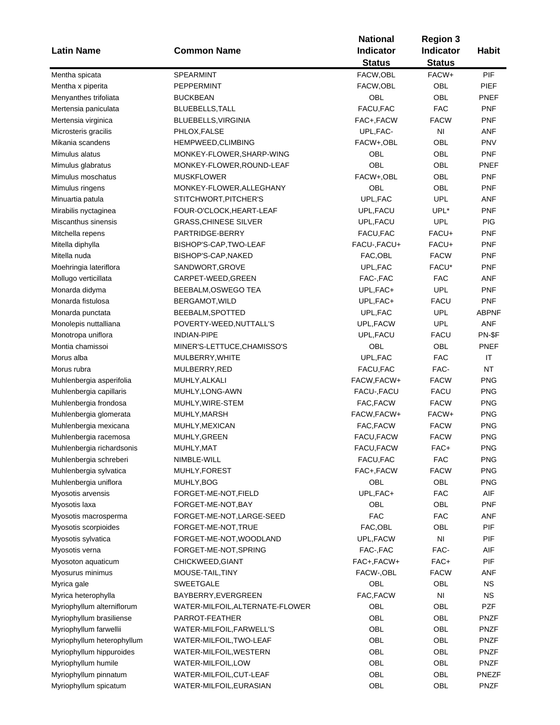|                            |                                 | <b>National</b> | <b>Region 3</b> |              |
|----------------------------|---------------------------------|-----------------|-----------------|--------------|
| <b>Latin Name</b>          | <b>Common Name</b>              | Indicator       | Indicator       | <b>Habit</b> |
|                            |                                 | <b>Status</b>   | <b>Status</b>   |              |
| Mentha spicata             | SPEARMINT                       | FACW, OBL       | FACW+           | PIF          |
| Mentha x piperita          | PEPPERMINT                      | FACW, OBL       | OBL             | PIEF         |
| Menyanthes trifoliata      | <b>BUCKBEAN</b>                 | OBL             | OBL             | PNEF         |
| Mertensia paniculata       | BLUEBELLS, TALL                 | FACU, FAC       | <b>FAC</b>      | <b>PNF</b>   |
| Mertensia virginica        | BLUEBELLS, VIRGINIA             | FAC+,FACW       | <b>FACW</b>     | <b>PNF</b>   |
| Microsteris gracilis       | PHLOX, FALSE                    | UPL, FAC-       | NI              | ANF          |
| Mikania scandens           | HEMPWEED, CLIMBING              | FACW+,OBL       | OBL             | <b>PNV</b>   |
| Mimulus alatus             | MONKEY-FLOWER, SHARP-WING       | OBL             | OBL             | <b>PNF</b>   |
| Mimulus glabratus          | MONKEY-FLOWER, ROUND-LEAF       | OBL             | OBL             | PNEF         |
| Mimulus moschatus          | <b>MUSKFLOWER</b>               | FACW+,OBL       | OBL             | <b>PNF</b>   |
| Mimulus ringens            | MONKEY-FLOWER, ALLEGHANY        | OBL             | OBL             | <b>PNF</b>   |
| Minuartia patula           | STITCHWORT, PITCHER'S           | UPL, FAC        | <b>UPL</b>      | ANF          |
| Mirabilis nyctaginea       | FOUR-O'CLOCK, HEART-LEAF        | UPL, FACU       | UPL*            | <b>PNF</b>   |
| Miscanthus sinensis        | <b>GRASS, CHINESE SILVER</b>    | UPL, FACU       | <b>UPL</b>      | <b>PIG</b>   |
| Mitchella repens           | PARTRIDGE-BERRY                 | FACU,FAC        | FACU+           | <b>PNF</b>   |
| Mitella diphylla           | BISHOP'S-CAP, TWO-LEAF          | FACU-, FACU+    | FACU+           | <b>PNF</b>   |
| Mitella nuda               | BISHOP'S-CAP, NAKED             | FAC, OBL        | <b>FACW</b>     | <b>PNF</b>   |
|                            |                                 |                 |                 |              |
| Moehringia lateriflora     | SANDWORT, GROVE                 | UPL, FAC        | FACU*           | PNF          |
| Mollugo verticillata       | CARPET-WEED, GREEN              | FAC-, FAC       | <b>FAC</b>      | ANF          |
| Monarda didyma             | BEEBALM, OSWEGO TEA             | UPL, FAC+       | <b>UPL</b>      | <b>PNF</b>   |
| Monarda fistulosa          | BERGAMOT, WILD                  | UPL, FAC+       | <b>FACU</b>     | <b>PNF</b>   |
| Monarda punctata           | BEEBALM, SPOTTED                | UPL, FAC        | <b>UPL</b>      | <b>ABPNF</b> |
| Monolepis nuttalliana      | POVERTY-WEED, NUTTALL'S         | UPL, FACW       | <b>UPL</b>      | <b>ANF</b>   |
| Monotropa uniflora         | <b>INDIAN-PIPE</b>              | UPL, FACU       | <b>FACU</b>     | PN-\$F       |
| Montia chamissoi           | MINER'S-LETTUCE, CHAMISSO'S     | OBL             | OBL             | <b>PNEF</b>  |
| Morus alba                 | MULBERRY, WHITE                 | UPL, FAC        | <b>FAC</b>      | IT           |
| Morus rubra                | MULBERRY, RED                   | FACU, FAC       | FAC-            | <b>NT</b>    |
| Muhlenbergia asperifolia   | MUHLY, ALKALI                   | FACW, FACW+     | <b>FACW</b>     | <b>PNG</b>   |
| Muhlenbergia capillaris    | MUHLY, LONG-AWN                 | FACU-, FACU     | <b>FACU</b>     | <b>PNG</b>   |
| Muhlenbergia frondosa      | MUHLY, WIRE-STEM                | FAC, FACW       | <b>FACW</b>     | <b>PNG</b>   |
| Muhlenbergia glomerata     | MUHLY, MARSH                    | FACW, FACW+     | FACW+           | <b>PNG</b>   |
| Muhlenbergia mexicana      | MUHLY, MEXICAN                  | FAC, FACW       | <b>FACW</b>     | <b>PNG</b>   |
| Muhlenbergia racemosa      | MUHLY, GREEN                    | FACU, FACW      | <b>FACW</b>     | <b>PNG</b>   |
| Muhlenbergia richardsonis  | MUHLY, MAT                      | FACU, FACW      | FAC+            | <b>PNG</b>   |
| Muhlenbergia schreberi     | NIMBLE-WILL                     | FACU, FAC       | <b>FAC</b>      | <b>PNG</b>   |
| Muhlenbergia sylvatica     | MUHLY, FOREST                   | FAC+, FACW      | <b>FACW</b>     | <b>PNG</b>   |
| Muhlenbergia uniflora      | MUHLY, BOG                      | OBL             | OBL             | <b>PNG</b>   |
| Myosotis arvensis          | FORGET-ME-NOT, FIELD            | UPL, FAC+       | <b>FAC</b>      | AIF          |
| Myosotis laxa              | FORGET-ME-NOT, BAY              | OBL             | OBL             | <b>PNF</b>   |
| Myosotis macrosperma       | FORGET-ME-NOT,LARGE-SEED        | <b>FAC</b>      | <b>FAC</b>      | <b>ANF</b>   |
| Myosotis scorpioides       | FORGET-ME-NOT, TRUE             | FAC, OBL        | OBL             | PIF          |
| Myosotis sylvatica         | FORGET-ME-NOT, WOODLAND         | UPL,FACW        | NI              | PIF          |
| Myosotis verna             | FORGET-ME-NOT, SPRING           | FAC-, FAC       | FAC-            | AIF          |
| Myosoton aquaticum         | CHICKWEED, GIANT                | FAC+, FACW+     | FAC+            | PIF          |
| Myosurus minimus           | MOUSE-TAIL, TINY                | FACW-, OBL      | <b>FACW</b>     | ANF          |
| Myrica gale                | <b>SWEETGALE</b>                | OBL             | OBL             | <b>NS</b>    |
| Myrica heterophylla        | BAYBERRY, EVERGREEN             | FAC, FACW       | NI              | <b>NS</b>    |
| Myriophyllum alterniflorum | WATER-MILFOIL, ALTERNATE-FLOWER | OBL             | OBL             | <b>PZF</b>   |
| Myriophyllum brasiliense   | PARROT-FEATHER                  | OBL             | OBL             | <b>PNZF</b>  |
| Myriophyllum farwellii     | WATER-MILFOIL, FARWELL'S        | OBL             | OBL             | <b>PNZF</b>  |
| Myriophyllum heterophyllum | WATER-MILFOIL, TWO-LEAF         | OBL             | OBL             | <b>PNZF</b>  |
| Myriophyllum hippuroides   | WATER-MILFOIL, WESTERN          | OBL             | OBL             | <b>PNZF</b>  |
| Myriophyllum humile        | WATER-MILFOIL, LOW              | OBL             | OBL             | <b>PNZF</b>  |
| Myriophyllum pinnatum      | WATER-MILFOIL,CUT-LEAF          | OBL             | OBL             | <b>PNEZF</b> |
|                            | WATER-MILFOIL, EURASIAN         | OBL             | OBL             | <b>PNZF</b>  |
| Myriophyllum spicatum      |                                 |                 |                 |              |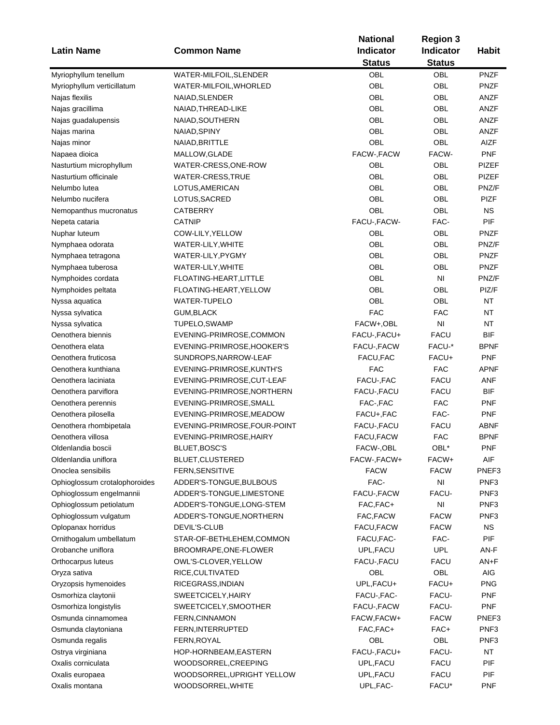| <b>Latin Name</b>             | <b>Common Name</b>           | <b>National</b><br><b>Indicator</b> | <b>Region 3</b><br>Indicator | <b>Habit</b>     |
|-------------------------------|------------------------------|-------------------------------------|------------------------------|------------------|
|                               |                              | <b>Status</b>                       | <b>Status</b>                |                  |
| Myriophyllum tenellum         | WATER-MILFOIL, SLENDER       | OBL                                 | <b>OBL</b>                   | <b>PNZF</b>      |
| Myriophyllum verticillatum    | WATER-MILFOIL, WHORLED       | <b>OBL</b>                          | OBL                          | <b>PNZF</b>      |
| Najas flexilis                | NAIAD, SLENDER               | OBL                                 | OBL                          | ANZF             |
| Najas gracillima              | NAIAD, THREAD-LIKE           | OBL                                 | OBL                          | ANZF             |
| Najas guadalupensis           | NAIAD, SOUTHERN              | OBL                                 | OBL                          | ANZF             |
| Najas marina                  | NAIAD, SPINY                 | OBL                                 | OBL                          | ANZF             |
| Najas minor                   | NAIAD, BRITTLE               | <b>OBL</b>                          | OBL                          | AIZF             |
| Napaea dioica                 | MALLOW, GLADE                | FACW-, FACW                         | FACW-                        | <b>PNF</b>       |
| Nasturtium microphyllum       | WATER-CRESS, ONE-ROW         | OBL                                 | OBL                          | <b>PIZEF</b>     |
| Nasturtium officinale         | WATER-CRESS, TRUE            | OBL                                 | OBL                          | PIZEF            |
| Nelumbo lutea                 | LOTUS, AMERICAN              | <b>OBL</b>                          | OBL                          | PNZ/F            |
| Nelumbo nucifera              | LOTUS, SACRED                | OBL                                 | OBL                          | <b>PIZF</b>      |
| Nemopanthus mucronatus        | <b>CATBERRY</b>              | OBL                                 | <b>OBL</b>                   | <b>NS</b>        |
| Nepeta cataria                | <b>CATNIP</b>                | FACU-, FACW-                        | FAC-                         | PIF              |
| Nuphar luteum                 | COW-LILY, YELLOW             | OBL                                 | OBL                          | <b>PNZF</b>      |
| Nymphaea odorata              | WATER-LILY, WHITE            | OBL                                 | OBL                          | PNZ/F            |
| Nymphaea tetragona            | WATER-LILY, PYGMY            | OBL                                 | OBL                          | <b>PNZF</b>      |
| Nymphaea tuberosa             | WATER-LILY, WHITE            | OBL                                 | OBL                          | <b>PNZF</b>      |
| Nymphoides cordata            | FLOATING-HEART, LITTLE       | OBL                                 | N <sub>l</sub>               | PNZ/F            |
|                               | FLOATING-HEART, YELLOW       | OBL                                 | OBL                          | PIZ/F            |
| Nymphoides peltata            | <b>WATER-TUPELO</b>          | OBL                                 | OBL                          | <b>NT</b>        |
| Nyssa aquatica                |                              | <b>FAC</b>                          | <b>FAC</b>                   | <b>NT</b>        |
| Nyssa sylvatica               | <b>GUM, BLACK</b>            |                                     |                              |                  |
| Nyssa sylvatica               | TUPELO, SWAMP                | FACW+,OBL                           | NI                           | <b>NT</b>        |
| Oenothera biennis             | EVENING-PRIMROSE, COMMON     | FACU-, FACU+                        | <b>FACU</b>                  | <b>BIF</b>       |
| Oenothera elata               | EVENING-PRIMROSE, HOOKER'S   | FACU-, FACW                         | FACU-*                       | <b>BPNF</b>      |
| Oenothera fruticosa           | SUNDROPS, NARROW-LEAF        | FACU, FAC                           | FACU+                        | <b>PNF</b>       |
| Oenothera kunthiana           | EVENING-PRIMROSE, KUNTH'S    | <b>FAC</b>                          | <b>FAC</b>                   | APNF             |
| Oenothera laciniata           | EVENING-PRIMROSE, CUT-LEAF   | FACU-, FAC                          | <b>FACU</b>                  | <b>ANF</b>       |
| Oenothera parviflora          | EVENING-PRIMROSE, NORTHERN   | FACU-, FACU                         | <b>FACU</b>                  | BIF              |
| Oenothera perennis            | EVENING-PRIMROSE, SMALL      | FAC-, FAC                           | <b>FAC</b>                   | PNF              |
| Oenothera pilosella           | EVENING-PRIMROSE, MEADOW     | FACU+, FAC                          | FAC-                         | <b>PNF</b>       |
| Oenothera rhombipetala        | EVENING-PRIMROSE, FOUR-POINT | FACU-, FACU                         | <b>FACU</b>                  | ABNF             |
| Oenothera villosa             | EVENING-PRIMROSE, HAIRY      | FACU, FACW                          | <b>FAC</b>                   | <b>BPNF</b>      |
| Oldenlandia boscii            | BLUET, BOSC'S                | FACW-, OBL                          | OBL*                         | PNF              |
| Oldenlandia uniflora          | BLUET, CLUSTERED             | FACW-, FACW+                        | FACW+                        | AIF              |
| Onoclea sensibilis            | FERN, SENSITIVE              | <b>FACW</b>                         | <b>FACW</b>                  | PNEF3            |
| Ophioglossum crotalophoroides | ADDER'S-TONGUE, BULBOUS      | FAC-                                | NI                           | PNF <sub>3</sub> |
| Ophioglossum engelmannii      | ADDER'S-TONGUE, LIMESTONE    | FACU-, FACW                         | FACU-                        | PNF <sub>3</sub> |
| Ophioglossum petiolatum       | ADDER'S-TONGUE, LONG-STEM    | FAC, FAC+                           | N <sub>l</sub>               | PNF <sub>3</sub> |
| Ophioglossum vulgatum         | ADDER'S-TONGUE, NORTHERN     | FAC, FACW                           | <b>FACW</b>                  | PNF3             |
| Oplopanax horridus            | DEVIL'S-CLUB                 | FACU, FACW                          | <b>FACW</b>                  | <b>NS</b>        |
| Ornithogalum umbellatum       | STAR-OF-BETHLEHEM,COMMON     | FACU, FAC-                          | FAC-                         | PIF              |
| Orobanche uniflora            | BROOMRAPE, ONE-FLOWER        | UPL, FACU                           | <b>UPL</b>                   | AN-F             |
| Orthocarpus luteus            | OWL'S-CLOVER, YELLOW         | FACU-, FACU                         | FACU                         | $AN+F$           |
| Oryza sativa                  | RICE, CULTIVATED             | OBL                                 | OBL                          | AIG              |
| Oryzopsis hymenoides          | RICEGRASS, INDIAN            | UPL, FACU+                          | FACU+                        | <b>PNG</b>       |
| Osmorhiza claytonii           | SWEETCICELY, HAIRY           | FACU-, FAC-                         | FACU-                        | <b>PNF</b>       |
| Osmorhiza longistylis         | SWEETCICELY, SMOOTHER        | FACU-, FACW                         | FACU-                        | <b>PNF</b>       |
| Osmunda cinnamomea            | FERN, CINNAMON               | FACW, FACW+                         | <b>FACW</b>                  | PNEF3            |
| Osmunda claytoniana           | FERN, INTERRUPTED            | FAC, FAC+                           | FAC+                         | PNF <sub>3</sub> |
| Osmunda regalis               | FERN, ROYAL                  | OBL                                 | OBL                          | PNF <sub>3</sub> |
| Ostrya virginiana             | HOP-HORNBEAM, EASTERN        | FACU-, FACU+                        | FACU-                        | <b>NT</b>        |
| Oxalis corniculata            | WOODSORREL, CREEPING         | UPL, FACU                           | <b>FACU</b>                  | <b>PIF</b>       |
| Oxalis europaea               | WOODSORREL, UPRIGHT YELLOW   | UPL, FACU                           | <b>FACU</b>                  | PIF              |
| Oxalis montana                | WOODSORREL, WHITE            | UPL, FAC-                           | FACU*                        | <b>PNF</b>       |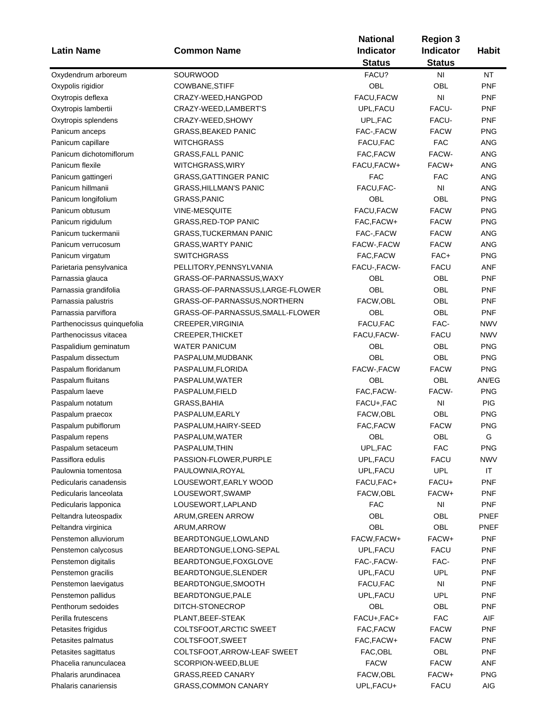|                             |                                  | <b>Region 3</b>        |                            |              |
|-----------------------------|----------------------------------|------------------------|----------------------------|--------------|
| <b>Latin Name</b>           | <b>Common Name</b>               | Indicator              | Indicator<br><b>Status</b> | <b>Habit</b> |
| Oxydendrum arboreum         | SOURWOOD                         | <b>Status</b><br>FACU? | NI                         | <b>NT</b>    |
| Oxypolis rigidior           | COWBANE, STIFF                   | <b>OBL</b>             | OBL                        | <b>PNF</b>   |
| Oxytropis deflexa           | CRAZY-WEED, HANGPOD              | FACU, FACW             | NI                         | <b>PNF</b>   |
|                             | CRAZY-WEED,LAMBERT'S             | UPL, FACU              | FACU-                      | <b>PNF</b>   |
| Oxytropis lambertii         |                                  |                        |                            |              |
| Oxytropis splendens         | CRAZY-WEED, SHOWY                | UPL, FAC               | FACU-                      | <b>PNF</b>   |
| Panicum anceps              | <b>GRASS, BEAKED PANIC</b>       | FAC-, FACW             | <b>FACW</b>                | <b>PNG</b>   |
| Panicum capillare           | <b>WITCHGRASS</b>                | FACU, FAC              | <b>FAC</b>                 | ANG          |
| Panicum dichotomiflorum     | <b>GRASS, FALL PANIC</b>         | FAC, FACW              | FACW-                      | <b>ANG</b>   |
| Panicum flexile             | WITCHGRASS, WIRY                 | FACU, FACW+            | FACW+                      | <b>ANG</b>   |
| Panicum gattingeri          | <b>GRASS, GATTINGER PANIC</b>    | <b>FAC</b>             | <b>FAC</b>                 | <b>ANG</b>   |
| Panicum hillmanii           | <b>GRASS, HILLMAN'S PANIC</b>    | FACU, FAC-             | NI                         | <b>ANG</b>   |
| Panicum longifolium         | GRASS, PANIC                     | OBL                    | OBL                        | <b>PNG</b>   |
| Panicum obtusum             | <b>VINE-MESQUITE</b>             | <b>FACU,FACW</b>       | <b>FACW</b>                | <b>PNG</b>   |
| Panicum rigidulum           | <b>GRASS, RED-TOP PANIC</b>      | FAC, FACW+             | <b>FACW</b>                | <b>PNG</b>   |
| Panicum tuckermanii         | <b>GRASS, TUCKERMAN PANIC</b>    | FAC-, FACW             | <b>FACW</b>                | ANG          |
| Panicum verrucosum          | <b>GRASS, WARTY PANIC</b>        | FACW-, FACW            | <b>FACW</b>                | ANG          |
| Panicum virgatum            | <b>SWITCHGRASS</b>               | FAC, FACW              | FAC+                       | <b>PNG</b>   |
| Parietaria pensylvanica     | PELLITORY, PENNSYLVANIA          | FACU-, FACW-           | <b>FACU</b>                | <b>ANF</b>   |
| Parnassia glauca            | GRASS-OF-PARNASSUS, WAXY         | OBL                    | OBL                        | <b>PNF</b>   |
| Parnassia grandifolia       | GRASS-OF-PARNASSUS, LARGE-FLOWER | OBL                    | OBL                        | <b>PNF</b>   |
| Parnassia palustris         | GRASS-OF-PARNASSUS, NORTHERN     | FACW,OBL               | OBL                        | <b>PNF</b>   |
| Parnassia parviflora        | GRASS-OF-PARNASSUS, SMALL-FLOWER | OBL                    | OBL                        | <b>PNF</b>   |
| Parthenocissus quinquefolia | CREEPER, VIRGINIA                | FACU, FAC              | FAC-                       | <b>NWV</b>   |
| Parthenocissus vitacea      | <b>CREEPER, THICKET</b>          | FACU, FACW-            | <b>FACU</b>                | <b>NWV</b>   |
| Paspalidium geminatum       | <b>WATER PANICUM</b>             | OBL                    | OBL                        | <b>PNG</b>   |
| Paspalum dissectum          | PASPALUM, MUDBANK                | OBL                    | OBL                        | <b>PNG</b>   |
| Paspalum floridanum         | PASPALUM, FLORIDA                | FACW-, FACW            | <b>FACW</b>                | <b>PNG</b>   |
| Paspalum fluitans           | PASPALUM, WATER                  | OBL                    | OBL                        | AN/EG        |
| Paspalum laeve              | PASPALUM, FIELD                  | FAC, FACW-             | FACW-                      | <b>PNG</b>   |
| Paspalum notatum            | GRASS, BAHIA                     | FACU+, FAC             | NI                         | PIG          |
| Paspalum praecox            | PASPALUM, EARLY                  | FACW, OBL              | OBL                        | <b>PNG</b>   |
| Paspalum pubiflorum         | PASPALUM, HAIRY-SEED             | FAC, FACW              | <b>FACW</b>                | <b>PNG</b>   |
| Paspalum repens             | PASPALUM, WATER                  | OBL                    | OBL                        | G            |
| Paspalum setaceum           | PASPALUM, THIN                   | UPL, FAC               | <b>FAC</b>                 | <b>PNG</b>   |
| Passiflora edulis           | PASSION-FLOWER, PURPLE           | UPL, FACU              | <b>FACU</b>                | <b>NWV</b>   |
| Paulownia tomentosa         | PAULOWNIA, ROYAL                 | UPL, FACU              | <b>UPL</b>                 | IT           |
| Pedicularis canadensis      | LOUSEWORT, EARLY WOOD            | FACU, FAC+             | FACU+                      | PNF          |
| Pedicularis lanceolata      | LOUSEWORT, SWAMP                 | FACW,OBL               | FACW+                      | <b>PNF</b>   |
| Pedicularis lapponica       | LOUSEWORT, LAPLAND               | <b>FAC</b>             | NI                         | <b>PNF</b>   |
| Peltandra luteospadix       | ARUM, GREEN ARROW                | OBL                    | OBL                        | <b>PNEF</b>  |
| Peltandra virginica         | ARUM, ARROW                      | OBL                    | OBL                        | PNEF         |
| Penstemon alluviorum        | BEARDTONGUE, LOWLAND             | FACW, FACW+            | FACW+                      | <b>PNF</b>   |
| Penstemon calycosus         | BEARDTONGUE, LONG-SEPAL          | UPL, FACU              | <b>FACU</b>                | <b>PNF</b>   |
| Penstemon digitalis         | BEARDTONGUE, FOXGLOVE            | FAC-, FACW-            | FAC-                       | PNF          |
|                             |                                  |                        | <b>UPL</b>                 |              |
| Penstemon gracilis          | BEARDTONGUE, SLENDER             | UPL, FACU              |                            | <b>PNF</b>   |
| Penstemon laevigatus        | BEARDTONGUE, SMOOTH              | FACU, FAC              | N <sub>l</sub>             | <b>PNF</b>   |
| Penstemon pallidus          | BEARDTONGUE, PALE                | UPL, FACU              | <b>UPL</b>                 | <b>PNF</b>   |
| Penthorum sedoides          | DITCH-STONECROP                  | OBL                    | OBL                        | <b>PNF</b>   |
| Perilla frutescens          | PLANT, BEEF-STEAK                | FACU+, FAC+            | <b>FAC</b>                 | AIF          |
| Petasites frigidus          | COLTSFOOT, ARCTIC SWEET          | FAC, FACW              | <b>FACW</b>                | PNF          |
| Petasites palmatus          | COLTSFOOT, SWEET                 | FAC, FACW+             | <b>FACW</b>                | <b>PNF</b>   |
| Petasites sagittatus        | COLTSFOOT, ARROW-LEAF SWEET      | FAC, OBL               | OBL                        | <b>PNF</b>   |
| Phacelia ranunculacea       | SCORPION-WEED, BLUE              | <b>FACW</b>            | <b>FACW</b>                | ANF          |
| Phalaris arundinacea        | <b>GRASS, REED CANARY</b>        | FACW,OBL               | FACW+                      | <b>PNG</b>   |
| Phalaris canariensis        | GRASS, COMMON CANARY             | UPL, FACU+             | <b>FACU</b>                | AIG          |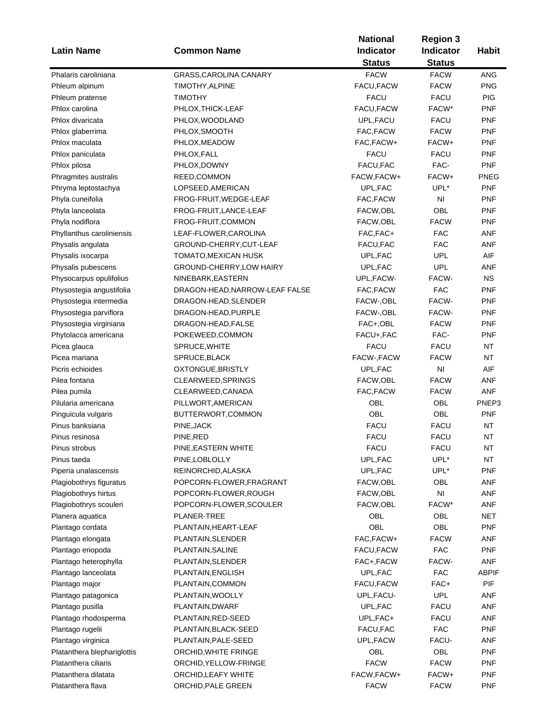| <b>Latin Name</b>           | <b>Common Name</b>              | <b>National</b><br>Indicator | <b>Region 3</b><br><b>Indicator</b> | <b>Habit</b> |
|-----------------------------|---------------------------------|------------------------------|-------------------------------------|--------------|
|                             |                                 | <b>Status</b>                | <b>Status</b>                       |              |
| Phalaris caroliniana        | GRASS, CAROLINA CANARY          | <b>FACW</b>                  | <b>FACW</b>                         | ANG          |
| Phleum alpinum              | TIMOTHY, ALPINE                 | FACU, FACW                   | <b>FACW</b>                         | <b>PNG</b>   |
| Phleum pratense             | <b>TIMOTHY</b>                  | <b>FACU</b>                  | <b>FACU</b>                         | <b>PIG</b>   |
| Phlox carolina              | PHLOX, THICK-LEAF               | FACU, FACW                   | FACW*                               | <b>PNF</b>   |
| Phlox divaricata            | PHLOX, WOODLAND                 | UPL, FACU                    | <b>FACU</b>                         | <b>PNF</b>   |
| Phlox glaberrima            | PHLOX, SMOOTH                   | FAC, FACW                    | <b>FACW</b>                         | <b>PNF</b>   |
| Phlox maculata              | PHLOX, MEADOW                   | FAC, FACW+                   | FACW+                               | <b>PNF</b>   |
| Phlox paniculata            | PHLOX, FALL                     | <b>FACU</b>                  | <b>FACU</b>                         | <b>PNF</b>   |
| Phlox pilosa                | PHLOX, DOWNY                    | FACU, FAC                    | FAC-                                | <b>PNF</b>   |
| Phragmites australis        | REED,COMMON                     | FACW, FACW+                  | FACW+                               | <b>PNEG</b>  |
| Phryma leptostachya         | LOPSEED, AMERICAN               | UPL, FAC                     | UPL*                                | <b>PNF</b>   |
| Phyla cuneifolia            | FROG-FRUIT, WEDGE-LEAF          | FAC, FACW                    | ΝI                                  | <b>PNF</b>   |
| Phyla lanceolata            | FROG-FRUIT, LANCE-LEAF          | FACW, OBL                    | OBL                                 | <b>PNF</b>   |
| Phyla nodiflora             | FROG-FRUIT, COMMON              | FACW, OBL                    | <b>FACW</b>                         | <b>PNF</b>   |
| Phyllanthus caroliniensis   | LEAF-FLOWER, CAROLINA           | FAC, FAC+                    | <b>FAC</b>                          | ANF          |
| Physalis angulata           | GROUND-CHERRY, CUT-LEAF         | FACU, FAC                    | <b>FAC</b>                          | ANF          |
| Physalis ixocarpa           | TOMATO, MEXICAN HUSK            | UPL, FAC                     | <b>UPL</b>                          | AIF          |
| Physalis pubescens          | <b>GROUND-CHERRY, LOW HAIRY</b> | UPL, FAC                     | <b>UPL</b>                          | ANF          |
| Physocarpus opulifolius     | NINEBARK, EASTERN               | UPL,FACW-                    | FACW-                               | <b>NS</b>    |
| Physostegia angustifolia    | DRAGON-HEAD, NARROW-LEAF FALSE  | FAC, FACW                    | <b>FAC</b>                          | <b>PNF</b>   |
| Physostegia intermedia      | DRAGON-HEAD, SLENDER            | FACW-, OBL                   | FACW-                               | <b>PNF</b>   |
| Physostegia parviflora      | DRAGON-HEAD, PURPLE             | FACW-, OBL                   | FACW-                               | <b>PNF</b>   |
| Physostegia virginiana      | DRAGON-HEAD, FALSE              | FAC+,OBL                     | <b>FACW</b>                         | <b>PNF</b>   |
| Phytolacca americana        | POKEWEED, COMMON                | FACU+, FAC                   | FAC-                                | <b>PNF</b>   |
| Picea glauca                | SPRUCE, WHITE                   | <b>FACU</b>                  | <b>FACU</b>                         | <b>NT</b>    |
| Picea mariana               | SPRUCE, BLACK                   | FACW-, FACW                  | <b>FACW</b>                         | <b>NT</b>    |
| Picris echioides            | OXTONGUE, BRISTLY               | UPL, FAC                     | N <sub>1</sub>                      | AIF          |
| Pilea fontana               | CLEARWEED, SPRINGS              | FACW, OBL                    | <b>FACW</b>                         | ANF          |
| Pilea pumila                | CLEARWEED, CANADA               | FAC, FACW                    | <b>FACW</b>                         | <b>ANF</b>   |
| Pilularia americana         | PILLWORT, AMERICAN              | OBL                          | OBL                                 | PNEP3        |
| Pinguicula vulgaris         | BUTTERWORT, COMMON              | OBL                          | OBL                                 | <b>PNF</b>   |
| Pinus banksiana             | PINE, JACK                      | <b>FACU</b>                  | <b>FACU</b>                         | NT           |
| Pinus resinosa              | PINE, RED                       | <b>FACU</b>                  | <b>FACU</b>                         | NT           |
| Pinus strobus               | PINE, EASTERN WHITE             | <b>FACU</b>                  | FACU                                | NΤ           |
| Pinus taeda                 | PINE, LOBLOLLY                  | UPL,FAC                      | UPL*                                | NT           |
| Piperia unalascensis        | REINORCHID, ALASKA              | UPL, FAC                     | UPL*                                | <b>PNF</b>   |
| Plagiobothrys figuratus     | POPCORN-FLOWER, FRAGRANT        | FACW, OBL                    | OBL                                 | <b>ANF</b>   |
| Plagiobothrys hirtus        | POPCORN-FLOWER, ROUGH           | FACW, OBL                    | $\mathsf{N}\mathsf{I}$              | <b>ANF</b>   |
| Plagiobothrys scouleri      | POPCORN-FLOWER, SCOULER         | FACW,OBL                     | FACW*                               | <b>ANF</b>   |
| Planera aquatica            | <b>PLANER-TREE</b>              | OBL                          | OBL                                 | <b>NET</b>   |
| Plantago cordata            | PLANTAIN, HEART-LEAF            | OBL                          | OBL                                 | <b>PNF</b>   |
| Plantago elongata           | PLANTAIN, SLENDER               | FAC, FACW+                   | <b>FACW</b>                         | <b>ANF</b>   |
| Plantago eriopoda           | PLANTAIN, SALINE                | FACU, FACW                   | <b>FAC</b>                          | <b>PNF</b>   |
| Plantago heterophylla       | PLANTAIN, SLENDER               | FAC+,FACW                    | FACW-                               | <b>ANF</b>   |
| Plantago lanceolata         | PLANTAIN, ENGLISH               | UPL, FAC                     | <b>FAC</b>                          | ABPIF        |
| Plantago major              | PLANTAIN, COMMON                | FACU,FACW                    | FAC+                                | PIF          |
| Plantago patagonica         | PLANTAIN, WOOLLY                | UPL, FACU-                   | <b>UPL</b>                          | ANF          |
| Plantago pusilla            | PLANTAIN, DWARF                 | UPL, FAC                     | <b>FACU</b>                         | <b>ANF</b>   |
| Plantago rhodosperma        | PLANTAIN, RED-SEED              | UPL, FAC+                    | <b>FACU</b>                         | <b>ANF</b>   |
| Plantago rugelii            | PLANTAIN, BLACK-SEED            | FACU, FAC                    | <b>FAC</b>                          | <b>PNF</b>   |
| Plantago virginica          | PLANTAIN, PALE-SEED             | UPL, FACW                    | FACU-                               | ANF          |
| Platanthera blephariglottis | ORCHID, WHITE FRINGE            | OBL                          | OBL                                 | <b>PNF</b>   |
| Platanthera ciliaris        | ORCHID, YELLOW-FRINGE           | <b>FACW</b>                  | <b>FACW</b>                         | <b>PNF</b>   |
| Platanthera dilatata        | ORCHID, LEAFY WHITE             | FACW, FACW+                  | FACW+                               | <b>PNF</b>   |
| Platanthera flava           | ORCHID, PALE GREEN              | <b>FACW</b>                  | <b>FACW</b>                         | <b>PNF</b>   |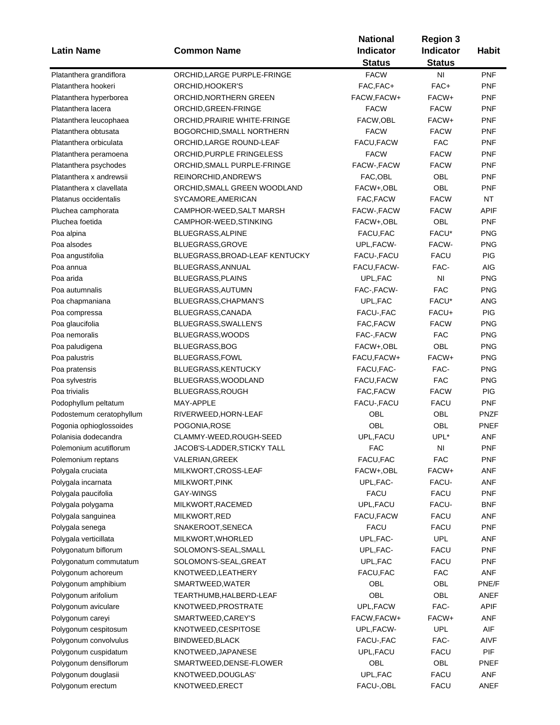|                          |                                  | <b>National</b> | <b>Region 3</b>  |              |
|--------------------------|----------------------------------|-----------------|------------------|--------------|
| <b>Latin Name</b>        | <b>Common Name</b>               | Indicator       | <b>Indicator</b> | <b>Habit</b> |
|                          |                                  | <b>Status</b>   | <b>Status</b>    |              |
| Platanthera grandiflora  | ORCHID, LARGE PURPLE-FRINGE      | <b>FACW</b>     | NI               | <b>PNF</b>   |
| Platanthera hookeri      | ORCHID, HOOKER'S                 | FAC, FAC+       | FAC+             | <b>PNF</b>   |
| Platanthera hyperborea   | ORCHID, NORTHERN GREEN           | FACW, FACW+     | FACW+            | <b>PNF</b>   |
| Platanthera lacera       | ORCHID, GREEN-FRINGE             | <b>FACW</b>     | <b>FACW</b>      | <b>PNF</b>   |
| Platanthera leucophaea   | ORCHID, PRAIRIE WHITE-FRINGE     | FACW, OBL       | FACW+            | <b>PNF</b>   |
| Platanthera obtusata     | <b>BOGORCHID, SMALL NORTHERN</b> | <b>FACW</b>     | <b>FACW</b>      | <b>PNF</b>   |
| Platanthera orbiculata   | ORCHID, LARGE ROUND-LEAF         | FACU, FACW      | <b>FAC</b>       | <b>PNF</b>   |
| Platanthera peramoena    | ORCHID, PURPLE FRINGELESS        | <b>FACW</b>     | <b>FACW</b>      | <b>PNF</b>   |
| Platanthera psychodes    | ORCHID, SMALL PURPLE-FRINGE      | FACW-, FACW     | <b>FACW</b>      | <b>PNF</b>   |
| Platanthera x andrewsii  | REINORCHID, ANDREW'S             | FAC, OBL        | OBL              | <b>PNF</b>   |
| Platanthera x clavellata |                                  | FACW+,OBL       | OBL              | <b>PNF</b>   |
| Platanus occidentalis    | ORCHID, SMALL GREEN WOODLAND     |                 | <b>FACW</b>      | NT           |
|                          | SYCAMORE, AMERICAN               | FAC, FACW       |                  |              |
| Pluchea camphorata       | CAMPHOR-WEED, SALT MARSH         | FACW-, FACW     | <b>FACW</b>      | <b>APIF</b>  |
| Pluchea foetida          | CAMPHOR-WEED, STINKING           | FACW+,OBL       | OBL              | <b>PNF</b>   |
| Poa alpina               | BLUEGRASS, ALPINE                | FACU, FAC       | FACU*            | <b>PNG</b>   |
| Poa alsodes              | BLUEGRASS, GROVE                 | UPL, FACW-      | FACW-            | <b>PNG</b>   |
| Poa angustifolia         | BLUEGRASS, BROAD-LEAF KENTUCKY   | FACU-, FACU     | <b>FACU</b>      | PIG          |
| Poa annua                | BLUEGRASS, ANNUAL                | FACU, FACW-     | FAC-             | AIG          |
| Poa arida                | <b>BLUEGRASS, PLAINS</b>         | UPL,FAC         | N <sub>l</sub>   | <b>PNG</b>   |
| Poa autumnalis           | BLUEGRASS, AUTUMN                | FAC-, FACW-     | <b>FAC</b>       | <b>PNG</b>   |
| Poa chapmaniana          | BLUEGRASS, CHAPMAN'S             | UPL, FAC        | FACU*            | ANG          |
| Poa compressa            | BLUEGRASS, CANADA                | FACU-, FAC      | FACU+            | PIG          |
| Poa glaucifolia          | BLUEGRASS, SWALLEN'S             | FAC, FACW       | <b>FACW</b>      | <b>PNG</b>   |
| Poa nemoralis            | BLUEGRASS, WOODS                 | FAC-,FACW       | <b>FAC</b>       | <b>PNG</b>   |
| Poa paludigena           | BLUEGRASS, BOG                   | FACW+,OBL       | OBL              | <b>PNG</b>   |
| Poa palustris            | BLUEGRASS, FOWL                  | FACU, FACW+     | FACW+            | <b>PNG</b>   |
| Poa pratensis            | <b>BLUEGRASS, KENTUCKY</b>       | FACU, FAC-      | FAC-             | <b>PNG</b>   |
| Poa sylvestris           | BLUEGRASS, WOODLAND              | FACU,FACW       | <b>FAC</b>       | <b>PNG</b>   |
| Poa trivialis            | BLUEGRASS, ROUGH                 | FAC, FACW       | <b>FACW</b>      | <b>PIG</b>   |
| Podophyllum peltatum     | MAY-APPLE                        | FACU-, FACU     | <b>FACU</b>      | <b>PNF</b>   |
| Podostemum ceratophyllum | RIVERWEED, HORN-LEAF             | OBL             | OBL              | <b>PNZF</b>  |
| Pogonia ophioglossoides  | POGONIA, ROSE                    | OBL             | OBL              | <b>PNEF</b>  |
| Polanisia dodecandra     | CLAMMY-WEED, ROUGH-SEED          | UPL, FACU       | UPL*             | <b>ANF</b>   |
| Polemonium acutiflorum   | JACOB'S-LADDER, STICKY TALL      | FAC             | NI               | PNF          |
| Polemonium reptans       | VALERIAN, GREEK                  | FACU, FAC       | <b>FAC</b>       | <b>PNF</b>   |
| Polygala cruciata        | MILKWORT, CROSS-LEAF             | FACW+,OBL       | FACW+            | ANF          |
| Polygala incarnata       | MILKWORT, PINK                   | UPL, FAC-       | FACU-            | ANF          |
| Polygala paucifolia      | <b>GAY-WINGS</b>                 | <b>FACU</b>     | <b>FACU</b>      | <b>PNF</b>   |
| Polygala polygama        | MILKWORT, RACEMED                | UPL, FACU       | FACU-            | <b>BNF</b>   |
|                          | MILKWORT, RED                    | FACU, FACW      | <b>FACU</b>      | ANF          |
| Polygala sanguinea       | SNAKEROOT, SENECA                |                 |                  | <b>PNF</b>   |
| Polygala senega          |                                  | FACU            | <b>FACU</b>      |              |
| Polygala verticillata    | MILKWORT, WHORLED                | UPL, FAC-       | <b>UPL</b>       | ANF          |
| Polygonatum biflorum     | SOLOMON'S-SEAL, SMALL            | UPL, FAC-       | <b>FACU</b>      | <b>PNF</b>   |
| Polygonatum commutatum   | SOLOMON'S-SEAL, GREAT            | UPL, FAC        | FACU             | <b>PNF</b>   |
| Polygonum achoreum       | KNOTWEED, LEATHERY               | FACU, FAC       | <b>FAC</b>       | ANF          |
| Polygonum amphibium      | SMARTWEED, WATER                 | OBL             | OBL              | PNE/F        |
| Polygonum arifolium      | TEARTHUMB,HALBERD-LEAF           | OBL             | OBL              | ANEF         |
| Polygonum aviculare      | KNOTWEED, PROSTRATE              | UPL, FACW       | FAC-             | <b>APIF</b>  |
| Polygonum careyi         | SMARTWEED, CAREY'S               | FACW, FACW+     | FACW+            | ANF          |
| Polygonum cespitosum     | KNOTWEED, CESPITOSE              | UPL, FACW-      | <b>UPL</b>       | AIF          |
| Polygonum convolvulus    | BINDWEED, BLACK                  | FACU-, FAC      | FAC-             | AIVF         |
| Polygonum cuspidatum     | KNOTWEED, JAPANESE               | UPL, FACU       | <b>FACU</b>      | PIF          |
| Polygonum densiflorum    | SMARTWEED, DENSE-FLOWER          | OBL             | OBL              | <b>PNEF</b>  |
| Polygonum douglasii      | KNOTWEED, DOUGLAS'               | UPL, FAC        | <b>FACU</b>      | ANF          |
| Polygonum erectum        | KNOTWEED, ERECT                  | FACU-, OBL      | <b>FACU</b>      | ANEF         |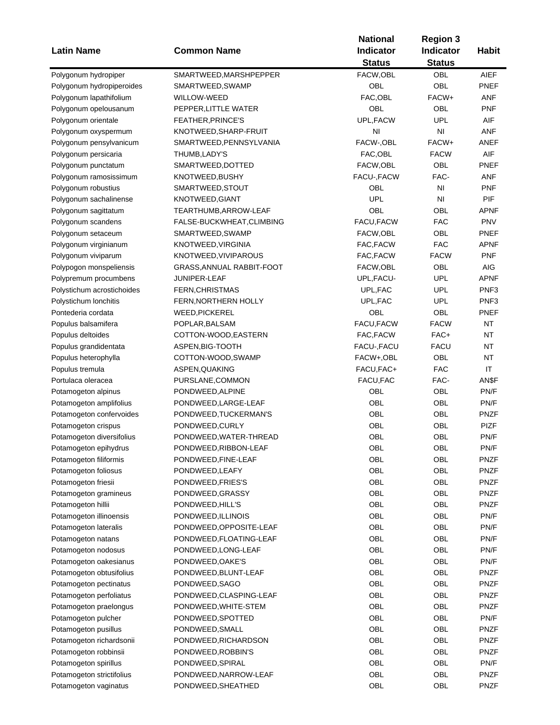|                            |                           | <b>National</b> | <b>Region 3</b> |                  |
|----------------------------|---------------------------|-----------------|-----------------|------------------|
| <b>Latin Name</b>          | <b>Common Name</b>        | Indicator       | Indicator       | <b>Habit</b>     |
|                            |                           | <b>Status</b>   | <b>Status</b>   |                  |
| Polygonum hydropiper       | SMARTWEED, MARSHPEPPER    | FACW, OBL       | OBL             | <b>AIEF</b>      |
| Polygonum hydropiperoides  | SMARTWEED, SWAMP          | OBL             | OBL             | PNEF             |
| Polygonum lapathifolium    | WILLOW-WEED               | FAC, OBL        | FACW+           | ANF              |
| Polygonum opelousanum      | PEPPER, LITTLE WATER      | OBL             | OBL             | <b>PNF</b>       |
| Polygonum orientale        | FEATHER, PRINCE'S         | UPL, FACW       | <b>UPL</b>      | AIF              |
| Polygonum oxyspermum       | KNOTWEED, SHARP-FRUIT     | NI              | NI              | ANF              |
| Polygonum pensylvanicum    | SMARTWEED, PENNSYLVANIA   | FACW-, OBL      | FACW+           | ANEF             |
|                            | THUMB, LADY'S             | FAC, OBL        | <b>FACW</b>     | AIF              |
| Polygonum persicaria       |                           |                 |                 |                  |
| Polygonum punctatum        | SMARTWEED, DOTTED         | FACW, OBL       | OBL             | PNEF             |
| Polygonum ramosissimum     | KNOTWEED, BUSHY           | FACU-, FACW     | FAC-            | <b>ANF</b>       |
| Polygonum robustius        | SMARTWEED, STOUT          | <b>OBL</b>      | NI              | <b>PNF</b>       |
| Polygonum sachalinense     | KNOTWEED, GIANT           | <b>UPL</b>      | NI              | <b>PIF</b>       |
| Polygonum sagittatum       | TEARTHUMB, ARROW-LEAF     | OBL             | OBL             | APNF             |
| Polygonum scandens         | FALSE-BUCKWHEAT, CLIMBING | FACU, FACW      | <b>FAC</b>      | <b>PNV</b>       |
| Polygonum setaceum         | SMARTWEED, SWAMP          | FACW, OBL       | OBL             | PNEF             |
| Polygonum virginianum      | KNOTWEED, VIRGINIA        | FAC, FACW       | <b>FAC</b>      | APNF             |
| Polygonum viviparum        | KNOTWEED, VIVIPAROUS      | FAC, FACW       | <b>FACW</b>     | <b>PNF</b>       |
| Polypogon monspeliensis    | GRASS, ANNUAL RABBIT-FOOT | FACW,OBL        | OBL             | AIG              |
| Polypremum procumbens      | JUNIPER-LEAF              | UPL, FACU-      | <b>UPL</b>      | <b>APNF</b>      |
| Polystichum acrostichoides | <b>FERN, CHRISTMAS</b>    | UPL, FAC        | <b>UPL</b>      | PNF <sub>3</sub> |
| Polystichum lonchitis      | FERN, NORTHERN HOLLY      | UPL, FAC        | <b>UPL</b>      | PNF <sub>3</sub> |
| Pontederia cordata         | <b>WEED, PICKEREL</b>     | OBL             | OBL             | PNEF             |
| Populus balsamifera        | POPLAR, BALSAM            | FACU, FACW      | <b>FACW</b>     | <b>NT</b>        |
| Populus deltoides          | COTTON-WOOD, EASTERN      | FAC, FACW       | FAC+            | <b>NT</b>        |
| Populus grandidentata      | ASPEN, BIG-TOOTH          | FACU-, FACU     | <b>FACU</b>     | <b>NT</b>        |
| Populus heterophylla       | COTTON-WOOD, SWAMP        | FACW+,OBL       | OBL             | <b>NT</b>        |
| Populus tremula            | ASPEN, QUAKING            | FACU, FAC+      | <b>FAC</b>      | IT               |
| Portulaca oleracea         | PURSLANE, COMMON          | FACU, FAC       | FAC-            | AN\$F            |
| Potamogeton alpinus        | PONDWEED, ALPINE          | OBL             | OBL             | PN/F             |
| Potamogeton amplifolius    | PONDWEED, LARGE-LEAF      | OBL             | OBL             | PN/F             |
|                            |                           | OBL             | OBL             | <b>PNZF</b>      |
| Potamogeton confervoides   | PONDWEED, TUCKERMAN'S     |                 |                 |                  |
| Potamogeton crispus        | PONDWEED, CURLY           | OBL             | OBL             | <b>PIZF</b>      |
| Potamogeton diversifolius  | PONDWEED, WATER-THREAD    | OBL             | OBL             | PN/F             |
| Potamogeton epihydrus      | PONDWEED, RIBBON-LEAF     | OBL             | OBL             | PN/F             |
| Potamogeton filiformis     | PONDWEED, FINE-LEAF       | OBL             | OBL             | <b>PNZF</b>      |
| Potamogeton foliosus       | PONDWEED, LEAFY           | OBL             | OBL             | <b>PNZF</b>      |
| Potamogeton friesii        | PONDWEED, FRIES'S         | OBL             | OBL             | <b>PNZF</b>      |
| Potamogeton gramineus      | PONDWEED, GRASSY          | OBL             | OBL             | <b>PNZF</b>      |
| Potamogeton hillii         | PONDWEED, HILL'S          | OBL             | OBL             | PNZF             |
| Potamogeton illinoensis    | PONDWEED, ILLINOIS        | OBL             | OBL             | PN/F             |
| Potamogeton lateralis      | PONDWEED, OPPOSITE-LEAF   | OBL             | OBL             | PN/F             |
| Potamogeton natans         | PONDWEED, FLOATING-LEAF   | OBL             | OBL             | PN/F             |
| Potamogeton nodosus        | PONDWEED, LONG-LEAF       | OBL             | OBL             | PN/F             |
| Potamogeton oakesianus     | PONDWEED, OAKE'S          | OBL             | OBL             | PN/F             |
| Potamogeton obtusifolius   | PONDWEED, BLUNT-LEAF      | OBL             | OBL             | <b>PNZF</b>      |
| Potamogeton pectinatus     | PONDWEED, SAGO            | OBL             | OBL             | <b>PNZF</b>      |
| Potamogeton perfoliatus    | PONDWEED, CLASPING-LEAF   | OBL             | OBL             | <b>PNZF</b>      |
| Potamogeton praelongus     | PONDWEED, WHITE-STEM      | OBL             | OBL             | <b>PNZF</b>      |
| Potamogeton pulcher        | PONDWEED, SPOTTED         | OBL             | OBL             | PN/F             |
| Potamogeton pusillus       | PONDWEED, SMALL           | OBL             | OBL             | <b>PNZF</b>      |
| Potamogeton richardsonii   | PONDWEED, RICHARDSON      | OBL             | OBL             | <b>PNZF</b>      |
| Potamogeton robbinsii      | PONDWEED, ROBBIN'S        | OBL             | OBL             | <b>PNZF</b>      |
| Potamogeton spirillus      | PONDWEED, SPIRAL          | OBL             | OBL             | PN/F             |
|                            |                           |                 |                 |                  |
| Potamogeton strictifolius  | PONDWEED, NARROW-LEAF     | OBL             | OBL             | <b>PNZF</b>      |
| Potamogeton vaginatus      | PONDWEED, SHEATHED        | OBL             | OBL             | <b>PNZF</b>      |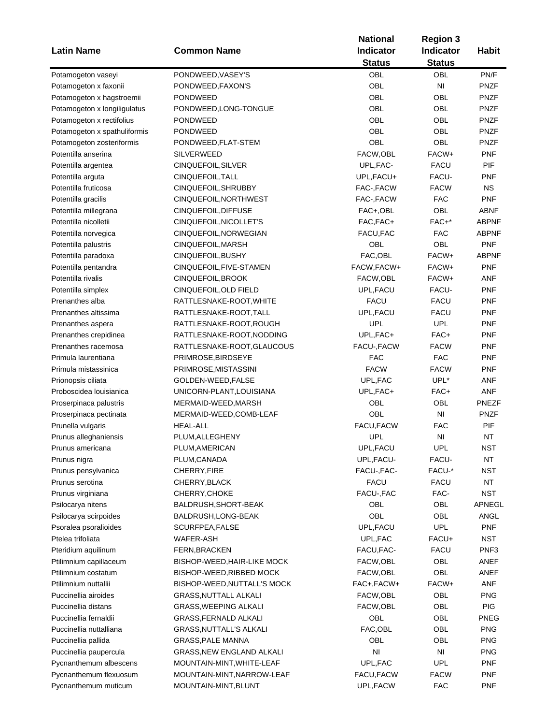|                              |                                  | <b>National</b>  | <b>Region 3</b> |                  |
|------------------------------|----------------------------------|------------------|-----------------|------------------|
| <b>Latin Name</b>            | <b>Common Name</b>               | <b>Indicator</b> | Indicator       | <b>Habit</b>     |
|                              |                                  | <b>Status</b>    | <b>Status</b>   |                  |
| Potamogeton vaseyi           | PONDWEED, VASEY'S                | <b>OBL</b>       | <b>OBL</b>      | PN/F             |
| Potamogeton x faxonii        | PONDWEED, FAXON'S                | <b>OBL</b>       | NI              | <b>PNZF</b>      |
| Potamogeton x hagstroemii    | <b>PONDWEED</b>                  | OBL              | OBL             | <b>PNZF</b>      |
| Potamogeton x longiligulatus | PONDWEED, LONG-TONGUE            | <b>OBL</b>       | <b>OBL</b>      | <b>PNZF</b>      |
| Potamogeton x rectifolius    | <b>PONDWEED</b>                  | OBL              | OBL             | <b>PNZF</b>      |
| Potamogeton x spathuliformis | <b>PONDWEED</b>                  | <b>OBL</b>       | OBL             | <b>PNZF</b>      |
| Potamogeton zosteriformis    | PONDWEED, FLAT-STEM              | <b>OBL</b>       | OBL             | <b>PNZF</b>      |
| Potentilla anserina          | <b>SILVERWEED</b>                | FACW,OBL         | FACW+           | <b>PNF</b>       |
|                              | CINQUEFOIL, SILVER               | UPL, FAC-        | <b>FACU</b>     | PIF              |
| Potentilla argentea          |                                  |                  | FACU-           |                  |
| Potentilla arguta            | CINQUEFOIL, TALL                 | UPL, FACU+       |                 | PNF              |
| Potentilla fruticosa         | CINQUEFOIL, SHRUBBY              | FAC-, FACW       | <b>FACW</b>     | <b>NS</b>        |
| Potentilla gracilis          | CINQUEFOIL, NORTHWEST            | FAC-, FACW       | <b>FAC</b>      | <b>PNF</b>       |
| Potentilla millegrana        | CINQUEFOIL, DIFFUSE              | FAC+,OBL         | <b>OBL</b>      | ABNF             |
| Potentilla nicolletii        | CINQUEFOIL, NICOLLET'S           | FAC, FAC+        | FAC+*           | <b>ABPNF</b>     |
| Potentilla norvegica         | CINQUEFOIL, NORWEGIAN            | FACU, FAC        | <b>FAC</b>      | <b>ABPNF</b>     |
| Potentilla palustris         | CINQUEFOIL, MARSH                | OBL              | OBL             | <b>PNF</b>       |
| Potentilla paradoxa          | CINQUEFOIL, BUSHY                | FAC, OBL         | FACW+           | <b>ABPNF</b>     |
| Potentilla pentandra         | CINQUEFOIL, FIVE-STAMEN          | FACW, FACW+      | FACW+           | <b>PNF</b>       |
| Potentilla rivalis           | CINQUEFOIL, BROOK                | FACW, OBL        | FACW+           | ANF              |
| Potentilla simplex           | CINQUEFOIL, OLD FIELD            | UPL, FACU        | FACU-           | <b>PNF</b>       |
| Prenanthes alba              | RATTLESNAKE-ROOT, WHITE          | <b>FACU</b>      | <b>FACU</b>     | <b>PNF</b>       |
| Prenanthes altissima         | RATTLESNAKE-ROOT, TALL           | UPL, FACU        | <b>FACU</b>     | <b>PNF</b>       |
| Prenanthes aspera            | RATTLESNAKE-ROOT, ROUGH          | <b>UPL</b>       | <b>UPL</b>      | <b>PNF</b>       |
| Prenanthes crepidinea        | RATTLESNAKE-ROOT, NODDING        | UPL, FAC+        | FAC+            | <b>PNF</b>       |
| Prenanthes racemosa          | RATTLESNAKE-ROOT, GLAUCOUS       | FACU-, FACW      | <b>FACW</b>     | <b>PNF</b>       |
| Primula laurentiana          | PRIMROSE, BIRDSEYE               | <b>FAC</b>       | <b>FAC</b>      | <b>PNF</b>       |
| Primula mistassinica         | PRIMROSE, MISTASSINI             | <b>FACW</b>      | <b>FACW</b>     | <b>PNF</b>       |
| Prionopsis ciliata           | GOLDEN-WEED, FALSE               | UPL, FAC         | UPL*            | ANF              |
| Proboscidea louisianica      | UNICORN-PLANT, LOUISIANA         | UPL,FAC+         | FAC+            | <b>ANF</b>       |
| Proserpinaca palustris       | MERMAID-WEED, MARSH              | OBL              | OBL             | <b>PNEZF</b>     |
| Proserpinaca pectinata       | MERMAID-WEED, COMB-LEAF          | OBL              | N <sub>1</sub>  | <b>PNZF</b>      |
| Prunella vulgaris            | <b>HEAL-ALL</b>                  | FACU, FACW       | <b>FAC</b>      | PIF              |
| Prunus alleghaniensis        | PLUM, ALLEGHENY                  | <b>UPL</b>       | N <sub>l</sub>  | <b>NT</b>        |
| Prunus americana             | PLUM, AMERICAN                   | UPL, FACU        | UPL             | NST              |
| Prunus nigra                 | PLUM, CANADA                     | UPL, FACU-       | FACU-           | NT               |
| Prunus pensylvanica          | CHERRY, FIRE                     | FACU-, FAC-      | FACU-*          | <b>NST</b>       |
| Prunus serotina              | CHERRY, BLACK                    | <b>FACU</b>      | <b>FACU</b>     | NT               |
|                              | CHERRY, CHOKE                    |                  |                 |                  |
| Prunus virginiana            |                                  | FACU-, FAC       | FAC-            | <b>NST</b>       |
| Psilocarya nitens            | BALDRUSH, SHORT-BEAK             | OBL              | OBL             | APNEGL           |
| Psilocarya scirpoides        | BALDRUSH, LONG-BEAK              | OBL              | OBL             | ANGL             |
| Psoralea psoralioides        | SCURFPEA, FALSE                  | UPL, FACU        | <b>UPL</b>      | <b>PNF</b>       |
| Ptelea trifoliata            | <b>WAFER-ASH</b>                 | UPL, FAC         | FACU+           | <b>NST</b>       |
| Pteridium aquilinum          | FERN, BRACKEN                    | FACU, FAC-       | <b>FACU</b>     | PNF <sub>3</sub> |
| Ptilimnium capillaceum       | BISHOP-WEED, HAIR-LIKE MOCK      | FACW, OBL        | OBL             | ANEF             |
| Ptilimnium costatum          | BISHOP-WEED, RIBBED MOCK         | FACW, OBL        | OBL             | ANEF             |
| Ptilimnium nuttallii         | BISHOP-WEED, NUTTALL'S MOCK      | FAC+, FACW+      | FACW+           | ANF              |
| Puccinellia airoides         | <b>GRASS, NUTTALL ALKALI</b>     | FACW, OBL        | OBL             | <b>PNG</b>       |
| Puccinellia distans          | <b>GRASS, WEEPING ALKALI</b>     | FACW, OBL        | OBL             | <b>PIG</b>       |
| Puccinellia fernaldii        | <b>GRASS, FERNALD ALKALI</b>     | OBL              | OBL             | <b>PNEG</b>      |
| Puccinellia nuttalliana      | <b>GRASS, NUTTALL'S ALKALI</b>   | FAC, OBL         | OBL             | <b>PNG</b>       |
| Puccinellia pallida          | <b>GRASS, PALE MANNA</b>         | OBL              | OBL             | <b>PNG</b>       |
| Puccinellia paupercula       | <b>GRASS, NEW ENGLAND ALKALI</b> | N <sub>l</sub>   | NI              | <b>PNG</b>       |
| Pycnanthemum albescens       | MOUNTAIN-MINT, WHITE-LEAF        | UPL, FAC         | <b>UPL</b>      | <b>PNF</b>       |
| Pycnanthemum flexuosum       | MOUNTAIN-MINT, NARROW-LEAF       | FACU, FACW       | <b>FACW</b>     | <b>PNF</b>       |
| Pycnanthemum muticum         | MOUNTAIN-MINT, BLUNT             | UPL,FACW         | <b>FAC</b>      | PNF              |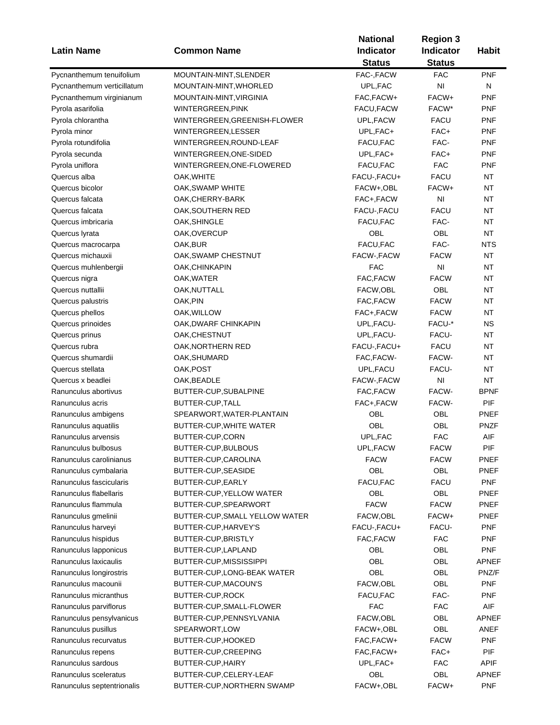| <b>Latin Name</b>          | <b>Common Name</b>             | <b>National</b><br><b>Indicator</b> | <b>Region 3</b><br><b>Indicator</b> | <b>Habit</b> |
|----------------------------|--------------------------------|-------------------------------------|-------------------------------------|--------------|
|                            |                                | <b>Status</b>                       | <b>Status</b>                       |              |
| Pycnanthemum tenuifolium   | MOUNTAIN-MINT, SLENDER         | FAC-, FACW                          | <b>FAC</b>                          | <b>PNF</b>   |
| Pycnanthemum verticillatum | MOUNTAIN-MINT, WHORLED         | UPL, FAC                            | NI                                  | N            |
| Pycnanthemum virginianum   | MOUNTAIN-MINT,VIRGINIA         | FAC, FACW+                          | FACW+                               | <b>PNF</b>   |
| Pyrola asarifolia          | WINTERGREEN, PINK              | FACU, FACW                          | FACW*                               | <b>PNF</b>   |
| Pyrola chlorantha          | WINTERGREEN, GREENISH-FLOWER   | UPL, FACW                           | <b>FACU</b>                         | <b>PNF</b>   |
| Pyrola minor               | WINTERGREEN, LESSER            | UPL, FAC+                           | FAC+                                | <b>PNF</b>   |
| Pyrola rotundifolia        | WINTERGREEN, ROUND-LEAF        | FACU, FAC                           | FAC-                                | <b>PNF</b>   |
| Pyrola secunda             | WINTERGREEN, ONE-SIDED         | UPL, FAC+                           | FAC+                                | <b>PNF</b>   |
| Pyrola uniflora            | WINTERGREEN, ONE-FLOWERED      | FACU, FAC                           | <b>FAC</b>                          | <b>PNF</b>   |
| Quercus alba               | OAK, WHITE                     | FACU-, FACU+                        | <b>FACU</b>                         | <b>NT</b>    |
| Quercus bicolor            | OAK, SWAMP WHITE               | FACW+,OBL                           | FACW+                               | NT           |
| Quercus falcata            | OAK, CHERRY-BARK               | FAC+,FACW                           | ΝI                                  | NT           |
| Quercus falcata            | OAK,SOUTHERN RED               | FACU-, FACU                         | <b>FACU</b>                         | NT           |
| Quercus imbricaria         | OAK, SHINGLE                   | FACU, FAC                           | FAC-                                | <b>NT</b>    |
| Quercus lyrata             | OAK,OVERCUP                    | OBL                                 | OBL                                 | <b>NT</b>    |
| Quercus macrocarpa         | OAK,BUR                        | FACU, FAC                           | FAC-                                | <b>NTS</b>   |
| Quercus michauxii          | OAK, SWAMP CHESTNUT            | FACW-, FACW                         | <b>FACW</b>                         | <b>NT</b>    |
| Quercus muhlenbergii       | OAK,CHINKAPIN                  | <b>FAC</b>                          | N <sub>l</sub>                      | <b>NT</b>    |
| Quercus nigra              | OAK,WATER                      | FAC, FACW                           | <b>FACW</b>                         | <b>NT</b>    |
| Quercus nuttallii          | OAK, NUTTALL                   | FACW, OBL                           | OBL                                 | NT           |
| Quercus palustris          | OAK, PIN                       | FAC, FACW                           | <b>FACW</b>                         | <b>NT</b>    |
| Quercus phellos            | OAK,WILLOW                     | FAC+,FACW                           | <b>FACW</b>                         | <b>NT</b>    |
| Quercus prinoides          | OAK, DWARF CHINKAPIN           | UPL, FACU-                          | FACU-*                              | <b>NS</b>    |
| Quercus prinus             | OAK, CHESTNUT                  | UPL, FACU-                          | FACU-                               | <b>NT</b>    |
| Quercus rubra              | OAK, NORTHERN RED              | FACU-, FACU+                        | <b>FACU</b>                         | <b>NT</b>    |
| Quercus shumardii          | OAK, SHUMARD                   | FAC, FACW-                          | FACW-                               | <b>NT</b>    |
| Quercus stellata           | OAK, POST                      | UPL, FACU                           | FACU-                               | <b>NT</b>    |
|                            |                                |                                     |                                     |              |
| Quercus x beadlei          | OAK, BEADLE                    | FACW-, FACW                         | NI                                  | NT           |
| Ranunculus abortivus       | BUTTER-CUP, SUBALPINE          | FAC, FACW                           | FACW-                               | <b>BPNF</b>  |
| Ranunculus acris           | BUTTER-CUP, TALL               | FAC+,FACW                           | FACW-                               | PIF          |
| Ranunculus ambigens        | SPEARWORT, WATER-PLANTAIN      | OBL                                 | OBL                                 | PNEF         |
| Ranunculus aquatilis       | <b>BUTTER-CUP, WHITE WATER</b> | OBL                                 | OBL                                 | <b>PNZF</b>  |
| Ranunculus arvensis        | BUTTER-CUP,CORN                | UPL, FAC                            | <b>FAC</b>                          | AIF          |
| Ranunculus bulbosus        | BUTTER-CUP, BULBOUS            | UPL, FACW                           | <b>FACW</b>                         | PIF          |
| Ranunculus carolinianus    | BUTTER-CUP, CAROLINA           | <b>FACW</b>                         | <b>FACW</b>                         | PNEF         |
| Ranunculus cymbalaria      | BUTTER-CUP, SEASIDE            | OBL                                 | OBL                                 | PNEF         |
| Ranunculus fascicularis    | BUTTER-CUP, EARLY              | FACU, FAC                           | <b>FACU</b>                         | <b>PNF</b>   |
| Ranunculus flabellaris     | BUTTER-CUP, YELLOW WATER       | OBL                                 | OBL                                 | <b>PNEF</b>  |
| Ranunculus flammula        | BUTTER-CUP, SPEARWORT          | <b>FACW</b>                         | <b>FACW</b>                         | <b>PNEF</b>  |
| Ranunculus gmelinii        | BUTTER-CUP, SMALL YELLOW WATER | FACW,OBL                            | FACW+                               | PNEF         |
| Ranunculus harveyi         | BUTTER-CUP, HARVEY'S           | FACU-, FACU+                        | FACU-                               | <b>PNF</b>   |
| Ranunculus hispidus        | BUTTER-CUP, BRISTLY            | FAC, FACW                           | FAC                                 | <b>PNF</b>   |
| Ranunculus lapponicus      | BUTTER-CUP, LAPLAND            | OBL                                 | OBL                                 | <b>PNF</b>   |
| Ranunculus laxicaulis      | BUTTER-CUP, MISSISSIPPI        | OBL                                 | OBL                                 | APNEF        |
| Ranunculus longirostris    | BUTTER-CUP, LONG-BEAK WATER    | OBL                                 | OBL                                 | PNZ/F        |
| Ranunculus macounii        | BUTTER-CUP, MACOUN'S           | FACW, OBL                           | OBL                                 | <b>PNF</b>   |
| Ranunculus micranthus      | <b>BUTTER-CUP, ROCK</b>        | FACU, FAC                           | FAC-                                | <b>PNF</b>   |
| Ranunculus parviflorus     | BUTTER-CUP, SMALL-FLOWER       | <b>FAC</b>                          | <b>FAC</b>                          | AIF          |
| Ranunculus pensylvanicus   | BUTTER-CUP, PENNSYLVANIA       | FACW, OBL                           | OBL                                 | APNEF        |
| Ranunculus pusillus        | SPEARWORT, LOW                 | FACW+,OBL                           | OBL                                 | ANEF         |
| Ranunculus recurvatus      | BUTTER-CUP, HOOKED             | FAC, FACW+                          | <b>FACW</b>                         | <b>PNF</b>   |
| Ranunculus repens          | BUTTER-CUP, CREEPING           | FAC, FACW+                          | FAC+                                | <b>PIF</b>   |
| Ranunculus sardous         | BUTTER-CUP, HAIRY              | UPL, FAC+                           | <b>FAC</b>                          | <b>APIF</b>  |
| Ranunculus sceleratus      | BUTTER-CUP, CELERY-LEAF        | OBL                                 | OBL                                 | <b>APNEF</b> |
|                            |                                |                                     |                                     |              |
| Ranunculus septentrionalis | BUTTER-CUP, NORTHERN SWAMP     | FACW+,OBL                           | FACW+                               | <b>PNF</b>   |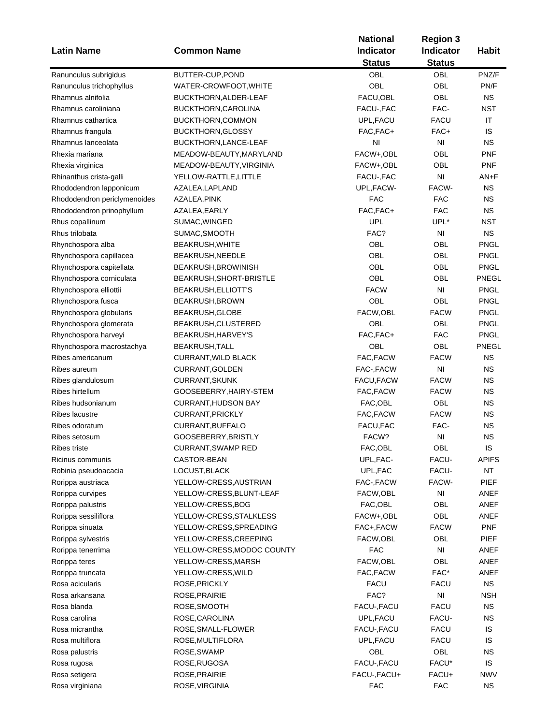|                              |                            | <b>National</b>  | <b>Region 3</b>        |              |
|------------------------------|----------------------------|------------------|------------------------|--------------|
| <b>Latin Name</b>            | <b>Common Name</b>         | <b>Indicator</b> | <b>Indicator</b>       | <b>Habit</b> |
|                              |                            | <b>Status</b>    | <b>Status</b>          |              |
| Ranunculus subrigidus        | BUTTER-CUP, POND           | OBL              | OBL                    | PNZ/F        |
| Ranunculus trichophyllus     | WATER-CROWFOOT, WHITE      | OBL              | <b>OBL</b>             | PN/F         |
| Rhamnus alnifolia            | BUCKTHORN, ALDER-LEAF      | FACU, OBL        | <b>OBL</b>             | <b>NS</b>    |
| Rhamnus caroliniana          | BUCKTHORN, CAROLINA        | FACU-, FAC       | FAC-                   | <b>NST</b>   |
| Rhamnus cathartica           | BUCKTHORN,COMMON           | UPL, FACU        | <b>FACU</b>            | IT           |
| Rhamnus frangula             | <b>BUCKTHORN, GLOSSY</b>   | FAC, FAC+        | FAC+                   | IS           |
| Rhamnus lanceolata           | BUCKTHORN, LANCE-LEAF      | NI               | ΝI                     | <b>NS</b>    |
| Rhexia mariana               |                            | FACW+,OBL        | OBL                    | <b>PNF</b>   |
|                              | MEADOW-BEAUTY, MARYLAND    |                  |                        |              |
| Rhexia virginica             | MEADOW-BEAUTY, VIRGINIA    | FACW+,OBL        | OBL                    | <b>PNF</b>   |
| Rhinanthus crista-galli      | YELLOW-RATTLE, LITTLE      | FACU-, FAC       | NI                     | AN+F         |
| Rhododendron lapponicum      | AZALEA,LAPLAND             | UPL,FACW-        | FACW-                  | <b>NS</b>    |
| Rhododendron periclymenoides | AZALEA,PINK                | FAC              | FAC                    | <b>NS</b>    |
| Rhododendron prinophyllum    | AZALEA,EARLY               | FAC, FAC+        | <b>FAC</b>             | <b>NS</b>    |
| Rhus copallinum              | SUMAC, WINGED              | <b>UPL</b>       | UPL*                   | <b>NST</b>   |
| Rhus trilobata               | SUMAC, SMOOTH              | FAC?             | NI                     | <b>NS</b>    |
| Rhynchospora alba            | BEAKRUSH, WHITE            | OBL              | OBL                    | <b>PNGL</b>  |
| Rhynchospora capillacea      | BEAKRUSH, NEEDLE           | OBL              | OBL                    | <b>PNGL</b>  |
| Rhynchospora capitellata     | BEAKRUSH, BROWINISH        | OBL              | OBL                    | <b>PNGL</b>  |
| Rhynchospora corniculata     | BEAKRUSH, SHORT-BRISTLE    | OBL              | OBL                    | PNEGL        |
| Rhynchospora elliottii       | BEAKRUSH, ELLIOTT'S        | <b>FACW</b>      | N <sub>l</sub>         | <b>PNGL</b>  |
| Rhynchospora fusca           | BEAKRUSH, BROWN            | OBL              | OBL                    | <b>PNGL</b>  |
| Rhynchospora globularis      | BEAKRUSH, GLOBE            | FACW,OBL         | <b>FACW</b>            | <b>PNGL</b>  |
| Rhynchospora glomerata       | BEAKRUSH, CLUSTERED        | OBL              | OBL                    | <b>PNGL</b>  |
| Rhynchospora harveyi         | BEAKRUSH, HARVEY'S         | FAC, FAC+        | <b>FAC</b>             | <b>PNGL</b>  |
| Rhynchospora macrostachya    | <b>BEAKRUSH, TALL</b>      | OBL              | OBL                    | PNEGL        |
| Ribes americanum             | <b>CURRANT, WILD BLACK</b> | FAC, FACW        | <b>FACW</b>            | <b>NS</b>    |
| Ribes aureum                 | CURRANT, GOLDEN            | FAC-, FACW       | NI                     | <b>NS</b>    |
| Ribes glandulosum            | <b>CURRANT, SKUNK</b>      | FACU, FACW       | <b>FACW</b>            | <b>NS</b>    |
| Ribes hirtellum              | GOOSEBERRY, HAIRY-STEM     | FAC, FACW        | <b>FACW</b>            | <b>NS</b>    |
| Ribes hudsonianum            | <b>CURRANT, HUDSON BAY</b> | FAC, OBL         | OBL                    | <b>NS</b>    |
| Ribes lacustre               | CURRANT, PRICKLY           | FAC, FACW        | <b>FACW</b>            | <b>NS</b>    |
| Ribes odoratum               | CURRANT, BUFFALO           | FACU, FAC        | FAC-                   | <b>NS</b>    |
| Ribes setosum                | GOOSEBERRY, BRISTLY        | FACW?            | N <sub>l</sub>         | <b>NS</b>    |
| Ribes triste                 |                            | FAC, OBL         |                        |              |
|                              | CURRANT, SWAMP RED         |                  | OBL                    | IS.          |
| Ricinus communis             | CASTOR-BEAN                | UPL, FAC-        | FACU-                  | <b>APIFS</b> |
| Robinia pseudoacacia         | LOCUST, BLACK              | UPL, FAC         | FACU-                  | NT           |
| Rorippa austriaca            | YELLOW-CRESS, AUSTRIAN     | FAC-, FACW       | FACW-                  | <b>PIEF</b>  |
| Rorippa curvipes             | YELLOW-CRESS, BLUNT-LEAF   | FACW,OBL         | NI                     | ANEF         |
| Rorippa palustris            | YELLOW-CRESS, BOG          | FAC, OBL         | OBL                    | ANEF         |
| Rorippa sessiliflora         | YELLOW-CRESS, STALKLESS    | FACW+,OBL        | OBL                    | ANEF         |
| Rorippa sinuata              | YELLOW-CRESS, SPREADING    | FAC+, FACW       | <b>FACW</b>            | <b>PNF</b>   |
| Rorippa sylvestris           | YELLOW-CRESS, CREEPING     | FACW,OBL         | OBL                    | <b>PIEF</b>  |
| Rorippa tenerrima            | YELLOW-CRESS, MODOC COUNTY | <b>FAC</b>       | NI                     | ANEF         |
| Rorippa teres                | YELLOW-CRESS, MARSH        | FACW,OBL         | OBL                    | ANEF         |
| Rorippa truncata             | YELLOW-CRESS, WILD         | FAC, FACW        | FAC*                   | ANEF         |
| Rosa acicularis              | ROSE, PRICKLY              | <b>FACU</b>      | <b>FACU</b>            | <b>NS</b>    |
| Rosa arkansana               | ROSE, PRAIRIE              | FAC?             | $\mathsf{N}\mathsf{I}$ | <b>NSH</b>   |
| Rosa blanda                  | ROSE, SMOOTH               | FACU-, FACU      | <b>FACU</b>            | <b>NS</b>    |
| Rosa carolina                | ROSE, CAROLINA             | UPL, FACU        | FACU-                  | <b>NS</b>    |
| Rosa micrantha               | ROSE, SMALL-FLOWER         | FACU-, FACU      | <b>FACU</b>            | IS           |
| Rosa multiflora              | ROSE, MULTIFLORA           | UPL, FACU        | <b>FACU</b>            | IS           |
| Rosa palustris               | ROSE, SWAMP                | OBL              | OBL                    | <b>NS</b>    |
| Rosa rugosa                  | ROSE, RUGOSA               | FACU-, FACU      | FACU*                  | IS           |
| Rosa setigera                | ROSE, PRAIRIE              | FACU-, FACU+     | FACU+                  | <b>NWV</b>   |
| Rosa virginiana              | ROSE, VIRGINIA             | <b>FAC</b>       | <b>FAC</b>             | NS           |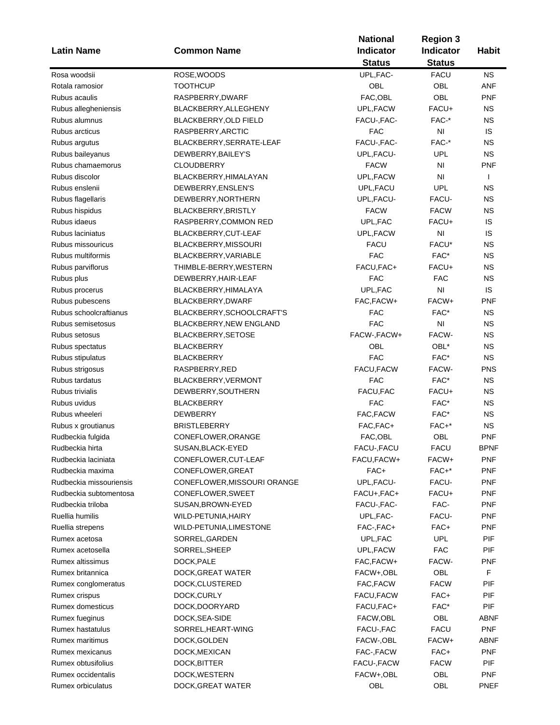|                         |                             | <b>National</b> |                                                                                                                                                                                                                                                                                                                                                                                                                                                                                                                                                        |              |
|-------------------------|-----------------------------|-----------------|--------------------------------------------------------------------------------------------------------------------------------------------------------------------------------------------------------------------------------------------------------------------------------------------------------------------------------------------------------------------------------------------------------------------------------------------------------------------------------------------------------------------------------------------------------|--------------|
| <b>Latin Name</b>       | <b>Common Name</b>          | Indicator       |                                                                                                                                                                                                                                                                                                                                                                                                                                                                                                                                                        | <b>Habit</b> |
|                         |                             | <b>Status</b>   | <b>Region 3</b><br><b>Indicator</b><br><b>Status</b><br><b>FACU</b><br>OBL<br>OBL<br>FACU+<br>FAC-*<br>NI<br>FAC-*<br>UPL<br>N <sub>l</sub><br>NI<br><b>UPL</b><br>FACU-<br><b>FACW</b><br>FACU+<br>NI<br>FACU*<br>FAC*<br>FACU+<br><b>FAC</b><br>N <sub>l</sub><br>FACW+<br>FAC*<br>N <sub>l</sub><br>FACW-<br>OBL*<br>FAC*<br>FACW-<br>FAC*<br>FACU+<br>FAC*<br>FAC*<br>FAC+*<br>OBL<br><b>FACU</b><br>FACW+<br>$FAC+*$<br>FACU-<br>FACU+<br>FAC-<br>FACU-<br>FAC+<br><b>UPL</b><br><b>FAC</b><br>FACW-<br>OBL<br><b>FACW</b><br>FAC+<br>FAC*<br>OBL |              |
| Rosa woodsii            | ROSE, WOODS                 | UPL, FAC-       |                                                                                                                                                                                                                                                                                                                                                                                                                                                                                                                                                        | <b>NS</b>    |
| Rotala ramosior         | <b>TOOTHCUP</b>             | OBL             |                                                                                                                                                                                                                                                                                                                                                                                                                                                                                                                                                        | <b>ANF</b>   |
| Rubus acaulis           | RASPBERRY, DWARF            | FAC, OBL        |                                                                                                                                                                                                                                                                                                                                                                                                                                                                                                                                                        | <b>PNF</b>   |
| Rubus allegheniensis    | BLACKBERRY, ALLEGHENY       | UPL, FACW       |                                                                                                                                                                                                                                                                                                                                                                                                                                                                                                                                                        | ΝS           |
| Rubus alumnus           | BLACKBERRY, OLD FIELD       | FACU-, FAC-     |                                                                                                                                                                                                                                                                                                                                                                                                                                                                                                                                                        | <b>NS</b>    |
| Rubus arcticus          | RASPBERRY, ARCTIC           | <b>FAC</b>      |                                                                                                                                                                                                                                                                                                                                                                                                                                                                                                                                                        | IS           |
| Rubus argutus           | BLACKBERRY, SERRATE-LEAF    | FACU-, FAC-     |                                                                                                                                                                                                                                                                                                                                                                                                                                                                                                                                                        | ΝS           |
| Rubus baileyanus        | DEWBERRY, BAILEY'S          | UPL, FACU-      |                                                                                                                                                                                                                                                                                                                                                                                                                                                                                                                                                        | <b>NS</b>    |
| Rubus chamaemorus       | <b>CLOUDBERRY</b>           | <b>FACW</b>     |                                                                                                                                                                                                                                                                                                                                                                                                                                                                                                                                                        | <b>PNF</b>   |
| Rubus discolor          | BLACKBERRY, HIMALAYAN       | UPL, FACW       |                                                                                                                                                                                                                                                                                                                                                                                                                                                                                                                                                        | $\mathbf{I}$ |
| Rubus enslenii          | DEWBERRY, ENSLEN'S          | UPL, FACU       |                                                                                                                                                                                                                                                                                                                                                                                                                                                                                                                                                        | ΝS           |
| Rubus flagellaris       | DEWBERRY, NORTHERN          | UPL, FACU-      |                                                                                                                                                                                                                                                                                                                                                                                                                                                                                                                                                        | ΝS           |
| Rubus hispidus          | BLACKBERRY, BRISTLY         | <b>FACW</b>     |                                                                                                                                                                                                                                                                                                                                                                                                                                                                                                                                                        | <b>NS</b>    |
| Rubus idaeus            | RASPBERRY,COMMON RED        | UPL, FAC        |                                                                                                                                                                                                                                                                                                                                                                                                                                                                                                                                                        | IS           |
| Rubus laciniatus        | BLACKBERRY, CUT-LEAF        | UPL, FACW       |                                                                                                                                                                                                                                                                                                                                                                                                                                                                                                                                                        | IS           |
| Rubus missouricus       | BLACKBERRY, MISSOURI        | <b>FACU</b>     |                                                                                                                                                                                                                                                                                                                                                                                                                                                                                                                                                        | ΝS           |
| Rubus multiformis       | BLACKBERRY, VARIABLE        | <b>FAC</b>      |                                                                                                                                                                                                                                                                                                                                                                                                                                                                                                                                                        | <b>NS</b>    |
| Rubus parviflorus       | THIMBLE-BERRY, WESTERN      | FACU, FAC+      |                                                                                                                                                                                                                                                                                                                                                                                                                                                                                                                                                        | <b>NS</b>    |
| Rubus plus              | DEWBERRY, HAIR-LEAF         | <b>FAC</b>      |                                                                                                                                                                                                                                                                                                                                                                                                                                                                                                                                                        | <b>NS</b>    |
| Rubus procerus          | BLACKBERRY, HIMALAYA        | UPL, FAC        |                                                                                                                                                                                                                                                                                                                                                                                                                                                                                                                                                        | IS           |
| Rubus pubescens         | BLACKBERRY, DWARF           | FAC, FACW+      |                                                                                                                                                                                                                                                                                                                                                                                                                                                                                                                                                        | <b>PNF</b>   |
| Rubus schoolcraftianus  | BLACKBERRY, SCHOOLCRAFT'S   | <b>FAC</b>      |                                                                                                                                                                                                                                                                                                                                                                                                                                                                                                                                                        | <b>NS</b>    |
| Rubus semisetosus       | BLACKBERRY, NEW ENGLAND     | <b>FAC</b>      |                                                                                                                                                                                                                                                                                                                                                                                                                                                                                                                                                        | <b>NS</b>    |
| Rubus setosus           | BLACKBERRY, SETOSE          | FACW-, FACW+    |                                                                                                                                                                                                                                                                                                                                                                                                                                                                                                                                                        | <b>NS</b>    |
| Rubus spectatus         | <b>BLACKBERRY</b>           | <b>OBL</b>      |                                                                                                                                                                                                                                                                                                                                                                                                                                                                                                                                                        | <b>NS</b>    |
| Rubus stipulatus        | <b>BLACKBERRY</b>           | <b>FAC</b>      |                                                                                                                                                                                                                                                                                                                                                                                                                                                                                                                                                        | <b>NS</b>    |
| Rubus strigosus         | RASPBERRY, RED              | FACU, FACW      |                                                                                                                                                                                                                                                                                                                                                                                                                                                                                                                                                        | <b>PNS</b>   |
| Rubus tardatus          | BLACKBERRY, VERMONT         | <b>FAC</b>      |                                                                                                                                                                                                                                                                                                                                                                                                                                                                                                                                                        | <b>NS</b>    |
| Rubus trivialis         | DEWBERRY, SOUTHERN          | FACU, FAC       |                                                                                                                                                                                                                                                                                                                                                                                                                                                                                                                                                        | <b>NS</b>    |
| Rubus uvidus            | <b>BLACKBERRY</b>           | <b>FAC</b>      |                                                                                                                                                                                                                                                                                                                                                                                                                                                                                                                                                        | <b>NS</b>    |
| Rubus wheeleri          | <b>DEWBERRY</b>             | FAC, FACW       |                                                                                                                                                                                                                                                                                                                                                                                                                                                                                                                                                        | <b>NS</b>    |
| Rubus x groutianus      | <b>BRISTLEBERRY</b>         | FAC, FAC+       |                                                                                                                                                                                                                                                                                                                                                                                                                                                                                                                                                        | <b>NS</b>    |
| Rudbeckia fulgida       | CONEFLOWER, ORANGE          | FAC, OBL        |                                                                                                                                                                                                                                                                                                                                                                                                                                                                                                                                                        | <b>PNF</b>   |
| Rudbeckia hirta         | SUSAN, BLACK-EYED           | FACU-, FACU     |                                                                                                                                                                                                                                                                                                                                                                                                                                                                                                                                                        | BPNF         |
| Rudbeckia laciniata     | CONEFLOWER, CUT-LEAF        | FACU, FACW+     |                                                                                                                                                                                                                                                                                                                                                                                                                                                                                                                                                        | <b>PNF</b>   |
| Rudbeckia maxima        | CONEFLOWER, GREAT           | FAC+            |                                                                                                                                                                                                                                                                                                                                                                                                                                                                                                                                                        | <b>PNF</b>   |
| Rudbeckia missouriensis | CONEFLOWER, MISSOURI ORANGE | UPL, FACU-      |                                                                                                                                                                                                                                                                                                                                                                                                                                                                                                                                                        | <b>PNF</b>   |
| Rudbeckia subtomentosa  | CONEFLOWER, SWEET           | FACU+,FAC+      |                                                                                                                                                                                                                                                                                                                                                                                                                                                                                                                                                        | <b>PNF</b>   |
| Rudbeckia triloba       | SUSAN, BROWN-EYED           | FACU-, FAC-     |                                                                                                                                                                                                                                                                                                                                                                                                                                                                                                                                                        | <b>PNF</b>   |
| Ruellia humilis         | WILD-PETUNIA, HAIRY         | UPL, FAC-       |                                                                                                                                                                                                                                                                                                                                                                                                                                                                                                                                                        | <b>PNF</b>   |
| Ruellia strepens        | WILD-PETUNIA, LIMESTONE     | FAC-, FAC+      |                                                                                                                                                                                                                                                                                                                                                                                                                                                                                                                                                        | <b>PNF</b>   |
| Rumex acetosa           | SORREL, GARDEN              | UPL, FAC        |                                                                                                                                                                                                                                                                                                                                                                                                                                                                                                                                                        | PIF          |
| Rumex acetosella        | SORREL, SHEEP               | UPL, FACW       |                                                                                                                                                                                                                                                                                                                                                                                                                                                                                                                                                        | PIF          |
| Rumex altissimus        | DOCK, PALE                  | FAC, FACW+      |                                                                                                                                                                                                                                                                                                                                                                                                                                                                                                                                                        | <b>PNF</b>   |
| Rumex britannica        | DOCK, GREAT WATER           | FACW+,OBL       |                                                                                                                                                                                                                                                                                                                                                                                                                                                                                                                                                        | F            |
| Rumex conglomeratus     | DOCK, CLUSTERED             | FAC, FACW       |                                                                                                                                                                                                                                                                                                                                                                                                                                                                                                                                                        | PIF          |
| Rumex crispus           | DOCK, CURLY                 | FACU, FACW      |                                                                                                                                                                                                                                                                                                                                                                                                                                                                                                                                                        | PIF          |
| Rumex domesticus        | DOCK,DOORYARD               | FACU, FAC+      |                                                                                                                                                                                                                                                                                                                                                                                                                                                                                                                                                        | PIF          |
| Rumex fueginus          | DOCK, SEA-SIDE              | FACW, OBL       |                                                                                                                                                                                                                                                                                                                                                                                                                                                                                                                                                        | <b>ABNF</b>  |
| Rumex hastatulus        | SORREL, HEART-WING          | FACU-, FAC      | <b>FACU</b>                                                                                                                                                                                                                                                                                                                                                                                                                                                                                                                                            | <b>PNF</b>   |
| Rumex maritimus         | DOCK,GOLDEN                 | FACW-, OBL      | FACW+                                                                                                                                                                                                                                                                                                                                                                                                                                                                                                                                                  | ABNF         |
| Rumex mexicanus         | DOCK, MEXICAN               | FAC-, FACW      | FAC+                                                                                                                                                                                                                                                                                                                                                                                                                                                                                                                                                   | <b>PNF</b>   |
| Rumex obtusifolius      | DOCK, BITTER                | FACU-, FACW     | <b>FACW</b>                                                                                                                                                                                                                                                                                                                                                                                                                                                                                                                                            | <b>PIF</b>   |
| Rumex occidentalis      | DOCK, WESTERN               | FACW+,OBL       | OBL                                                                                                                                                                                                                                                                                                                                                                                                                                                                                                                                                    | <b>PNF</b>   |
| Rumex orbiculatus       | DOCK, GREAT WATER           | OBL             | OBL                                                                                                                                                                                                                                                                                                                                                                                                                                                                                                                                                    | <b>PNEF</b>  |
|                         |                             |                 |                                                                                                                                                                                                                                                                                                                                                                                                                                                                                                                                                        |              |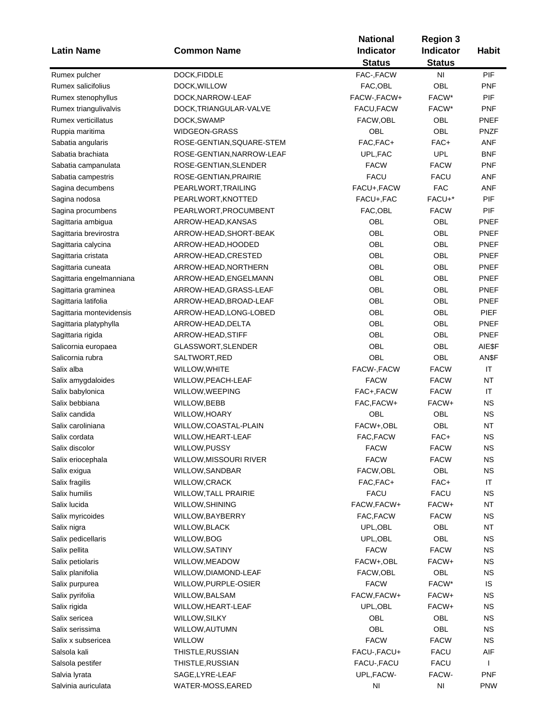|                          |                           | <b>National</b> |                                                                                                                                                                                                                                                                                                                                                                                                                                                                                                                                                                                                                                                                 |              |
|--------------------------|---------------------------|-----------------|-----------------------------------------------------------------------------------------------------------------------------------------------------------------------------------------------------------------------------------------------------------------------------------------------------------------------------------------------------------------------------------------------------------------------------------------------------------------------------------------------------------------------------------------------------------------------------------------------------------------------------------------------------------------|--------------|
| <b>Latin Name</b>        | <b>Common Name</b>        | Indicator       | <b>Indicator</b>                                                                                                                                                                                                                                                                                                                                                                                                                                                                                                                                                                                                                                                | <b>Habit</b> |
|                          |                           | <b>Status</b>   | <b>Region 3</b><br><b>Status</b><br>N <sub>1</sub><br><b>OBL</b><br>FACW*<br>FACW*<br>OBL<br>OBL<br>FAC+<br><b>UPL</b><br><b>FACW</b><br><b>FACU</b><br><b>FAC</b><br>FACU+*<br><b>FACW</b><br>OBL<br><b>OBL</b><br><b>OBL</b><br><b>OBL</b><br>OBL<br><b>OBL</b><br><b>OBL</b><br><b>OBL</b><br><b>OBL</b><br><b>OBL</b><br><b>OBL</b><br><b>OBL</b><br>OBL<br><b>FACW</b><br><b>FACW</b><br><b>FACW</b><br>FACW+<br>OBL<br>OBL<br>FAC+<br><b>FACW</b><br><b>FACW</b><br>OBL<br>FAC+<br><b>FACU</b><br>FACW+<br><b>FACW</b><br>OBL<br>OBL<br><b>FACW</b><br>FACW+<br>OBL<br>FACW*<br>FACW+<br>FACW+<br>OBL<br>OBL<br><b>FACW</b><br><b>FACU</b><br><b>FACU</b> |              |
| Rumex pulcher            | DOCK, FIDDLE              | FAC-, FACW      |                                                                                                                                                                                                                                                                                                                                                                                                                                                                                                                                                                                                                                                                 | PIF          |
| Rumex salicifolius       | DOCK, WILLOW              | FAC,OBL         |                                                                                                                                                                                                                                                                                                                                                                                                                                                                                                                                                                                                                                                                 | <b>PNF</b>   |
| Rumex stenophyllus       | DOCK, NARROW-LEAF         | FACW-, FACW+    |                                                                                                                                                                                                                                                                                                                                                                                                                                                                                                                                                                                                                                                                 | PIF          |
| Rumex triangulivalvis    | DOCK, TRIANGULAR-VALVE    | FACU, FACW      |                                                                                                                                                                                                                                                                                                                                                                                                                                                                                                                                                                                                                                                                 | <b>PNF</b>   |
| Rumex verticillatus      | DOCK, SWAMP               | FACW, OBL       |                                                                                                                                                                                                                                                                                                                                                                                                                                                                                                                                                                                                                                                                 | PNEF         |
| Ruppia maritima          | <b>WIDGEON-GRASS</b>      | OBL             |                                                                                                                                                                                                                                                                                                                                                                                                                                                                                                                                                                                                                                                                 | <b>PNZF</b>  |
| Sabatia angularis        | ROSE-GENTIAN, SQUARE-STEM | FAC, FAC+       |                                                                                                                                                                                                                                                                                                                                                                                                                                                                                                                                                                                                                                                                 | <b>ANF</b>   |
| Sabatia brachiata        | ROSE-GENTIAN, NARROW-LEAF | UPL, FAC        |                                                                                                                                                                                                                                                                                                                                                                                                                                                                                                                                                                                                                                                                 | <b>BNF</b>   |
| Sabatia campanulata      | ROSE-GENTIAN, SLENDER     | <b>FACW</b>     |                                                                                                                                                                                                                                                                                                                                                                                                                                                                                                                                                                                                                                                                 | <b>PNF</b>   |
| Sabatia campestris       | ROSE-GENTIAN, PRAIRIE     | <b>FACU</b>     |                                                                                                                                                                                                                                                                                                                                                                                                                                                                                                                                                                                                                                                                 | ANF          |
| Sagina decumbens         | PEARLWORT, TRAILING       | FACU+, FACW     |                                                                                                                                                                                                                                                                                                                                                                                                                                                                                                                                                                                                                                                                 | ANF          |
| Sagina nodosa            | PEARLWORT, KNOTTED        | FACU+, FAC      |                                                                                                                                                                                                                                                                                                                                                                                                                                                                                                                                                                                                                                                                 | PIF          |
| Sagina procumbens        | PEARLWORT, PROCUMBENT     | FAC, OBL        |                                                                                                                                                                                                                                                                                                                                                                                                                                                                                                                                                                                                                                                                 | PIF          |
| Sagittaria ambigua       | ARROW-HEAD, KANSAS        | OBL             |                                                                                                                                                                                                                                                                                                                                                                                                                                                                                                                                                                                                                                                                 | <b>PNEF</b>  |
| Sagittaria brevirostra   | ARROW-HEAD, SHORT-BEAK    | OBL             |                                                                                                                                                                                                                                                                                                                                                                                                                                                                                                                                                                                                                                                                 | <b>PNEF</b>  |
| Sagittaria calycina      | ARROW-HEAD, HOODED        | OBL             |                                                                                                                                                                                                                                                                                                                                                                                                                                                                                                                                                                                                                                                                 | PNEF         |
| Sagittaria cristata      | ARROW-HEAD, CRESTED       | OBL             |                                                                                                                                                                                                                                                                                                                                                                                                                                                                                                                                                                                                                                                                 | <b>PNEF</b>  |
| Sagittaria cuneata       |                           | OBL             |                                                                                                                                                                                                                                                                                                                                                                                                                                                                                                                                                                                                                                                                 | <b>PNEF</b>  |
|                          | ARROW-HEAD, NORTHERN      |                 |                                                                                                                                                                                                                                                                                                                                                                                                                                                                                                                                                                                                                                                                 |              |
| Sagittaria engelmanniana | ARROW-HEAD, ENGELMANN     | OBL             |                                                                                                                                                                                                                                                                                                                                                                                                                                                                                                                                                                                                                                                                 | PNEF         |
| Sagittaria graminea      | ARROW-HEAD, GRASS-LEAF    | OBL             |                                                                                                                                                                                                                                                                                                                                                                                                                                                                                                                                                                                                                                                                 | PNEF         |
| Sagittaria latifolia     | ARROW-HEAD, BROAD-LEAF    | <b>OBL</b>      |                                                                                                                                                                                                                                                                                                                                                                                                                                                                                                                                                                                                                                                                 | <b>PNEF</b>  |
| Sagittaria montevidensis | ARROW-HEAD, LONG-LOBED    | OBL             |                                                                                                                                                                                                                                                                                                                                                                                                                                                                                                                                                                                                                                                                 | <b>PIEF</b>  |
| Sagittaria platyphylla   | ARROW-HEAD, DELTA         | OBL             |                                                                                                                                                                                                                                                                                                                                                                                                                                                                                                                                                                                                                                                                 | PNEF         |
| Sagittaria rigida        | ARROW-HEAD, STIFF         | OBL             |                                                                                                                                                                                                                                                                                                                                                                                                                                                                                                                                                                                                                                                                 | PNEF         |
| Salicornia europaea      | GLASSWORT, SLENDER        | OBL             |                                                                                                                                                                                                                                                                                                                                                                                                                                                                                                                                                                                                                                                                 | AIE\$F       |
| Salicornia rubra         | SALTWORT, RED             | OBL             |                                                                                                                                                                                                                                                                                                                                                                                                                                                                                                                                                                                                                                                                 | AN\$F        |
| Salix alba               | WILLOW, WHITE             | FACW-, FACW     |                                                                                                                                                                                                                                                                                                                                                                                                                                                                                                                                                                                                                                                                 | IT           |
| Salix amygdaloides       | WILLOW, PEACH-LEAF        | <b>FACW</b>     |                                                                                                                                                                                                                                                                                                                                                                                                                                                                                                                                                                                                                                                                 | NT           |
| Salix babylonica         | WILLOW, WEEPING           | FAC+,FACW       |                                                                                                                                                                                                                                                                                                                                                                                                                                                                                                                                                                                                                                                                 | IT           |
| Salix bebbiana           | WILLOW, BEBB              | FAC, FACW+      |                                                                                                                                                                                                                                                                                                                                                                                                                                                                                                                                                                                                                                                                 | <b>NS</b>    |
| Salix candida            | <b>WILLOW, HOARY</b>      | OBL             |                                                                                                                                                                                                                                                                                                                                                                                                                                                                                                                                                                                                                                                                 | <b>NS</b>    |
| Salix caroliniana        | WILLOW, COASTAL-PLAIN     | FACW+,OBL       |                                                                                                                                                                                                                                                                                                                                                                                                                                                                                                                                                                                                                                                                 | <b>NT</b>    |
| Salix cordata            | WILLOW, HEART-LEAF        | FAC, FACW       |                                                                                                                                                                                                                                                                                                                                                                                                                                                                                                                                                                                                                                                                 | <b>NS</b>    |
| Salix discolor           | WILLOW, PUSSY             | <b>FACW</b>     |                                                                                                                                                                                                                                                                                                                                                                                                                                                                                                                                                                                                                                                                 | NS           |
| Salix eriocephala        | WILLOW, MISSOURI RIVER    | <b>FACW</b>     |                                                                                                                                                                                                                                                                                                                                                                                                                                                                                                                                                                                                                                                                 | <b>NS</b>    |
| Salix exigua             | WILLOW, SANDBAR           | FACW, OBL       |                                                                                                                                                                                                                                                                                                                                                                                                                                                                                                                                                                                                                                                                 | <b>NS</b>    |
| Salix fragilis           | WILLOW, CRACK             | FAC, FAC+       |                                                                                                                                                                                                                                                                                                                                                                                                                                                                                                                                                                                                                                                                 | IT           |
| Salix humilis            | WILLOW, TALL PRAIRIE      | <b>FACU</b>     |                                                                                                                                                                                                                                                                                                                                                                                                                                                                                                                                                                                                                                                                 | <b>NS</b>    |
| Salix lucida             | WILLOW, SHINING           | FACW, FACW+     |                                                                                                                                                                                                                                                                                                                                                                                                                                                                                                                                                                                                                                                                 | <b>NT</b>    |
| Salix myricoides         | WILLOW, BAYBERRY          | FAC, FACW       |                                                                                                                                                                                                                                                                                                                                                                                                                                                                                                                                                                                                                                                                 | <b>NS</b>    |
| Salix nigra              | <b>WILLOW, BLACK</b>      | UPL, OBL        |                                                                                                                                                                                                                                                                                                                                                                                                                                                                                                                                                                                                                                                                 | <b>NT</b>    |
| Salix pedicellaris       | WILLOW, BOG               | UPL, OBL        |                                                                                                                                                                                                                                                                                                                                                                                                                                                                                                                                                                                                                                                                 | <b>NS</b>    |
| Salix pellita            | <b>WILLOW, SATINY</b>     | <b>FACW</b>     |                                                                                                                                                                                                                                                                                                                                                                                                                                                                                                                                                                                                                                                                 | <b>NS</b>    |
| Salix petiolaris         | WILLOW, MEADOW            | FACW+,OBL       |                                                                                                                                                                                                                                                                                                                                                                                                                                                                                                                                                                                                                                                                 | <b>NS</b>    |
| Salix planifolia         | WILLOW, DIAMOND-LEAF      | FACW, OBL       |                                                                                                                                                                                                                                                                                                                                                                                                                                                                                                                                                                                                                                                                 | <b>NS</b>    |
| Salix purpurea           | WILLOW, PURPLE-OSIER      | <b>FACW</b>     |                                                                                                                                                                                                                                                                                                                                                                                                                                                                                                                                                                                                                                                                 | IS           |
| Salix pyrifolia          | WILLOW, BALSAM            | FACW, FACW+     |                                                                                                                                                                                                                                                                                                                                                                                                                                                                                                                                                                                                                                                                 | <b>NS</b>    |
| Salix rigida             | WILLOW, HEART-LEAF        | UPL, OBL        |                                                                                                                                                                                                                                                                                                                                                                                                                                                                                                                                                                                                                                                                 | <b>NS</b>    |
| Salix sericea            | WILLOW, SILKY             | <b>OBL</b>      |                                                                                                                                                                                                                                                                                                                                                                                                                                                                                                                                                                                                                                                                 | <b>NS</b>    |
| Salix serissima          | WILLOW, AUTUMN            | OBL             |                                                                                                                                                                                                                                                                                                                                                                                                                                                                                                                                                                                                                                                                 | <b>NS</b>    |
| Salix x subsericea       | <b>WILLOW</b>             | <b>FACW</b>     |                                                                                                                                                                                                                                                                                                                                                                                                                                                                                                                                                                                                                                                                 | <b>NS</b>    |
| Salsola kali             | THISTLE, RUSSIAN          | FACU-, FACU+    |                                                                                                                                                                                                                                                                                                                                                                                                                                                                                                                                                                                                                                                                 | AIF          |
| Salsola pestifer         | THISTLE, RUSSIAN          | FACU-, FACU     |                                                                                                                                                                                                                                                                                                                                                                                                                                                                                                                                                                                                                                                                 | $\mathsf{I}$ |
| Salvia lyrata            | SAGE, LYRE-LEAF           | UPL, FACW-      | FACW-                                                                                                                                                                                                                                                                                                                                                                                                                                                                                                                                                                                                                                                           | <b>PNF</b>   |
| Salvinia auriculata      |                           | NI              | NI                                                                                                                                                                                                                                                                                                                                                                                                                                                                                                                                                                                                                                                              | <b>PNW</b>   |
|                          | WATER-MOSS, EARED         |                 |                                                                                                                                                                                                                                                                                                                                                                                                                                                                                                                                                                                                                                                                 |              |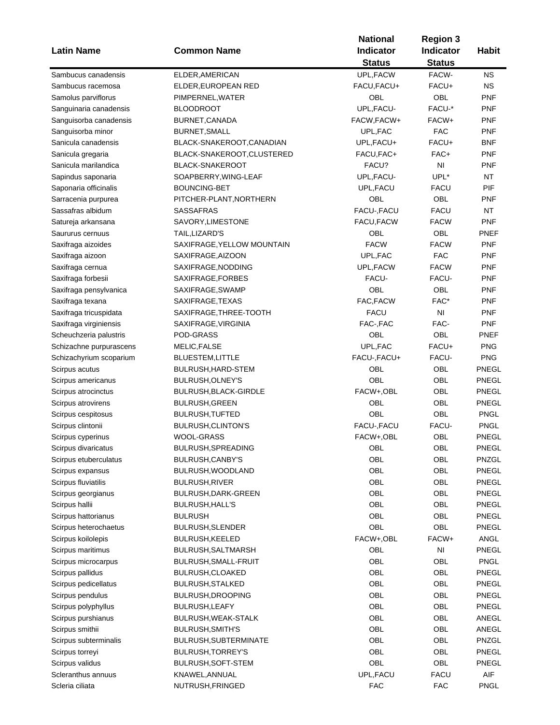| <b>Latin Name</b>       | <b>Common Name</b>           | <b>National</b><br><b>Indicator</b> | <b>Region 3</b><br>Indicator | <b>Habit</b> |
|-------------------------|------------------------------|-------------------------------------|------------------------------|--------------|
|                         |                              | <b>Status</b>                       | <b>Status</b>                |              |
| Sambucus canadensis     | ELDER, AMERICAN              | UPL, FACW                           | FACW-                        | ΝS           |
| Sambucus racemosa       | ELDER, EUROPEAN RED          | FACU, FACU+                         | FACU+                        | <b>NS</b>    |
| Samolus parviflorus     | PIMPERNEL, WATER             | OBL                                 | OBL                          | <b>PNF</b>   |
| Sanguinaria canadensis  | <b>BLOODROOT</b>             | UPL, FACU-                          | FACU-*                       | <b>PNF</b>   |
| Sanguisorba canadensis  | BURNET, CANADA               | FACW, FACW+                         | FACW+                        | <b>PNF</b>   |
| Sanguisorba minor       | BURNET, SMALL                | UPL, FAC                            | <b>FAC</b>                   | <b>PNF</b>   |
| Sanicula canadensis     | BLACK-SNAKEROOT, CANADIAN    | UPL,FACU+                           | FACU+                        | <b>BNF</b>   |
| Sanicula gregaria       | BLACK-SNAKEROOT,CLUSTERED    | FACU, FAC+                          | FAC+                         | <b>PNF</b>   |
| Sanicula marilandica    | <b>BLACK-SNAKEROOT</b>       | FACU?                               | NI                           | <b>PNF</b>   |
| Sapindus saponaria      | SOAPBERRY, WING-LEAF         | UPL, FACU-                          | UPL*                         | <b>NT</b>    |
| Saponaria officinalis   | <b>BOUNCING-BET</b>          | UPL, FACU                           | <b>FACU</b>                  | PIF          |
| Sarracenia purpurea     | PITCHER-PLANT, NORTHERN      | OBL                                 | <b>OBL</b>                   | <b>PNF</b>   |
| Sassafras albidum       | <b>SASSAFRAS</b>             | FACU-, FACU                         | <b>FACU</b>                  | <b>NT</b>    |
| Satureja arkansana      | SAVORY, LIMESTONE            | FACU, FACW                          | <b>FACW</b>                  | <b>PNF</b>   |
| Saururus cernuus        | TAIL, LIZARD'S               | OBL                                 | <b>OBL</b>                   | <b>PNEF</b>  |
| Saxifraga aizoides      | SAXIFRAGE, YELLOW MOUNTAIN   | <b>FACW</b>                         | <b>FACW</b>                  | <b>PNF</b>   |
| Saxifraga aizoon        | SAXIFRAGE, AIZOON            | UPL, FAC                            | <b>FAC</b>                   | <b>PNF</b>   |
| Saxifraga cernua        | SAXIFRAGE, NODDING           | UPL, FACW                           | <b>FACW</b>                  | <b>PNF</b>   |
| Saxifraga forbesii      | SAXIFRAGE, FORBES            | FACU-                               | FACU-                        | <b>PNF</b>   |
| Saxifraga pensylvanica  | SAXIFRAGE, SWAMP             | OBL                                 | OBL                          | <b>PNF</b>   |
| Saxifraga texana        | SAXIFRAGE, TEXAS             | FAC, FACW                           | FAC*                         | <b>PNF</b>   |
| Saxifraga tricuspidata  | SAXIFRAGE, THREE-TOOTH       | <b>FACU</b>                         | NI                           | <b>PNF</b>   |
| Saxifraga virginiensis  | SAXIFRAGE, VIRGINIA          | FAC-, FAC                           | FAC-                         | <b>PNF</b>   |
| Scheuchzeria palustris  | POD-GRASS                    | OBL                                 | OBL                          | PNEF         |
| Schizachne purpurascens | MELIC, FALSE                 | UPL, FAC                            | FACU+                        | <b>PNG</b>   |
| Schizachyrium scoparium | <b>BLUESTEM, LITTLE</b>      | FACU-, FACU+                        | FACU-                        | <b>PNG</b>   |
| Scirpus acutus          | BULRUSH, HARD-STEM           | <b>OBL</b>                          | <b>OBL</b>                   | PNEGL        |
| Scirpus americanus      | BULRUSH, OLNEY'S             | OBL                                 | <b>OBL</b>                   | PNEGL        |
| Scirpus atrocinctus     | <b>BULRUSH, BLACK-GIRDLE</b> | FACW+,OBL                           | OBL                          | PNEGL        |
| Scirpus atrovirens      | <b>BULRUSH, GREEN</b>        | OBL                                 | OBL                          | <b>PNEGL</b> |
| Scirpus cespitosus      | <b>BULRUSH, TUFTED</b>       | <b>OBL</b>                          | OBL                          | <b>PNGL</b>  |
| Scirpus clintonii       | BULRUSH, CLINTON'S           | FACU-, FACU                         | FACU-                        | <b>PNGL</b>  |
| Scirpus cyperinus       | <b>WOOL-GRASS</b>            | FACW+,OBL                           | OBL                          | PNEGL        |
| Scirpus divaricatus     | BULRUSH, SPREADING           | OBL                                 | OBL                          | PNEGL        |
| Scirpus etuberculatus   | BULRUSH, CANBY'S             | OBL                                 | OBL                          | PNZGL        |
| Scirpus expansus        | BULRUSH, WOODLAND            | OBL                                 | OBL                          | PNEGL        |
| Scirpus fluviatilis     | <b>BULRUSH, RIVER</b>        | OBL                                 | OBL                          | PNEGL        |
| Scirpus georgianus      | BULRUSH, DARK-GREEN          | OBL                                 | OBL                          | PNEGL        |
| Scirpus hallii          | <b>BULRUSH, HALL'S</b>       | <b>OBL</b>                          | OBL                          | PNEGL        |
| Scirpus hattorianus     | <b>BULRUSH</b>               | OBL                                 | OBL                          | PNEGL        |
| Scirpus heterochaetus   | <b>BULRUSH, SLENDER</b>      | <b>OBL</b>                          | OBL                          | PNEGL        |
| Scirpus koilolepis      | <b>BULRUSH, KEELED</b>       | FACW+,OBL                           | FACW+                        | ANGL         |
| Scirpus maritimus       | BULRUSH, SALTMARSH           | OBL                                 | NI                           | PNEGL        |
| Scirpus microcarpus     | BULRUSH, SMALL-FRUIT         | OBL                                 | OBL                          | <b>PNGL</b>  |
| Scirpus pallidus        | BULRUSH, CLOAKED             | OBL                                 | OBL                          | PNEGL        |
| Scirpus pedicellatus    | <b>BULRUSH, STALKED</b>      | OBL                                 | OBL                          | <b>PNEGL</b> |
| Scirpus pendulus        | <b>BULRUSH, DROOPING</b>     | <b>OBL</b>                          | OBL                          | <b>PNEGL</b> |
| Scirpus polyphyllus     | <b>BULRUSH, LEAFY</b>        | <b>OBL</b>                          | OBL                          | PNEGL        |
|                         |                              | OBL                                 | OBL                          | ANEGL        |
| Scirpus purshianus      | BULRUSH, WEAK-STALK          |                                     |                              |              |
| Scirpus smithii         | <b>BULRUSH, SMITH'S</b>      | <b>OBL</b>                          | OBL                          | ANEGL        |
| Scirpus subterminalis   | BULRUSH, SUBTERMINATE        | <b>OBL</b>                          | OBL                          | PNZGL        |
| Scirpus torreyi         | BULRUSH, TORREY'S            | OBL                                 | OBL                          | PNEGL        |
| Scirpus validus         | BULRUSH, SOFT-STEM           | OBL                                 | OBL                          | PNEGL        |
| Scleranthus annuus      | KNAWEL, ANNUAL               | UPL, FACU                           | <b>FACU</b>                  | AIF          |
| Scleria ciliata         | NUTRUSH, FRINGED             | <b>FAC</b>                          | <b>FAC</b>                   | <b>PNGL</b>  |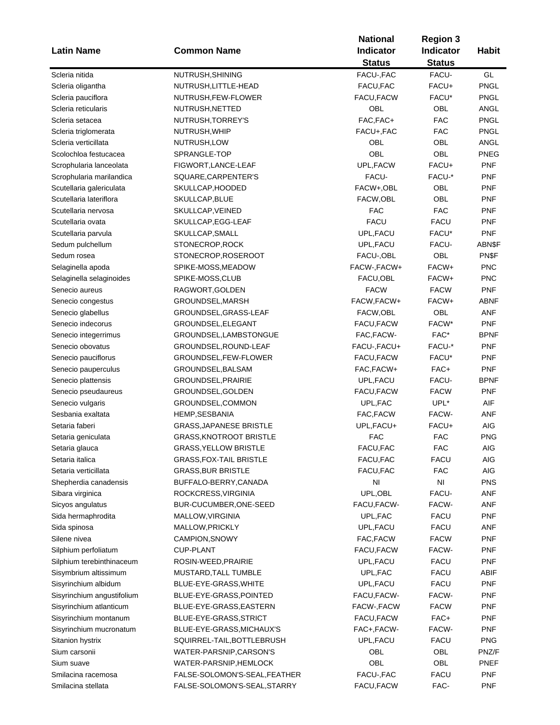|                            |                                | <b>National</b> | <b>Region 3</b>  |              |
|----------------------------|--------------------------------|-----------------|------------------|--------------|
| <b>Latin Name</b>          | <b>Common Name</b>             | Indicator       | <b>Indicator</b> | <b>Habit</b> |
|                            |                                | <b>Status</b>   | <b>Status</b>    |              |
| Scleria nitida             | NUTRUSH, SHINING               | FACU-, FAC      | FACU-            | GL           |
| Scleria oligantha          | NUTRUSH,LITTLE-HEAD            | FACU, FAC       | FACU+            | PNGL         |
| Scleria pauciflora         | NUTRUSH, FEW-FLOWER            | FACU, FACW      | FACU*            | PNGL         |
| Scleria reticularis        | NUTRUSH, NETTED                | OBL             | OBL              | ANGL         |
| Scleria setacea            |                                | FAC, FAC+       | <b>FAC</b>       | PNGL         |
|                            | NUTRUSH, TORREY'S              |                 |                  |              |
| Scleria triglomerata       | NUTRUSH, WHIP                  | FACU+, FAC      | <b>FAC</b>       | PNGL         |
| Scleria verticillata       | NUTRUSH, LOW                   | OBL             | OBL              | ANGL         |
| Scolochloa festucacea      | SPRANGLE-TOP                   | <b>OBL</b>      | OBL              | <b>PNEG</b>  |
| Scrophularia lanceolata    | FIGWORT, LANCE-LEAF            | UPL, FACW       | FACU+            | <b>PNF</b>   |
| Scrophularia marilandica   | SQUARE, CARPENTER'S            | FACU-           | FACU-*           | <b>PNF</b>   |
| Scutellaria galericulata   | SKULLCAP, HOODED               | FACW+,OBL       | OBL              | <b>PNF</b>   |
| Scutellaria lateriflora    | SKULLCAP, BLUE                 | FACW,OBL        | OBL              | <b>PNF</b>   |
| Scutellaria nervosa        | SKULLCAP, VEINED               | <b>FAC</b>      | <b>FAC</b>       | <b>PNF</b>   |
| Scutellaria ovata          | SKULLCAP,EGG-LEAF              | <b>FACU</b>     | <b>FACU</b>      | <b>PNF</b>   |
| Scutellaria parvula        | SKULLCAP, SMALL                | UPL, FACU       | FACU*            | <b>PNF</b>   |
| Sedum pulchellum           | STONECROP,ROCK                 | UPL, FACU       | FACU-            | ABN\$F       |
| Sedum rosea                | STONECROP, ROSEROOT            | FACU-, OBL      | OBL              | PN\$F        |
| Selaginella apoda          | SPIKE-MOSS, MEADOW             | FACW-, FACW+    | FACW+            | <b>PNC</b>   |
| Selaginella selaginoides   | SPIKE-MOSS,CLUB                | FACU, OBL       | FACW+            | <b>PNC</b>   |
| Senecio aureus             | RAGWORT, GOLDEN                | <b>FACW</b>     | <b>FACW</b>      | <b>PNF</b>   |
| Senecio congestus          | GROUNDSEL, MARSH               | FACW, FACW+     | FACW+            | ABNF         |
| Senecio glabellus          | GROUNDSEL,GRASS-LEAF           | FACW,OBL        | OBL              | ANF          |
| Senecio indecorus          | GROUNDSEL, ELEGANT             | FACU,FACW       | FACW*            | <b>PNF</b>   |
| Senecio integerrimus       | GROUNDSEL,LAMBSTONGUE          | FAC, FACW-      | FAC*             | <b>BPNF</b>  |
| Senecio obovatus           | GROUNDSEL, ROUND-LEAF          | FACU-, FACU+    | FACU-*           | <b>PNF</b>   |
| Senecio pauciflorus        | GROUNDSEL,FEW-FLOWER           | FACU, FACW      | FACU*            | <b>PNF</b>   |
| Senecio pauperculus        | GROUNDSEL,BALSAM               | FAC, FACW+      | FAC+             | <b>PNF</b>   |
| Senecio plattensis         | GROUNDSEL, PRAIRIE             | UPL, FACU       | FACU-            | <b>BPNF</b>  |
| Senecio pseudaureus        | GROUNDSEL,GOLDEN               | FACU,FACW       | <b>FACW</b>      | <b>PNF</b>   |
| Senecio vulgaris           | GROUNDSEL,COMMON               | UPL,FAC         | UPL*             | AIF          |
| Sesbania exaltata          | <b>HEMP, SESBANIA</b>          | FAC, FACW       | FACW-            | ANF          |
| Setaria faberi             | <b>GRASS, JAPANESE BRISTLE</b> | UPL, FACU+      | FACU+            | AIG          |
| Setaria geniculata         | <b>GRASS, KNOTROOT BRISTLE</b> | <b>FAC</b>      | <b>FAC</b>       | <b>PNG</b>   |
| Setaria glauca             | <b>GRASS, YELLOW BRISTLE</b>   | FACU, FAC       | FAC              | AIG          |
| Setaria italica            | GRASS,FOX-TAIL BRISTLE         | FACU, FAC       | <b>FACU</b>      | AIG          |
| Setaria verticillata       | <b>GRASS, BUR BRISTLE</b>      | FACU, FAC       | <b>FAC</b>       | AIG          |
| Shepherdia canadensis      | BUFFALO-BERRY, CANADA          | NI              | NI               | <b>PNS</b>   |
| Sibara virginica           | ROCKCRESS, VIRGINIA            | UPL, OBL        | FACU-            | ANF          |
| Sicyos angulatus           | BUR-CUCUMBER, ONE-SEED         | FACU, FACW-     | FACW-            | ANF          |
| Sida hermaphrodita         | MALLOW, VIRGINIA               | UPL, FAC        | <b>FACU</b>      | <b>PNF</b>   |
| Sida spinosa               | MALLOW, PRICKLY                | UPL, FACU       | <b>FACU</b>      | ANF          |
| Silene nivea               | CAMPION, SNOWY                 | FAC, FACW       | <b>FACW</b>      | <b>PNF</b>   |
| Silphium perfoliatum       | <b>CUP-PLANT</b>               | FACU, FACW      | FACW-            | <b>PNF</b>   |
| Silphium terebinthinaceum  | ROSIN-WEED, PRAIRIE            |                 |                  |              |
|                            |                                | UPL, FACU       | <b>FACU</b>      | <b>PNF</b>   |
| Sisymbrium altissimum      | MUSTARD, TALL TUMBLE           | UPL, FAC        | <b>FACU</b>      | ABIF         |
| Sisyrinchium albidum       | BLUE-EYE-GRASS, WHITE          | UPL, FACU       | <b>FACU</b>      | <b>PNF</b>   |
| Sisyrinchium angustifolium | BLUE-EYE-GRASS, POINTED        | FACU, FACW-     | FACW-            | <b>PNF</b>   |
| Sisyrinchium atlanticum    | BLUE-EYE-GRASS, EASTERN        | FACW-, FACW     | <b>FACW</b>      | <b>PNF</b>   |
| Sisyrinchium montanum      | BLUE-EYE-GRASS, STRICT         | FACU, FACW      | FAC+             | <b>PNF</b>   |
| Sisyrinchium mucronatum    | BLUE-EYE-GRASS, MICHAUX'S      | FAC+, FACW-     | FACW-            | <b>PNF</b>   |
| Sitanion hystrix           | SQUIRREL-TAIL, BOTTLEBRUSH     | UPL, FACU       | <b>FACU</b>      | <b>PNG</b>   |
| Sium carsonii              | WATER-PARSNIP, CARSON'S        | OBL             | OBL              | PNZ/F        |
| Sium suave                 | WATER-PARSNIP, HEMLOCK         | OBL             | OBL              | PNEF         |
| Smilacina racemosa         | FALSE-SOLOMON'S-SEAL, FEATHER  | FACU-, FAC      | <b>FACU</b>      | <b>PNF</b>   |
| Smilacina stellata         | FALSE-SOLOMON'S-SEAL, STARRY   | FACU, FACW      | FAC-             | <b>PNF</b>   |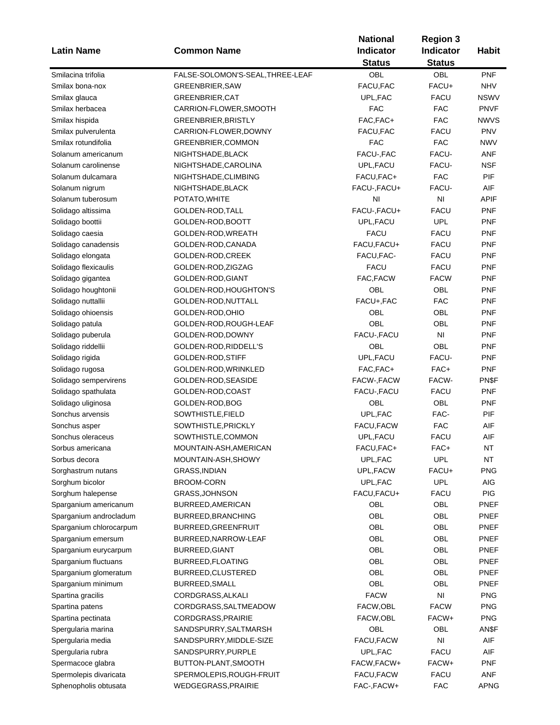|                         |                                  | <b>National</b>  | <b>Region 3</b> |              |
|-------------------------|----------------------------------|------------------|-----------------|--------------|
| <b>Latin Name</b>       | <b>Common Name</b>               | <b>Indicator</b> | Indicator       | <b>Habit</b> |
|                         |                                  | <b>Status</b>    | <b>Status</b>   |              |
| Smilacina trifolia      | FALSE-SOLOMON'S-SEAL, THREE-LEAF | <b>OBL</b>       | <b>OBL</b>      | <b>PNF</b>   |
| Smilax bona-nox         | <b>GREENBRIER, SAW</b>           | FACU, FAC        | FACU+           | <b>NHV</b>   |
| Smilax glauca           | <b>GREENBRIER, CAT</b>           | UPL, FAC         | <b>FACU</b>     | <b>NSWV</b>  |
| Smilax herbacea         | CARRION-FLOWER, SMOOTH           | <b>FAC</b>       | <b>FAC</b>      | <b>PNVF</b>  |
| Smilax hispida          | GREENBRIER, BRISTLY              | FAC, FAC+        | <b>FAC</b>      | <b>NWVS</b>  |
| Smilax pulverulenta     | CARRION-FLOWER, DOWNY            | FACU, FAC        | <b>FACU</b>     | <b>PNV</b>   |
| Smilax rotundifolia     | GREENBRIER, COMMON               | <b>FAC</b>       | <b>FAC</b>      | <b>NWV</b>   |
| Solanum americanum      | NIGHTSHADE, BLACK                | FACU-, FAC       | FACU-           | <b>ANF</b>   |
| Solanum carolinense     | NIGHTSHADE, CAROLINA             | UPL, FACU        | FACU-           | <b>NSF</b>   |
| Solanum dulcamara       | NIGHTSHADE, CLIMBING             | FACU, FAC+       | <b>FAC</b>      | PIF          |
| Solanum nigrum          | NIGHTSHADE, BLACK                | FACU-, FACU+     | FACU-           | AIF          |
| Solanum tuberosum       | POTATO, WHITE                    | NI               | NI              | <b>APIF</b>  |
| Solidago altissima      | GOLDEN-ROD, TALL                 | FACU-, FACU+     | <b>FACU</b>     | <b>PNF</b>   |
| Solidago boottii        | GOLDEN-ROD, BOOTT                | UPL, FACU        | <b>UPL</b>      | <b>PNF</b>   |
| Solidago caesia         | GOLDEN-ROD, WREATH               | <b>FACU</b>      | FACU            | <b>PNF</b>   |
| Solidago canadensis     | GOLDEN-ROD,CANADA                | FACU, FACU+      | <b>FACU</b>     | <b>PNF</b>   |
| Solidago elongata       | GOLDEN-ROD, CREEK                | FACU, FAC-       | <b>FACU</b>     | <b>PNF</b>   |
| Solidago flexicaulis    | GOLDEN-ROD, ZIGZAG               | <b>FACU</b>      | <b>FACU</b>     | <b>PNF</b>   |
| Solidago gigantea       | GOLDEN-ROD, GIANT                | FAC, FACW        | <b>FACW</b>     | <b>PNF</b>   |
| Solidago houghtonii     | GOLDEN-ROD, HOUGHTON'S           | OBL              | OBL             | <b>PNF</b>   |
| Solidago nuttallii      | GOLDEN-ROD, NUTTALL              | FACU+, FAC       | <b>FAC</b>      | <b>PNF</b>   |
| Solidago ohioensis      | GOLDEN-ROD, OHIO                 | OBL              | OBL             | <b>PNF</b>   |
| Solidago patula         | GOLDEN-ROD, ROUGH-LEAF           | OBL              | OBL             | <b>PNF</b>   |
| Solidago puberula       | GOLDEN-ROD, DOWNY                | FACU-, FACU      | N <sub>1</sub>  | <b>PNF</b>   |
| Solidago riddellii      | GOLDEN-ROD, RIDDELL'S            | OBL              | OBL             | <b>PNF</b>   |
| Solidago rigida         | GOLDEN-ROD, STIFF                | UPL, FACU        | FACU-           | <b>PNF</b>   |
| Solidago rugosa         | GOLDEN-ROD, WRINKLED             | FAC, FAC+        | FAC+            | <b>PNF</b>   |
| Solidago sempervirens   | GOLDEN-ROD, SEASIDE              | FACW-, FACW      | FACW-           | PN\$F        |
| Solidago spathulata     | GOLDEN-ROD,COAST                 | FACU-, FACU      | <b>FACU</b>     | <b>PNF</b>   |
| Solidago uliginosa      | GOLDEN-ROD, BOG                  | OBL              | OBL             | <b>PNF</b>   |
| Sonchus arvensis        | SOWTHISTLE, FIELD                | UPL, FAC         | FAC-            | PIF          |
| Sonchus asper           | SOWTHISTLE, PRICKLY              | FACU, FACW       | <b>FAC</b>      | AIF          |
| Sonchus oleraceus       | SOWTHISTLE, COMMON               | UPL, FACU        | <b>FACU</b>     | AIF          |
| Sorbus americana        | MOUNTAIN-ASH,AMERICAN            | FACU,FAC+        | FAC+            | NT           |
| Sorbus decora           | MOUNTAIN-ASH, SHOWY              | UPL, FAC         | <b>UPL</b>      | NT           |
| Sorghastrum nutans      | <b>GRASS, INDIAN</b>             | UPL,FACW         | FACU+           | <b>PNG</b>   |
| Sorghum bicolor         | <b>BROOM-CORN</b>                | UPL, FAC         | <b>UPL</b>      | AIG          |
| Sorghum halepense       | GRASS, JOHNSON                   | FACU, FACU+      | <b>FACU</b>     | <b>PIG</b>   |
| Sparganium americanum   | BURREED, AMERICAN                | OBL              | <b>OBL</b>      | PNEF         |
| Sparganium androcladum  | BURREED, BRANCHING               | OBL              | OBL             | PNEF         |
| Sparganium chlorocarpum | BURREED, GREENFRUIT              | OBL              | OBL             | PNEF         |
| Sparganium emersum      | BURREED, NARROW-LEAF             | OBL              | OBL             | <b>PNEF</b>  |
| Sparganium eurycarpum   | <b>BURREED, GIANT</b>            | OBL              | <b>OBL</b>      | PNEF         |
| Sparganium fluctuans    | BURREED, FLOATING                | OBL              | OBL             | PNEF         |
| Sparganium glomeratum   | BURREED, CLUSTERED               | OBL              | OBL             | <b>PNEF</b>  |
| Sparganium minimum      | BURREED, SMALL                   | OBL              | OBL             | <b>PNEF</b>  |
| Spartina gracilis       | CORDGRASS, ALKALI                | <b>FACW</b>      | NI              | <b>PNG</b>   |
| Spartina patens         | CORDGRASS, SALTMEADOW            | FACW, OBL        | <b>FACW</b>     | <b>PNG</b>   |
| Spartina pectinata      | CORDGRASS, PRAIRIE               | FACW, OBL        | FACW+           | <b>PNG</b>   |
| Spergularia marina      | SANDSPURRY, SALTMARSH            | OBL              | OBL             | AN\$F        |
| Spergularia media       | SANDSPURRY, MIDDLE-SIZE          | FACU, FACW       | NI              | AIF          |
| Spergularia rubra       | SANDSPURRY, PURPLE               | UPL, FAC         | <b>FACU</b>     | AIF          |
| Spermacoce glabra       | BUTTON-PLANT, SMOOTH             | FACW, FACW+      | FACW+           | <b>PNF</b>   |
| Spermolepis divaricata  | SPERMOLEPIS, ROUGH-FRUIT         | FACU, FACW       | <b>FACU</b>     | ANF          |
| Sphenopholis obtusata   | WEDGEGRASS, PRAIRIE              | FAC-, FACW+      | <b>FAC</b>      | <b>APNG</b>  |
|                         |                                  |                  |                 |              |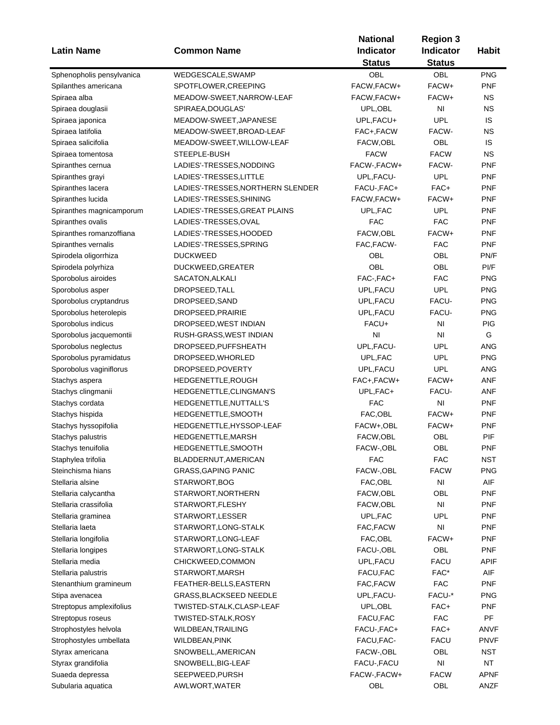| <b>Latin Name</b>         | <b>Common Name</b>                | <b>National</b><br>Indicator | <b>Region 3</b><br><b>Indicator</b> | <b>Habit</b> |
|---------------------------|-----------------------------------|------------------------------|-------------------------------------|--------------|
|                           |                                   | <b>Status</b>                | <b>Status</b>                       |              |
| Sphenopholis pensylvanica | WEDGESCALE, SWAMP                 | OBL                          | OBL                                 | <b>PNG</b>   |
| Spilanthes americana      | SPOTFLOWER, CREEPING              | FACW, FACW+                  | FACW+                               | <b>PNF</b>   |
| Spiraea alba              | MEADOW-SWEET, NARROW-LEAF         | FACW, FACW+                  | FACW+                               | ΝS           |
| Spiraea douglasii         | SPIRAEA, DOUGLAS'                 | UPL, OBL                     | NI                                  | <b>NS</b>    |
| Spiraea japonica          | MEADOW-SWEET, JAPANESE            | UPL, FACU+                   | <b>UPL</b>                          | IS           |
| Spiraea latifolia         | MEADOW-SWEET, BROAD-LEAF          | FAC+,FACW                    | FACW-                               | <b>NS</b>    |
| Spiraea salicifolia       | MEADOW-SWEET, WILLOW-LEAF         | FACW, OBL                    | OBL                                 | IS           |
| Spiraea tomentosa         | STEEPLE-BUSH                      | <b>FACW</b>                  | <b>FACW</b>                         | <b>NS</b>    |
| Spiranthes cernua         | LADIES'-TRESSES, NODDING          | FACW-, FACW+                 | FACW-                               | <b>PNF</b>   |
| Spiranthes grayi          | LADIES'-TRESSES,LITTLE            | UPL, FACU-                   | <b>UPL</b>                          | <b>PNF</b>   |
| Spiranthes lacera         | LADIES'-TRESSES, NORTHERN SLENDER | FACU-, FAC+                  | FAC+                                | <b>PNF</b>   |
| Spiranthes lucida         | LADIES'-TRESSES, SHINING          | FACW, FACW+                  | FACW+                               | <b>PNF</b>   |
| Spiranthes magnicamporum  | LADIES'-TRESSES, GREAT PLAINS     | UPL, FAC                     | <b>UPL</b>                          | <b>PNF</b>   |
| Spiranthes ovalis         | LADIES'-TRESSES,OVAL              | <b>FAC</b>                   | FAC                                 | <b>PNF</b>   |
| Spiranthes romanzoffiana  | LADIES'-TRESSES,HOODED            | FACW, OBL                    | FACW+                               | <b>PNF</b>   |
| Spiranthes vernalis       | LADIES'-TRESSES, SPRING           | FAC, FACW-                   | <b>FAC</b>                          | <b>PNF</b>   |
| Spirodela oligorrhiza     | <b>DUCKWEED</b>                   | OBL                          | OBL                                 | PN/F         |
| Spirodela polyrhiza       | DUCKWEED, GREATER                 | OBL                          | OBL                                 | PI/F         |
| Sporobolus airoides       | SACATON, ALKALI                   | FAC-, FAC+                   | <b>FAC</b>                          | <b>PNG</b>   |
| Sporobolus asper          | DROPSEED, TALL                    | UPL, FACU                    | <b>UPL</b>                          | <b>PNG</b>   |
| Sporobolus cryptandrus    | DROPSEED, SAND                    | UPL, FACU                    | FACU-                               | <b>PNG</b>   |
| Sporobolus heterolepis    | DROPSEED, PRAIRIE                 | UPL, FACU                    | FACU-                               | <b>PNG</b>   |
| Sporobolus indicus        | DROPSEED, WEST INDIAN             | FACU+                        | N <sub>l</sub>                      | <b>PIG</b>   |
| Sporobolus jacquemontii   | RUSH-GRASS, WEST INDIAN           | NI                           | NI                                  | G            |
| Sporobolus neglectus      | DROPSEED, PUFFSHEATH              | UPL, FACU-                   | <b>UPL</b>                          | ANG          |
| Sporobolus pyramidatus    | DROPSEED, WHORLED                 | UPL, FAC                     | <b>UPL</b>                          | <b>PNG</b>   |
| Sporobolus vaginiflorus   | DROPSEED, POVERTY                 | UPL, FACU                    | <b>UPL</b>                          | ANG          |
| Stachys aspera            | HEDGENETTLE, ROUGH                | FAC+, FACW+                  | FACW+                               | ANF          |
| Stachys clingmanii        | HEDGENETTLE, CLINGMAN'S           | UPL, FAC+                    | FACU-                               | <b>ANF</b>   |
| Stachys cordata           | HEDGENETTLE, NUTTALL'S            | <b>FAC</b>                   | NI                                  | <b>PNF</b>   |
| Stachys hispida           | HEDGENETTLE, SMOOTH               | FAC, OBL                     | FACW+                               | PNF          |
| Stachys hyssopifolia      | HEDGENETTLE, HYSSOP-LEAF          | FACW+,OBL                    | FACW+                               | <b>PNF</b>   |
| Stachys palustris         | HEDGENETTLE, MARSH                | FACW, OBL                    | OBL                                 | PIF          |
| Stachys tenuifolia        | HEDGENETTLE, SMOOTH               | FACW-, OBL                   | OBL                                 | PNF          |
| Staphylea trifolia        | BLADDERNUT, AMERICAN              | FAC                          | <b>FAC</b>                          | <b>NST</b>   |
| Steinchisma hians         | <b>GRASS, GAPING PANIC</b>        | FACW-, OBL                   | <b>FACW</b>                         | <b>PNG</b>   |
| Stellaria alsine          | STARWORT, BOG                     | FAC, OBL                     | NI                                  | AIF          |
| Stellaria calycantha      | STARWORT, NORTHERN                | FACW,OBL                     | OBL                                 | PNF          |
| Stellaria crassifolia     | STARWORT, FLESHY                  | FACW, OBL                    | NI                                  | <b>PNF</b>   |
| Stellaria graminea        | STARWORT, LESSER                  | UPL,FAC                      | <b>UPL</b>                          | <b>PNF</b>   |
| Stellaria laeta           | STARWORT, LONG-STALK              | FAC, FACW                    | NI                                  | <b>PNF</b>   |
| Stellaria longifolia      | STARWORT, LONG-LEAF               | FAC, OBL                     | FACW+                               | <b>PNF</b>   |
| Stellaria longipes        | STARWORT, LONG-STALK              | FACU-, OBL                   | OBL                                 | <b>PNF</b>   |
| Stellaria media           | CHICKWEED,COMMON                  | UPL, FACU                    | <b>FACU</b>                         | APIF         |
| Stellaria palustris       | STARWORT, MARSH                   | FACU, FAC                    | FAC*                                | AIF          |
| Stenanthium gramineum     | FEATHER-BELLS, EASTERN            | FAC, FACW                    | <b>FAC</b>                          | <b>PNF</b>   |
| Stipa avenacea            | GRASS, BLACKSEED NEEDLE           | UPL, FACU-                   | FACU-*                              | <b>PNG</b>   |
| Streptopus amplexifolius  | TWISTED-STALK,CLASP-LEAF          | UPL, OBL                     | FAC+                                | <b>PNF</b>   |
| Streptopus roseus         | TWISTED-STALK,ROSY                | FACU, FAC                    | <b>FAC</b>                          | PF           |
| Strophostyles helvola     | WILDBEAN, TRAILING                | FACU-, FAC+                  | FAC+                                | <b>ANVF</b>  |
|                           |                                   | FACU, FAC-                   | <b>FACU</b>                         | <b>PNVF</b>  |
| Strophostyles umbellata   | WILDBEAN, PINK                    | FACW-,OBL                    | OBL                                 |              |
| Styrax americana          | SNOWBELL, AMERICAN                |                              |                                     | NST          |
| Styrax grandifolia        | SNOWBELL, BIG-LEAF                | FACU-, FACU                  | NI                                  | NT           |
| Suaeda depressa           | SEEPWEED, PURSH                   | FACW-, FACW+                 | <b>FACW</b>                         | <b>APNF</b>  |
| Subularia aquatica        | AWLWORT, WATER                    | OBL                          | OBL                                 | ANZF         |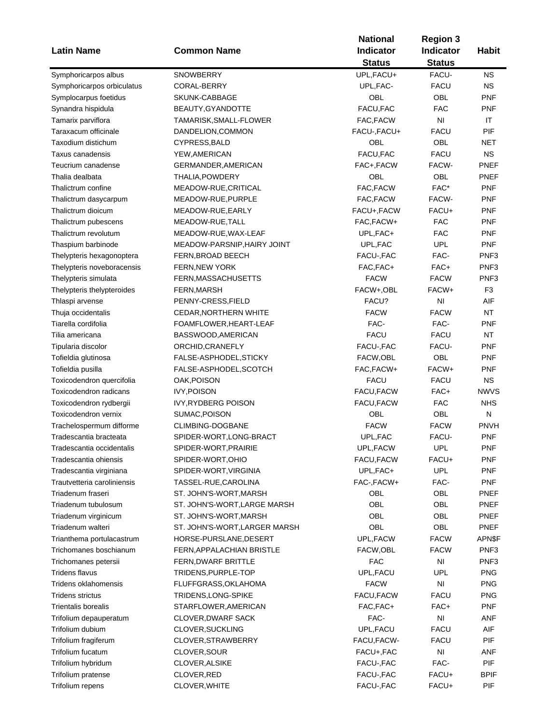|                                           |                                                  | <b>National</b> | <b>Region 3</b>               |                   |  |
|-------------------------------------------|--------------------------------------------------|-----------------|-------------------------------|-------------------|--|
| <b>Latin Name</b>                         | <b>Common Name</b>                               | Indicator       | <b>Indicator</b>              | <b>Habit</b>      |  |
|                                           |                                                  | <b>Status</b>   | <b>Status</b>                 |                   |  |
| Symphoricarpos albus                      | SNOWBERRY                                        | UPL, FACU+      | FACU-                         | <b>NS</b>         |  |
| Symphoricarpos orbiculatus                | CORAL-BERRY                                      | UPL, FAC-       | <b>FACU</b>                   | <b>NS</b>         |  |
| Symplocarpus foetidus                     | SKUNK-CABBAGE                                    | OBL             | OBL                           | <b>PNF</b>        |  |
| Synandra hispidula                        | BEAUTY, GYANDOTTE                                | FACU, FAC       | <b>FAC</b>                    | <b>PNF</b>        |  |
| Tamarix parviflora                        | TAMARISK, SMALL-FLOWER                           | FAC, FACW       | N <sub>1</sub>                | IT                |  |
| Taraxacum officinale                      | DANDELION, COMMON                                | FACU-, FACU+    | <b>FACU</b>                   | PIF               |  |
| Taxodium distichum                        | CYPRESS, BALD                                    | OBL             | OBL                           | NET               |  |
| Taxus canadensis                          | YEW, AMERICAN                                    | FACU, FAC       | <b>FACU</b>                   | <b>NS</b>         |  |
| Teucrium canadense                        | GERMANDER, AMERICAN                              | FAC+,FACW       | FACW-                         | PNEF              |  |
| Thalia dealbata                           | THALIA, POWDERY                                  | OBL             | OBL                           | <b>PNEF</b>       |  |
| Thalictrum confine                        | MEADOW-RUE, CRITICAL                             | FAC, FACW       | FAC*                          | <b>PNF</b>        |  |
| Thalictrum dasycarpum                     | MEADOW-RUE, PURPLE                               | FAC, FACW       | FACW-                         | <b>PNF</b>        |  |
| Thalictrum dioicum                        | MEADOW-RUE, EARLY                                | FACU+, FACW     | FACU+                         | <b>PNF</b>        |  |
| Thalictrum pubescens                      | MEADOW-RUE, TALL                                 | FAC, FACW+      | <b>FAC</b>                    | <b>PNF</b>        |  |
| Thalictrum revolutum                      | MEADOW-RUE, WAX-LEAF                             | UPL, FAC+       | <b>FAC</b>                    | <b>PNF</b>        |  |
| Thaspium barbinode                        | MEADOW-PARSNIP, HAIRY JOINT                      | UPL, FAC        | <b>UPL</b>                    | <b>PNF</b>        |  |
| Thelypteris hexagonoptera                 | FERN, BROAD BEECH                                | FACU-, FAC      | FAC-                          | PNF <sub>3</sub>  |  |
| Thelypteris noveboracensis                | <b>FERN, NEW YORK</b>                            | FAC, FAC+       | FAC+                          | PNF <sub>3</sub>  |  |
| Thelypteris simulata                      | FERN, MASSACHUSETTS                              | <b>FACW</b>     | <b>FACW</b>                   | PNF <sub>3</sub>  |  |
| Thelypteris thelypteroides                | FERN, MARSH                                      | FACW+,OBL       | FACW+                         | F <sub>3</sub>    |  |
| Thlaspi arvense                           | PENNY-CRESS, FIELD                               | FACU?           | NI                            | AIF               |  |
| Thuja occidentalis                        | <b>CEDAR, NORTHERN WHITE</b>                     | <b>FACW</b>     | <b>FACW</b>                   | <b>NT</b>         |  |
| Tiarella cordifolia                       | FOAMFLOWER, HEART-LEAF                           | FAC-            | FAC-                          | <b>PNF</b>        |  |
| Tilia americana                           | BASSWOOD, AMERICAN                               | <b>FACU</b>     | <b>FACU</b>                   | <b>NT</b>         |  |
| Tipularia discolor                        | ORCHID, CRANEFLY                                 | FACU-, FAC      | FACU-                         | <b>PNF</b>        |  |
| Tofieldia glutinosa                       | FALSE-ASPHODEL, STICKY                           | FACW,OBL        | <b>OBL</b>                    | <b>PNF</b>        |  |
| Tofieldia pusilla                         | FALSE-ASPHODEL, SCOTCH                           | FAC, FACW+      | FACW+                         | <b>PNF</b>        |  |
| Toxicodendron quercifolia                 | OAK, POISON                                      | <b>FACU</b>     | <b>FACU</b>                   | <b>NS</b>         |  |
| Toxicodendron radicans                    | <b>IVY, POISON</b>                               | FACU, FACW      | FAC+                          | <b>NWVS</b>       |  |
| Toxicodendron rydbergii                   | IVY, RYDBERG POISON                              | FACU, FACW      | <b>FAC</b>                    | <b>NHS</b>        |  |
| Toxicodendron vernix                      | SUMAC, POISON                                    | OBL             | OBL                           | ${\sf N}$         |  |
| Trachelospermum difforme                  | CLIMBING-DOGBANE                                 | <b>FACW</b>     | <b>FACW</b>                   | <b>PNVH</b>       |  |
| Tradescantia bracteata                    | SPIDER-WORT, LONG-BRACT                          | UPL, FAC        | FACU-                         | <b>PNF</b>        |  |
| Tradescantia occidentalis                 | SPIDER-WORT, PRAIRIE                             | UPL, FACW       | UPL                           |                   |  |
| Tradescantia ohiensis                     | SPIDER-WORT, OHIO                                | FACU.FACW       | FACU+                         | PNF<br><b>PNF</b> |  |
| Tradescantia virginiana                   | SPIDER-WORT, VIRGINIA                            | UPL, FAC+       | <b>UPL</b>                    | <b>PNF</b>        |  |
| Trautvetteria caroliniensis               | TASSEL-RUE, CAROLINA                             | FAC-, FACW+     | FAC-                          | <b>PNF</b>        |  |
| Triadenum fraseri                         | ST. JOHN'S-WORT, MARSH                           | OBL             | OBL                           | <b>PNEF</b>       |  |
| Triadenum tubulosum                       | ST. JOHN'S-WORT, LARGE MARSH                     | OBL             | OBL                           | PNEF              |  |
|                                           | ST. JOHN'S-WORT, MARSH                           | OBL             | OBL                           | PNEF              |  |
| Triadenum virginicum<br>Triadenum walteri | ST. JOHN'S-WORT, LARGER MARSH                    | OBL             | OBL                           | <b>PNEF</b>       |  |
|                                           |                                                  |                 |                               | APN\$F            |  |
| Trianthema portulacastrum                 | HORSE-PURSLANE, DESERT                           | UPL, FACW       | <b>FACW</b>                   |                   |  |
| Trichomanes boschianum                    | FERN, APPALACHIAN BRISTLE<br>FERN, DWARF BRITTLE | FACW, OBL       | <b>FACW</b><br>N <sub>1</sub> | PNF <sub>3</sub>  |  |
| Trichomanes petersii                      |                                                  | <b>FAC</b>      |                               | PNF <sub>3</sub>  |  |
| <b>Tridens flavus</b>                     | TRIDENS, PURPLE-TOP                              | UPL, FACU       | UPL                           | <b>PNG</b>        |  |
| Tridens oklahomensis                      | FLUFFGRASS, OKLAHOMA                             | <b>FACW</b>     | N <sub>1</sub>                | <b>PNG</b>        |  |
| <b>Tridens strictus</b>                   | TRIDENS, LONG-SPIKE                              | FACU, FACW      | <b>FACU</b>                   | <b>PNG</b>        |  |
| <b>Trientalis borealis</b>                | STARFLOWER, AMERICAN                             | FAC, FAC+       | FAC+                          | <b>PNF</b>        |  |
| Trifolium depauperatum                    | <b>CLOVER, DWARF SACK</b>                        | FAC-            | $\mathsf{N}\mathsf{I}$        | <b>ANF</b>        |  |
| Trifolium dubium                          | CLOVER, SUCKLING                                 | UPL, FACU       | <b>FACU</b>                   | AIF               |  |
| Trifolium fragiferum                      | CLOVER, STRAWBERRY                               | FACU, FACW-     | <b>FACU</b>                   | PIF               |  |
| Trifolium fucatum                         | CLOVER, SOUR                                     | FACU+, FAC      | N <sub>l</sub>                | <b>ANF</b>        |  |
| Trifolium hybridum                        | CLOVER, ALSIKE                                   | FACU-, FAC      | FAC-                          | <b>PIF</b>        |  |
| Trifolium pratense                        | CLOVER, RED                                      | FACU-, FAC      | FACU+                         | <b>BPIF</b>       |  |
| Trifolium repens                          | CLOVER, WHITE                                    | FACU-, FAC      | FACU+                         | PIF               |  |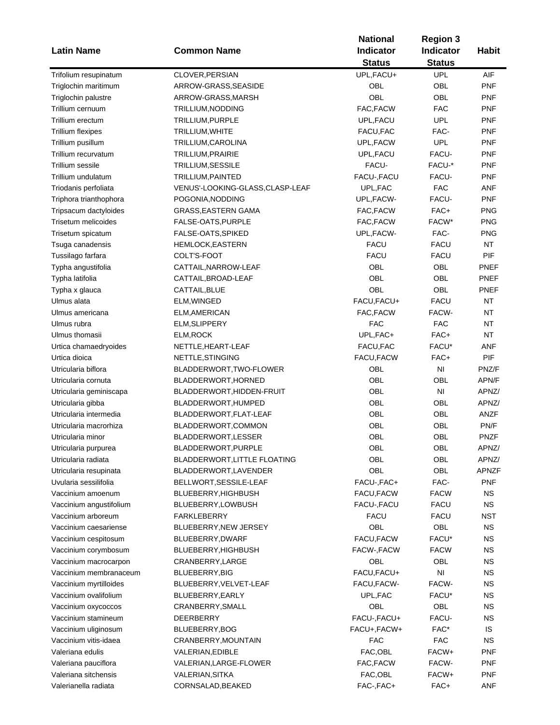|                          |                                 | <b>National</b>  | <b>Region 3</b>  |              |
|--------------------------|---------------------------------|------------------|------------------|--------------|
| <b>Latin Name</b>        | <b>Common Name</b>              | <b>Indicator</b> | <b>Indicator</b> | <b>Habit</b> |
|                          |                                 | <b>Status</b>    | <b>Status</b>    |              |
| Trifolium resupinatum    | CLOVER, PERSIAN                 | UPL, FACU+       | <b>UPL</b>       | AIF          |
| Triglochin maritimum     | ARROW-GRASS, SEASIDE            | OBL              | OBL              | <b>PNF</b>   |
| Triglochin palustre      | ARROW-GRASS, MARSH              | OBL              | <b>OBL</b>       | <b>PNF</b>   |
| Trillium cernuum         | TRILLIUM, NODDING               | FAC, FACW        | <b>FAC</b>       | <b>PNF</b>   |
| Trillium erectum         | TRILLIUM, PURPLE                | UPL, FACU        | <b>UPL</b>       | <b>PNF</b>   |
| <b>Trillium flexipes</b> | TRILLIUM, WHITE                 | FACU, FAC        | FAC-             | <b>PNF</b>   |
| Trillium pusillum        | TRILLIUM, CAROLINA              | UPL, FACW        | <b>UPL</b>       | <b>PNF</b>   |
| Trillium recurvatum      | TRILLIUM, PRAIRIE               | UPL, FACU        | FACU-            | <b>PNF</b>   |
| Trillium sessile         | TRILLIUM, SESSILE               | FACU-            | FACU-*           | <b>PNF</b>   |
| Trillium undulatum       | TRILLIUM, PAINTED               | FACU-, FACU      | FACU-            | <b>PNF</b>   |
| Triodanis perfoliata     | VENUS'-LOOKING-GLASS,CLASP-LEAF | UPL, FAC         | <b>FAC</b>       | ANF          |
| Triphora trianthophora   | POGONIA, NODDING                | UPL, FACW-       | FACU-            | <b>PNF</b>   |
| Tripsacum dactyloides    | GRASS, EASTERN GAMA             | FAC, FACW        | FAC+             | <b>PNG</b>   |
| Trisetum melicoides      | FALSE-OATS, PURPLE              | FAC, FACW        | FACW*            | <b>PNG</b>   |
| Trisetum spicatum        | FALSE-OATS, SPIKED              | UPL, FACW-       | FAC-             | <b>PNG</b>   |
| Tsuga canadensis         | <b>HEMLOCK, EASTERN</b>         | <b>FACU</b>      | <b>FACU</b>      | <b>NT</b>    |
|                          |                                 | <b>FACU</b>      | <b>FACU</b>      | PIF          |
| Tussilago farfara        | COLT'S-FOOT                     |                  |                  |              |
| Typha angustifolia       | CATTAIL, NARROW-LEAF            | OBL              | OBL              | <b>PNEF</b>  |
| Typha latifolia          | CATTAIL, BROAD-LEAF             | <b>OBL</b>       | OBL              | PNEF         |
| Typha x glauca           | CATTAIL, BLUE                   | <b>OBL</b>       | <b>OBL</b>       | PNEF         |
| Ulmus alata              | ELM, WINGED                     | FACU, FACU+      | <b>FACU</b>      | <b>NT</b>    |
| Ulmus americana          | ELM, AMERICAN                   | FAC, FACW        | FACW-            | <b>NT</b>    |
| Ulmus rubra              | ELM, SLIPPERY                   | <b>FAC</b>       | <b>FAC</b>       | <b>NT</b>    |
| Ulmus thomasii           | ELM, ROCK                       | UPL, FAC+        | FAC+             | <b>NT</b>    |
| Urtica chamaedryoides    | NETTLE, HEART-LEAF              | FACU, FAC        | FACU*            | <b>ANF</b>   |
| Urtica dioica            | NETTLE, STINGING                | FACU, FACW       | FAC+             | PIF          |
| Utricularia biflora      | BLADDERWORT, TWO-FLOWER         | OBL              | N <sub>1</sub>   | PNZ/F        |
| Utricularia cornuta      | BLADDERWORT, HORNED             | OBL              | OBL              | APN/F        |
| Utricularia geminiscapa  | BLADDERWORT, HIDDEN-FRUIT       | OBL              | N <sub>1</sub>   | APNZ/        |
| Utricularia gibba        | BLADDERWORT, HUMPED             | <b>OBL</b>       | OBL              | APNZ/        |
| Utricularia intermedia   | BLADDERWORT, FLAT-LEAF          | <b>OBL</b>       | OBL              | ANZF         |
| Utricularia macrorhiza   | BLADDERWORT, COMMON             | OBL              | OBL              | PN/F         |
| Utricularia minor        | BLADDERWORT, LESSER             | OBL              | OBL              | <b>PNZF</b>  |
| Utricularia purpurea     | BLADDERWORT, PURPLE             | OBL              | OBL              | APNZ/        |
| Utricularia radiata      | BLADDERWORT, LITTLE FLOATING    | OBL              | OBL              | APNZ/        |
| Utricularia resupinata   | BLADDERWORT, LAVENDER           | OBL              | OBL              | <b>APNZF</b> |
| Uvularia sessilifolia    | BELLWORT, SESSILE-LEAF          | FACU-, FAC+      | FAC-             | <b>PNF</b>   |
| Vaccinium amoenum        | BLUEBERRY, HIGHBUSH             | FACU, FACW       | <b>FACW</b>      | <b>NS</b>    |
| Vaccinium angustifolium  | BLUEBERRY, LOWBUSH              | FACU-, FACU      | <b>FACU</b>      | <b>NS</b>    |
| Vaccinium arboreum       | <b>FARKLEBERRY</b>              | <b>FACU</b>      | <b>FACU</b>      | <b>NST</b>   |
| Vaccinium caesariense    | BLUEBERRY, NEW JERSEY           | OBL              | OBL              | <b>NS</b>    |
| Vaccinium cespitosum     | BLUEBERRY, DWARF                | FACU, FACW       | FACU*            | <b>NS</b>    |
| Vaccinium corymbosum     | BLUEBERRY, HIGHBUSH             | FACW-, FACW      | <b>FACW</b>      | <b>NS</b>    |
| Vaccinium macrocarpon    | CRANBERRY, LARGE                | OBL              | OBL              | <b>NS</b>    |
| Vaccinium membranaceum   | BLUEBERRY, BIG                  | FACU, FACU+      | N <sub>1</sub>   | <b>NS</b>    |
| Vaccinium myrtilloides   | BLUEBERRY, VELVET-LEAF          | FACU, FACW-      | FACW-            | <b>NS</b>    |
| Vaccinium ovalifolium    | BLUEBERRY, EARLY                | UPL, FAC         | FACU*            | <b>NS</b>    |
| Vaccinium oxycoccos      | CRANBERRY, SMALL                | OBL              | OBL              | <b>NS</b>    |
| Vaccinium stamineum      | DEERBERRY                       | FACU-, FACU+     | FACU-            | <b>NS</b>    |
| Vaccinium uliginosum     | BLUEBERRY, BOG                  | FACU+, FACW+     | FAC*             | IS           |
| Vaccinium vitis-idaea    | CRANBERRY, MOUNTAIN             | <b>FAC</b>       | <b>FAC</b>       | <b>NS</b>    |
| Valeriana edulis         | VALERIAN, EDIBLE                | FAC, OBL         | FACW+            | <b>PNF</b>   |
|                          |                                 | FAC, FACW        | FACW-            | <b>PNF</b>   |
| Valeriana pauciflora     | VALERIAN, LARGE-FLOWER          |                  |                  |              |
| Valeriana sitchensis     | VALERIAN, SITKA                 | FAC, OBL         | FACW+            | <b>PNF</b>   |
| Valerianella radiata     | CORNSALAD, BEAKED               | FAC-, FAC+       | FAC+             | <b>ANF</b>   |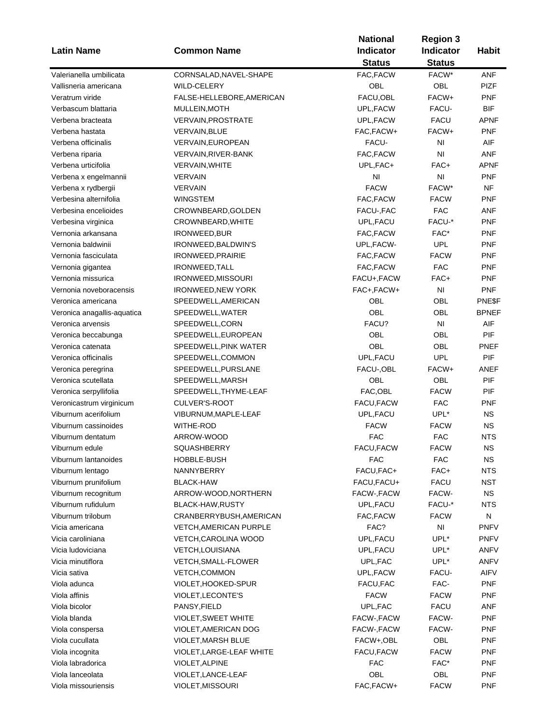|                                               | <b>Common Name</b>            | <b>National</b>  | <b>Region 3</b><br>Indicator |              |  |
|-----------------------------------------------|-------------------------------|------------------|------------------------------|--------------|--|
| <b>Latin Name</b>                             |                               | <b>Indicator</b> |                              | <b>Habit</b> |  |
|                                               |                               | <b>Status</b>    | <b>Status</b>                |              |  |
| Valerianella umbilicata                       | CORNSALAD, NAVEL-SHAPE        | FAC, FACW        | FACW*                        | <b>ANF</b>   |  |
| Vallisneria americana                         | <b>WILD-CELERY</b>            | OBL              | <b>OBL</b>                   | <b>PIZF</b>  |  |
| Veratrum viride                               | FALSE-HELLEBORE, AMERICAN     | FACU, OBL        | FACW+                        | <b>PNF</b>   |  |
| Verbascum blattaria                           | MULLEIN, MOTH                 | UPL, FACW        | FACU-                        | <b>BIF</b>   |  |
| Verbena bracteata                             | <b>VERVAIN, PROSTRATE</b>     | UPL, FACW        | <b>FACU</b>                  | <b>APNF</b>  |  |
| Verbena hastata                               | <b>VERVAIN, BLUE</b>          | FAC, FACW+       | FACW+                        | <b>PNF</b>   |  |
| Verbena officinalis                           | VERVAIN, EUROPEAN             | FACU-            | NI                           | AIF          |  |
| Verbena riparia                               | VERVAIN, RIVER-BANK           | FAC, FACW        | NI                           | <b>ANF</b>   |  |
| Verbena urticifolia                           | <b>VERVAIN, WHITE</b>         | UPL, FAC+        | FAC+                         | <b>APNF</b>  |  |
| Verbena x engelmannii                         | <b>VERVAIN</b>                | N <sub>l</sub>   | NI                           | <b>PNF</b>   |  |
|                                               | <b>VERVAIN</b>                | <b>FACW</b>      | FACW*                        | <b>NF</b>    |  |
| Verbena x rydbergii<br>Verbesina alternifolia | <b>WINGSTEM</b>               | FAC, FACW        | <b>FACW</b>                  | <b>PNF</b>   |  |
|                                               |                               |                  | <b>FAC</b>                   |              |  |
| Verbesina encelioides                         | CROWNBEARD, GOLDEN            | FACU-, FAC       |                              | ANF          |  |
| Verbesina virginica                           | CROWNBEARD, WHITE             | UPL, FACU        | FACU-*                       | <b>PNF</b>   |  |
| Vernonia arkansana                            | IRONWEED, BUR                 | FAC, FACW        | FAC*                         | <b>PNF</b>   |  |
| Vernonia baldwinii                            | IRONWEED, BALDWIN'S           | UPL, FACW-       | <b>UPL</b>                   | <b>PNF</b>   |  |
| Vernonia fasciculata                          | <b>IRONWEED, PRAIRIE</b>      | FAC, FACW        | <b>FACW</b>                  | <b>PNF</b>   |  |
| Vernonia gigantea                             | <b>IRONWEED, TALL</b>         | FAC, FACW        | <b>FAC</b>                   | <b>PNF</b>   |  |
| Vernonia missurica                            | IRONWEED, MISSOURI            | FACU+, FACW      | FAC+                         | <b>PNF</b>   |  |
| Vernonia noveboracensis                       | <b>IRONWEED, NEW YORK</b>     | FAC+, FACW+      | NI                           | <b>PNF</b>   |  |
| Veronica americana                            | SPEEDWELL, AMERICAN           | <b>OBL</b>       | OBL                          | PNE\$F       |  |
| Veronica anagallis-aquatica                   | SPEEDWELL, WATER              | <b>OBL</b>       | OBL                          | <b>BPNEF</b> |  |
| Veronica arvensis                             | SPEEDWELL,CORN                | FACU?            | NI                           | AIF          |  |
| Veronica beccabunga                           | SPEEDWELL, EUROPEAN           | <b>OBL</b>       | OBL                          | PIF          |  |
| Veronica catenata                             | SPEEDWELL, PINK WATER         | OBL              | OBL                          | PNEF         |  |
| Veronica officinalis                          | SPEEDWELL,COMMON              | UPL, FACU        | <b>UPL</b>                   | PIF          |  |
| Veronica peregrina                            | SPEEDWELL, PURSLANE           | FACU-, OBL       | FACW+                        | <b>ANEF</b>  |  |
| Veronica scutellata                           | SPEEDWELL, MARSH              | OBL              | OBL                          | PIF          |  |
| Veronica serpyllifolia                        | SPEEDWELL, THYME-LEAF         | FAC, OBL         | <b>FACW</b>                  | PIF          |  |
| Veronicastrum virginicum                      | CULVER'S-ROOT                 | FACU, FACW       | <b>FAC</b>                   | PNF          |  |
| Viburnum acerifolium                          | VIBURNUM, MAPLE-LEAF          | UPL, FACU        | UPL*                         | <b>NS</b>    |  |
| Viburnum cassinoides                          | WITHE-ROD                     | <b>FACW</b>      | <b>FACW</b>                  | <b>NS</b>    |  |
| Viburnum dentatum                             | ARROW-WOOD                    | <b>FAC</b>       | <b>FAC</b>                   | <b>NTS</b>   |  |
| Viburnum edule                                | SQUASHBERRY                   | FACU, FACW       | <b>FACW</b>                  | NS           |  |
| Viburnum lantanoides                          | HOBBLE-BUSH                   | <b>FAC</b>       | <b>FAC</b>                   | <b>NS</b>    |  |
| Viburnum lentago                              | NANNYBERRY                    | FACU, FAC+       | FAC+                         | <b>NTS</b>   |  |
| Viburnum prunifolium                          | <b>BLACK-HAW</b>              | FACU, FACU+      | <b>FACU</b>                  | <b>NST</b>   |  |
| Viburnum recognitum                           | ARROW-WOOD, NORTHERN          | FACW-, FACW      | FACW-                        | <b>NS</b>    |  |
| Viburnum rufidulum                            | BLACK-HAW, RUSTY              | UPL, FACU        | FACU-*                       | <b>NTS</b>   |  |
| Viburnum trilobum                             | CRANBERRYBUSH, AMERICAN       | FAC, FACW        | <b>FACW</b>                  | N            |  |
| Vicia americana                               |                               |                  |                              |              |  |
|                                               | <b>VETCH, AMERICAN PURPLE</b> | FAC?             | NI                           | <b>PNFV</b>  |  |
| Vicia caroliniana                             | VETCH, CAROLINA WOOD          | UPL, FACU        | UPL*                         | <b>PNFV</b>  |  |
| Vicia ludoviciana                             | VETCH, LOUISIANA              | UPL, FACU        | UPL*                         | ANFV         |  |
| Vicia minutiflora                             | <b>VETCH, SMALL-FLOWER</b>    | UPL, FAC         | UPL*                         | ANFV         |  |
| Vicia sativa                                  | <b>VETCH,COMMON</b>           | UPL, FACW        | FACU-                        | AIFV         |  |
| Viola adunca                                  | VIOLET, HOOKED-SPUR           | FACU, FAC        | FAC-                         | <b>PNF</b>   |  |
| Viola affinis                                 | VIOLET, LECONTE'S             | <b>FACW</b>      | <b>FACW</b>                  | <b>PNF</b>   |  |
| Viola bicolor                                 | PANSY, FIELD                  | UPL, FAC         | <b>FACU</b>                  | <b>ANF</b>   |  |
| Viola blanda                                  | <b>VIOLET, SWEET WHITE</b>    | FACW-, FACW      | FACW-                        | <b>PNF</b>   |  |
| Viola conspersa                               | VIOLET, AMERICAN DOG          | FACW-, FACW      | FACW-                        | <b>PNF</b>   |  |
| Viola cucullata                               | VIOLET, MARSH BLUE            | FACW+,OBL        | OBL                          | <b>PNF</b>   |  |
| Viola incognita                               | VIOLET, LARGE-LEAF WHITE      | FACU,FACW        | <b>FACW</b>                  | <b>PNF</b>   |  |
| Viola labradorica                             | VIOLET, ALPINE                | <b>FAC</b>       | FAC*                         | <b>PNF</b>   |  |
| Viola lanceolata                              | VIOLET, LANCE-LEAF            | OBL              | OBL                          | <b>PNF</b>   |  |
| Viola missouriensis                           | VIOLET, MISSOURI              | FAC, FACW+       | <b>FACW</b>                  | <b>PNF</b>   |  |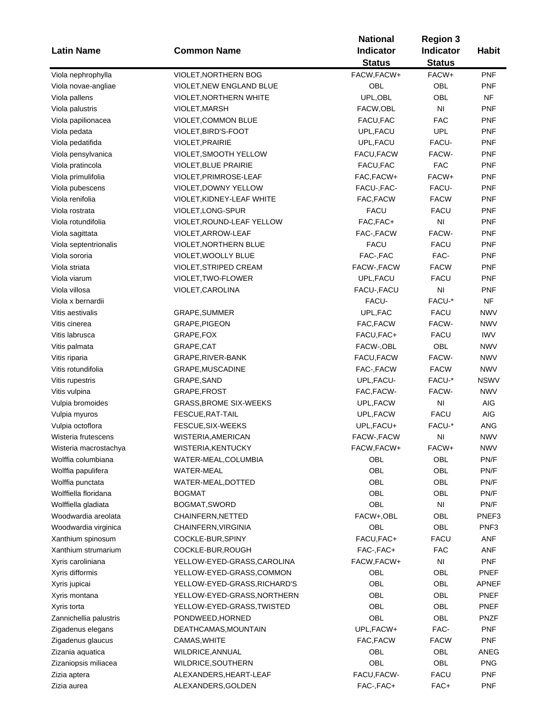| <b>Latin Name</b>      |                               | <b>National</b> | <b>Region 3</b>        | <b>Habit</b> |
|------------------------|-------------------------------|-----------------|------------------------|--------------|
|                        | <b>Common Name</b>            | Indicator       | Indicator              |              |
|                        |                               | <b>Status</b>   | <b>Status</b>          |              |
| Viola nephrophylla     | VIOLET, NORTHERN BOG          | FACW, FACW+     | FACW+                  | <b>PNF</b>   |
| Viola novae-angliae    | VIOLET, NEW ENGLAND BLUE      | OBL             | OBL                    | <b>PNF</b>   |
| Viola pallens          | <b>VIOLET, NORTHERN WHITE</b> | UPL, OBL        | OBL                    | <b>NF</b>    |
| Viola palustris        | VIOLET, MARSH                 | FACW, OBL       | NI                     | <b>PNF</b>   |
| Viola papilionacea     | VIOLET, COMMON BLUE           | FACU, FAC       | <b>FAC</b>             | <b>PNF</b>   |
| Viola pedata           | VIOLET, BIRD'S-FOOT           | UPL, FACU       | <b>UPL</b>             | <b>PNF</b>   |
| Viola pedatifida       | VIOLET, PRAIRIE               | UPL, FACU       | FACU-                  | <b>PNF</b>   |
| Viola pensylvanica     | VIOLET, SMOOTH YELLOW         | FACU, FACW      | FACW-                  | <b>PNF</b>   |
| Viola pratincola       | <b>VIOLET, BLUE PRAIRIE</b>   | FACU, FAC       | <b>FAC</b>             | <b>PNF</b>   |
| Viola primulifolia     | VIOLET, PRIMROSE-LEAF         | FAC, FACW+      | FACW+                  | <b>PNF</b>   |
| Viola pubescens        | VIOLET, DOWNY YELLOW          | FACU-, FAC-     | FACU-                  | <b>PNF</b>   |
| Viola renifolia        | VIOLET, KIDNEY-LEAF WHITE     | FAC, FACW       | <b>FACW</b>            | <b>PNF</b>   |
| Viola rostrata         | VIOLET, LONG-SPUR             | <b>FACU</b>     | <b>FACU</b>            | <b>PNF</b>   |
| Viola rotundifolia     | VIOLET, ROUND-LEAF YELLOW     | FAC, FAC+       | $\mathsf{N}\mathsf{I}$ | <b>PNF</b>   |
|                        |                               | FAC-, FACW      | FACW-                  | <b>PNF</b>   |
| Viola sagittata        | VIOLET, ARROW-LEAF            | <b>FACU</b>     |                        |              |
| Viola septentrionalis  | VIOLET, NORTHERN BLUE         |                 | <b>FACU</b>            | <b>PNF</b>   |
| Viola sororia          | VIOLET, WOOLLY BLUE           | FAC-, FAC       | FAC-                   | <b>PNF</b>   |
| Viola striata          | VIOLET, STRIPED CREAM         | FACW-, FACW     | <b>FACW</b>            | <b>PNF</b>   |
| Viola viarum           | VIOLET, TWO-FLOWER            | UPL, FACU       | <b>FACU</b>            | <b>PNF</b>   |
| Viola villosa          | VIOLET, CAROLINA              | FACU-, FACU     | NI                     | <b>PNF</b>   |
| Viola x bernardii      |                               | FACU-           | FACU-*                 | <b>NF</b>    |
| Vitis aestivalis       | GRAPE, SUMMER                 | UPL, FAC        | <b>FACU</b>            | <b>NWV</b>   |
| Vitis cinerea          | GRAPE, PIGEON                 | FAC, FACW       | FACW-                  | <b>NWV</b>   |
| Vitis labrusca         | GRAPE, FOX                    | FACU, FAC+      | <b>FACU</b>            | <b>IWV</b>   |
| Vitis palmata          | GRAPE, CAT                    | FACW-, OBL      | OBL                    | <b>NWV</b>   |
| Vitis riparia          | GRAPE, RIVER-BANK             | FACU, FACW      | FACW-                  | <b>NWV</b>   |
| Vitis rotundifolia     | GRAPE, MUSCADINE              | FAC-, FACW      | <b>FACW</b>            | <b>NWV</b>   |
| Vitis rupestris        | GRAPE, SAND                   | UPL, FACU-      | FACU-*                 | <b>NSWV</b>  |
| Vitis vulpina          | GRAPE, FROST                  | FAC, FACW-      | FACW-                  | <b>NWV</b>   |
| Vulpia bromoides       | <b>GRASS, BROME SIX-WEEKS</b> | UPL,FACW        | N <sub>l</sub>         | <b>AIG</b>   |
| Vulpia myuros          | FESCUE, RAT-TAIL              | UPL,FACW        | <b>FACU</b>            | <b>AIG</b>   |
| Vulpia octoflora       | FESCUE, SIX-WEEKS             | UPL, FACU+      | FACU-*                 | ANG          |
| Wisteria frutescens    | WISTERIA, AMERICAN            | FACW-, FACW     | N <sub>l</sub>         | <b>NWV</b>   |
| Wisteria macrostachya  | WISTERIA, KENTUCKY            | FACW, FACW+     | FACW+                  | NWV          |
| Wolffia columbiana     | WATER-MEAL, COLUMBIA          | OBL             | OBL                    | PN/F         |
| Wolffia papulifera     | WATER-MEAL                    | OBL             | OBL                    | PN/F         |
| Wolffia punctata       | WATER-MEAL, DOTTED            | OBL             | <b>OBL</b>             | PN/F         |
| Wolffiella floridana   | <b>BOGMAT</b>                 | OBL             | OBL                    | PN/F         |
| Wolffiella gladiata    | BOGMAT, SWORD                 | OBL             | N <sub>l</sub>         | PN/F         |
| Woodwardia areolata    | CHAINFERN, NETTED             | FACW+,OBL       | OBL                    | PNEF3        |
| Woodwardia virginica   | CHAINFERN, VIRGINIA           | OBL             | OBL                    | PNF3         |
| Xanthium spinosum      | COCKLE-BUR, SPINY             | FACU, FAC+      | <b>FACU</b>            | <b>ANF</b>   |
| Xanthium strumarium    | COCKLE-BUR, ROUGH             | FAC-, FAC+      | <b>FAC</b>             | <b>ANF</b>   |
| Xyris caroliniana      | YELLOW-EYED-GRASS,CAROLINA    | FACW, FACW+     | $\mathsf{N}\mathsf{I}$ | <b>PNF</b>   |
| Xyris difformis        | YELLOW-EYED-GRASS,COMMON      | OBL             | OBL                    | <b>PNEF</b>  |
| Xyris jupicai          | YELLOW-EYED-GRASS, RICHARD'S  | OBL             | OBL                    | APNEF        |
| Xyris montana          | YELLOW-EYED-GRASS, NORTHERN   | OBL             | OBL                    | <b>PNEF</b>  |
| Xyris torta            | YELLOW-EYED-GRASS,TWISTED     | OBL             | OBL                    | <b>PNEF</b>  |
| Zannichellia palustris | PONDWEED, HORNED              | OBL             | OBL                    | <b>PNZF</b>  |
|                        | DEATHCAMAS, MOUNTAIN          | UPL, FACW+      | FAC-                   | <b>PNF</b>   |
| Zigadenus elegans      |                               |                 |                        |              |
| Zigadenus glaucus      | CAMAS, WHITE                  | FAC, FACW       | <b>FACW</b>            | <b>PNF</b>   |
| Zizania aquatica       | WILDRICE, ANNUAL              | OBL             | OBL                    | ANEG         |
| Zizaniopsis miliacea   | WILDRICE, SOUTHERN            | OBL             | OBL                    | <b>PNG</b>   |
| Zizia aptera           | ALEXANDERS, HEART-LEAF        | FACU, FACW-     | <b>FACU</b>            | <b>PNF</b>   |
| Zizia aurea            | ALEXANDERS, GOLDEN            | FAC-, FAC+      | FAC+                   | <b>PNF</b>   |